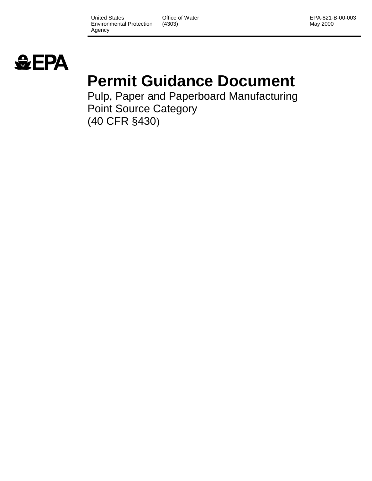United States Environmental Protection Agency

Office of Water (4303)

EPA-821-B-00-003 May 2000



#### **Permit Guidance Document**

Pulp, Paper and Paperboard Manufacturing Point Source Category (40 CFR §430)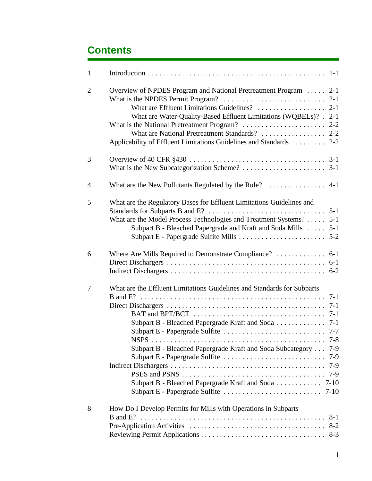| $\mathbf{1}$   |                                                                                               |
|----------------|-----------------------------------------------------------------------------------------------|
| $\overline{2}$ | Overview of NPDES Program and National Pretreatment Program  2-1                              |
|                |                                                                                               |
|                | What are Water-Quality-Based Effluent Limitations (WQBELs)? . 2-1                             |
|                |                                                                                               |
|                |                                                                                               |
|                | Applicability of Effluent Limitations Guidelines and Standards  2-2                           |
| 3              |                                                                                               |
|                |                                                                                               |
| $\overline{4}$ |                                                                                               |
| 5              | What are the Regulatory Bases for Effluent Limitations Guidelines and                         |
|                |                                                                                               |
|                | What are the Model Process Technologies and Treatment Systems?  5-1                           |
|                | Subpart B - Bleached Papergrade and Kraft and Soda Mills<br>$5 - 1$                           |
|                |                                                                                               |
| 6              | Where Are Mills Required to Demonstrate Compliance?  6-1                                      |
|                |                                                                                               |
|                |                                                                                               |
| 7              | What are the Effluent Limitations Guidelines and Standards for Subparts                       |
|                | $7-1$                                                                                         |
|                |                                                                                               |
|                |                                                                                               |
|                |                                                                                               |
|                | $7 - 8$                                                                                       |
|                | Subpart B - Bleached Papergrade Kraft and Soda Subcategory<br>$7-9$                           |
|                | Subpart E - Papergrade Sulfite<br>$7-9$                                                       |
|                |                                                                                               |
|                | $7-9$                                                                                         |
|                | Subpart B - Bleached Papergrade Kraft and Soda  7-10                                          |
|                | Subpart E - Papergrade Sulfite $\ldots \ldots \ldots \ldots \ldots \ldots \ldots \ldots$ 7-10 |
| 8              | How Do I Develop Permits for Mills with Operations in Subparts                                |
|                | $8-1$                                                                                         |
|                | $8 - 2$                                                                                       |
|                |                                                                                               |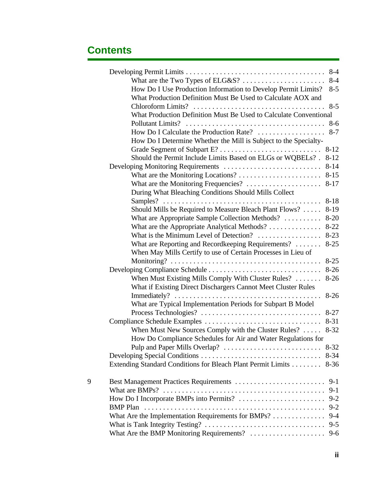|   |                                                                                                                               | $8 - 4$  |
|---|-------------------------------------------------------------------------------------------------------------------------------|----------|
|   | What are the Two Types of ELG&S?                                                                                              | $8 - 4$  |
|   | How Do I Use Production Information to Develop Permit Limits?<br>What Production Definition Must Be Used to Calculate AOX and | $8 - 5$  |
|   |                                                                                                                               | $8 - 5$  |
|   | What Production Definition Must Be Used to Calculate Conventional                                                             |          |
|   |                                                                                                                               |          |
|   | How Do I Calculate the Production Rate?<br>How Do I Determine Whether the Mill is Subject to the Specialty-                   | $8 - 7$  |
|   |                                                                                                                               |          |
|   | Should the Permit Include Limits Based on ELGs or WQBELs? .                                                                   | $8 - 12$ |
|   |                                                                                                                               | $8 - 14$ |
|   | What are the Monitoring Locations?                                                                                            | $8 - 15$ |
|   |                                                                                                                               | $8 - 17$ |
|   | During What Bleaching Conditions Should Mills Collect                                                                         |          |
|   |                                                                                                                               | $8 - 18$ |
|   | Should Mills be Required to Measure Bleach Plant Flows?                                                                       | $8-19$   |
|   | What are Appropriate Sample Collection Methods?                                                                               | $8 - 20$ |
|   | What are the Appropriate Analytical Methods?                                                                                  | $8 - 22$ |
|   | What is the Minimum Level of Detection?                                                                                       | $8 - 23$ |
|   | What are Reporting and Recordkeeping Requirements?                                                                            | $8 - 25$ |
|   | When May Mills Certify to use of Certain Processes in Lieu of                                                                 |          |
|   |                                                                                                                               | $8 - 25$ |
|   |                                                                                                                               | $8 - 26$ |
|   | When Must Existing Mills Comply With Cluster Rules?                                                                           | $8 - 26$ |
|   | What if Existing Direct Dischargers Cannot Meet Cluster Rules                                                                 |          |
|   |                                                                                                                               | $8 - 26$ |
|   | What are Typical Implementation Periods for Subpart B Model                                                                   |          |
|   |                                                                                                                               | $8 - 27$ |
|   |                                                                                                                               | $8 - 31$ |
|   | When Must New Sources Comply with the Cluster Rules?                                                                          | $8 - 32$ |
|   | How Do Compliance Schedules for Air and Water Regulations for                                                                 |          |
|   |                                                                                                                               | $8 - 32$ |
|   |                                                                                                                               | $8 - 34$ |
|   | Extending Standard Conditions for Bleach Plant Permit Limits                                                                  | $8 - 36$ |
| 9 |                                                                                                                               | $9-1$    |
|   |                                                                                                                               | $9-1$    |
|   | How Do I Incorporate BMPs into Permits?                                                                                       | $9 - 2$  |
|   |                                                                                                                               | $9 - 2$  |
|   | What Are the Implementation Requirements for BMPs?                                                                            | $9 - 4$  |
|   |                                                                                                                               | $9 - 5$  |
|   | What Are the BMP Monitoring Requirements?                                                                                     | $9 - 6$  |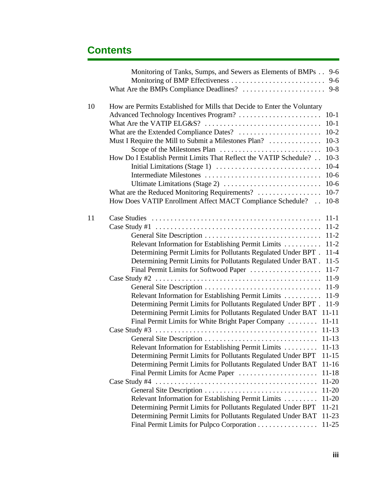|    | Monitoring of Tanks, Sumps, and Sewers as Elements of BMPs 9-6           |           |
|----|--------------------------------------------------------------------------|-----------|
|    |                                                                          | $9 - 6$   |
|    |                                                                          |           |
| 10 | How are Permits Established for Mills that Decide to Enter the Voluntary |           |
|    | Advanced Technology Incentives Program?                                  | $10-1$    |
|    |                                                                          | $10-1$    |
|    |                                                                          | $10-2$    |
|    | Must I Require the Mill to Submit a Milestones Plan?                     | $10-3$    |
|    |                                                                          | $10-3$    |
|    | How Do I Establish Permit Limits That Reflect the VATIP Schedule?        | $10-3$    |
|    |                                                                          | $10-4$    |
|    |                                                                          | $10-6$    |
|    |                                                                          | $10-6$    |
|    | What are the Reduced Monitoring Requirements?                            | $10-7$    |
|    | How Does VATIP Enrollment Affect MACT Compliance Schedule?               | $10-8$    |
|    |                                                                          |           |
| 11 |                                                                          | $11 - 1$  |
|    |                                                                          | $11-2$    |
|    |                                                                          | $11 - 2$  |
|    | Relevant Information for Establishing Permit Limits                      | $11-2$    |
|    | Determining Permit Limits for Pollutants Regulated Under BPT.            | $11-4$    |
|    | Determining Permit Limits for Pollutants Regulated Under BAT.            | $11-5$    |
|    | Final Permit Limits for Softwood Paper                                   | $11 - 7$  |
|    | Case Study #2                                                            | $11-9$    |
|    |                                                                          | $11-9$    |
|    | Relevant Information for Establishing Permit Limits                      | $11-9$    |
|    | Determining Permit Limits for Pollutants Regulated Under BPT.            | $11-9$    |
|    | Determining Permit Limits for Pollutants Regulated Under BAT             | $11 - 11$ |
|    | Final Permit Limits for White Bright Paper Company                       | $11 - 11$ |
|    |                                                                          | $11 - 13$ |
|    |                                                                          | $11 - 13$ |
|    | Relevant Information for Establishing Permit Limits                      | $11 - 13$ |
|    | Determining Permit Limits for Pollutants Regulated Under BPT             | $11 - 15$ |
|    | Determining Permit Limits for Pollutants Regulated Under BAT             | $11 - 16$ |
|    | Final Permit Limits for Acme Paper                                       | $11 - 18$ |
|    |                                                                          | $11-20$   |
|    | General Site Description                                                 | $11 - 20$ |
|    | Relevant Information for Establishing Permit Limits                      | 11-20     |
|    | Determining Permit Limits for Pollutants Regulated Under BPT             | 11-21     |
|    | Determining Permit Limits for Pollutants Regulated Under BAT             | 11-23     |
|    | Final Permit Limits for Pulpco Corporation                               | $11 - 25$ |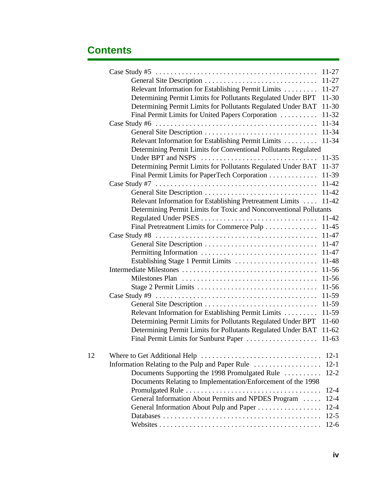|    |                                                                                                           | $11 - 27$ |
|----|-----------------------------------------------------------------------------------------------------------|-----------|
|    | General Site Description                                                                                  | $11 - 27$ |
|    | Relevant Information for Establishing Permit Limits                                                       | $11 - 27$ |
|    | Determining Permit Limits for Pollutants Regulated Under BPT                                              | $11 - 30$ |
|    | Determining Permit Limits for Pollutants Regulated Under BAT                                              | $11-30$   |
|    | Final Permit Limits for United Papers Corporation                                                         | 11-32     |
|    | Case Study #6 $\dots \dots \dots \dots \dots \dots \dots \dots \dots \dots \dots \dots \dots \dots \dots$ | $11 - 34$ |
|    | General Site Description                                                                                  | $11 - 34$ |
|    | Relevant Information for Establishing Permit Limits                                                       | 11-34     |
|    | Determining Permit Limits for Conventional Pollutants Regulated                                           |           |
|    | Under BPT and NSPS                                                                                        | $11 - 35$ |
|    | Determining Permit Limits for Pollutants Regulated Under BAT                                              | $11 - 37$ |
|    | Final Permit Limits for PaperTech Corporation                                                             | 11-39     |
|    |                                                                                                           | 11-42     |
|    |                                                                                                           | 11-42     |
|    | Relevant Information for Establishing Pretreatment Limits                                                 | $11 - 42$ |
|    | Determining Permit Limits for Toxic and Nonconventional Pollutants                                        |           |
|    |                                                                                                           | $11 - 42$ |
|    | Final Pretreatment Limits for Commerce Pulp                                                               | $11 - 45$ |
|    |                                                                                                           | 11-47     |
|    |                                                                                                           | 11-47     |
|    | Permitting Information                                                                                    | 11-47     |
|    | Establishing Stage 1 Permit Limits                                                                        | 11-48     |
|    |                                                                                                           | $11-56$   |
|    |                                                                                                           | $11 - 56$ |
|    |                                                                                                           | 11-56     |
|    |                                                                                                           | 11-59     |
|    |                                                                                                           | 11-59     |
|    | Relevant Information for Establishing Permit Limits                                                       | 11-59     |
|    | Determining Permit Limits for Pollutants Regulated Under BPT                                              | $11-60$   |
|    | Determining Permit Limits for Pollutants Regulated Under BAT                                              | $11-62$   |
|    |                                                                                                           |           |
| 12 |                                                                                                           | $12-1$    |
|    | Information Relating to the Pulp and Paper Rule                                                           | $12 - 1$  |
|    | Documents Supporting the 1998 Promulgated Rule                                                            | $12 - 2$  |
|    | Documents Relating to Implementation/Enforcement of the 1998                                              |           |
|    |                                                                                                           | $12 - 4$  |
|    | General Information About Permits and NPDES Program                                                       | $12 - 4$  |
|    | General Information About Pulp and Paper                                                                  | $12 - 4$  |
|    |                                                                                                           | $12-5$    |
|    |                                                                                                           | $12-6$    |
|    |                                                                                                           |           |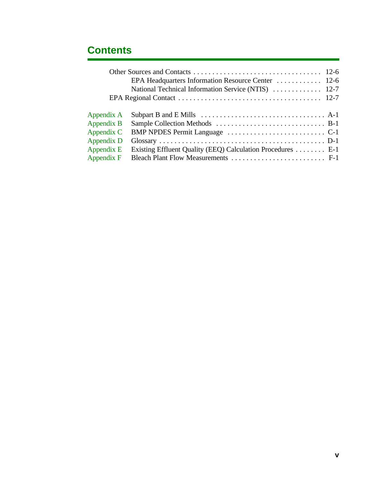|            | National Technical Information Service (NTIS)  12-7        |  |
|------------|------------------------------------------------------------|--|
|            |                                                            |  |
| Appendix A |                                                            |  |
| Appendix B |                                                            |  |
| Appendix C |                                                            |  |
| Appendix D |                                                            |  |
| Appendix E | Existing Effluent Quality (EEQ) Calculation Procedures E-1 |  |
| Appendix F |                                                            |  |
|            |                                                            |  |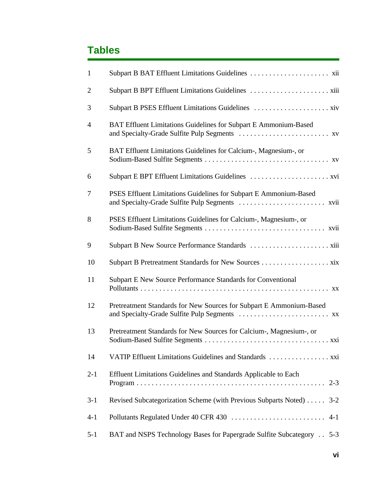#### **Tables**

| $\mathbf{1}$   |                                                                             |
|----------------|-----------------------------------------------------------------------------|
| $\overline{2}$ |                                                                             |
| 3              |                                                                             |
| $\overline{4}$ | BAT Effluent Limitations Guidelines for Subpart E Ammonium-Based            |
| 5              | BAT Effluent Limitations Guidelines for Calcium-, Magnesium-, or            |
| 6              |                                                                             |
| 7              | PSES Effluent Limitations Guidelines for Subpart E Ammonium-Based           |
| 8              | PSES Effluent Limitations Guidelines for Calcium-, Magnesium-, or           |
| 9              |                                                                             |
| 10             |                                                                             |
| 11             | Subpart E New Source Performance Standards for Conventional                 |
| 12             | Pretreatment Standards for New Sources for Subpart E Ammonium-Based         |
| 13             | Pretreatment Standards for New Sources for Calcium-, Magnesium-, or         |
| 14             |                                                                             |
| $2 - 1$        | Effluent Limitations Guidelines and Standards Applicable to Each<br>$2 - 3$ |
| $3-1$          | Revised Subcategorization Scheme (with Previous Subparts Noted) 3-2         |
| $4 - 1$        |                                                                             |
| $5 - 1$        | BAT and NSPS Technology Bases for Papergrade Sulfite Subcategory 5-3        |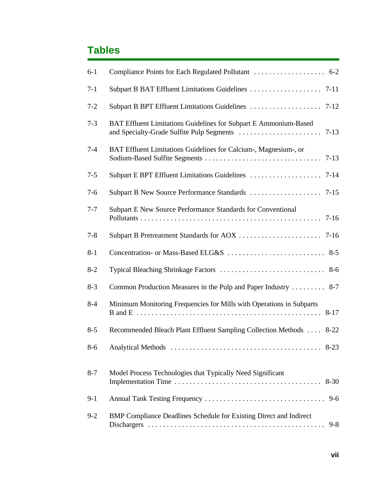#### **Tables**

| $6-1$   |                                                                               |
|---------|-------------------------------------------------------------------------------|
| $7-1$   |                                                                               |
| $7 - 2$ |                                                                               |
| $7 - 3$ | BAT Effluent Limitations Guidelines for Subpart E Ammonium-Based              |
| $7 - 4$ | BAT Effluent Limitations Guidelines for Calcium-, Magnesium-, or              |
| $7 - 5$ |                                                                               |
| $7 - 6$ |                                                                               |
| $7 - 7$ | Subpart E New Source Performance Standards for Conventional                   |
| $7 - 8$ |                                                                               |
| $8 - 1$ |                                                                               |
| $8 - 2$ |                                                                               |
| $8 - 3$ | Common Production Measures in the Pulp and Paper Industry  8-7                |
| $8 - 4$ | Minimum Monitoring Frequencies for Mills with Operations in Subparts          |
| $8 - 5$ | Recommended Bleach Plant Effluent Sampling Collection Methods  8-22           |
| $8 - 6$ |                                                                               |
| $8 - 7$ | Model Process Technologies that Typically Need Significant                    |
| $9-1$   |                                                                               |
| $9 - 2$ | BMP Compliance Deadlines Schedule for Existing Direct and Indirect<br>$9 - 8$ |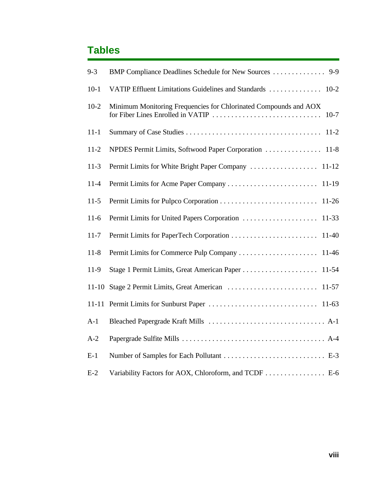#### **Tables**

| $9 - 3$   | BMP Compliance Deadlines Schedule for New Sources  9-9                                                          |
|-----------|-----------------------------------------------------------------------------------------------------------------|
| $10-1$    | VATIP Effluent Limitations Guidelines and Standards<br>$10-2$                                                   |
| $10-2$    | Minimum Monitoring Frequencies for Chlorinated Compounds and AOX<br>for Fiber Lines Enrolled in VATIP<br>$10-7$ |
| $11 - 1$  | $11-2$                                                                                                          |
| $11-2$    | NPDES Permit Limits, Softwood Paper Corporation<br>$11-8$                                                       |
| $11-3$    | Permit Limits for White Bright Paper Company<br>$11 - 12$                                                       |
| $11 - 4$  | $11-19$                                                                                                         |
| $11-5$    | $11-26$                                                                                                         |
| $11-6$    | Permit Limits for United Papers Corporation<br>$11 - 33$                                                        |
| $11 - 7$  | $11-40$                                                                                                         |
| $11 - 8$  | Permit Limits for Commerce Pulp Company<br>11-46                                                                |
| $11-9$    | $11 - 54$                                                                                                       |
| $11 - 10$ | $11-57$                                                                                                         |
| $11 - 11$ | $11-63$                                                                                                         |
| $A-1$     |                                                                                                                 |
| $A-2$     |                                                                                                                 |
| $E-1$     |                                                                                                                 |
| $E-2$     | Variability Factors for AOX, Chloroform, and TCDF E-6                                                           |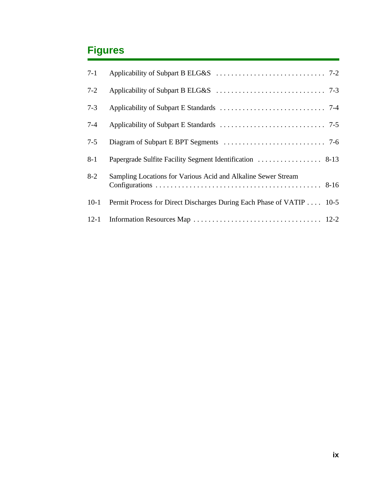#### **Figures**

| $7 - 1$  |                                                                      |
|----------|----------------------------------------------------------------------|
| $7 - 2$  |                                                                      |
| $7 - 3$  |                                                                      |
| $7 - 4$  |                                                                      |
| $7 - 5$  |                                                                      |
| $8-1$    |                                                                      |
| $8 - 2$  | Sampling Locations for Various Acid and Alkaline Sewer Stream        |
| $10-1$   | Permit Process for Direct Discharges During Each Phase of VATIP 10-5 |
| $12 - 1$ |                                                                      |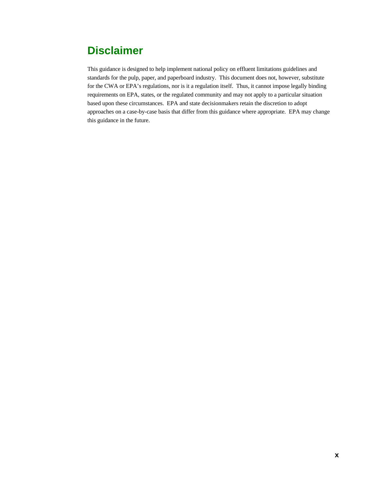#### **Disclaimer**

This guidance is designed to help implement national policy on effluent limitations guidelines and standards for the pulp, paper, and paperboard industry. This document does not, however, substitute for the CWA or EPA's regulations, nor is it a regulation itself. Thus, it cannot impose legally binding requirements on EPA, states, or the regulated community and may not apply to a particular situation based upon these circumstances. EPA and state decisionmakers retain the discretion to adopt approaches on a case-by-case basis that differ from this guidance where appropriate. EPA may change this guidance in the future.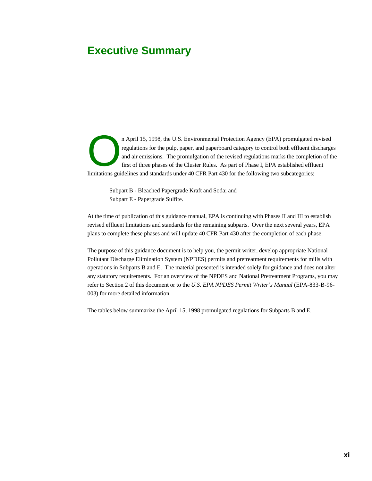#### **Executive Summary**

n April 15, 1998, the U.S. Environmental Protection Agency (EPA) promulgated revised regulations for the pulp, paper, and paperboard category to control both effluent discharges and air emissions. The promulgation of the revised regulations marks the completion of the first of three phases of the Cluster Rules. As part of Phase I, EPA established effluent limitations guidelines and standards under 40 CFR Part 430 for the following two subcategories:

Subpart B - Bleached Papergrade Kraft and Soda; and Subpart E - Papergrade Sulfite.

At the time of publication of this guidance manual, EPA is continuing with Phases II and III to establish revised effluent limitations and standards for the remaining subparts. Over the next several years, EPA plans to complete these phases and will update 40 CFR Part 430 after the completion of each phase.

The purpose of this guidance document is to help you, the permit writer, develop appropriate National Pollutant Discharge Elimination System (NPDES) permits and pretreatment requirements for mills with operations in Subparts B and E. The material presented is intended solely for guidance and does not alter any statutory requirements. For an overview of the NPDES and National Pretreatment Programs, you may refer to Section 2 of this document or to the *U.S. EPA NPDES Permit Writer's Manual* (EPA-833-B-96- 003) for more detailed information.

The tables below summarize the April 15, 1998 promulgated regulations for Subparts B and E.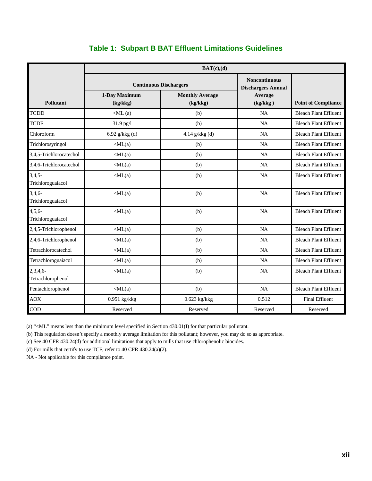|                               | BAT(c),(d)                    |                                    |                                                   |                              |  |
|-------------------------------|-------------------------------|------------------------------------|---------------------------------------------------|------------------------------|--|
|                               | <b>Continuous Dischargers</b> |                                    | <b>Noncontinuous</b><br><b>Dischargers Annual</b> |                              |  |
| <b>Pollutant</b>              | 1-Day Maximum<br>(kg/kkg)     | <b>Monthly Average</b><br>(kg/kkg) | Average<br>(kg/kkg)                               | <b>Point of Compliance</b>   |  |
| <b>TCDD</b>                   | $\langle$ ML $(a)$            | (b)                                | <b>NA</b>                                         | <b>Bleach Plant Effluent</b> |  |
| <b>TCDF</b>                   | 31.9 pg/l                     | (b)                                | NA                                                | <b>Bleach Plant Effluent</b> |  |
| Chloroform                    | 6.92 $g/kkg$ (d)              | 4.14 $g/kkg$ (d)                   | NA                                                | <b>Bleach Plant Effluent</b> |  |
| Trichlorosyringol             | $\langle ML(a)$               | (b)                                | NA                                                | <b>Bleach Plant Effluent</b> |  |
| 3,4,5-Trichlorocatechol       | $\langle ML(a)$               | (b)                                | <b>NA</b>                                         | <b>Bleach Plant Effluent</b> |  |
| 3,4,6-Trichlorocatechol       | $\langle ML(a)$               | (b)                                | <b>NA</b>                                         | <b>Bleach Plant Effluent</b> |  |
| $3,4,5-$<br>Trichloroguaiacol | $\langle ML(a)$               | (b)                                | <b>NA</b>                                         | <b>Bleach Plant Effluent</b> |  |
| $3,4,6-$<br>Trichloroguaiacol | $\langle ML(a)$               | (b)                                | NA                                                | <b>Bleach Plant Effluent</b> |  |
| $4,5,6-$<br>Trichloroguaiacol | $\langle ML(a)$               | (b)                                | <b>NA</b>                                         | <b>Bleach Plant Effluent</b> |  |
| 2,4,5-Trichlorophenol         | $\langle ML(a)$               | (b)                                | <b>NA</b>                                         | <b>Bleach Plant Effluent</b> |  |
| 2,4,6-Trichlorophenol         | $\langle ML(a)$               | (b)                                | <b>NA</b>                                         | <b>Bleach Plant Effluent</b> |  |
| Tetrachlorocatechol           | $\langle ML(a)$               | (b)                                | <b>NA</b>                                         | <b>Bleach Plant Effluent</b> |  |
| Tetrachloroguaiacol           | $\langle ML(a)$               | (b)                                | <b>NA</b>                                         | <b>Bleach Plant Effluent</b> |  |
| 2,3,4,6<br>Tetrachlorophenol  | $\langle ML(a)$               | (b)                                | NA                                                | <b>Bleach Plant Effluent</b> |  |
| Pentachlorophenol             | $\langle ML(a)$               | (b)                                | <b>NA</b>                                         | <b>Bleach Plant Effluent</b> |  |
| <b>AOX</b>                    | $0.951$ kg/kkg                | 0.623 kg/kkg                       | 0.512                                             | <b>Final Effluent</b>        |  |
| COD                           | Reserved                      | Reserved                           | Reserved                                          | Reserved                     |  |

#### **Table 1: Subpart B BAT Effluent Limitations Guidelines**

(a) "<ML" means less than the minimum level specified in Section 430.01(I) for that particular pollutant.

(b) This regulation doesn't specify a monthly average limitation for this pollutant; however, you may do so as appropriate.

(c) See 40 CFR 430.24(d) for additional limitations that apply to mills that use chlorophenolic biocides.

(d) For mills that certify to use TCF, refer to 40 CFR 430.24(a)(2).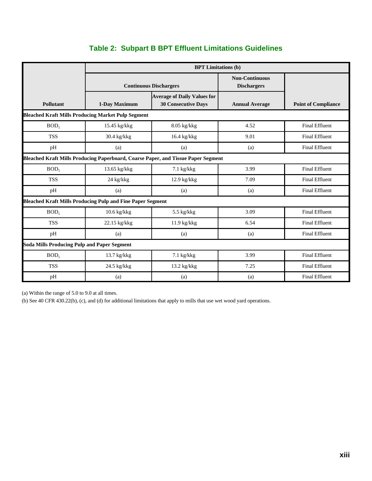|                                                                                          | <b>BPT Limitations (b)</b>    |                                                                  |                                             |                            |
|------------------------------------------------------------------------------------------|-------------------------------|------------------------------------------------------------------|---------------------------------------------|----------------------------|
|                                                                                          | <b>Continuous Dischargers</b> |                                                                  | <b>Non-Continuous</b><br><b>Dischargers</b> |                            |
| Pollutant                                                                                | 1-Day Maximum                 | <b>Average of Daily Values for</b><br><b>30 Consecutive Days</b> | <b>Annual Average</b>                       | <b>Point of Compliance</b> |
| <b>Bleached Kraft Mills Producing Market Pulp Segment</b>                                |                               |                                                                  |                                             |                            |
| BOD <sub>5</sub>                                                                         | 15.45 kg/kkg                  | 8.05 kg/kkg                                                      | 4.52                                        | <b>Final Effluent</b>      |
| <b>TSS</b>                                                                               | 30.4 kg/kkg                   | 16.4 kg/kkg                                                      | 9.01                                        | <b>Final Effluent</b>      |
| pH                                                                                       | (a)                           | (a)                                                              | (a)                                         | <b>Final Effluent</b>      |
| <b>Bleached Kraft Mills Producing Paperboard, Coarse Paper, and Tissue Paper Segment</b> |                               |                                                                  |                                             |                            |
| BOD <sub>5</sub>                                                                         | 13.65 kg/kkg                  | $7.1$ kg/kkg                                                     | 3.99                                        | <b>Final Effluent</b>      |
| <b>TSS</b>                                                                               | 24 kg/kkg                     | $12.9$ kg/kkg                                                    | 7.09                                        | <b>Final Effluent</b>      |
| pH                                                                                       | (a)                           | (a)                                                              | (a)                                         | <b>Final Effluent</b>      |
| <b>Bleached Kraft Mills Producing Pulp and Fine Paper Segment</b>                        |                               |                                                                  |                                             |                            |
| BOD <sub>5</sub>                                                                         | 10.6 kg/kkg                   | $5.5$ kg/kkg                                                     | 3.09                                        | <b>Final Effluent</b>      |
| <b>TSS</b>                                                                               | 22.15 kg/kkg                  | 11.9 kg/kkg                                                      | 6.54                                        | <b>Final Effluent</b>      |
| pH                                                                                       | (a)                           | (a)                                                              | (a)                                         | <b>Final Effluent</b>      |
| <b>Soda Mills Producing Pulp and Paper Segment</b>                                       |                               |                                                                  |                                             |                            |
| BOD <sub>5</sub>                                                                         | 13.7 kg/kkg                   | $7.1$ kg/kkg                                                     | 3.99                                        | <b>Final Effluent</b>      |
| <b>TSS</b>                                                                               | 24.5 kg/kkg                   | 13.2 kg/kkg                                                      | 7.25                                        | <b>Final Effluent</b>      |
| pH                                                                                       | (a)                           | (a)                                                              | (a)                                         | <b>Final Effluent</b>      |

#### **Table 2: Subpart B BPT Effluent Limitations Guidelines**

(a) Within the range of 5.0 to 9.0 at all times.

(b) See 40 CFR 430.22(b), (c), and (d) for additional limitations that apply to mills that use wet wood yard operations.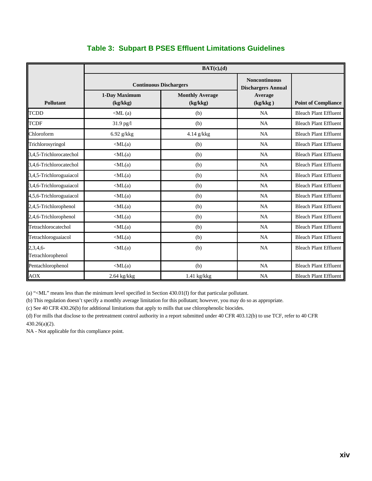|                              | BAT(c),(d)                    |                                    |                                                   |                              |  |
|------------------------------|-------------------------------|------------------------------------|---------------------------------------------------|------------------------------|--|
|                              | <b>Continuous Dischargers</b> |                                    | <b>Noncontinuous</b><br><b>Dischargers Annual</b> |                              |  |
| <b>Pollutant</b>             | 1-Day Maximum<br>(kg/kkg)     | <b>Monthly Average</b><br>(kg/kkg) | Average<br>(kg/kkg)                               | <b>Point of Compliance</b>   |  |
| <b>TCDD</b>                  | $\langle$ ML $(a)$            | (b)                                | NA                                                | <b>Bleach Plant Effluent</b> |  |
| <b>TCDF</b>                  | 31.9 pg/l                     | (b)                                | NA                                                | <b>Bleach Plant Effluent</b> |  |
| Chloroform                   | $6.92$ g/kkg                  | 4.14 g/kkg                         | <b>NA</b>                                         | <b>Bleach Plant Effluent</b> |  |
| Trichlorosyringol            | $\langle ML(a)$               | (b)                                | <b>NA</b>                                         | <b>Bleach Plant Effluent</b> |  |
| 3,4,5-Trichlorocatechol      | $\langle ML(a)$               | (b)                                | <b>NA</b>                                         | <b>Bleach Plant Effluent</b> |  |
| 3,4,6-Trichlorocatechol      | $\langle ML(a)$               | (b)                                | NA                                                | <b>Bleach Plant Effluent</b> |  |
| 3,4,5-Trichloroguaiacol      | $\langle ML(a)$               | (b)                                | <b>NA</b>                                         | <b>Bleach Plant Effluent</b> |  |
| 3,4,6-Trichloroguaiacol      | $\langle ML(a)$               | (b)                                | NA                                                | <b>Bleach Plant Effluent</b> |  |
| 4,5,6-Trichloroguaiacol      | $\langle ML(a)$               | (b)                                | <b>NA</b>                                         | <b>Bleach Plant Effluent</b> |  |
| 2,4,5-Trichlorophenol        | $\langle ML(a)$               | (b)                                | NA                                                | <b>Bleach Plant Effluent</b> |  |
| 2,4,6-Trichlorophenol        | $\langle ML(a)$               | (b)                                | NA                                                | <b>Bleach Plant Effluent</b> |  |
| Tetrachlorocatechol          | $\langle ML(a)$               | (b)                                | <b>NA</b>                                         | <b>Bleach Plant Effluent</b> |  |
| Tetrachloroguaiacol          | $\langle ML(a)$               | (b)                                | <b>NA</b>                                         | <b>Bleach Plant Effluent</b> |  |
| 2,3,4,6<br>Tetrachlorophenol | $\langle ML(a)$               | (b)                                | <b>NA</b>                                         | <b>Bleach Plant Effluent</b> |  |
| Pentachlorophenol            | $\langle ML(a)$               | (b)                                | NA                                                | <b>Bleach Plant Effluent</b> |  |
| <b>AOX</b>                   | 2.64 kg/kkg                   | 1.41 kg/kkg                        | <b>NA</b>                                         | <b>Bleach Plant Effluent</b> |  |

#### **Table 3: Subpart B PSES Effluent Limitations Guidelines**

(a) "<ML" means less than the minimum level specified in Section 430.01(I) for that particular pollutant.

(b) This regulation doesn't specify a monthly average limitation for this pollutant; however, you may do so as appropriate.

(c) See 40 CFR 430.26(b) for additional limitations that apply to mills that use chlorophenolic biocides.

(d) For mills that disclose to the pretreatment control authority in a report submitted under 40 CFR 403.12(b) to use TCF, refer to 40 CFR 430.26(a)(2).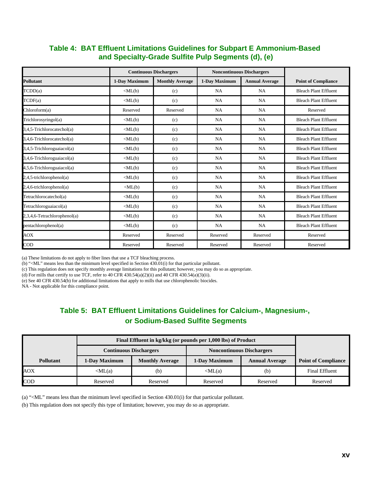#### **Table 4: BAT Effluent Limitations Guidelines for Subpart E Ammonium-Based and Specialty-Grade Sulfite Pulp Segments (d), (e)**

|                              | <b>Continuous Dischargers</b>  |                        | <b>Noncontinuous Dischargers</b> |                       |                              |
|------------------------------|--------------------------------|------------------------|----------------------------------|-----------------------|------------------------------|
| <b>Pollutant</b>             | 1-Day Maximum                  | <b>Monthly Average</b> | 1-Day Maximum                    | <b>Annual Average</b> | <b>Point of Compliance</b>   |
| TCDD(a)                      | $\langle \text{ML}(b) \rangle$ | (c)                    | <b>NA</b>                        | <b>NA</b>             | <b>Bleach Plant Effluent</b> |
| TCDF(a)                      | $\langle ML(b)$                | (c)                    | <b>NA</b>                        | <b>NA</b>             | <b>Bleach Plant Effluent</b> |
| Chloroform(a)                | Reserved                       | Reserved               | <b>NA</b>                        | <b>NA</b>             | Reserved                     |
| Trichlorosyringol(a)         | $\langle ML(b)$                | (c)                    | <b>NA</b>                        | <b>NA</b>             | <b>Bleach Plant Effluent</b> |
| 3,4,5-Trichlorocatechol(a)   | $\langle \text{ML}(b) \rangle$ | (c)                    | <b>NA</b>                        | <b>NA</b>             | <b>Bleach Plant Effluent</b> |
| 3,4,6-Trichlorocatechol(a)   | $\langle ML(b)$                | (c)                    | <b>NA</b>                        | <b>NA</b>             | <b>Bleach Plant Effluent</b> |
| 3,4,5-Trichloroguaiacol(a)   | $\langle ML(b)$                | (c)                    | <b>NA</b>                        | <b>NA</b>             | <b>Bleach Plant Effluent</b> |
| 3,4,6-Trichloroguaiacol(a)   | $\langle ML(b)$                | (c)                    | <b>NA</b>                        | <b>NA</b>             | <b>Bleach Plant Effluent</b> |
| 4,5,6-Trichloroguaiacol(a)   | $\langle ML(b)$                | (c)                    | <b>NA</b>                        | <b>NA</b>             | <b>Bleach Plant Effluent</b> |
| 2,4,5-trichlorophenol(a)     | $\langle ML(b)$                | (c)                    | <b>NA</b>                        | <b>NA</b>             | <b>Bleach Plant Effluent</b> |
| $2,4,6$ -trichlorophenol(a)  | $\langle ML(b)$                | (c)                    | <b>NA</b>                        | <b>NA</b>             | <b>Bleach Plant Effluent</b> |
| Tetrachlorocatechol(a)       | $\langle \text{ML}(b) \rangle$ | (c)                    | <b>NA</b>                        | NA.                   | <b>Bleach Plant Effluent</b> |
| Tetrachloroguaiacol(a)       | $\langle \text{ML}(b) \rangle$ | (c)                    | <b>NA</b>                        | <b>NA</b>             | <b>Bleach Plant Effluent</b> |
| 2,3,4,6-Tetrachlorophenol(a) | $\langle ML(b)$                | (c)                    | <b>NA</b>                        | <b>NA</b>             | <b>Bleach Plant Effluent</b> |
| pentachlorophenol(a)         | $\langle \text{ML}(b) \rangle$ | (c)                    | <b>NA</b>                        | <b>NA</b>             | <b>Bleach Plant Effluent</b> |
| AOX                          | Reserved                       | Reserved               | Reserved                         | Reserved              | Reserved                     |
| $\overline{COD}$             | Reserved                       | Reserved               | Reserved                         | Reserved              | Reserved                     |

(a) These limitations do not apply to fiber lines that use a TCF bleaching process.

(b) "<ML" means less than the minimum level specified in Section 430.01(i) for that particular pollutant.

(c) This regulation does not specify monthly average limitations for this pollutant; however, you may do so as appropriate.

(d) For mills that certify to use TCF, refer to 40 CFR 430.54(a)(2)(ii) and 40 CFR 430.54(a)(3)(ii).

(e) See 40 CFR 430.54(b) for additional limitations that apply to mills that use chlorophenolic biocides.

NA - Not applicable for this compliance point.

#### **Table 5: BAT Effluent Limitations Guidelines for Calcium-, Magnesium-, or Sodium-Based Sulfite Segments**

|                  |                 | Final Effluent in kg/kkg (or pounds per 1,000 lbs) of Product |                                  |                       |                            |  |  |
|------------------|-----------------|---------------------------------------------------------------|----------------------------------|-----------------------|----------------------------|--|--|
|                  |                 | <b>Continuous Dischargers</b>                                 | <b>Noncontinuous Dischargers</b> |                       |                            |  |  |
| <b>Pollutant</b> | 1-Day Maximum   | <b>Monthly Average</b>                                        | 1-Day Maximum                    | <b>Annual Average</b> | <b>Point of Compliance</b> |  |  |
| <b>AOX</b>       | $\langle ML(a)$ | (b)                                                           | $\langle ML(a)$                  | (b)                   | <b>Final Effluent</b>      |  |  |
| <b>COD</b>       | Reserved        | Reserved                                                      | Reserved                         | Reserved              | Reserved                   |  |  |

(a) "<ML" means less than the minimum level specified in Section 430.01(i) for that particular pollutant.

(b) This regulation does not specify this type of limitation; however, you may do so as appropriate.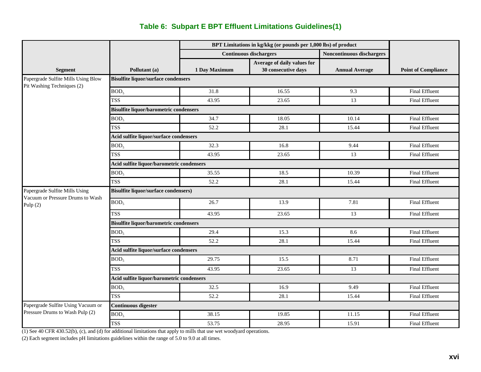#### **Table 6: Subpart E BPT Effluent Limitations Guidelines(1)**

|                                                                   | BPT Limitations in kg/kkg (or pounds per 1,000 lbs) of product |               |                               |                                  |                            |  |  |  |
|-------------------------------------------------------------------|----------------------------------------------------------------|---------------|-------------------------------|----------------------------------|----------------------------|--|--|--|
|                                                                   |                                                                |               | <b>Continuous dischargers</b> | <b>Noncontinuous dischargers</b> |                            |  |  |  |
|                                                                   |                                                                |               | Average of daily values for   |                                  |                            |  |  |  |
| <b>Segment</b>                                                    | Pollutant (a)                                                  | 1 Day Maximum | 30 consecutive days           | <b>Annual Average</b>            | <b>Point of Compliance</b> |  |  |  |
| Papergrade Sulfite Mills Using Blow<br>Pit Washing Techniques (2) | <b>Bisulfite liquor/surface condensers</b>                     |               |                               |                                  |                            |  |  |  |
|                                                                   | BOD <sub>5</sub>                                               | 31.8          | 16.55                         | 9.3                              | <b>Final Effluent</b>      |  |  |  |
|                                                                   | <b>TSS</b>                                                     | 43.95         | 23.65                         | 13                               | <b>Final Effluent</b>      |  |  |  |
|                                                                   | <b>Bisulfite liquor/barometric condensers</b>                  |               |                               |                                  |                            |  |  |  |
|                                                                   | BOD <sub>5</sub>                                               | 34.7          | 18.05                         | 10.14                            | <b>Final Effluent</b>      |  |  |  |
|                                                                   | <b>TSS</b>                                                     | 52.2          | 28.1                          | 15.44                            | <b>Final Effluent</b>      |  |  |  |
|                                                                   | Acid sulfite liquor/surface condensers                         |               |                               |                                  |                            |  |  |  |
|                                                                   | BOD <sub>5</sub>                                               | 32.3          | 16.8                          | 9.44                             | <b>Final Effluent</b>      |  |  |  |
|                                                                   | <b>TSS</b>                                                     | 43.95         | 23.65                         | 13                               | <b>Final Effluent</b>      |  |  |  |
|                                                                   | Acid sulfite liquor/barometric condensers                      |               |                               |                                  |                            |  |  |  |
|                                                                   | BOD <sub>5</sub>                                               | 35.55         | 18.5                          | 10.39                            | <b>Final Effluent</b>      |  |  |  |
|                                                                   | <b>TSS</b>                                                     | 52.2          | 28.1                          | 15.44                            | <b>Final Effluent</b>      |  |  |  |
| Papergrade Sulfite Mills Using                                    | <b>Bisulfite liquor/surface condensers)</b>                    |               |                               |                                  |                            |  |  |  |
| Vacuum or Pressure Drums to Wash<br>Pulp $(2)$                    | BOD <sub>5</sub>                                               | 26.7          | 13.9                          | 7.81                             | <b>Final Effluent</b>      |  |  |  |
|                                                                   | <b>TSS</b>                                                     | 43.95         | 23.65                         | 13                               | <b>Final Effluent</b>      |  |  |  |
|                                                                   | <b>Bisulfite liquor/barometric condensers</b>                  |               |                               |                                  |                            |  |  |  |
|                                                                   | BOD <sub>5</sub>                                               | 29.4          | 15.3                          | 8.6                              | <b>Final Effluent</b>      |  |  |  |
|                                                                   | <b>TSS</b>                                                     | 52.2          | 28.1                          | 15.44                            | <b>Final Effluent</b>      |  |  |  |
|                                                                   | Acid sulfite liquor/surface condensers                         |               |                               |                                  |                            |  |  |  |
|                                                                   | BOD <sub>5</sub>                                               | 29.75         | 15.5                          | 8.71                             | <b>Final Effluent</b>      |  |  |  |
|                                                                   | TSS                                                            | 43.95         | 23.65                         | 13                               | <b>Final Effluent</b>      |  |  |  |
|                                                                   | Acid sulfite liquor/barometric condensers                      |               |                               |                                  |                            |  |  |  |
|                                                                   | BOD <sub>5</sub>                                               | 32.5          | 16.9                          | 9.49                             | <b>Final Effluent</b>      |  |  |  |
|                                                                   | <b>TSS</b>                                                     | 52.2          | 28.1                          | 15.44                            | <b>Final Effluent</b>      |  |  |  |
| Papergrade Sulfite Using Vacuum or                                | <b>Continuous digester</b>                                     |               |                               |                                  |                            |  |  |  |
| Pressure Drums to Wash Pulp (2)                                   | BOD <sub>5</sub>                                               | 38.15         | 19.85                         | 11.15                            | <b>Final Effluent</b>      |  |  |  |
|                                                                   | <b>TSS</b>                                                     | 53.75         | 28.95                         | 15.91                            | <b>Final Effluent</b>      |  |  |  |

(1) See 40 CFR 430.52(b), (c), and (d) for additional limitations that apply to mills that use wet woodyard operations.

(2) Each segment includes pH limitations guidelines within the range of 5.0 to 9.0 at all times.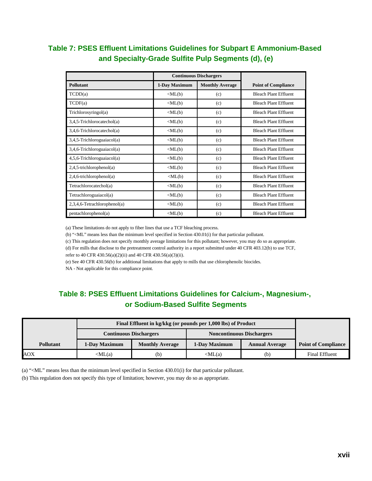#### **Table 7: PSES Effluent Limitations Guidelines for Subpart E Ammonium-Based and Specialty-Grade Sulfite Pulp Segments (d), (e)**

|                                 | <b>Continuous Dischargers</b>  |                        |                              |
|---------------------------------|--------------------------------|------------------------|------------------------------|
| <b>Pollutant</b>                | 1-Day Maximum                  | <b>Monthly Average</b> | <b>Point of Compliance</b>   |
| T CDD(a)                        | $\langle ML(b)$                | (c)                    | <b>Bleach Plant Effluent</b> |
| TCDF(a)                         | $\langle ML(b)$                | (c)                    | <b>Bleach Plant Effluent</b> |
| Trichlorosyringol(a)            | $\langle ML(b)$                | (c)                    | <b>Bleach Plant Effluent</b> |
| $3,4,5$ -Trichlorocatechol(a)   | $\langle ML(b)$                | (c)                    | <b>Bleach Plant Effluent</b> |
| $3,4,6$ -Trichlorocatechol(a)   | $\langle ML(b)$                | (c)                    | <b>Bleach Plant Effluent</b> |
| $3,4,5$ -Trichloroguaiacol(a)   | $\langle ML(b)$                | (c)                    | <b>Bleach Plant Effluent</b> |
| $3,4,6$ -Trichloroguaiacol(a)   | $\langle ML(b)$                | (c)                    | <b>Bleach Plant Effluent</b> |
| $4,5,6$ -Trichloroguaiacol(a)   | $\langle ML(b)$                | (c)                    | <b>Bleach Plant Effluent</b> |
| $2,4,5$ -trichlorophenol(a)     | $\langle ML(b)$                | (c)                    | <b>Bleach Plant Effluent</b> |
| $2,4,6$ -trichlorophenol(a)     | $\langle \text{ML}(b) \rangle$ | (c)                    | <b>Bleach Plant Effluent</b> |
| Tetrachlorocatechol(a)          | $\langle ML(b)$                | (c)                    | <b>Bleach Plant Effluent</b> |
| Tetrachloroguaiacol(a)          | $\langle ML(b)$                | (c)                    | <b>Bleach Plant Effluent</b> |
| $2,3,4,6$ -Tetrachlorophenol(a) | $\langle \text{ML}(b) \rangle$ | (c)                    | <b>Bleach Plant Effluent</b> |
| pentachlorophenol(a)            | $\langle ML(b)$                | (c)                    | <b>Bleach Plant Effluent</b> |

(a) These limitations do not apply to fiber lines that use a TCF bleaching process.

(b) "<ML" means less than the minimum level specified in Section 430.01(i) for that particular pollutant.

(c) This regulation does not specify monthly average limitations for this pollutant; however, you may do so as appropriate. (d) For mills that disclose to the pretreatment control authority in a report submitted under 40 CFR 403.12(b) to use TCF, refer to 40 CFR 430.56(a)(2)(ii) and 40 CFR 430.56(a)(3)(ii).

(e) See 40 CFR 430.56(b) for additional limitations that apply to mills that use chlorophenolic biocides.

NA - Not applicable for this compliance point.

#### **Table 8: PSES Effluent Limitations Guidelines for Calcium-, Magnesium-, or Sodium-Based Sulfite Segments**

|                  | Final Effluent in kg/kkg (or pounds per 1,000 lbs) of Product     |                        |                 |                       |                            |
|------------------|-------------------------------------------------------------------|------------------------|-----------------|-----------------------|----------------------------|
|                  | <b>Noncontinuous Dischargers</b><br><b>Continuous Dischargers</b> |                        |                 |                       |                            |
| <b>Pollutant</b> | 1-Day Maximum                                                     | <b>Monthly Average</b> | 1-Day Maximum   | <b>Annual Average</b> | <b>Point of Compliance</b> |
| AOX              | $\langle ML(a)$                                                   | (b)                    | $\langle ML(a)$ | (b)                   | Final Effluent             |

(a) "<ML" means less than the minimum level specified in Section 430.01(i) for that particular pollutant.

(b) This regulation does not specify this type of limitation; however, you may do so as appropriate.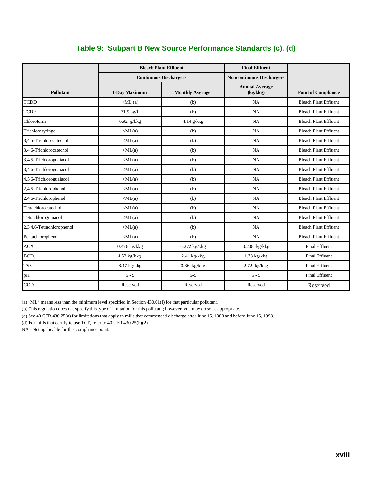|                           |                    | <b>Bleach Plant Effluent</b>  | <b>Final Effluent</b>             |                              |
|---------------------------|--------------------|-------------------------------|-----------------------------------|------------------------------|
|                           |                    | <b>Continuous Dischargers</b> | <b>Noncontinuous Dischargers</b>  |                              |
| <b>Pollutant</b>          | 1-Day Maximum      | <b>Monthly Average</b>        | <b>Annual Average</b><br>(kg/kkg) | <b>Point of Compliance</b>   |
| <b>TCDD</b>               | $\langle$ ML $(a)$ | (b)                           | NA                                | <b>Bleach Plant Effluent</b> |
| <b>TCDF</b>               | 31.9 pg/L          | (b)                           | NA                                | <b>Bleach Plant Effluent</b> |
| Chloroform                | 6.92 $g/kkg$       | 4.14 g/kkg                    | NA                                | <b>Bleach Plant Effluent</b> |
| Trichlorosyringol         | $\langle ML(a)$    | (b)                           | NA                                | <b>Bleach Plant Effluent</b> |
| 3,4,5-Trichlorocatechol   | $\langle ML(a)$    | (b)                           | NA                                | <b>Bleach Plant Effluent</b> |
| 3.4.6-Trichlorocatechol   | $\langle ML(a)$    | (b)                           | NA                                | <b>Bleach Plant Effluent</b> |
| 3,4,5-Trichloroguaiacol   | $\langle ML(a)$    | (b)                           | NA                                | <b>Bleach Plant Effluent</b> |
| 3,4,6-Trichloroguaiacol   | $\langle ML(a)$    | (b)                           | NA                                | <b>Bleach Plant Effluent</b> |
| 4,5,6-Trichloroguaiacol   | $\langle ML(a)$    | (b)                           | NA                                | <b>Bleach Plant Effluent</b> |
| 2,4,5-Trichlorophenol     | $\langle ML(a)$    | (b)                           | NA                                | <b>Bleach Plant Effluent</b> |
| 2,4,6-Trichlorophenol     | $\langle ML(a)$    | (b)                           | NA                                | <b>Bleach Plant Effluent</b> |
| Tetrachlorocatechol       | $\langle ML(a)$    | (b)                           | NA                                | <b>Bleach Plant Effluent</b> |
| Tetrachloroguaiacol       | $\langle ML(a)$    | (b)                           | NA                                | <b>Bleach Plant Effluent</b> |
| 2,3,4,6-Tetrachlorophenol | $\langle ML(a)$    | (b)                           | NA                                | <b>Bleach Plant Effluent</b> |
| Pentachlorophenol         | $\langle ML(a)$    | (b)                           | NA                                | <b>Bleach Plant Effluent</b> |
| <b>AOX</b>                | 0.476 kg/kkg       | $0.272$ kg/kkg                | $0.208$ kg/kkg                    | <b>Final Effluent</b>        |
| BOD <sub>5</sub>          | $4.52$ kg/kkg      | $2.41$ kg/kkg                 | $1.73$ kg/kkg                     | <b>Final Effluent</b>        |
| <b>TSS</b>                | $8.47$ kg/kkg      | 3.86 kg/kkg                   | $2.72$ kg/kkg                     | <b>Final Effluent</b>        |
| pН                        | $5 - 9$            | $5-9$                         | $5 - 9$                           | <b>Final Effluent</b>        |
| COD                       | Reserved           | Reserved                      | Reserved                          | Reserved                     |

#### **Table 9: Subpart B New Source Performance Standards (c), (d)**

(a) "ML" means less than the minimum level specified in Section 430.01(I) for that particular pollutant.

(b) This regulation does not specify this type of limitation for this pollutant; however, you may do so as appropriate.

(c) See 40 CFR 430.25(a) for limitations that apply to mills that commenced discharge after June 15, 1988 and before June 15, 1998.

(d) For mills that certify to use TCF, refer to 40 CFR 430.25(b)(2).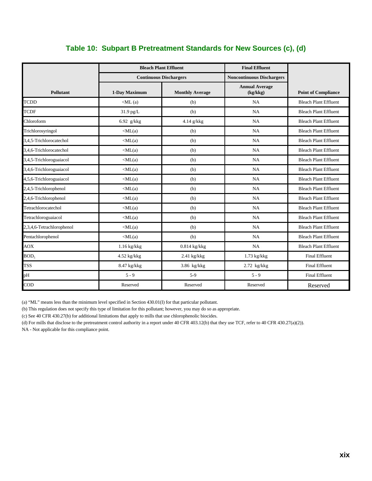|                           |                    | <b>Bleach Plant Effluent</b>  | <b>Final Effluent</b>             |                              |
|---------------------------|--------------------|-------------------------------|-----------------------------------|------------------------------|
|                           |                    | <b>Continuous Dischargers</b> | <b>Noncontinuous Dischargers</b>  |                              |
| Pollutant                 | 1-Day Maximum      | <b>Monthly Average</b>        | <b>Annual Average</b><br>(kg/kkg) | <b>Point of Compliance</b>   |
| <b>TCDD</b>               | $\langle$ ML $(a)$ | (b)                           | NA                                | <b>Bleach Plant Effluent</b> |
| <b>TCDF</b>               | 31.9 pg/L          | (b)                           | <b>NA</b>                         | <b>Bleach Plant Effluent</b> |
| Chloroform                | 6.92 g/kkg         | $4.14$ g/kkg                  | <b>NA</b>                         | <b>Bleach Plant Effluent</b> |
| Trichlorosyringol         | $\langle ML(a)$    | (b)                           | <b>NA</b>                         | <b>Bleach Plant Effluent</b> |
| 3,4,5-Trichlorocatechol   | $\langle ML(a)$    | (b)                           | <b>NA</b>                         | <b>Bleach Plant Effluent</b> |
| 3.4.6-Trichlorocatechol   | $\langle ML(a)$    | (b)                           | <b>NA</b>                         | <b>Bleach Plant Effluent</b> |
| 3,4,5-Trichloroguaiacol   | $\langle ML(a)$    | (b)                           | <b>NA</b>                         | <b>Bleach Plant Effluent</b> |
| 3,4,6-Trichloroguaiacol   | $\langle ML(a)$    | (b)                           | <b>NA</b>                         | <b>Bleach Plant Effluent</b> |
| 4,5,6-Trichloroguaiacol   | $\langle ML(a)$    | (b)                           | <b>NA</b>                         | <b>Bleach Plant Effluent</b> |
| 2,4,5-Trichlorophenol     | $\langle ML(a)$    | (b)                           | <b>NA</b>                         | <b>Bleach Plant Effluent</b> |
| 2,4,6-Trichlorophenol     | $\langle ML(a)$    | (b)                           | <b>NA</b>                         | <b>Bleach Plant Effluent</b> |
| Tetrachlorocatechol       | $\langle ML(a)$    | (b)                           | <b>NA</b>                         | <b>Bleach Plant Effluent</b> |
| Tetrachloroguaiacol       | $\langle ML(a)$    | (b)                           | <b>NA</b>                         | <b>Bleach Plant Effluent</b> |
| 2,3,4,6-Tetrachlorophenol | $\langle ML(a)$    | (b)                           | <b>NA</b>                         | <b>Bleach Plant Effluent</b> |
| Pentachlorophenol         | $\langle ML(a)$    | (b)                           | <b>NA</b>                         | <b>Bleach Plant Effluent</b> |
| <b>AOX</b>                | $1.16$ kg/kkg      | $0.814$ kg/kkg                | <b>NA</b>                         | <b>Bleach Plant Effluent</b> |
| BOD <sub>5</sub>          | $4.52$ kg/kkg      | $2.41$ kg/kkg                 | $1.73$ kg/kkg                     | <b>Final Effluent</b>        |
| <b>TSS</b>                | 8.47 kg/kkg        | $3.86$ kg/kkg                 | $2.72$ kg/kkg                     | <b>Final Effluent</b>        |
| pH                        | $5 - 9$            | $5-9$                         | $5 - 9$                           | <b>Final Effluent</b>        |
| $\rm{COD}$                | Reserved           | Reserved                      | Reserved                          | Reserved                     |

#### **Table 10: Subpart B Pretreatment Standards for New Sources (c), (d)**

(a) "ML" means less than the minimum level specified in Section 430.01(I) for that particular pollutant.

(b) This regulation does not specify this type of limitation for this pollutant; however, you may do so as appropriate.

(c) See 40 CFR 430.27(b) for additional limitations that apply to mills that use chlorophenolic biocides.

(d) For mills that disclose to the pretreatment control authority in a report under 40 CFR 403.12(b) that they use TCF, refer to 40 CFR 430.27(a)(2)).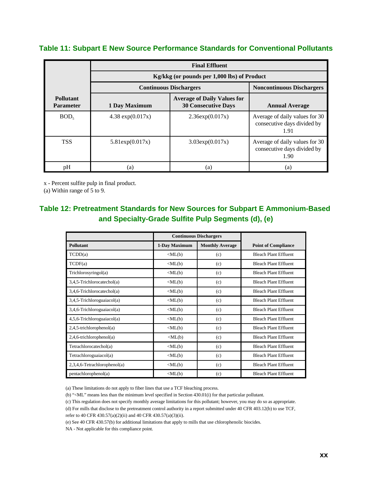#### **Table 11: Subpart E New Source Performance Standards for Conventional Pollutants**

|                                      | <b>Final Effluent</b> |                                                                  |                                                                       |  |  |  |
|--------------------------------------|-----------------------|------------------------------------------------------------------|-----------------------------------------------------------------------|--|--|--|
|                                      |                       | Kg/kkg (or pounds per 1,000 lbs) of Product                      |                                                                       |  |  |  |
|                                      |                       | <b>Continuous Dischargers</b>                                    | <b>Noncontinuous Dischargers</b>                                      |  |  |  |
| <b>Pollutant</b><br><b>Parameter</b> | 1 Day Maximum         | <b>Average of Daily Values for</b><br><b>30 Consecutive Days</b> | <b>Annual Average</b>                                                 |  |  |  |
| BOD <sub>5</sub>                     | 4.38 $exp(0.017x)$    | 2.36exp(0.017x)                                                  | Average of daily values for 30<br>consecutive days divided by<br>1.91 |  |  |  |
| <b>TSS</b>                           | 5.81exp(0.017x)       | $3.03 \exp(0.017x)$                                              | Average of daily values for 30<br>consecutive days divided by<br>1.90 |  |  |  |
| pH                                   | (a)                   | (a)                                                              | (a)                                                                   |  |  |  |

x - Percent sulfite pulp in final product.

(a) Within range of 5 to 9.

#### **Table 12: Pretreatment Standards for New Sources for Subpart E Ammonium-Based and Specialty-Grade Sulfite Pulp Segments (d), (e)**

|                               | <b>Continuous Dischargers</b>  |                        |                              |
|-------------------------------|--------------------------------|------------------------|------------------------------|
| <b>Pollutant</b>              | 1-Day Maximum                  | <b>Monthly Average</b> | <b>Point of Compliance</b>   |
| T CDD(a)                      | $\langle \text{ML}(b) \rangle$ | (c)                    | <b>Bleach Plant Effluent</b> |
| TCDF(a)                       | $\langle \text{ML}(b) \rangle$ | (c)                    | <b>Bleach Plant Effluent</b> |
| Trichlorosyringol(a)          | $\langle ML(b)$                | (c)                    | <b>Bleach Plant Effluent</b> |
| $3,4,5$ -Trichlorocatechol(a) | $\langle ML(b)$                | (c)                    | <b>Bleach Plant Effluent</b> |
| $3,4,6$ -Trichlorocatechol(a) | $\langle ML(b)$                | (c)                    | <b>Bleach Plant Effluent</b> |
| $3,4,5$ -Trichloroguaiacol(a) | $\langle ML(b)$                | (c)                    | <b>Bleach Plant Effluent</b> |
| $3,4,6$ -Trichloroguaiacol(a) | $\langle ML(b)$                | (c)                    | <b>Bleach Plant Effluent</b> |
| $4,5,6$ -Trichloroguaiacol(a) | $\langle ML(b)$                | (c)                    | <b>Bleach Plant Effluent</b> |
| $2,4,5$ -trichlorophenol(a)   | $\langle ML(b)$                | (c)                    | <b>Bleach Plant Effluent</b> |
| $2,4,6$ -trichlorophenol(a)   | $\langle ML(b)$                | (c)                    | <b>Bleach Plant Effluent</b> |
| Tetrachlorocatechol(a)        | $\langle ML(b)$                | (c)                    | <b>Bleach Plant Effluent</b> |
| Tetrachloroguaiacol(a)        | $\langle ML(b)$                | (c)                    | <b>Bleach Plant Effluent</b> |
| 2,3,4,6-Tetrachlorophenol(a)  | $\langle ML(b)$                | (c)                    | <b>Bleach Plant Effluent</b> |
| pentachlorophenol(a)          | $\langle \text{ML}(b)$         | (c)                    | <b>Bleach Plant Effluent</b> |

(a) These limitations do not apply to fiber lines that use a TCF bleaching process.

(b) "<ML" means less than the minimum level specified in Section 430.01(i) for that particular pollutant.

(c) This regulation does not specify monthly average limitations for this pollutant; however, you may do so as appropriate.

(d) For mills that disclose to the pretreatment control authority in a report submitted under 40 CFR 403.12(b) to use TCF, refer to 40 CFR 430.57(a)(2)(ii) and 40 CFR 430.57(a)(3)(ii).

(e) See 40 CFR 430.57(b) for additional limitations that apply to mills that use chlorophenolic biocides.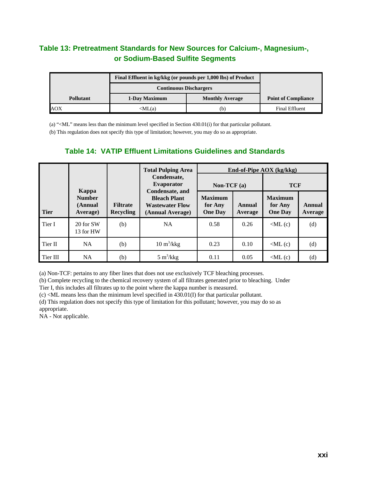#### **Table 13: Pretreatment Standards for New Sources for Calcium-, Magnesium-, or Sodium-Based Sulfite Segments**

|                  | Final Effluent in kg/kkg (or pounds per 1,000 lbs) of Product |                        |                            |
|------------------|---------------------------------------------------------------|------------------------|----------------------------|
|                  | <b>Continuous Dischargers</b>                                 |                        |                            |
| <b>Pollutant</b> | 1-Day Maximum                                                 | <b>Monthly Average</b> | <b>Point of Compliance</b> |
| AOX              | $\langle ML(a)$                                               | (b)                    | <b>Final Effluent</b>      |

(a) "<ML" means less than the minimum level specified in Section 430.01(i) for that particular pollutant.

(b) This regulation does not specify this type of limitation; however, you may do so as appropriate.

|             |                                               |                                     | <b>Total Pulping Area</b>                                                            |                                             |                   | End-of-Pipe AOX (kg/kkg)                    |                   |
|-------------|-----------------------------------------------|-------------------------------------|--------------------------------------------------------------------------------------|---------------------------------------------|-------------------|---------------------------------------------|-------------------|
|             |                                               |                                     | Condensate.<br>Evaporator                                                            | Non-TCF $(a)$                               |                   | <b>TCF</b>                                  |                   |
| <b>Tier</b> | Kappa<br><b>Number</b><br>(Annual<br>Average) | <b>Filtrate</b><br><b>Recycling</b> | Condensate, and<br><b>Bleach Plant</b><br><b>Wastewater Flow</b><br>(Annual Average) | <b>Maximum</b><br>for Any<br><b>One Day</b> | Annual<br>Average | <b>Maximum</b><br>for Any<br><b>One Day</b> | Annual<br>Average |
| Tier I      | 20 for SW<br>13 for HW                        | (b)                                 | <b>NA</b>                                                                            | 0.58                                        | 0.26              | $\langle$ ML $(c)$                          | (d)               |
| Tier II     | <b>NA</b>                                     | (b)                                 | $10 \text{ m}^3/\text{kkg}$                                                          | 0.23                                        | 0.10              | $\langle$ ML $(c)$                          | (d)               |
| Tier III    | <b>NA</b>                                     | (b)                                 | $5 \text{ m}^3/\text{kkg}$                                                           | 0.11                                        | 0.05              | $\langle$ ML $(c)$                          | (d)               |

#### **Table 14: VATIP Effluent Limitations Guidelines and Standards**

(a) Non-TCF: pertains to any fiber lines that does not use exclusively TCF bleaching processes.

(b) Complete recycling to the chemical recovery system of all filtrates generated prior to bleaching. Under

Tier I, this includes all filtrates up to the point where the kappa number is measured.

(c) <ML means less than the minimum level specified in 430.01(I) for that particular pollutant.

(d) This regulation does not specify this type of limitation for this pollutant; however, you may do so as appropriate.

NA - Not applicable.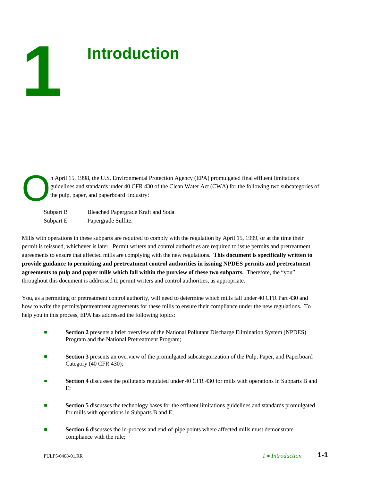# **Introduction**

n April 15, 1998, the U.S. Environmental Protection Agency (EPA) promulgated final effluent limitations guidelines and standards under 40 CFR 430 of the Clean Water Act (CWA) for the following two subcategories of the pulp, paper, and paperboard industry:

Subpart B Bleached Papergrade Kraft and Soda Subpart E Papergrade Sulfite.

Mills with operations in these subparts are required to comply with the regulation by April 15, 1999, or at the time their permit is reissued, whichever is later. Permit writers and control authorities are required to issue permits and pretreatment agreements to ensure that affected mills are complying with the new regulations. **This document is specifically written to provide guidance to permitting and pretreatment control authorities in issuing NPDES permits and pretreatment agreements to pulp and paper mills which fall within the purview of these two subparts.** Therefore, the "you" throughout this document is addressed to permit writers and control authorities, as appropriate.

You, as a permitting or pretreatment control authority, will need to determine which mills fall under 40 CFR Part 430 and how to write the permits/pretreatment agreements for these mills to ensure their compliance under the new regulations. To help you in this process, EPA has addressed the following topics:

- **Section 2** presents a brief overview of the National Pollutant Discharge Elimination System (NPDES) Program and the National Pretreatment Program;
- **Section 3** presents an overview of the promulgated subcategorization of the Pulp, Paper, and Paperboard Category (40 CFR 430);
- **Section 4** discusses the pollutants regulated under 40 CFR 430 for mills with operations in Subparts B and E;
- **Exection 5** discusses the technology bases for the effluent limitations guidelines and standards promulgated for mills with operations in Subparts B and E;
- **Section 6** discusses the in-process and end-of-pipe points where affected mills must demonstrate compliance with the rule;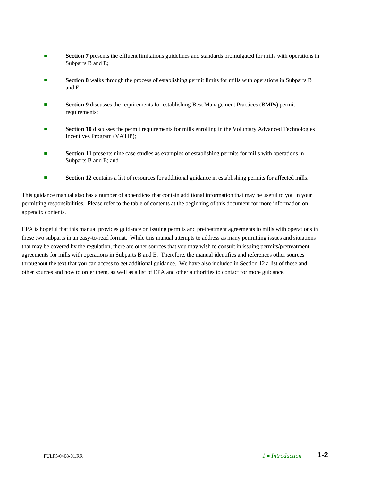- **Section 7** presents the effluent limitations guidelines and standards promulgated for mills with operations in Subparts B and E;
- **Section 8** walks through the process of establishing permit limits for mills with operations in Subparts B and E;
- **Section 9** discusses the requirements for establishing Best Management Practices (BMPs) permit requirements;
- **Exection 10** discusses the permit requirements for mills enrolling in the Voluntary Advanced Technologies Incentives Program (VATIP);
- **Bection 11** presents nine case studies as examples of establishing permits for mills with operations in Subparts B and E; and
- **Bection 12** contains a list of resources for additional guidance in establishing permits for affected mills.

This guidance manual also has a number of appendices that contain additional information that may be useful to you in your permitting responsibilities. Please refer to the table of contents at the beginning of this document for more information on appendix contents.

EPA is hopeful that this manual provides guidance on issuing permits and pretreatment agreements to mills with operations in these two subparts in an easy-to-read format. While this manual attempts to address as many permitting issues and situations that may be covered by the regulation, there are other sources that you may wish to consult in issuing permits/pretreatment agreements for mills with operations in Subparts B and E. Therefore, the manual identifies and references other sources throughout the text that you can access to get additional guidance. We have also included in Section 12 a list of these and other sources and how to order them, as well as a list of EPA and other authorities to contact for more guidance.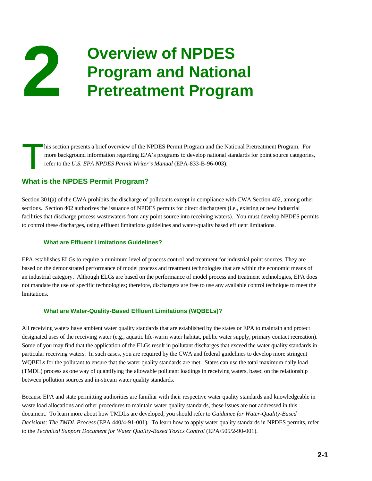## **2 Overview of NPDES**<br>**Program and National**<br>**Protreatment Program Pretreatment Program**

his section presents a brief overview of the NPDES Permit Program and the National Pretreatment Program. For more background information regarding EPA's programs to develop national standards for point source categories, refer to the *U.S. EPA NPDES Permit Writer's Manual* (EPA-833-B-96-003).

#### **What is the NPDES Permit Program?**

Section 301(a) of the CWA prohibits the discharge of pollutants except in compliance with CWA Section 402, among other sections. Section 402 authorizes the issuance of NPDES permits for direct dischargers (i.e., existing or new industrial facilities that discharge process wastewaters from any point source into receiving waters). You must develop NPDES permits to control these discharges, using effluent limitations guidelines and water-quality based effluent limitations.

#### **What are Effluent Limitations Guidelines?**

EPA establishes ELGs to require a minimum level of process control and treatment for industrial point sources. They are based on the demonstrated performance of model process and treatment technologies that are within the economic means of an industrial category. Although ELGs are based on the performance of model process and treatment technologies, EPA does not mandate the use of specific technologies; therefore, dischargers are free to use any available control technique to meet the limitations.

#### **What are Water-Quality-Based Effluent Limitations (WQBELs)?**

All receiving waters have ambient water quality standards that are established by the states or EPA to maintain and protect designated uses of the receiving water (e.g., aquatic life-warm water habitat, public water supply, primary contact recreation). Some of you may find that the application of the ELGs result in pollutant discharges that exceed the water quality standards in particular receiving waters. In such cases, you are required by the CWA and federal guidelines to develop more stringent WQBELs for the pollutant to ensure that the water quality standards are met. States can use the total maximum daily load (TMDL) process as one way of quantifying the allowable pollutant loadings in receiving waters, based on the relationship between pollution sources and in-stream water quality standards.

Because EPA and state permitting authorities are familiar with their respective water quality standards and knowledgeable in waste load allocations and other procedures to maintain water quality standards, these issues are not addressed in this document. To learn more about how TMDLs are developed, you should refer to *Guidance for Water-Quality-Based Decisions: The TMDL Process* (EPA 440/4-91-001)*.* To learn how to apply water quality standards in NPDES permits, refer to the *Technical Support Document for Water Quality-Based Toxics Control (EPA/505/2-90-001)*.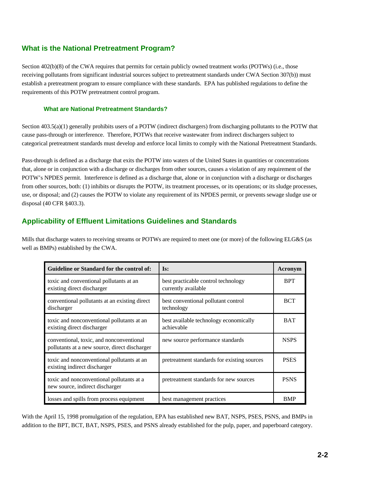#### **What is the National Pretreatment Program?**

Section 402(b)(8) of the CWA requires that permits for certain publicly owned treatment works (POTWs) (i.e., those receiving pollutants from significant industrial sources subject to pretreatment standards under CWA Section 307(b)) must establish a pretreatment program to ensure compliance with these standards. EPA has published regulations to define the requirements of this POTW pretreatment control program.

#### **What are National Pretreatment Standards?**

Section 403.5(a)(1) generally prohibits users of a POTW (indirect dischargers) from discharging pollutants to the POTW that cause pass-through or interference. Therefore, POTWs that receive wastewater from indirect dischargers subject to categorical pretreatment standards must develop and enforce local limits to comply with the National Pretreatment Standards.

Pass-through is defined as a discharge that exits the POTW into waters of the United States in quantities or concentrations that, alone or in conjunction with a discharge or discharges from other sources, causes a violation of any requirement of the POTW's NPDES permit. Interference is defined as a discharge that, alone or in conjunction with a discharge or discharges from other sources, both: (1) inhibits or disrupts the POTW, its treatment processes, or its operations; or its sludge processes, use, or disposal; and (2) causes the POTW to violate any requirement of its NPDES permit, or prevents sewage sludge use or disposal (40 CFR §403.3).

#### **Applicability of Effluent Limitations Guidelines and Standards**

Mills that discharge waters to receiving streams or POTWs are required to meet one (or more) of the following ELG&S (as well as BMPs) established by the CWA.

| Guideline or Standard for the control of:                                                 | Is:                                                        | Acronym     |
|-------------------------------------------------------------------------------------------|------------------------------------------------------------|-------------|
| toxic and conventional pollutants at an<br>existing direct discharger                     | best practicable control technology<br>currently available | <b>BPT</b>  |
| conventional pollutants at an existing direct<br>discharger                               | best conventional pollutant control<br>technology          | <b>BCT</b>  |
| toxic and nonconventional pollutants at an<br>existing direct discharger                  | best available technology economically<br>achievable       | <b>BAT</b>  |
| conventional, toxic, and nonconventional<br>pollutants at a new source, direct discharger | new source performance standards                           | <b>NSPS</b> |
| toxic and nonconventional pollutants at an<br>existing indirect discharger                | pretreatment standards for existing sources                | <b>PSES</b> |
| toxic and nonconventional pollutants at a<br>new source, indirect discharger              | pretreatment standards for new sources                     | <b>PSNS</b> |
| losses and spills from process equipment                                                  | best management practices                                  | <b>BMP</b>  |

With the April 15, 1998 promulgation of the regulation, EPA has established new BAT, NSPS, PSES, PSNS, and BMPs in addition to the BPT, BCT, BAT, NSPS, PSES, and PSNS already established for the pulp, paper, and paperboard category.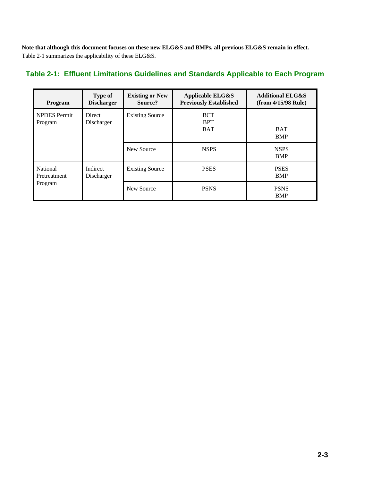**Note that although this document focuses on these new ELG&S and BMPs, all previous ELG&S remain in effect.** Table 2-1 summarizes the applicability of these ELG&S.

#### **Table 2-1: Effluent Limitations Guidelines and Standards Applicable to Each Program**

| Program                             | Type of<br><b>Discharger</b> | <b>Existing or New</b><br>Source? | <b>Applicable ELG&amp;S</b><br><b>Previously Established</b> | <b>Additional ELG&amp;S</b><br>$(from \frac{4}{15}/98 \text{ Rule})$ |
|-------------------------------------|------------------------------|-----------------------------------|--------------------------------------------------------------|----------------------------------------------------------------------|
| <b>NPDES</b> Permit<br>Program      | <b>Direct</b><br>Discharger  | <b>Existing Source</b>            | <b>BCT</b><br><b>BPT</b><br><b>BAT</b>                       | <b>BAT</b><br><b>BMP</b>                                             |
|                                     |                              | New Source                        | <b>NSPS</b>                                                  | <b>NSPS</b><br><b>BMP</b>                                            |
| National<br>Pretreatment<br>Program | Indirect<br>Discharger       | <b>Existing Source</b>            | <b>PSES</b>                                                  | <b>PSES</b><br>BMP                                                   |
|                                     |                              | New Source                        | <b>PSNS</b>                                                  | <b>PSNS</b><br>BMP                                                   |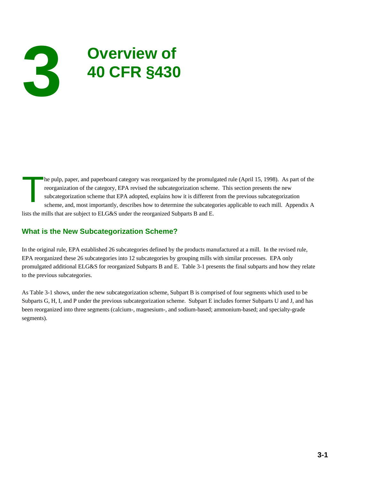## **Overview of 3 40 CFR §430**

he pulp, paper, and paperboard category was reorganized by the promulgated rule (April 15, 1998). As part of the reorganization of the category, EPA revised the subcategorization scheme. This section presents the new subca reorganization of the category, EPA revised the subcategorization scheme. This section presents the new subcategorization scheme that EPA adopted, explains how it is different from the previous subcategorization scheme, and, most importantly, describes how to determine the subcategories applicable to each mill. Appendix A lists the mills that are subject to ELG&S under the reorganized Subparts B and E.

#### **What is the New Subcategorization Scheme?**

In the original rule, EPA established 26 subcategories defined by the products manufactured at a mill. In the revised rule, EPA reorganized these 26 subcategories into 12 subcategories by grouping mills with similar processes. EPA only promulgated additional ELG&S for reorganized Subparts B and E. Table 3-1 presents the final subparts and how they relate to the previous subcategories.

As Table 3-1 shows, under the new subcategorization scheme, Subpart B is comprised of four segments which used to be Subparts G, H, I, and P under the previous subcategorization scheme. Subpart E includes former Subparts U and J, and has been reorganized into three segments (calcium-, magnesium-, and sodium-based; ammonium-based; and specialty-grade segments).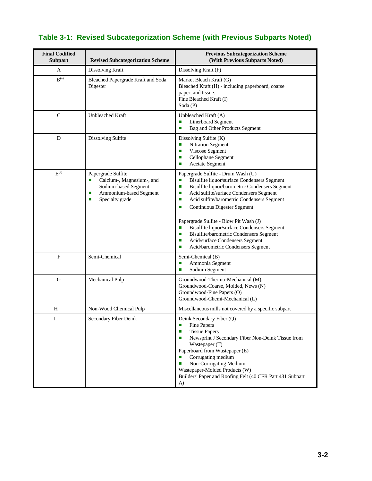#### **Table 3-1: Revised Subcategorization Scheme (with Previous Subparts Noted)**

| <b>Final Codified</b><br><b>Subpart</b> | <b>Revised Subcategorization Scheme</b>                                                                                             | <b>Previous Subcategorization Scheme</b><br>(With Previous Subparts Noted)                                                                                                                                                                                                                                                                                                                                                                                                                                            |
|-----------------------------------------|-------------------------------------------------------------------------------------------------------------------------------------|-----------------------------------------------------------------------------------------------------------------------------------------------------------------------------------------------------------------------------------------------------------------------------------------------------------------------------------------------------------------------------------------------------------------------------------------------------------------------------------------------------------------------|
| A                                       | Dissolving Kraft                                                                                                                    | Dissolving Kraft (F)                                                                                                                                                                                                                                                                                                                                                                                                                                                                                                  |
| $\mathbf{B}^{(\text{a})}$               | Bleached Papergrade Kraft and Soda<br>Digester                                                                                      | Market Bleach Kraft (G)<br>Bleached Kraft (H) - including paperboard, coarse<br>paper, and tissue.<br>Fine Bleached Kraft (I)<br>Soda (P)                                                                                                                                                                                                                                                                                                                                                                             |
| $\mathbf C$                             | <b>Unbleached Kraft</b>                                                                                                             | Unbleached Kraft (A)<br><b>Linerboard Segment</b><br>П<br>Bag and Other Products Segment<br>п                                                                                                                                                                                                                                                                                                                                                                                                                         |
| D                                       | Dissolving Sulfite                                                                                                                  | Dissolving Sulfite (K)<br>Nitration Segment<br>п<br>Viscose Segment<br>п<br>Cellophane Segment<br>п<br><b>Acetate Segment</b><br>п                                                                                                                                                                                                                                                                                                                                                                                    |
| $E^{(a)}$                               | Papergrade Sulfite<br>Calcium-, Magnesium-, and<br>ш<br>Sodium-based Segment<br>Ammonium-based Segment<br>ш<br>Specialty grade<br>ш | Papergrade Sulfite - Drum Wash (U)<br>Bisulfite liquor/surface Condensers Segment<br>п<br>Bisulfite liquor/barometric Condensers Segment<br>п<br>Acid sulfite/surface Condensers Segment<br>п<br>Acid sulfite/barometric Condensers Segment<br>п<br>Continuous Digester Segment<br>п<br>Papergrade Sulfite - Blow Pit Wash (J)<br>Bisulfite liquor/surface Condensers Segment<br>П<br>Bisulfite/barometric Condensers Segment<br>п<br>Acid/surface Condensers Segment<br>п<br>Acid/barometric Condensers Segment<br>п |
| $\mathbf{F}$                            | Semi-Chemical                                                                                                                       | Semi-Chemical (B)<br>Ammonia Segment<br>п<br>Sodium Segment<br>п                                                                                                                                                                                                                                                                                                                                                                                                                                                      |
| $\mathbf G$                             | Mechanical Pulp                                                                                                                     | Groundwood-Thermo-Mechanical (M),<br>Groundwood-Coarse, Molded, News (N)<br>Groundwood-Fine Papers (O)<br>Groundwood-Chemi-Mechanical (L)                                                                                                                                                                                                                                                                                                                                                                             |
| H                                       | Non-Wood Chemical Pulp                                                                                                              | Miscellaneous mills not covered by a specific subpart                                                                                                                                                                                                                                                                                                                                                                                                                                                                 |
| I                                       | Secondary Fiber Deink                                                                                                               | Deink Secondary Fiber (Q)<br>Fine Papers<br>п<br><b>Tissue Papers</b><br>п<br>Newsprint J Secondary Fiber Non-Deink Tissue from<br>п<br>Wastepaper (T)<br>Paperboard from Wastepaper (E)<br>Corrugating medium<br>п<br>Non-Corrugating Medium<br>п<br>Wastepaper-Molded Products (W)<br>Builders' Paper and Roofing Felt (40 CFR Part 431 Subpart<br>A)                                                                                                                                                               |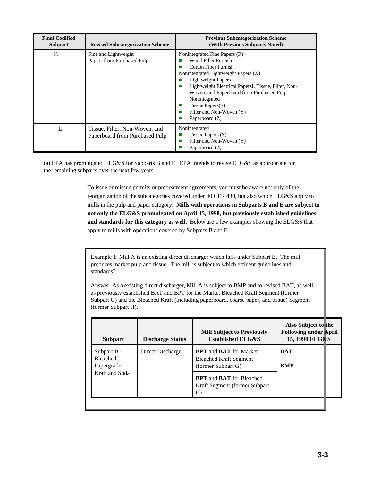| <b>Final Codified</b><br><b>Subpart</b> | <b>Revised Subcategorization Scheme</b>                          | <b>Previous Subcategorization Scheme</b><br>(With Previous Subparts Noted)                                                                                                                                                                                                                                                                                |
|-----------------------------------------|------------------------------------------------------------------|-----------------------------------------------------------------------------------------------------------------------------------------------------------------------------------------------------------------------------------------------------------------------------------------------------------------------------------------------------------|
| K                                       | Fine and Lightweight<br>Papers from Purchased Pulp               | Nonintegrated Fine Papers (R)<br>Wood Fiber Furnish<br>Cotton Fiber Furnish<br>Nonintegrated Lightweight Papers (X)<br><b>Lightweight Papers</b><br>Lightweight Electrical PapersL Tissue, Filter, Non-<br>П<br>Woven, and Paperboard from Purchased Pulp<br>Nonintegrated<br>Tissue Papers $(S)$<br>п<br>Filter and Non-Woven (Y)<br>п<br>Paperboard (Z) |
| L                                       | Tissue, Filter, Non-Woven, and<br>Paperboard from Purchased Pulp | Nonintegrated<br>Tissue Papers $(S)$<br>ш<br>Filter and Non-Woven (Y)<br>п<br>Paperboard (Z)                                                                                                                                                                                                                                                              |

(a) EPA has promulgated ELG&S for Subparts B and E. EPA intends to revise ELG&S as appropriate for the remaining subparts over the next few years.

> To issue or reissue permits or pretreatment agreements, you must be aware not only of the reorganization of the subcategories covered under 40 CFR 430, but also which ELG&S apply to mills in the pulp and paper category. **Mills with operations in Subparts B and E are subject to not only the ELG&S promulgated on April 15, 1998, but previously established guidelines and standards for this category as well.** Below are a few examples showing the ELG&S that apply to mills with operations covered by Subparts B and E.

Example 1: Mill A is an existing direct discharger which falls under Subpart B. The mill produces market pulp and tissue. The mill is subject to which effluent guidelines and standards?

Answer: As a existing direct discharger, Mill A is subject to BMP and to revised BAT, as well as previously established BAT and BPT for the Market Bleached Kraft Segment (former Subpart G) and the Bleached Kraft (including paperboard, coarse paper, and tissue) Segment (former Subpart H).

| <b>Subpart</b>                               | <b>Discharge Status</b> | <b>Mill Subject to Previously</b><br><b>Established ELG&amp;S</b>                           | Also Subject to the<br><b>Following under April</b><br>15, 1998 ELG&S |  |
|----------------------------------------------|-------------------------|---------------------------------------------------------------------------------------------|-----------------------------------------------------------------------|--|
| Subpart B -<br><b>Bleached</b><br>Papergrade | Direct Discharger       | <b>BPT</b> and <b>BAT</b> for Market<br><b>Bleached Kraft Segment</b><br>(former Subpart G) | <b>BAT</b><br><b>BMP</b>                                              |  |
| Kraft and Soda                               |                         | <b>BPT</b> and <b>BAT</b> for Bleached<br>Kraft Segment (former Subpart)<br>H)              |                                                                       |  |
|                                              |                         |                                                                                             |                                                                       |  |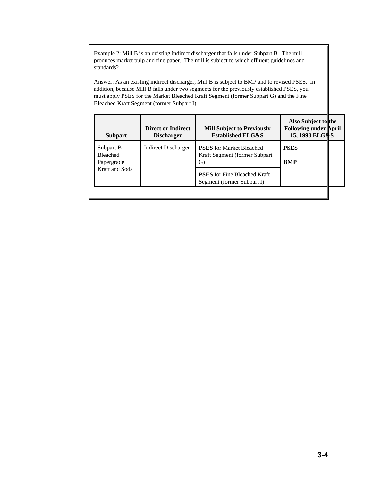Example 2: Mill B is an existing indirect discharger that falls under Subpart B. The mill produces market pulp and fine paper. The mill is subject to which effluent guidelines and standards?

Answer: As an existing indirect discharger, Mill B is subject to BMP and to revised PSES. In addition, because Mill B falls under two segments for the previously established PSES, you must apply PSES for the Market Bleached Kraft Segment (former Subpart G) and the Fine Bleached Kraft Segment (former Subpart I).

| <b>Subpart</b>                               | <b>Direct or Indirect</b><br><b>Discharger</b> | <b>Mill Subject to Previously</b><br><b>Established ELG&amp;S</b>       | Also Subject to the<br><b>Following under April</b><br>15, 1998 ELG&S |  |
|----------------------------------------------|------------------------------------------------|-------------------------------------------------------------------------|-----------------------------------------------------------------------|--|
| Subpart B -<br><b>Bleached</b><br>Papergrade | Indirect Discharger                            | <b>PSES</b> for Market Bleached<br>Kraft Segment (former Subpart)<br>G) | <b>PSES</b><br><b>BMP</b>                                             |  |
| Kraft and Soda                               |                                                | <b>PSES</b> for Fine Bleached Kraft<br>Segment (former Subpart I)       |                                                                       |  |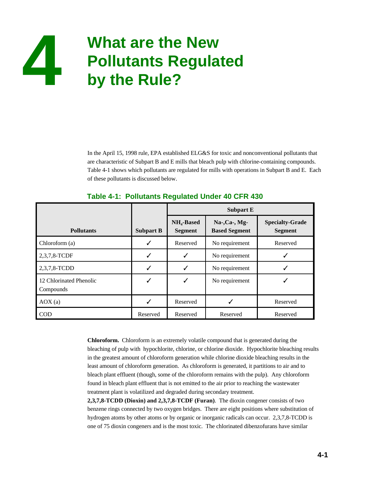

In the April 15, 1998 rule, EPA established ELG&S for toxic and nonconventional pollutants that are characteristic of Subpart B and E mills that bleach pulp with chlorine-containing compounds. Table 4-1 shows which pollutants are regulated for mills with operations in Subpart B and E. Each of these pollutants is discussed below.

|                                      |                  | <b>Subpart E</b>               |                                         |                                          |
|--------------------------------------|------------------|--------------------------------|-----------------------------------------|------------------------------------------|
| <b>Pollutants</b>                    | <b>Subpart B</b> | $NH4$ -Based<br><b>Segment</b> | $Na-, Ca-, Mg-$<br><b>Based Segment</b> | <b>Specialty-Grade</b><br><b>Segment</b> |
| Chloroform (a)                       |                  | Reserved                       | No requirement                          | Reserved                                 |
| 2,3,7,8-TCDF                         |                  |                                | No requirement                          |                                          |
| 2,3,7,8-TCDD                         |                  |                                | No requirement                          |                                          |
| 12 Chlorinated Phenolic<br>Compounds |                  |                                | No requirement                          |                                          |
| AOX(a)                               |                  | Reserved                       |                                         | Reserved                                 |
| COD                                  | Reserved         | Reserved                       | Reserved                                | Reserved                                 |

#### **Table 4-1: Pollutants Regulated Under 40 CFR 430**

**Chloroform.** Chloroform is an extremely volatile compound that is generated during the bleaching of pulp with hypochlorite, chlorine, or chlorine dioxide. Hypochlorite bleaching results in the greatest amount of chloroform generation while chlorine dioxide bleaching results in the least amount of chloroform generation. As chloroform is generated, it partitions to air and to bleach plant effluent (though, some of the chloroform remains with the pulp). Any chloroform found in bleach plant effluent that is not emitted to the air prior to reaching the wastewater treatment plant is volatilized and degraded during secondary treatment.

**2,3,7,8-TCDD (Dioxin) and 2,3,7,8-TCDF (Furan)**. The dioxin congener consists of two benzene rings connected by two oxygen bridges. There are eight positions where substitution of hydrogen atoms by other atoms or by organic or inorganic radicals can occur. 2,3,7,8-TCDD is one of 75 dioxin congeners and is the most toxic. The chlorinated dibenzofurans have similar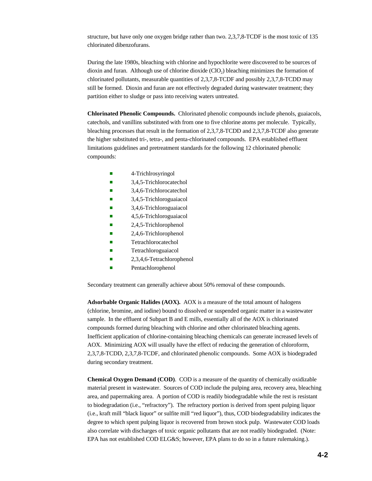structure, but have only one oxygen bridge rather than two. 2,3,7,8-TCDF is the most toxic of 135 chlorinated dibenzofurans.

During the late 1980s, bleaching with chlorine and hypochlorite were discovered to be sources of dioxin and furan. Although use of chlorine dioxide  $(CIO<sub>2</sub>)$  bleaching minimizes the formation of chlorinated pollutants, measurable quantities of 2,3,7,8-TCDF and possibly 2,3,7,8-TCDD may still be formed. Dioxin and furan are not effectively degraded during wastewater treatment; they partition either to sludge or pass into receiving waters untreated.

**Chlorinated Phenolic Compounds.** Chlorinated phenolic compounds include phenols, guaiacols, catechols, and vanillins substituted with from one to five chlorine atoms per molecule. Typically, bleaching processes that result in the formation of 2,3,7,8-TCDD and 2,3,7,8-TCDF also generate the higher substituted tri-, tetra-, and penta-chlorinated compounds. EPA established effluent limitations guidelines and pretreatment standards for the following 12 chlorinated phenolic compounds:

- $\blacksquare$  4-Trichlrosyringol
- $\blacksquare$  3,4,5-Trichlorocatechol
- 3,4,6-Trichlorocatechol
- 3,4,5-Trichloroguaiacol
- $\blacksquare$  3,4,6-Trichloroguaiacol
- $\blacksquare$  4,5,6-Trichloroguaiacol
- 2,4,5-Trichlorophenol
- $\blacksquare$  2,4,6-Trichlorophenol
- Tetrachlorocatechol
- Tetrachloroguaiacol
- $\blacksquare$  2,3,4,6-Tetrachlorophenol
- **Exercise 2** Pentachlorophenol

Secondary treatment can generally achieve about 50% removal of these compounds.

**Adsorbable Organic Halides (AOX).** AOX is a measure of the total amount of halogens (chlorine, bromine, and iodine) bound to dissolved or suspended organic matter in a wastewater sample. In the effluent of Subpart B and E mills, essentially all of the AOX is chlorinated compounds formed during bleaching with chlorine and other chlorinated bleaching agents. Inefficient application of chlorine-containing bleaching chemicals can generate increased levels of AOX. Minimizing AOX will usually have the effect of reducing the generation of chloroform, 2,3,7,8-TCDD, 2,3,7,8-TCDF, and chlorinated phenolic compounds. Some AOX is biodegraded during secondary treatment.

**Chemical Oxygen Demand (COD)**. COD is a measure of the quantity of chemically oxidizable material present in wastewater. Sources of COD include the pulping area, recovery area, bleaching area, and papermaking area. A portion of COD is readily biodegradable while the rest is resistant to biodegradation (i.e., "refractory"). The refractory portion is derived from spent pulping liquor (i.e., kraft mill "black liquor" or sulfite mill "red liquor"), thus, COD biodegradability indicates the degree to which spent pulping liquor is recovered from brown stock pulp. Wastewater COD loads also correlate with discharges of toxic organic pollutants that are not readily biodegraded. (Note: EPA has not established COD ELG&S; however, EPA plans to do so in a future rulemaking.).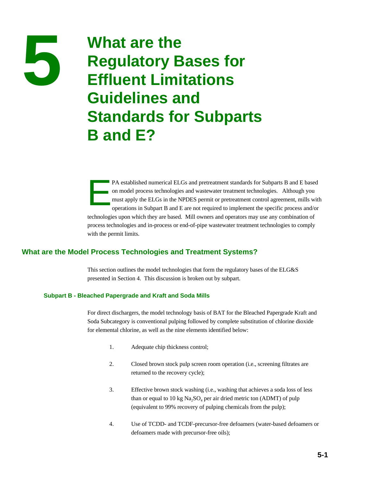### **19 Mat are the<br>Regulatory Bases for<br>Efficient Limitations Effluent Limitations Guidelines and Standards for Subparts B and E?**

PA established numerical ELGs and pretreatment standards for Subparts B and E based on model process technologies and wastewater treatment technologies. Although you must apply the ELGs in the NPDES permit or pretreatment control agreement, mills with operations in Subpart B and E are not required to implement the specific process and/or technologies upon which they are based. Mill owners and operators may use any combination of process technologies and in-process or end-of-pipe wastewater treatment technologies to comply with the permit limits.

#### **What are the Model Process Technologies and Treatment Systems?**

This section outlines the model technologies that form the regulatory bases of the ELG&S presented in Section 4. This discussion is broken out by subpart.

#### **Subpart B - Bleached Papergrade and Kraft and Soda Mills**

For direct dischargers, the model technology basis of BAT for the Bleached Papergrade Kraft and Soda Subcategory is conventional pulping followed by complete substitution of chlorine dioxide for elemental chlorine, as well as the nine elements identified below:

- 1. Adequate chip thickness control;
- 2. Closed brown stock pulp screen room operation (i.e., screening filtrates are returned to the recovery cycle);
- 3. Effective brown stock washing (i.e., washing that achieves a soda loss of less than or equal to 10 kg  $Na<sub>3</sub>SO<sub>4</sub>$  per air dried metric ton (ADMT) of pulp (equivalent to 99% recovery of pulping chemicals from the pulp);
- 4. Use of TCDD- and TCDF-precursor-free defoamers (water-based defoamers or defoamers made with precursor-free oils);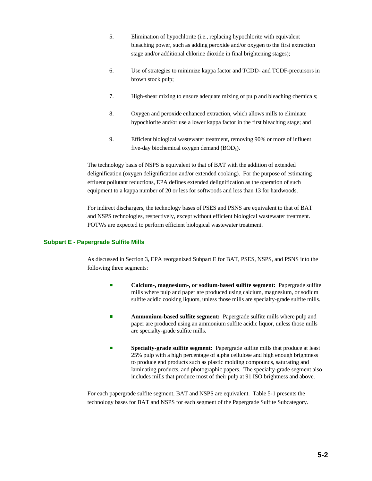- 5. Elimination of hypochlorite (i.e., replacing hypochlorite with equivalent bleaching power, such as adding peroxide and/or oxygen to the first extraction stage and/or additional chlorine dioxide in final brightening stages);
- 6. Use of strategies to minimize kappa factor and TCDD- and TCDF-precursors in brown stock pulp;
- 7. High-shear mixing to ensure adequate mixing of pulp and bleaching chemicals;
- 8. Oxygen and peroxide enhanced extraction, which allows mills to eliminate hypochlorite and/or use a lower kappa factor in the first bleaching stage; and
- 9. Efficient biological wastewater treatment, removing 90% or more of influent five-day biochemical oxygen demand  $(BOD<sub>5</sub>)$ .

The technology basis of NSPS is equivalent to that of BAT with the addition of extended delignification (oxygen delignification and/or extended cooking). For the purpose of estimating effluent pollutant reductions, EPA defines extended delignification as the operation of such equipment to a kappa number of 20 or less for softwoods and less than 13 for hardwoods.

For indirect dischargers, the technology bases of PSES and PSNS are equivalent to that of BAT and NSPS technologies, respectively, except without efficient biological wastewater treatment. POTWs are expected to perform efficient biological wastewater treatment.

#### **Subpart E - Papergrade Sulfite Mills**

As discussed in Section 3, EPA reorganized Subpart E for BAT, PSES, NSPS, and PSNS into the following three segments:

- **Example 3 Calcium-, magnesium-, or sodium-based sulfite segment:** Papergrade sulfite mills where pulp and paper are produced using calcium, magnesium, or sodium sulfite acidic cooking liquors, unless those mills are specialty-grade sulfite mills.
- Ammonium-based sulfite segment: Papergrade sulfite mills where pulp and paper are produced using an ammonium sulfite acidic liquor, unless those mills are specialty-grade sulfite mills.
- **Specialty-grade sulfite segment:** Papergrade sulfite mills that produce at least 25% pulp with a high percentage of alpha cellulose and high enough brightness to produce end products such as plastic molding compounds, saturating and laminating products, and photographic papers. The specialty-grade segment also includes mills that produce most of their pulp at 91 ISO brightness and above.

For each papergrade sulfite segment, BAT and NSPS are equivalent. Table 5-1 presents the technology bases for BAT and NSPS for each segment of the Papergrade Sulfite Subcategory.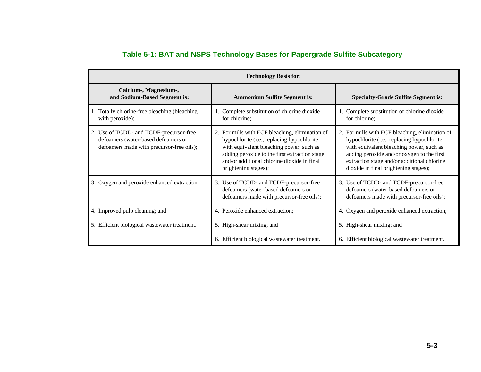| <b>Technology Basis for:</b>                                                                                                |                                                                                                                                                                                                                                                                   |                                                                                                                                                                                                                                                                                 |  |
|-----------------------------------------------------------------------------------------------------------------------------|-------------------------------------------------------------------------------------------------------------------------------------------------------------------------------------------------------------------------------------------------------------------|---------------------------------------------------------------------------------------------------------------------------------------------------------------------------------------------------------------------------------------------------------------------------------|--|
| Calcium-, Magnesium-,<br>and Sodium-Based Segment is:                                                                       | <b>Ammonium Sulfite Segment is:</b>                                                                                                                                                                                                                               | <b>Specialty-Grade Sulfite Segment is:</b>                                                                                                                                                                                                                                      |  |
| 1. Totally chlorine-free bleaching (bleaching<br>with peroxide);                                                            | 1. Complete substitution of chlorine dioxide<br>for chlorine;                                                                                                                                                                                                     | Complete substitution of chlorine dioxide<br>for chlorine;                                                                                                                                                                                                                      |  |
| 2. Use of TCDD- and TCDF-precursor-free<br>defoamers (water-based defoamers or<br>defoamers made with precursor-free oils); | 2. For mills with ECF bleaching, elimination of<br>hypochlorite (i.e., replacing hypochlorite<br>with equivalent bleaching power, such as<br>adding peroxide to the first extraction stage<br>and/or additional chlorine dioxide in final<br>brightening stages); | 2. For mills with ECF bleaching, elimination of<br>hypochlorite (i.e., replacing hypochlorite<br>with equivalent bleaching power, such as<br>adding peroxide and/or oxygen to the first<br>extraction stage and/or additional chlorine<br>dioxide in final brightening stages); |  |
| 3. Oxygen and peroxide enhanced extraction;                                                                                 | 3. Use of TCDD- and TCDF-precursor-free<br>defoamers (water-based defoamers or<br>defoamers made with precursor-free oils);                                                                                                                                       | 3. Use of TCDD- and TCDF-precursor-free<br>defoamers (water-based defoamers or<br>defoamers made with precursor-free oils);                                                                                                                                                     |  |
| 4. Improved pulp cleaning; and                                                                                              | 4. Peroxide enhanced extraction;                                                                                                                                                                                                                                  | 4. Oxygen and peroxide enhanced extraction;                                                                                                                                                                                                                                     |  |
| 5. Efficient biological wastewater treatment.                                                                               | 5. High-shear mixing; and                                                                                                                                                                                                                                         | 5. High-shear mixing; and                                                                                                                                                                                                                                                       |  |
|                                                                                                                             | 6. Efficient biological wastewater treatment.                                                                                                                                                                                                                     | 6. Efficient biological wastewater treatment.                                                                                                                                                                                                                                   |  |

#### **Table 5-1: BAT and NSPS Technology Bases for Papergrade Sulfite Subcategory**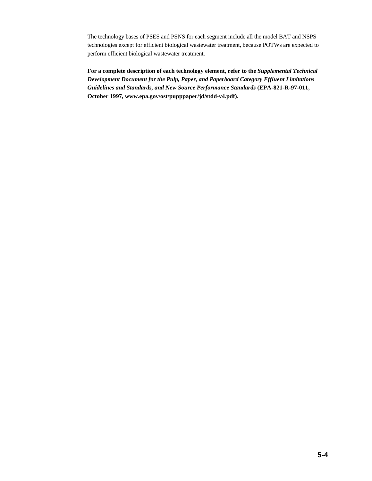The technology bases of PSES and PSNS for each segment include all the model BAT and NSPS technologies except for efficient biological wastewater treatment, because POTWs are expected to perform efficient biological wastewater treatment.

**For a complete description of each technology element, refer to the** *Supplemental Technical Development Document for the Pulp, Paper, and Paperboard Category Effluent Limitations Guidelines and Standards, and New Source Performance Standards* **(EPA-821-R-97-011, October 1997, www.epa.gov/ost/pupppaper/jd/stdd-v4.pdf).**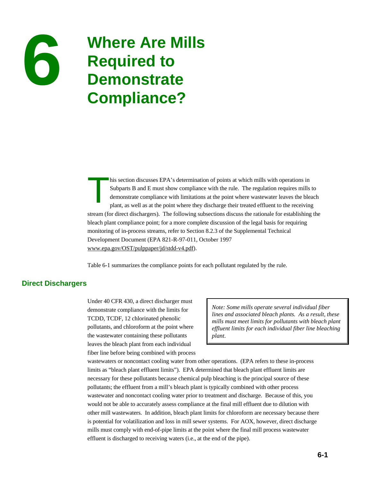

# **6 6 Required to**<br>**1 Required to Demonstrate Compliance?**

his section discusses EPA's determination of points at which mills with operations in Subparts B and E must show compliance with the rule. The regulation requires mills the demonstrate compliance with limitations at the po Subparts B and E must show compliance with the rule. The regulation requires mills to demonstrate compliance with limitations at the point where wastewater leaves the bleach stream (for direct dischargers). The following subsections discuss the rationale for establishing the bleach plant compliance point; for a more complete discussion of the legal basis for requiring monitoring of in-process streams, refer to Section 8.2.3 of the Supplemental Technical Development Document (EPA 821-R-97-011, October 1997 www.epa.gov/OST/pulppaper/jd/stdd-v4.pdf).

Table 6-1 summarizes the compliance points for each pollutant regulated by the rule.

## **Direct Dischargers**

Under 40 CFR 430, a direct discharger must demonstrate compliance with the limits for TCDD, TCDF, 12 chlorinated phenolic pollutants, and chloroform at the point where the wastewater containing these pollutants leaves the bleach plant from each individual fiber line before being combined with process

*Note: Some mills operate several individual fiber lines and associated bleach plants. As a result, these mills must meet limits for pollutants with bleach plant effluent limits for each individual fiber line bleaching plant*.

wastewaters or noncontact cooling water from other operations. (EPA refers to these in-process limits as "bleach plant effluent limits"). EPA determined that bleach plant effluent limits are necessary for these pollutants because chemical pulp bleaching is the principal source of these pollutants; the effluent from a mill's bleach plant is typically combined with other process wastewater and noncontact cooling water prior to treatment and discharge. Because of this, you would not be able to accurately assess compliance at the final mill effluent due to dilution with other mill wastewaters. In addition, bleach plant limits for chloroform are necessary because there is potential for volatilization and loss in mill sewer systems. For AOX, however, direct discharge mills must comply with end-of-pipe limits at the point where the final mill process wastewater effluent is discharged to receiving waters (i.e., at the end of the pipe).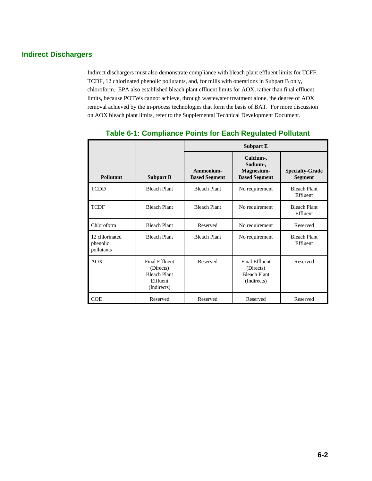# **Indirect Dischargers**

Indirect dischargers must also demonstrate compliance with bleach plant effluent limits for TCFF, TCDF, 12 chlorinated phenolic pollutants, and, for mills with operations in Subpart B only, chloroform. EPA also established bleach plant effluent limits for AOX, rather than final effluent limits, because POTWs cannot achieve, through wastewater treatment alone, the degree of AOX removal achieved by the in-process technologies that form the basis of BAT. For more discussion on AOX bleach plant limits, refer to the Supplemental Technical Development Document.

|                                          |                                                                                      | <b>Subpart E</b>                  |                                                                          |                                          |
|------------------------------------------|--------------------------------------------------------------------------------------|-----------------------------------|--------------------------------------------------------------------------|------------------------------------------|
| <b>Pollutant</b>                         | <b>Subpart B</b>                                                                     | Ammonium-<br><b>Based Segment</b> | Calcium-,<br>Sodium-,<br>Magnesium-<br><b>Based Segment</b>              | <b>Specialty-Grade</b><br><b>Segment</b> |
| <b>TCDD</b>                              | <b>Bleach Plant</b>                                                                  | <b>Bleach Plant</b>               | No requirement                                                           | <b>Bleach Plant</b><br>Effluent          |
| <b>TCDF</b>                              | <b>Bleach Plant</b>                                                                  | <b>Bleach Plant</b>               | No requirement                                                           | <b>Bleach Plant</b><br>Effluent          |
| Chloroform                               | <b>Bleach Plant</b>                                                                  | Reserved                          | No requirement                                                           | Reserved                                 |
| 12 chlorinated<br>phenolic<br>pollutants | <b>Bleach Plant</b>                                                                  | <b>Bleach Plant</b>               | No requirement                                                           | <b>Bleach Plant</b><br>Effluent          |
| <b>AOX</b>                               | <b>Final Effluent</b><br>(Directs)<br><b>Bleach Plant</b><br>Effluent<br>(Indirects) | Reserved                          | <b>Final Effluent</b><br>(Directs)<br><b>Bleach Plant</b><br>(Indirects) | Reserved                                 |
| <b>COD</b>                               | Reserved                                                                             | Reserved                          | Reserved                                                                 | Reserved                                 |

## **Table 6-1: Compliance Points for Each Regulated Pollutant**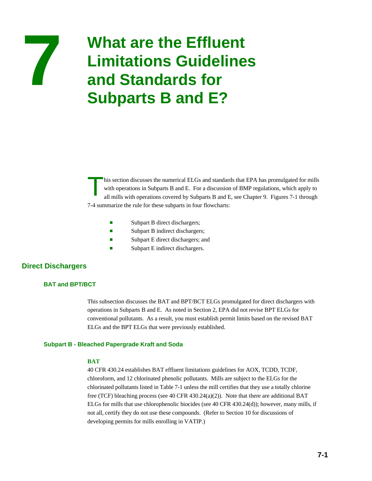

# **77 • What are the Effluent<br>
<b>7 Limitations Guidelines and Standards for Subparts B and E?**

his section discusses the numerical ELGs and standards that EPA has promulgated for mills with operations in Subparts B and E. For a discussion of BMP regulations, which apply to all mills with operations covered by Subparts B and E, see Chapter 9. Figures 7-1 through 7-4 summarize the rule for these subparts in four flowcharts:

- $\blacksquare$  Subpart B direct dischargers;
- Subpart B indirect dischargers;
- **Exercise Subpart E direct dischargers; and**
- $\blacksquare$  Subpart E indirect dischargers.

## **Direct Dischargers**

## **BAT and BPT/BCT**

This subsection discusses the BAT and BPT/BCT ELGs promulgated for direct dischargers with operations in Subparts B and E. As noted in Section 2, EPA did not revise BPT ELGs for conventional pollutants. As a result, you must establish permit limits based on the revised BAT ELGs and the BPT ELGs that were previously established.

## **Subpart B - Bleached Papergrade Kraft and Soda**

## **BAT**

40 CFR 430.24 establishes BAT effluent limitations guidelines for AOX, TCDD, TCDF, chloroform, and 12 chlorinated phenolic pollutants. Mills are subject to the ELGs for the chlorinated pollutants listed in Table 7-1 unless the mill certifies that they use a totally chlorine free (TCF) bleaching process (see 40 CFR 430.24(a)(2)). Note that there are additional BAT ELGs for mills that use chlorophenolic biocides (see 40 CFR 430.24(d)); however, many mills, if not all, certify they do not use these compounds. (Refer to Section 10 for discussions of developing permits for mills enrolling in VATIP.)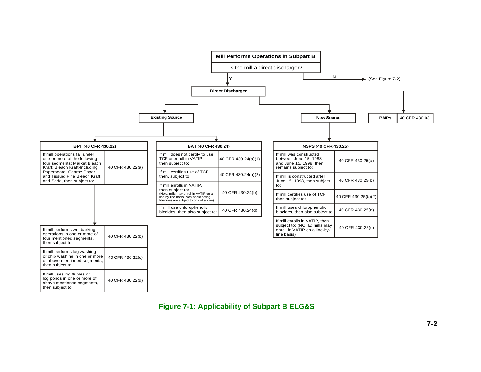

**Figure 7-1: Applicability of Subpart B ELG&S**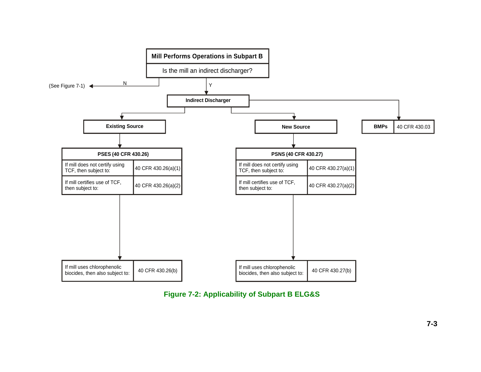

**Figure 7-2: Applicability of Subpart B ELG&S**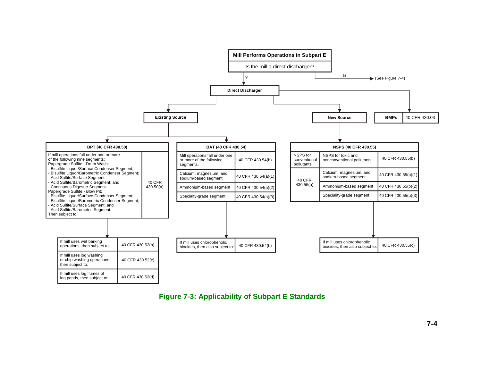

## **Figure 7-3: Applicability of Subpart E Standards**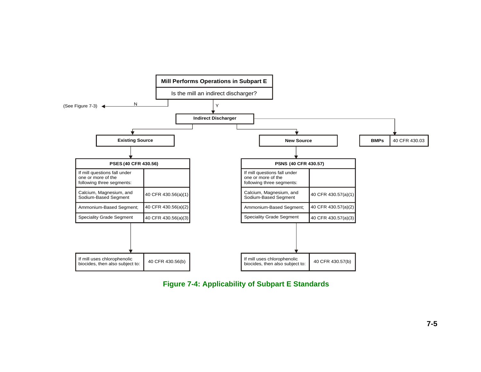

**Figure 7-4: Applicability of Subpart E Standards**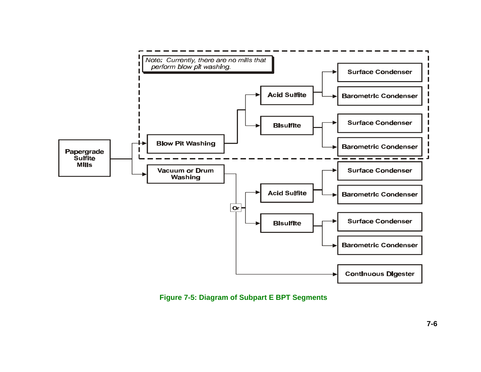

**Figure 7-5: Diagram of Subpart E BPT Segments**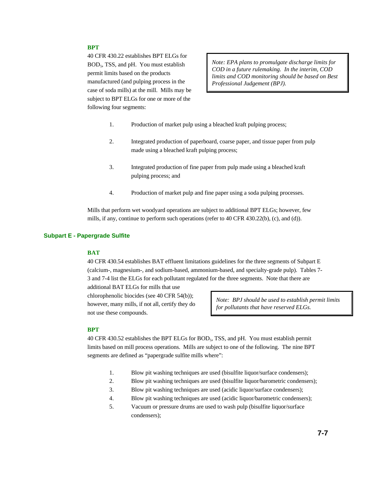## **BPT**

40 CFR 430.22 establishes BPT ELGs for BOD<sub>5</sub>, TSS, and pH. You must establish permit limits based on the products manufactured (and pulping process in the case of soda mills) at the mill. Mills may be subject to BPT ELGs for one or more of the following four segments:

*Note: EPA plans to promulgate discharge limits for COD in a future rulemaking. In the interim, COD limits and COD monitoring should be based on Best Professional Judgement (BPJ).* 

- 1. Production of market pulp using a bleached kraft pulping process;
- 2. Integrated production of paperboard, coarse paper, and tissue paper from pulp made using a bleached kraft pulping process;
- 3. Integrated production of fine paper from pulp made using a bleached kraft pulping process; and
- 4. Production of market pulp and fine paper using a soda pulping processes.

Mills that perform wet woodyard operations are subject to additional BPT ELGs; however, few mills, if any, continue to perform such operations (refer to 40 CFR 430.22(b), (c), and (d)).

#### **Subpart E - Papergrade Sulfite**

#### **BAT**

40 CFR 430.54 establishes BAT effluent limitations guidelines for the three segments of Subpart E (calcium-, magnesium-, and sodium-based, ammonium-based, and specialty-grade pulp). Tables 7- 3 and 7-4 list the ELGs for each pollutant regulated for the three segments. Note that there are

additional BAT ELGs for mills that use chlorophenolic biocides (see 40 CFR 54(b)); however, many mills, if not all, certify they do not use these compounds.

*Note: BPJ should be used to establish permit limits for pollutants that have reserved ELGs.* 

#### **BPT**

40 CFR 430.52 establishes the BPT ELGs for BOD<sub>5</sub>, TSS, and pH. You must establish permit limits based on mill process operations. Mills are subject to one of the following. The nine BPT segments are defined as "papergrade sulfite mills where":

- 1. Blow pit washing techniques are used (bisulfite liquor/surface condensers);
- 2. Blow pit washing techniques are used (bisulfite liquor/barometric condensers);
- 3. Blow pit washing techniques are used (acidic liquor/surface condensers);
- 4. Blow pit washing techniques are used (acidic liquor/barometric condensers);
- 5. Vacuum or pressure drums are used to wash pulp (bisulfite liquor/surface condensers);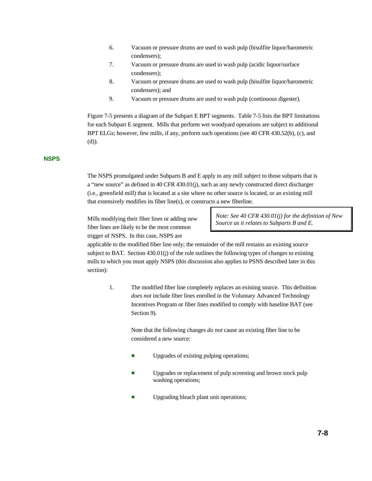- 6. Vacuum or pressure drums are used to wash pulp (bisulfite liquor/barometric condensers);
- 7. Vacuum or pressure drums are used to wash pulp (acidic liquor/surface condensers);
- 8. Vacuum or pressure drums are used to wash pulp (bisulfite liquor/barometric condensers); and
- 9. Vacuum or pressure drums are used to wash pulp (continuous digester).

Figure 7-5 presents a diagram of the Subpart E BPT segments. Table 7-5 lists the BPT limitations for each Subpart E segment. Mills that perform wet woodyard operations are subject to additional BPT ELGs; however, few mills, if any, perform such operations (see 40 CFR 430.52(b), (c), and (d)).

#### **NSPS**

The NSPS promulgated under Subparts B and E apply to any mill subject to those subparts that is a "new source" as defined in 40 CFR 430.01(j), such as any newly constructed direct discharger (i.e., greenfield mill) that is located at a site where no other source is located, or an existing mill that extensively modifies its fiber line(s), or constructs a new fiberline.

Mills modifying their fiber lines or adding new fiber lines are likely to be the most common trigger of NSPS. In this case, NSPS are

*Note: See 40 CFR 430.01(j) for the definition of New Source as it relates to Subparts B and E.*

applicable to the modified fiber line only; the remainder of the mill remains an existing source subject to BAT. Section 430.01(j) of the rule outlines the following types of changes to existing mills to which you must apply NSPS (this discussion also applies to PSNS described later in this section):

1. The modified fiber line completely replaces an existing source. This definition *does not* include fiber lines enrolled in the Voluntary Advanced Technology Incentives Program or fiber lines modified to comply with baseline BAT (see Section 9).

> Note that the following changes *do not* cause an existing fiber line to be considered a new source:

- Upgrades of existing pulping operations;
- Upgrades or replacement of pulp screening and brown stock pulp washing operations;
- **E** Upgrading bleach plant unit operations;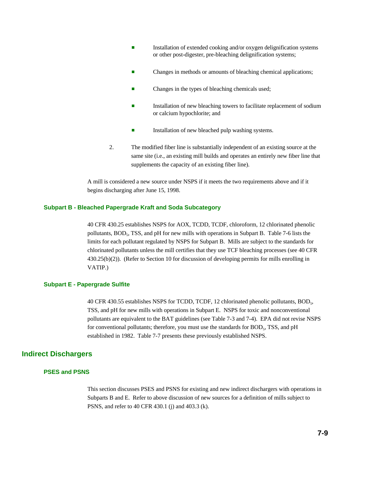- Installation of extended cooking and/or oxygen delignification systems or other post-digester, pre-bleaching delignification systems;
- Changes in methods or amounts of bleaching chemical applications;
- Changes in the types of bleaching chemicals used;
- Installation of new bleaching towers to facilitate replacement of sodium or calcium hypochlorite; and
- **Example 3** Installation of new bleached pulp washing systems.
- 2. The modified fiber line is substantially independent of an existing source at the same site (i.e., an existing mill builds and operates an entirely new fiber line that supplements the capacity of an existing fiber line).

A mill is considered a new source under NSPS if it meets the two requirements above and if it begins discharging after June 15, 1998.

### **Subpart B - Bleached Papergrade Kraft and Soda Subcategory**

40 CFR 430.25 establishes NSPS for AOX, TCDD, TCDF, chloroform, 12 chlorinated phenolic pollutants, BOD<sub>5</sub>, TSS, and pH for new mills with operations in Subpart B. Table 7-6 lists the limits for each pollutant regulated by NSPS for Subpart B. Mills are subject to the standards for chlorinated pollutants unless the mill certifies that they use TCF bleaching processes (see 40 CFR 430.25(b)(2)). (Refer to Section 10 for discussion of developing permits for mills enrolling in VATIP.)

## **Subpart E - Papergrade Sulfite**

40 CFR 430.55 establishes NSPS for TCDD, TCDF, 12 chlorinated phenolic pollutants, BOD<sub>5</sub>, TSS, and pH for new mills with operations in Subpart E. NSPS for toxic and nonconventional pollutants are equivalent to the BAT guidelines (see Table 7-3 and 7-4). EPA did not revise NSPS for conventional pollutants; therefore, you must use the standards for BOD<sub>5</sub>, TSS, and pH established in 1982. Table 7-7 presents these previously established NSPS.

## **Indirect Dischargers**

## **PSES and PSNS**

This section discusses PSES and PSNS for existing and new indirect dischargers with operations in Subparts B and E. Refer to above discussion of new sources for a definition of mills subject to PSNS, and refer to 40 CFR 430.1 (j) and 403.3 (k).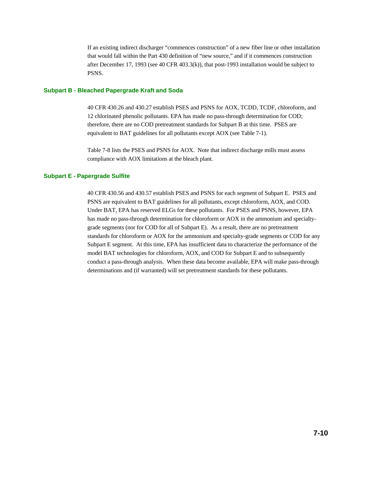If an existing indirect discharger "commences construction" of a new fiber line or other installation that would fall within the Part 430 definition of "new source," and if it commences construction after December 17, 1993 (see 40 CFR 403.3(k)), that post-1993 installation would be subject to PSNS.

### **Subpart B - Bleached Papergrade Kraft and Soda**

40 CFR 430.26 and 430.27 establish PSES and PSNS for AOX, TCDD, TCDF, chloroform, and 12 chlorinated phenolic pollutants. EPA has made no pass-through determination for COD; therefore, there are no COD pretreatment standards for Subpart B at this time. PSES are equivalent to BAT guidelines for all pollutants except AOX (see Table 7-1).

Table 7-8 lists the PSES and PSNS for AOX. Note that indirect discharge mills must assess compliance with AOX limitations at the bleach plant.

#### **Subpart E - Papergrade Sulfite**

40 CFR 430.56 and 430.57 establish PSES and PSNS for each segment of Subpart E. PSES and PSNS are equivalent to BAT guidelines for all pollutants, except chloroform, AOX, and COD. Under BAT, EPA has reserved ELGs for these pollutants. For PSES and PSNS, however, EPA has made no pass-through determination for chloroform or AOX in the ammonium and specialtygrade segments (nor for COD for all of Subpart E). As a result, there are no pretreatment standards for chloroform or AOX for the ammonium and specialty-grade segments or COD for any Subpart E segment. At this time, EPA has insufficient data to characterize the performance of the model BAT technologies for chloroform, AOX, and COD for Subpart E and to subsequently conduct a pass-through analysis. When these data become available, EPA will make pass-through determinations and (if warranted) will set pretreatment standards for these pollutants.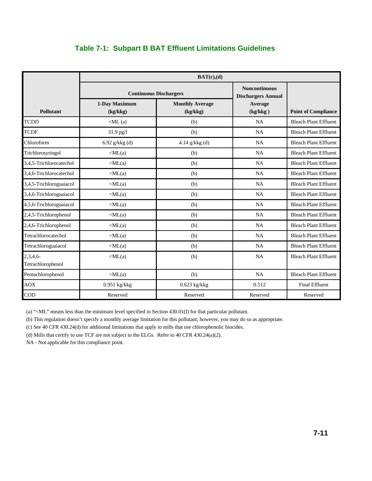# **Table 7-1: Subpart B BAT Effluent Limitations Guidelines**

|                                  | BAT(c),(d)                |                                    |                                                   |                              |  |
|----------------------------------|---------------------------|------------------------------------|---------------------------------------------------|------------------------------|--|
|                                  |                           | <b>Continuous Dischargers</b>      | <b>Noncontinuous</b><br><b>Dischargers Annual</b> |                              |  |
| <b>Pollutant</b>                 | 1-Day Maximum<br>(kg/kkg) | <b>Monthly Average</b><br>(kg/kkg) | Average<br>(kg/kkg)                               | <b>Point of Compliance</b>   |  |
| <b>TCDD</b>                      | $\langle$ ML $(a)$        | (b)                                | <b>NA</b>                                         | <b>Bleach Plant Effluent</b> |  |
| <b>TCDF</b>                      | 31.9 pg/l                 | (b)                                | NA                                                | <b>Bleach Plant Effluent</b> |  |
| Chloroform                       | 6.92 $g/kkg$ (d)          | 4.14 g/kkg (d)                     | <b>NA</b>                                         | <b>Bleach Plant Effluent</b> |  |
| Trichlorosyringol                | $\langle ML(a)$           | (b)                                | NA                                                | <b>Bleach Plant Effluent</b> |  |
| 3,4,5-Trichlorocatechol          | $\langle ML(a)$           | (b)                                | NA                                                | <b>Bleach Plant Effluent</b> |  |
| 3,4,6-Trichlorocatechol          | $\langle ML(a)$           | (b)                                | <b>NA</b>                                         | <b>Bleach Plant Effluent</b> |  |
| 3,4,5-Trichloroguaiacol          | $\langle ML(a)$           | (b)                                | <b>NA</b>                                         | <b>Bleach Plant Effluent</b> |  |
| 3,4,6-Trichloroguaiacol          | $\langle ML(a)$           | (b)                                | NA                                                | <b>Bleach Plant Effluent</b> |  |
| 4,5,6-Trichloroguaiacol          | $\langle ML(a)$           | (b)                                | <b>NA</b>                                         | <b>Bleach Plant Effluent</b> |  |
| 2,4,5-Trichlorophenol            | $\langle ML(a)$           | (b)                                | NA                                                | <b>Bleach Plant Effluent</b> |  |
| 2,4,6-Trichlorophenol            | $\langle ML(a)$           | (b)                                | NA                                                | <b>Bleach Plant Effluent</b> |  |
| Tetrachlorocatechol              | $\langle ML(a)$           | (b)                                | <b>NA</b>                                         | <b>Bleach Plant Effluent</b> |  |
| Tetrachloroguaiacol              | $\langle ML(a)$           | (b)                                | <b>NA</b>                                         | <b>Bleach Plant Effluent</b> |  |
| $2,3,4,6$ -<br>Tetrachlorophenol | $\langle ML(a)$           | (b)                                | <b>NA</b>                                         | <b>Bleach Plant Effluent</b> |  |
| Pentachlorophenol                | $\langle ML(a)$           | (b)                                | <b>NA</b>                                         | <b>Bleach Plant Effluent</b> |  |
| <b>AOX</b>                       | $0.951$ kg/kkg            | $0.623$ kg/kkg                     | 0.512                                             | <b>Final Effluent</b>        |  |
| <b>COD</b>                       | Reserved                  | Reserved                           | Reserved                                          | Reserved                     |  |

(a) "<ML" means less than the minimum level specified in Section 430.01(I) for that particular pollutant.

(b) This regulation doesn't specify a monthly average limitation for this pollutant; however, you may do so as appropriate.

(c) See 40 CFR 430.24(d) for additional limitations that apply to mills that use chlorophenolic biocides.

(d) Mills that certify to use TCF are not subject to the ELGs. Refer to 40 CFR 430.24(a)(2).

NA - Not applicable for this compliance point.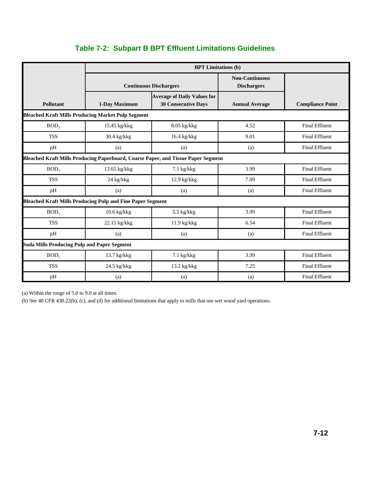|                                                                   | <b>BPT Limitations (b)</b>                         |                                                                                   |                                             |                         |  |
|-------------------------------------------------------------------|----------------------------------------------------|-----------------------------------------------------------------------------------|---------------------------------------------|-------------------------|--|
|                                                                   |                                                    | <b>Continuous Dischargers</b>                                                     | <b>Non-Continuous</b><br><b>Dischargers</b> |                         |  |
| Pollutant                                                         | 1-Day Maximum                                      | <b>Average of Daily Values for</b><br><b>30 Consecutive Days</b>                  | <b>Annual Average</b>                       | <b>Compliance Point</b> |  |
| <b>Bleached Kraft Mills Producing Market Pulp Segment</b>         |                                                    |                                                                                   |                                             |                         |  |
| BOD <sub>5</sub>                                                  | 15.45 kg/kkg                                       | $8.05$ kg/kkg                                                                     | 4.52                                        | <b>Final Effluent</b>   |  |
| <b>TSS</b>                                                        | 30.4 kg/kkg                                        | $16.4$ kg/kkg                                                                     | 9.01                                        | <b>Final Effluent</b>   |  |
| pH                                                                | (a)                                                | (a)                                                                               | (a)                                         | <b>Final Effluent</b>   |  |
|                                                                   |                                                    | Bleached Kraft Mills Producing Paperboard, Coarse Paper, and Tissue Paper Segment |                                             |                         |  |
| BOD <sub>5</sub>                                                  | 13.65 kg/kkg                                       | 7.1 kg/kkg                                                                        | 3.99                                        | <b>Final Effluent</b>   |  |
| <b>TSS</b>                                                        | 24 kg/kkg                                          | $12.9$ kg/kkg                                                                     | 7.09                                        | <b>Final Effluent</b>   |  |
| pH                                                                | (a)                                                | (a)                                                                               | (a)                                         | <b>Final Effluent</b>   |  |
| <b>Bleached Kraft Mills Producing Pulp and Fine Paper Segment</b> |                                                    |                                                                                   |                                             |                         |  |
| BOD <sub>5</sub>                                                  | $10.6$ kg/kkg                                      | 5.5 kg/kkg                                                                        | 3.09                                        | <b>Final Effluent</b>   |  |
| <b>TSS</b>                                                        | 22.15 kg/kkg                                       | 11.9 kg/kkg                                                                       | 6.54                                        | <b>Final Effluent</b>   |  |
| pH                                                                | (a)                                                | (a)                                                                               | (a)                                         | <b>Final Effluent</b>   |  |
|                                                                   | <b>Soda Mills Producing Pulp and Paper Segment</b> |                                                                                   |                                             |                         |  |
| BOD <sub>5</sub>                                                  | 13.7 kg/kkg                                        | $7.1$ kg/kkg                                                                      | 3.99                                        | <b>Final Effluent</b>   |  |
| <b>TSS</b>                                                        | 24.5 kg/kkg                                        | 13.2 kg/kkg                                                                       | 7.25                                        | <b>Final Effluent</b>   |  |
| pH                                                                | (a)                                                | (a)                                                                               | (a)                                         | <b>Final Effluent</b>   |  |

# **Table 7-2: Subpart B BPT Effluent Limitations Guidelines**

(a) Within the range of 5.0 to 9.0 at all times.

(b) See 40 CFR 430.22(b), (c), and (d) for additional limitations that apply to mills that use wet wood yard operations.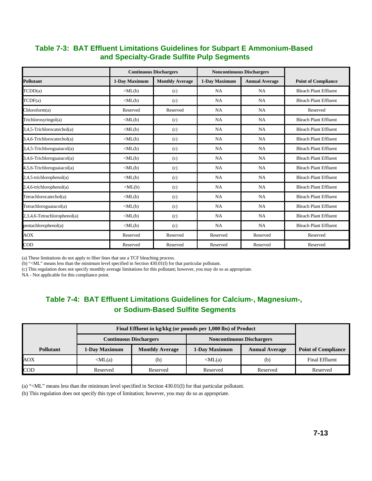# **Table 7-3: BAT Effluent Limitations Guidelines for Subpart E Ammonium-Based and Specialty-Grade Sulfite Pulp Segments**

|                              |                                | <b>Continuous Dischargers</b> |               | <b>Noncontinuous Dischargers</b> |                              |
|------------------------------|--------------------------------|-------------------------------|---------------|----------------------------------|------------------------------|
| <b>Pollutant</b>             | 1-Day Maximum                  | <b>Monthly Average</b>        | 1-Day Maximum | <b>Annual Average</b>            | <b>Point of Compliance</b>   |
| $\text{TCDD}(a)$             | $\langle ML(b)$                | (c)                           | <b>NA</b>     | <b>NA</b>                        | <b>Bleach Plant Effluent</b> |
| $\mathsf{TCDF}(a)$           | $\langle ML(b)$                | (c)                           | <b>NA</b>     | <b>NA</b>                        | <b>Bleach Plant Effluent</b> |
| Chloroform(a)                | Reserved                       | Reserved                      | <b>NA</b>     | <b>NA</b>                        | Reserved                     |
| Trichlorosyringol(a)         | $\langle ML(b)$                | (c)                           | NA            | <b>NA</b>                        | <b>Bleach Plant Effluent</b> |
| 3,4,5-Trichlorocatechol(a)   | $\langle ML(b)$                | (c)                           | <b>NA</b>     | <b>NA</b>                        | <b>Bleach Plant Effluent</b> |
| 3,4,6-Trichlorocatechol(a)   | $\langle ML(b)$                | (c)                           | <b>NA</b>     | <b>NA</b>                        | <b>Bleach Plant Effluent</b> |
| 3,4,5-Trichloroguaiacol(a)   | $\langle \text{ML}(b) \rangle$ | (c)                           | NA            | <b>NA</b>                        | <b>Bleach Plant Effluent</b> |
| 3,4,6-Trichloroguaiacol(a)   | $\langle ML(b)$                | (c)                           | <b>NA</b>     | <b>NA</b>                        | <b>Bleach Plant Effluent</b> |
| 4,5,6-Trichloroguaiacol(a)   | $\langle \text{ML}(b) \rangle$ | (c)                           | NA            | <b>NA</b>                        | <b>Bleach Plant Effluent</b> |
| 2,4,5-trichlorophenol(a)     | $\langle ML(b)$                | (c)                           | <b>NA</b>     | <b>NA</b>                        | <b>Bleach Plant Effluent</b> |
| 2,4,6-trichlorophenol(a)     | $\langle \text{ML}(b)$         | (c)                           | <b>NA</b>     | <b>NA</b>                        | <b>Bleach Plant Effluent</b> |
| Tetrachlorocatechol(a)       | $\langle \text{ML}(b) \rangle$ | (c)                           | <b>NA</b>     | <b>NA</b>                        | <b>Bleach Plant Effluent</b> |
| Tetrachloroguaiacol(a)       | $\langle \text{ML}(b) \rangle$ | (c)                           | <b>NA</b>     | <b>NA</b>                        | <b>Bleach Plant Effluent</b> |
| 2,3,4,6-Tetrachlorophenol(a) | $\langle ML(b)$                | (c)                           | NA            | <b>NA</b>                        | <b>Bleach Plant Effluent</b> |
| pentachlorophenol(a)         | $\langle ML(b)$                | (c)                           | <b>NA</b>     | <b>NA</b>                        | <b>Bleach Plant Effluent</b> |
| AOX                          | Reserved                       | Reserved                      | Reserved      | Reserved                         | Reserved                     |
| $\overline{COD}$             | Reserved                       | Reserved                      | Reserved      | Reserved                         | Reserved                     |

(a) These limitations do not apply to fiber lines that use a TCF bleaching process.

(b) "<ML" means less than the minimum level specified in Section 430.01(I) for that particular pollutant.

(c) This regulation does not specify monthly average limitations for this pollutant; however, you may do so as appropriate.

NA - Not applicable for this compliance point.

# **Table 7-4: BAT Effluent Limitations Guidelines for Calcium-, Magnesium-, or Sodium-Based Sulfite Segments**

|                  | Final Effluent in kg/kkg (or pounds per 1,000 lbs) of Product |                        |                                  |                       |                            |
|------------------|---------------------------------------------------------------|------------------------|----------------------------------|-----------------------|----------------------------|
|                  | <b>Continuous Dischargers</b>                                 |                        | <b>Noncontinuous Dischargers</b> |                       |                            |
| <b>Pollutant</b> | 1-Day Maximum                                                 | <b>Monthly Average</b> | 1-Day Maximum                    | <b>Annual Average</b> | <b>Point of Compliance</b> |
| <b>AOX</b>       | $\langle ML(a)$                                               | (b)                    | $\langle ML(a)$                  | (b)                   | <b>Final Effluent</b>      |
| $\rm{COD}$       | Reserved                                                      | Reserved               | Reserved                         | Reserved              | Reserved                   |

(a) "<ML" means less than the minimum level specified in Section 430.01(I) for that particular pollutant.

(b) This regulation does not specify this type of limitation; however, you may do so as appropriate.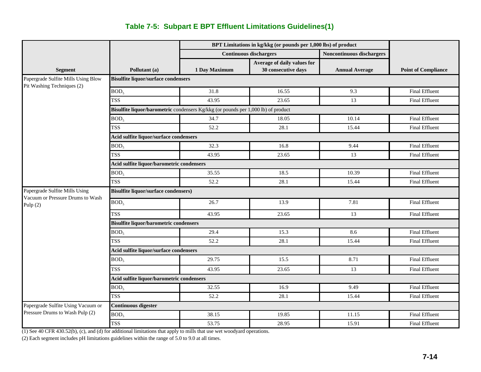# **Table 7-5: Subpart E BPT Effluent Limitations Guidelines(1)**

|                                                                    |                                                                                   | BPT Limitations in kg/kkg (or pounds per 1,000 lbs) of product |                               |                           |                            |  |  |
|--------------------------------------------------------------------|-----------------------------------------------------------------------------------|----------------------------------------------------------------|-------------------------------|---------------------------|----------------------------|--|--|
|                                                                    |                                                                                   |                                                                | <b>Continuous dischargers</b> | Noncontinuous dischargers |                            |  |  |
|                                                                    |                                                                                   |                                                                | Average of daily values for   |                           |                            |  |  |
| <b>Segment</b>                                                     | Pollutant (a)                                                                     | 1 Day Maximum                                                  | 30 consecutive days           | <b>Annual Average</b>     | <b>Point of Compliance</b> |  |  |
| Papergrade Sulfite Mills Using Blow<br>Pit Washing Techniques (2)  | <b>Bisulfite liquor/surface condensers</b>                                        |                                                                |                               |                           |                            |  |  |
|                                                                    | BOD <sub>5</sub>                                                                  | 31.8                                                           | 16.55                         | 9.3                       | <b>Final Effluent</b>      |  |  |
|                                                                    | <b>TSS</b>                                                                        | 43.95                                                          | 23.65                         | 13                        | <b>Final Effluent</b>      |  |  |
|                                                                    | Bisulfite liquor/barometric condensers Kg/kkg (or pounds per 1,000 lb) of product |                                                                |                               |                           |                            |  |  |
|                                                                    | BOD <sub>5</sub>                                                                  | 34.7                                                           | 18.05                         | 10.14                     | <b>Final Effluent</b>      |  |  |
|                                                                    | <b>TSS</b>                                                                        | 52.2                                                           | 28.1                          | 15.44                     | <b>Final Effluent</b>      |  |  |
|                                                                    | Acid sulfite liquor/surface condensers                                            |                                                                |                               |                           |                            |  |  |
|                                                                    | BOD <sub>5</sub>                                                                  | 32.3                                                           | 16.8                          | 9.44                      | <b>Final Effluent</b>      |  |  |
|                                                                    | <b>TSS</b>                                                                        | 43.95                                                          | 23.65                         | 13                        | <b>Final Effluent</b>      |  |  |
|                                                                    | Acid sulfite liquor/barometric condensers                                         |                                                                |                               |                           |                            |  |  |
|                                                                    | BOD <sub>5</sub>                                                                  | 35.55                                                          | 18.5                          | 10.39                     | <b>Final Effluent</b>      |  |  |
|                                                                    | <b>TSS</b>                                                                        | 52.2                                                           | 28.1                          | 15.44                     | <b>Final Effluent</b>      |  |  |
| Papergrade Sulfite Mills Using<br>Vacuum or Pressure Drums to Wash | <b>Bisulfite liquor/surface condensers)</b>                                       |                                                                |                               |                           |                            |  |  |
| Pulp $(2)$                                                         | BOD <sub>5</sub>                                                                  | 26.7                                                           | 13.9                          | 7.81                      | <b>Final Effluent</b>      |  |  |
|                                                                    | <b>TSS</b>                                                                        | 43.95                                                          | 23.65                         | 13                        | <b>Final Effluent</b>      |  |  |
|                                                                    | <b>Bisulfite liquor/barometric condensers</b>                                     |                                                                |                               |                           |                            |  |  |
|                                                                    | BOD <sub>5</sub>                                                                  | 29.4                                                           | 15.3                          | 8.6                       | <b>Final Effluent</b>      |  |  |
|                                                                    | <b>TSS</b>                                                                        | 52.2                                                           | 28.1                          | 15.44                     | <b>Final Effluent</b>      |  |  |
|                                                                    | Acid sulfite liquor/surface condensers                                            |                                                                |                               |                           |                            |  |  |
|                                                                    | BOD <sub>5</sub>                                                                  | 29.75                                                          | 15.5                          | 8.71                      | <b>Final Effluent</b>      |  |  |
|                                                                    | <b>TSS</b>                                                                        | 43.95                                                          | 23.65                         | 13                        | <b>Final Effluent</b>      |  |  |
|                                                                    | Acid sulfite liquor/barometric condensers                                         |                                                                |                               |                           |                            |  |  |
|                                                                    | BOD <sub>5</sub>                                                                  | 32.55                                                          | 16.9                          | 9.49                      | <b>Final Effluent</b>      |  |  |
|                                                                    | <b>TSS</b>                                                                        | 52.2                                                           | 28.1                          | 15.44                     | <b>Final Effluent</b>      |  |  |
| Papergrade Sulfite Using Vacuum or                                 | <b>Continuous digester</b>                                                        |                                                                |                               |                           |                            |  |  |
| Pressure Drums to Wash Pulp (2)                                    | BOD <sub>5</sub>                                                                  | 38.15                                                          | 19.85                         | 11.15                     | <b>Final Effluent</b>      |  |  |
|                                                                    | <b>TSS</b>                                                                        | 53.75                                                          | 28.95                         | 15.91                     | <b>Final Effluent</b>      |  |  |

(1) See 40 CFR 430.52(b), (c), and (d) for additional limitations that apply to mills that use wet woodyard operations.

(2) Each segment includes pH limitations guidelines within the range of 5.0 to 9.0 at all times.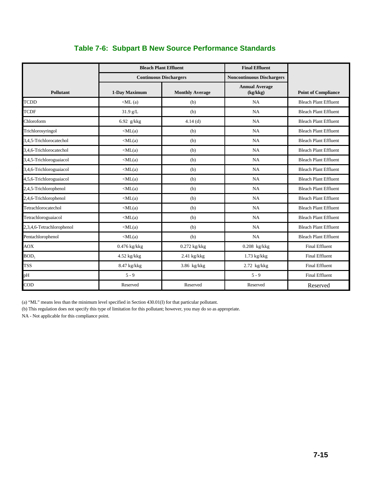|                           |                    | <b>Bleach Plant Effluent</b>  | <b>Final Effluent</b>             |                              |
|---------------------------|--------------------|-------------------------------|-----------------------------------|------------------------------|
|                           |                    | <b>Continuous Dischargers</b> | <b>Noncontinuous Dischargers</b>  |                              |
| <b>Pollutant</b>          | 1-Day Maximum      | <b>Monthly Average</b>        | <b>Annual Average</b><br>(kg/kkg) | <b>Point of Compliance</b>   |
| <b>TCDD</b>               | $\langle$ ML $(a)$ | (b)                           | <b>NA</b>                         | <b>Bleach Plant Effluent</b> |
| <b>TCDF</b>               | $31.9$ g/L         | (b)                           | NA                                | <b>Bleach Plant Effluent</b> |
| Chloroform                | 6.92 $g/kkg$       | 4.14(d)                       | <b>NA</b>                         | <b>Bleach Plant Effluent</b> |
| Trichlorosyringol         | $\langle ML(a)$    | (b)                           | NA                                | <b>Bleach Plant Effluent</b> |
| 3,4,5-Trichlorocatechol   | $\langle ML(a)$    | (b)                           | NA                                | <b>Bleach Plant Effluent</b> |
| 3,4,6-Trichlorocatechol   | $\langle ML(a)$    | (b)                           | NA                                | <b>Bleach Plant Effluent</b> |
| 3,4,5-Trichloroguaiacol   | $\langle ML(a)$    | (b)                           | NA                                | <b>Bleach Plant Effluent</b> |
| 3,4,6-Trichloroguaiacol   | $\langle ML(a)$    | (b)                           | NA                                | <b>Bleach Plant Effluent</b> |
| 4,5,6-Trichloroguaiacol   | $\langle ML(a)$    | (b)                           | NA                                | <b>Bleach Plant Effluent</b> |
| 2,4,5-Trichlorophenol     | $\langle ML(a)$    | (b)                           | NA                                | <b>Bleach Plant Effluent</b> |
| 2,4,6-Trichlorophenol     | $\langle ML(a)$    | (b)                           | <b>NA</b>                         | <b>Bleach Plant Effluent</b> |
| Tetrachlorocatechol       | $\langle ML(a)$    | (b)                           | NA                                | <b>Bleach Plant Effluent</b> |
| Tetrachloroguaiacol       | $\langle ML(a)$    | (b)                           | NA                                | <b>Bleach Plant Effluent</b> |
| 2,3,4,6-Tetrachlorophenol | $\langle ML(a)$    | (b)                           | NA                                | <b>Bleach Plant Effluent</b> |
| Pentachlorophenol         | $\langle ML(a)$    | (b)                           | NA                                | <b>Bleach Plant Effluent</b> |
| <b>AOX</b>                | $0.476$ kg/kkg     | $0.272$ kg/kkg                | $0.208$ kg/kkg                    | <b>Final Effluent</b>        |
| BOD <sub>5</sub>          | $4.52$ kg/kkg      | $2.41$ kg/kkg                 | $1.73$ kg/kkg                     | <b>Final Effluent</b>        |
| <b>TSS</b>                | 8.47 kg/kkg        | 3.86 kg/kkg                   | $2.72$ kg/kkg                     | <b>Final Effluent</b>        |
| pH                        | $5 - 9$            |                               | $5 - 9$                           | <b>Final Effluent</b>        |
| <b>COD</b>                | Reserved           | Reserved                      | Reserved                          | Reserved                     |

# **Table 7-6: Subpart B New Source Performance Standards**

(a) "ML" means less than the minimum level specified in Section 430.01(I) for that particular pollutant.

(b) This regulation does not specify this type of limitation for this pollutant; however, you may do so as appropriate.

NA - Not applicable for this compliance point.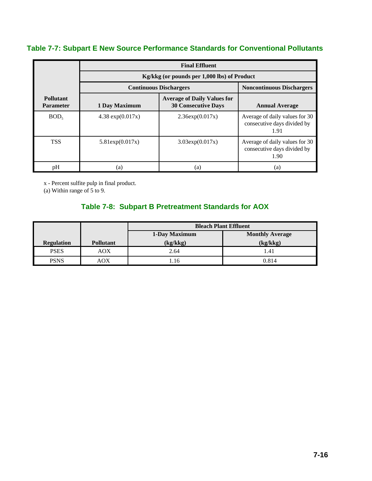# **Table 7-7: Subpart E New Source Performance Standards for Conventional Pollutants**

|                               | <b>Final Effluent</b> |                                                                  |                                                                       |  |
|-------------------------------|-----------------------|------------------------------------------------------------------|-----------------------------------------------------------------------|--|
|                               |                       | Kg/kkg (or pounds per 1,000 lbs) of Product                      |                                                                       |  |
|                               |                       | <b>Continuous Dischargers</b>                                    | <b>Noncontinuous Dischargers</b>                                      |  |
| Pollutant<br><b>Parameter</b> | 1 Day Maximum         | <b>Average of Daily Values for</b><br><b>30 Consecutive Days</b> | <b>Annual Average</b>                                                 |  |
| BOD <sub>5</sub>              | 4.38 $exp(0.017x)$    | 2.36exp(0.017x)                                                  | Average of daily values for 30<br>consecutive days divided by<br>1.91 |  |
| <b>TSS</b>                    | 5.81exp(0.017x)       | $3.03 \exp(0.017x)$                                              | Average of daily values for 30<br>consecutive days divided by<br>1.90 |  |
| pH                            | (a)                   | (a)                                                              | (a)                                                                   |  |

x - Percent sulfite pulp in final product.

(a) Within range of 5 to 9.

# **Table 7-8: Subpart B Pretreatment Standards for AOX**

|                   |                  | <b>Bleach Plant Effluent</b> |                        |  |
|-------------------|------------------|------------------------------|------------------------|--|
|                   |                  | 1-Day Maximum                | <b>Monthly Average</b> |  |
| <b>Regulation</b> | <b>Pollutant</b> | (kg/kkg)                     | (kg/kkg)               |  |
| <b>PSES</b>       | AOX              | 2.64                         | 1.41                   |  |
| <b>PSNS</b>       | AOX              | .16                          | 0.814                  |  |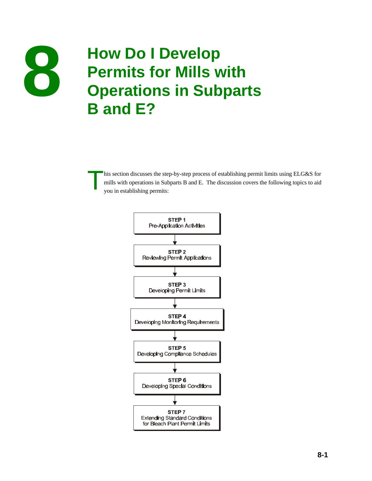

# **How Do I Develop<br>
<b>Permits for Mills with**<br> **Develops Permits for Mills with<br>
B and E2 Operations in Subparts B and E?**

his section discusses the step-by-step process of establishing permit limits using ELG&S for mills with operations in Subparts B and E. The discussion covers the following topics to aid you in establishing permits:

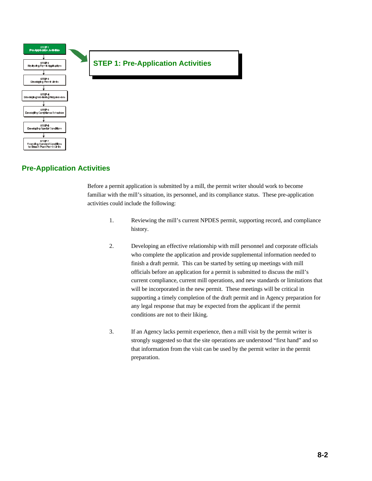

# **Pre-Application Activities**

Before a permit application is submitted by a mill, the permit writer should work to become familiar with the mill's situation, its personnel, and its compliance status. These pre-application activities could include the following:

- 1. Reviewing the mill's current NPDES permit, supporting record, and compliance history.
- 2. Developing an effective relationship with mill personnel and corporate officials who complete the application and provide supplemental information needed to finish a draft permit. This can be started by setting up meetings with mill officials before an application for a permit is submitted to discuss the mill's current compliance, current mill operations, and new standards or limitations that will be incorporated in the new permit. These meetings will be critical in supporting a timely completion of the draft permit and in Agency preparation for any legal response that may be expected from the applicant if the permit conditions are not to their liking.
- 3. If an Agency lacks permit experience, then a mill visit by the permit writer is strongly suggested so that the site operations are understood "first hand" and so that information from the visit can be used by the permit writer in the permit preparation.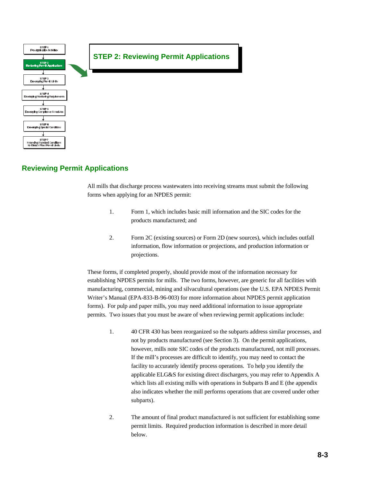

## **Reviewing Permit Applications**

All mills that discharge process wastewaters into receiving streams must submit the following forms when applying for an NPDES permit:

- 1. Form 1, which includes basic mill information and the SIC codes for the products manufactured; and
- 2. Form 2C (existing sources) or Form 2D (new sources), which includes outfall information, flow information or projections, and production information or projections.

These forms, if completed properly, should provide most of the information necessary for establishing NPDES permits for mills. The two forms, however, are generic for all facilities with manufacturing, commercial, mining and silvacultural operations (see the U.S. EPA NPDES Permit Writer's Manual (EPA-833-B-96-003) for more information about NPDES permit application forms). For pulp and paper mills, you may need additional information to issue appropriate permits. Two issues that you must be aware of when reviewing permit applications include:

- 1. 40 CFR 430 has been reorganized so the subparts address similar processes, and not by products manufactured (see Section 3). On the permit applications, however, mills note SIC codes of the products manufactured, not mill processes. If the mill's processes are difficult to identify, you may need to contact the facility to accurately identify process operations. To help you identify the applicable ELG&S for existing direct dischargers, you may refer to Appendix A which lists all existing mills with operations in Subparts B and E (the appendix also indicates whether the mill performs operations that are covered under other subparts).
- 2. The amount of final product manufactured is not sufficient for establishing some permit limits. Required production information is described in more detail below.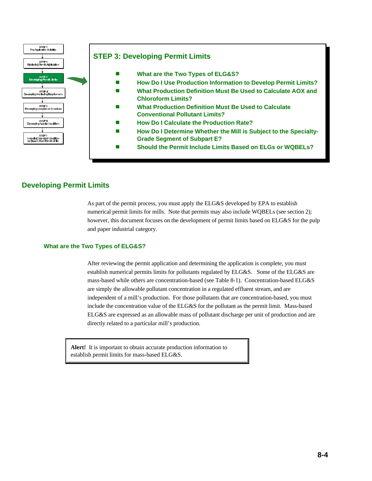

# **Developing Permit Limits**

As part of the permit process, you must apply the ELG&S developed by EPA to establish numerical permit limits for mills. Note that permits may also include WQBELs (see section 2); however, this document focuses on the development of permit limits based on ELG&S for the pulp and paper industrial category.

#### **What are the Two Types of ELG&S?**

After reviewing the permit application and determining the application is complete, you must establish numerical permits limits for pollutants regulated by ELG&S. Some of the ELG&S are mass-based while others are concentration-based (see Table 8-1). Concentration-based ELG&S are simply the allowable pollutant concentration in a regulated effluent stream, and are independent of a mill's production. For those pollutants that are concentration-based, you must include the concentration value of the ELG&S for the pollutant as the permit limit. Mass-based ELG&S are expressed as an allowable mass of pollutant discharge per unit of production and are directly related to a particular mill's production.

**Alert!** It is important to obtain accurate production information to establish permit limits for mass-based ELG&S.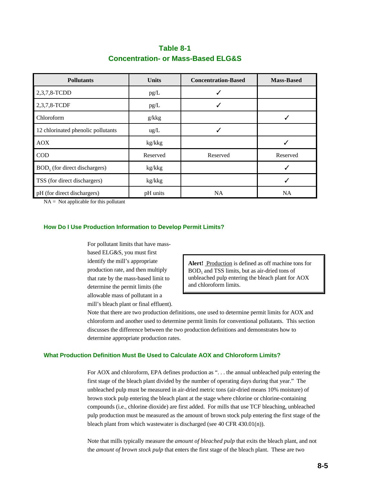# **Table 8-1 Concentration- or Mass-Based ELG&S**

| <b>Pollutants</b>                  | <b>Units</b>  | <b>Concentration-Based</b> | <b>Mass-Based</b> |
|------------------------------------|---------------|----------------------------|-------------------|
| 2,3,7,8-TCDD                       | pg/L          |                            |                   |
| 2,3,7,8-TCDF                       | pg/L          | ✓                          |                   |
| Chloroform                         | g/kkg         |                            |                   |
| 12 chlorinated phenolic pollutants | $\text{ug/L}$ |                            |                   |
| <b>AOX</b>                         | kg/kkg        |                            |                   |
| $\rm COD$                          | Reserved      | Reserved                   | Reserved          |
| $BOD5$ (for direct dischargers)    | kg/kkg        |                            |                   |
| TSS (for direct dischargers)       | kg/kkg        |                            |                   |
| pH (for direct dischargers)        | pH units      | <b>NA</b>                  | <b>NA</b>         |

 $NA = Not applicable for this pollutant$ 

## **How Do I Use Production Information to Develop Permit Limits?**

For pollutant limits that have massbased ELG&S, you must first identify the mill's appropriate production rate, and then multiply that rate by the mass-based limit to determine the permit limits (the allowable mass of pollutant in a mill's bleach plant or final effluent).

Alert! Production is defined as off machine tons for  $BOD<sub>5</sub>$  and TSS limits, but as air-dried tons of unbleached pulp entering the bleach plant for AOX and chloroform limits.

Note that there are two production definitions, one used to determine permit limits for AOX and chloroform and another used to determine permit limits for conventional pollutants. This section discusses the difference between the two production definitions and demonstrates how to determine appropriate production rates.

## **What Production Definition Must Be Used to Calculate AOX and Chloroform Limits?**

For AOX and chloroform, EPA defines production as ". . . the annual unbleached pulp entering the first stage of the bleach plant divided by the number of operating days during that year." The unbleached pulp must be measured in air-dried metric tons (air-dried means 10% moisture) of brown stock pulp entering the bleach plant at the stage where chlorine or chlorine-containing compounds (i.e., chlorine dioxide) are first added. For mills that use TCF bleaching, unbleached pulp production must be measured as the amount of brown stock pulp entering the first stage of the bleach plant from which wastewater is discharged (see 40 CFR 430.01(n)).

Note that mills typically measure the *amount of bleached pulp* that exits the bleach plant, and not the *amount of brown stock pulp* that enters the first stage of the bleach plant. These are two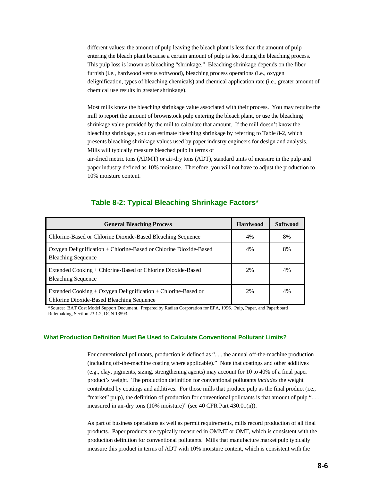different values; the amount of pulp leaving the bleach plant is less than the amount of pulp entering the bleach plant because a certain amount of pulp is lost during the bleaching process. This pulp loss is known as bleaching "shrinkage." Bleaching shrinkage depends on the fiber furnish (i.e., hardwood versus softwood), bleaching process operations (i.e., oxygen delignification, types of bleaching chemicals) and chemical application rate (i.e., greater amount of chemical use results in greater shrinkage).

Most mills know the bleaching shrinkage value associated with their process. You may require the mill to report the amount of brownstock pulp entering the bleach plant, or use the bleaching shrinkage value provided by the mill to calculate that amount. If the mill doesn't know the bleaching shrinkage, you can estimate bleaching shrinkage by referring to Table 8-2, which presents bleaching shrinkage values used by paper industry engineers for design and analysis. Mills will typically measure bleached pulp in terms of

air-dried metric tons (ADMT) or air-dry tons (ADT), standard units of measure in the pulp and paper industry defined as 10% moisture. Therefore, you will not have to adjust the production to 10% moisture content.

| <b>General Bleaching Process</b>                                                                                      | <b>Hardwood</b> | <b>Softwood</b> |
|-----------------------------------------------------------------------------------------------------------------------|-----------------|-----------------|
| Chlorine-Based or Chlorine Dioxide-Based Bleaching Sequence                                                           | 4%              | 8%              |
| Oxygen Delignification + Chlorine-Based or Chlorine Dioxide-Based<br><b>Bleaching Sequence</b>                        | 4%              | 8%              |
| Extended Cooking + Chlorine-Based or Chlorine Dioxide-Based<br><b>Bleaching Sequence</b>                              | 2%              | 4%              |
| Extended Cooking $+$ Oxygen Delignification $+$ Chlorine-Based or<br><b>Chlorine Dioxide-Based Bleaching Sequence</b> | 2%              | 4%              |

## **Table 8-2: Typical Bleaching Shrinkage Factors\***

\*Source: BAT Cost Model Support Document. Prepared by Radian Corporation for EPA, 1996. Pulp, Paper, and Paperboard Rulemaking, Section 23.1.2, DCN 13593.

#### **What Production Definition Must Be Used to Calculate Conventional Pollutant Limits?**

For conventional pollutants, production is defined as ". . . the annual off-the-machine production (including off-the-machine coating where applicable)." Note that coatings and other additives (e.g., clay, pigments, sizing, strengthening agents) may account for 10 to 40% of a final paper product's weight. The production definition for conventional pollutants *includes* the weight contributed by coatings and additives. For those mills that produce pulp as the final product (i.e., "market" pulp), the definition of production for conventional pollutants is that amount of pulp "... measured in air-dry tons (10% moisture)" (see 40 CFR Part 430.01(n)).

As part of business operations as well as permit requirements, mills record production of all final products. Paper products are typically measured in OMMT or OMT, which is consistent with the production definition for conventional pollutants. Mills that manufacture market pulp typically measure this product in terms of ADT with 10% moisture content, which is consistent with the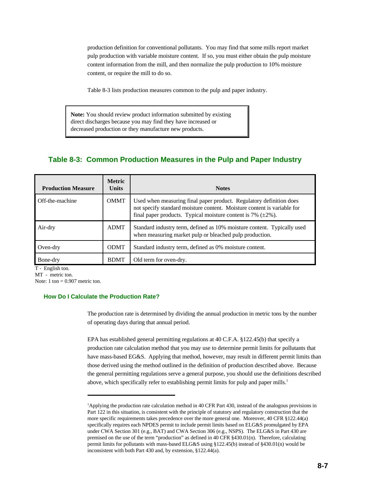production definition for conventional pollutants. You may find that some mills report market pulp production with variable moisture content. If so, you must either obtain the pulp moisture content information from the mill, and then normalize the pulp production to 10% moisture content, or require the mill to do so.

Table 8-3 lists production measures common to the pulp and paper industry.

**Note:** You should review product information submitted by existing direct discharges because you may find they have increased or decreased production or they manufacture new products.

# **Table 8-3: Common Production Measures in the Pulp and Paper Industry**

| <b>Production Measure</b> | <b>Metric</b><br><b>Units</b> | <b>Notes</b>                                                                                                                                                                                                         |
|---------------------------|-------------------------------|----------------------------------------------------------------------------------------------------------------------------------------------------------------------------------------------------------------------|
| Off-the-machine           | <b>OMMT</b>                   | Used when measuring final paper product. Regulatory definition does<br>not specify standard moisture content. Moisture content is variable for<br>final paper products. Typical moisture content is 7% $(\pm 2\%)$ . |
| Air-dry                   | <b>ADMT</b>                   | Standard industry term, defined as 10% moisture content. Typically used<br>when measuring market pulp or bleached pulp production.                                                                                   |
| Oven-dry                  | <b>ODMT</b>                   | Standard industry term, defined as 0% moisture content.                                                                                                                                                              |
| Bone-dry                  | <b>BDMT</b>                   | Old term for oven-dry.                                                                                                                                                                                               |

T - English ton. MT - metric ton.

Note:  $1 \text{ ton} = 0.907 \text{ metric ton.}$ 

## **How Do I Calculate the Production Rate?**

The production rate is determined by dividing the annual production in metric tons by the number of operating days during that annual period.

EPA has established general permitting regulations at 40 C.F.A. §122.45(b) that specify a production rate calculation method that you may use to determine permit limits for pollutants that have mass-based EG&S. Applying that method, however, may result in different permit limits than those derived using the method outlined in the definition of production described above. Because the general permitting regulations serve a general purpose, you should use the definitions described above, which specifically refer to establishing permit limits for pulp and paper mills.<sup>1</sup>

<sup>&</sup>lt;sup>1</sup>Applying the production rate calculation method in 40 CFR Part 430, instead of the analogous provisions in Part 122 in this situation, is consistent with the principle of statutory and regulatory construction that the more specific requirements takes precedence over the more general one. Moreover, 40 CFR §122.44(a) specifically requires each NPDES permit to include permit limits based on ELG&S promulgated by EPA under CWA Section 301 (e.g., BAT) and CWA Section 306 (e.g., NSPS). The ELG&S in Part 430 are premised on the use of the term "production" as defined in 40 CFR §430.01(n). Therefore, calculating permit limits for pollutants with mass-based ELG&S using §122.45(b) instead of §430.01(n) would be inconsistent with both Part 430 and, by extension, §122.44(a).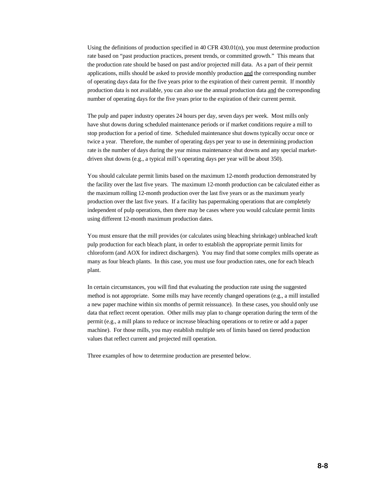Using the definitions of production specified in 40 CFR  $430.01(n)$ , you must determine production rate based on "past production practices, present trends, or committed growth." This means that the production rate should be based on past and/or projected mill data. As a part of their permit applications, mills should be asked to provide monthly production and the corresponding number of operating days data for the five years prior to the expiration of their current permit. If monthly production data is not available, you can also use the annual production data and the corresponding number of operating days for the five years prior to the expiration of their current permit.

The pulp and paper industry operates 24 hours per day, seven days per week. Most mills only have shut downs during scheduled maintenance periods or if market conditions require a mill to stop production for a period of time. Scheduled maintenance shut downs typically occur once or twice a year. Therefore, the number of operating days per year to use in determining production rate is the number of days during the year minus maintenance shut downs and any special marketdriven shut downs (e.g., a typical mill's operating days per year will be about 350).

You should calculate permit limits based on the maximum 12-month production demonstrated by the facility over the last five years. The maximum 12-month production can be calculated either as the maximum rolling 12-month production over the last five years or as the maximum yearly production over the last five years. If a facility has papermaking operations that are completely independent of pulp operations, then there may be cases where you would calculate permit limits using different 12-month maximum production dates.

You must ensure that the mill provides (or calculates using bleaching shrinkage) unbleached kraft pulp production for each bleach plant, in order to establish the appropriate permit limits for chloroform (and AOX for indirect dischargers). You may find that some complex mills operate as many as four bleach plants. In this case, you must use four production rates, one for each bleach plant.

In certain circumstances, you will find that evaluating the production rate using the suggested method is not appropriate. Some mills may have recently changed operations (e.g., a mill installed a new paper machine within six months of permit reissuance). In these cases, you should only use data that reflect recent operation. Other mills may plan to change operation during the term of the permit (e.g., a mill plans to reduce or increase bleaching operations or to retire or add a paper machine). For those mills, you may establish multiple sets of limits based on tiered production values that reflect current and projected mill operation.

Three examples of how to determine production are presented below.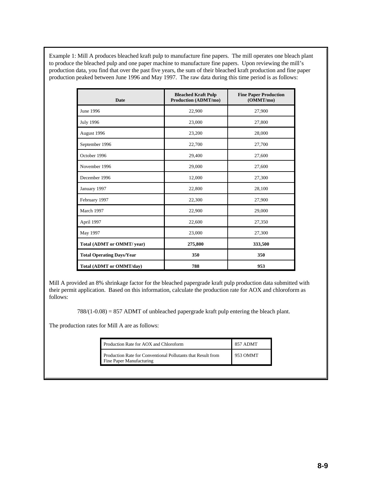Example 1: Mill A produces bleached kraft pulp to manufacture fine papers. The mill operates one bleach plant to produce the bleached pulp and one paper machine to manufacture fine papers. Upon reviewing the mill's production data, you find that over the past five years, the sum of their bleached kraft production and fine paper production peaked between June 1996 and May 1997. The raw data during this time period is as follows:

| <b>Date</b>                      | <b>Bleached Kraft Pulp</b><br><b>Production (ADMT/mo)</b> | <b>Fine Paper Production</b><br>(OMMT/mo) |
|----------------------------------|-----------------------------------------------------------|-------------------------------------------|
| June 1996                        | 22,900                                                    | 27,900                                    |
| <b>July 1996</b>                 | 23,000                                                    | 27,800                                    |
| August 1996                      | 23,200                                                    | 28,000                                    |
| September 1996                   | 22,700                                                    | 27,700                                    |
| October 1996                     | 29,400                                                    | 27,600                                    |
| November 1996                    | 29,000                                                    | 27,600                                    |
| December 1996                    | 12,000                                                    | 27,300                                    |
| January 1997                     | 22,800                                                    | 28,100                                    |
| February 1997                    | 22,300                                                    | 27,900                                    |
| March 1997                       | 22,900                                                    | 29,000                                    |
| April 1997                       | 22,600                                                    | 27,350                                    |
| May 1997                         | 23,000                                                    | 27,300                                    |
| Total (ADMT or OMMT/ year)       | 275,800                                                   | 333,500                                   |
| <b>Total Operating Days/Year</b> | 350                                                       | 350                                       |
| <b>Total (ADMT or OMMT/day)</b>  | 788                                                       | 953                                       |

Mill A provided an 8% shrinkage factor for the bleached papergrade kraft pulp production data submitted with their permit application. Based on this information, calculate the production rate for AOX and chloroform as follows:

 $788/(1-0.08) = 857$  ADMT of unbleached papergrade kraft pulp entering the bleach plant.

The production rates for Mill A are as follows:

| Production Rate for AOX and Chloroform                                                   | 857 ADMT |
|------------------------------------------------------------------------------------------|----------|
| Production Rate for Conventional Pollutants that Result from<br>Fine Paper Manufacturing | 953 OMMT |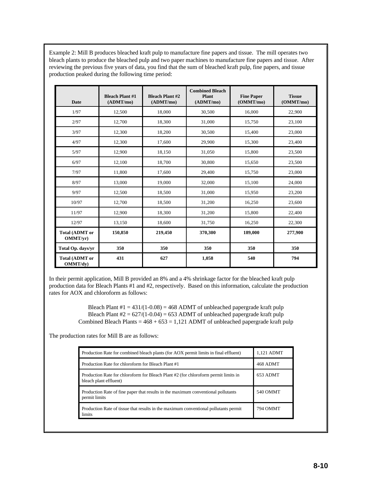Example 2: Mill B produces bleached kraft pulp to manufacture fine papers and tissue. The mill operates two bleach plants to produce the bleached pulp and two paper machines to manufacture fine papers and tissue. After reviewing the previous five years of data, you find that the sum of bleached kraft pulp, fine papers, and tissue production peaked during the following time period:

| Date                              | <b>Bleach Plant #1</b><br>(ADMT/mol) | <b>Bleach Plant #2</b><br>(ADMT/mol) | <b>Combined Bleach</b><br><b>Plant</b><br>(ADMT/mol) | <b>Fine Paper</b><br>(OMMT/mo) | <b>Tissue</b><br>(OMMT/mo) |
|-----------------------------------|--------------------------------------|--------------------------------------|------------------------------------------------------|--------------------------------|----------------------------|
| 1/97                              | 12,500                               | 18,000                               | 30,500                                               | 16.000                         | 22,900                     |
| 2/97                              | 12,700                               | 18,300                               | 31,000                                               | 15,750                         | 23,100                     |
| 3/97                              | 12,300                               | 18,200                               | 30,500                                               | 15,400                         | 23,000                     |
| 4/97                              | 12,300                               | 17,600                               | 29,900                                               | 15,300                         | 23,400                     |
| 5/97                              | 12,900                               | 18,150                               | 31,050                                               | 15,800                         | 23,500                     |
| 6/97                              | 12,100                               | 18,700                               | 30,800                                               | 15,650                         | 23,500                     |
| 7/97                              | 11,800                               | 17,600                               | 29,400                                               | 15,750                         | 23,000                     |
| 8/97                              | 13,000                               | 19,000                               | 32,000                                               | 15,100                         | 24,000                     |
| 9/97                              | 12,500                               | 18,500                               | 31,000                                               | 15,950                         | 23,200                     |
| 10/97                             | 12,700                               | 18,500                               | 31,200                                               | 16,250                         | 23,600                     |
| 11/97                             | 12,900                               | 18,300                               | 31,200                                               | 15,800                         | 22,400                     |
| 12/97                             | 13,150                               | 18.600                               | 31,750                                               | 16,250                         | 22,300                     |
| <b>Total (ADMT or</b><br>OMMT/vr) | 150,850                              | 219,450                              | 370,300                                              | 189,000                        | 277,900                    |
| Total Op. days/yr                 | 350                                  | 350                                  | 350                                                  | 350                            | 350                        |
| <b>Total (ADMT or</b><br>OMMT/dv) | 431                                  | 627                                  | 1,058                                                | 540                            | 794                        |

In their permit application, Mill B provided an 8% and a 4% shrinkage factor for the bleached kraft pulp production data for Bleach Plants #1 and #2, respectively. Based on this information, calculate the production rates for AOX and chloroform as follows:

> Bleach Plant  $#1 = 431/(1-0.08) = 468$  ADMT of unbleached papergrade kraft pulp Bleach Plant  $#2 = 627/(1-0.04) = 653$  ADMT of unbleached papergrade kraft pulp Combined Bleach Plants =  $468 + 653 = 1,121$  ADMT of unbleached papergrade kraft pulp

The production rates for Mill B are as follows:

| Production Rate for combined bleach plants (for AOX permit limits in final effluent)                          | 1.121 ADMT      |
|---------------------------------------------------------------------------------------------------------------|-----------------|
| Production Rate for chloroform for Bleach Plant #1                                                            | <b>468 ADMT</b> |
| Production Rate for chloroform for Bleach Plant #2 (for chloroform permit limits in<br>bleach plant effluent) | 653 ADMT        |
| Production Rate of fine paper that results in the maximum conventional pollutants<br>permit limits            | 540 OMMT        |
| Production Rate of tissue that results in the maximum conventional pollutants permit<br>limits                | 794 OMMT        |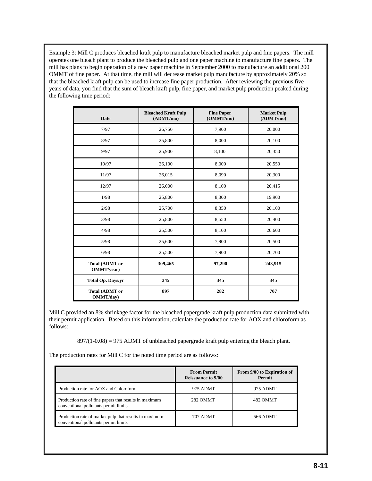Example 3: Mill C produces bleached kraft pulp to manufacture bleached market pulp and fine papers. The mill operates one bleach plant to produce the bleached pulp and one paper machine to manufacture fine papers. The mill has plans to begin operation of a new paper machine in September 2000 to manufacture an additional 200 OMMT of fine paper. At that time, the mill will decrease market pulp manufacture by approximately 20% so that the bleached kraft pulp can be used to increase fine paper production. After reviewing the previous five years of data, you find that the sum of bleach kraft pulp, fine paper, and market pulp production peaked during the following time period:

| <b>Date</b>                                | <b>Bleached Kraft Pulp</b><br>(ADMT/mol) | <b>Fine Paper</b><br>(OMMT/mo) | <b>Market Pulp</b><br>(ADMT/mol) |
|--------------------------------------------|------------------------------------------|--------------------------------|----------------------------------|
| 7/97                                       | 26,750                                   | 7,900                          | 20,000                           |
| 8/97                                       | 25,800                                   | 8,000                          | 20,100                           |
| 9/97                                       | 25,900                                   | 8,100                          | 20,350                           |
| 10/97                                      | 26,100                                   | 8,000                          | 20,550                           |
| 11/97                                      | 26,015                                   | 8,090                          | 20,300                           |
| 12/97                                      | 26,000                                   | 8,100                          | 20,415                           |
| 1/98                                       | 25,800                                   | 8,300                          | 19,900                           |
| 2/98                                       | 25,700                                   | 8,350                          | 20,100                           |
| 3/98                                       | 25,800                                   | 8,550                          | 20,400                           |
| 4/98                                       | 25,500                                   | 8,100                          | 20,600                           |
| 5/98                                       | 25,600                                   | 7,900                          | 20,500                           |
| 6/98                                       | 25,500                                   | 7,900                          | 20,700                           |
| <b>Total (ADMT or</b><br><b>OMMT/year)</b> | 309,465                                  | 97,290                         | 243,915                          |
| Total Op. Days/yr                          | 345                                      | 345                            | 345                              |
| <b>Total (ADMT or</b><br>OMMT/day)         | 897                                      | 282                            | 707                              |

Mill C provided an 8% shrinkage factor for the bleached papergrade kraft pulp production data submitted with their permit application. Based on this information, calculate the production rate for AOX and chloroform as follows:

 $897/(1-0.08) = 975$  ADMT of unbleached papergrade kraft pulp entering the bleach plant.

The production rates for Mill C for the noted time period are as follows:

|                                                                                                 | <b>From Permit</b><br><b>Reissuance to 9/00</b> | From 9/00 to Expiration of<br><b>Permit</b> |
|-------------------------------------------------------------------------------------------------|-------------------------------------------------|---------------------------------------------|
| Production rate for AOX and Chloroform                                                          | 975 ADMT                                        | 975 ADMT                                    |
| Production rate of fine papers that results in maximum<br>conventional pollutants permit limits | 282 OMMT                                        | 482 OMMT                                    |
| Production rate of market pulp that results in maximum<br>conventional pollutants permit limits | 707 ADMT                                        | 566 ADMT                                    |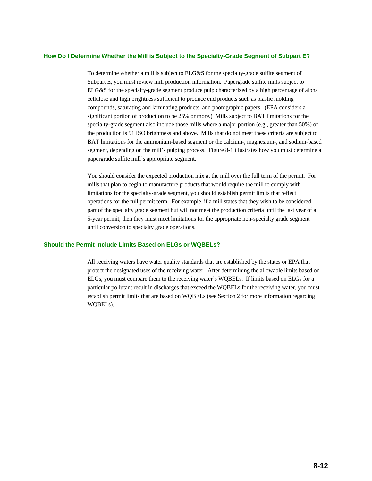## **How Do I Determine Whether the Mill is Subject to the Specialty-Grade Segment of Subpart E?**

To determine whether a mill is subject to ELG&S for the specialty-grade sulfite segment of Subpart E, you must review mill production information. Papergrade sulfite mills subject to ELG&S for the specialty-grade segment produce pulp characterized by a high percentage of alpha cellulose and high brightness sufficient to produce end products such as plastic molding compounds, saturating and laminating products, and photographic papers. (EPA considers a significant portion of production to be 25% or more.) Mills subject to BAT limitations for the specialty-grade segment also include those mills where a major portion (e.g., greater than 50%) of the production is 91 ISO brightness and above. Mills that do not meet these criteria are subject to BAT limitations for the ammonium-based segment or the calcium-, magnesium-, and sodium-based segment, depending on the mill's pulping process. Figure 8-1 illustrates how you must determine a papergrade sulfite mill's appropriate segment.

You should consider the expected production mix at the mill over the full term of the permit. For mills that plan to begin to manufacture products that would require the mill to comply with limitations for the specialty-grade segment, you should establish permit limits that reflect operations for the full permit term. For example, if a mill states that they wish to be considered part of the specialty grade segment but will not meet the production criteria until the last year of a 5-year permit, then they must meet limitations for the appropriate non-specialty grade segment until conversion to specialty grade operations.

## **Should the Permit Include Limits Based on ELGs or WQBELs?**

All receiving waters have water quality standards that are established by the states or EPA that protect the designated uses of the receiving water. After determining the allowable limits based on ELGs, you must compare them to the receiving water's WQBELs. If limits based on ELGs for a particular pollutant result in discharges that exceed the WQBELs for the receiving water, you must establish permit limits that are based on WQBELs (see Section 2 for more information regarding WQBELs).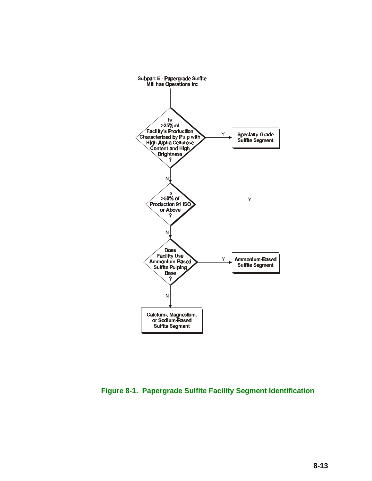

**Figure 8-1. Papergrade Sulfite Facility Segment Identification**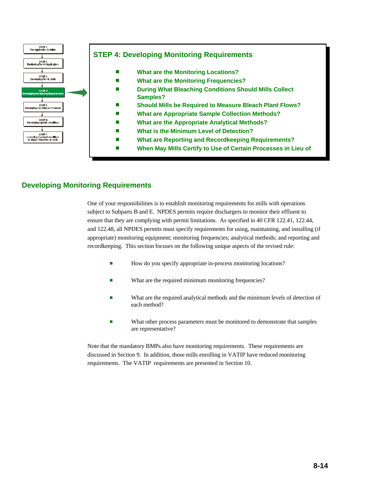

# **Developing Monitoring Requirements**

One of your responsibilities is to establish monitoring requirements for mills with operations subject to Subparts B and E. NPDES permits require dischargers to monitor their effluent to ensure that they are complying with permit limitations. As specified in 40 CFR 122.41, 122.44, and 122.48, all NPDES permits must specify requirements for using, maintaining, and installing (if appropriate) monitoring equipment; monitoring frequencies; analytical methods; and reporting and recordkeeping. This section focuses on the following unique aspects of the revised rule:

- **Example 3** How do you specify appropriate in-process monitoring locations?
- What are the required minimum monitoring frequencies?
- **EXECUTE:** What are the required analytical methods and the minimum levels of detection of each method?
- **EXECUTE:** What other process parameters must be monitored to demonstrate that samples are representative?

Note that the mandatory BMPs also have monitoring requirements. These requirements are discussed in Section 9. In addition, those mills enrolling in VATIP have reduced monitoring requirements. The VATIP requirements are presented in Section 10.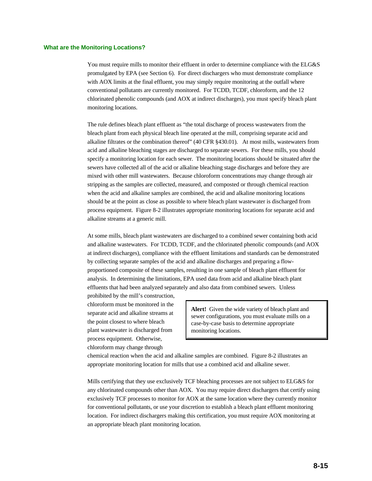#### **What are the Monitoring Locations?**

You must require mills to monitor their effluent in order to determine compliance with the ELG&S promulgated by EPA (see Section 6). For direct dischargers who must demonstrate compliance with AOX limits at the final effluent, you may simply require monitoring at the outfall where conventional pollutants are currently monitored. For TCDD, TCDF, chloroform, and the 12 chlorinated phenolic compounds (and AOX at indirect discharges), you must specify bleach plant monitoring locations.

The rule defines bleach plant effluent as "the total discharge of process wastewaters from the bleach plant from each physical bleach line operated at the mill, comprising separate acid and alkaline filtrates or the combination thereof" (40 CFR §430.01). At most mills, wastewaters from acid and alkaline bleaching stages are discharged to separate sewers. For these mills, you should specify a monitoring location for each sewer. The monitoring locations should be situated after the sewers have collected all of the acid or alkaline bleaching stage discharges and before they are mixed with other mill wastewaters. Because chloroform concentrations may change through air stripping as the samples are collected, measured, and composted or through chemical reaction when the acid and alkaline samples are combined, the acid and alkaline monitoring locations should be at the point as close as possible to where bleach plant wastewater is discharged from process equipment. Figure 8-2 illustrates appropriate monitoring locations for separate acid and alkaline streams at a generic mill.

At some mills, bleach plant wastewaters are discharged to a combined sewer containing both acid and alkaline wastewaters. For TCDD, TCDF, and the chlorinated phenolic compounds (and AOX at indirect discharges), compliance with the effluent limitations and standards can be demonstrated by collecting separate samples of the acid and alkaline discharges and preparing a flowproportioned composite of these samples, resulting in one sample of bleach plant effluent for analysis. In determining the limitations, EPA used data from acid and alkaline bleach plant effluents that had been analyzed separately and also data from combined sewers. Unless

prohibited by the mill's construction, chloroform must be monitored in the separate acid and alkaline streams at the point closest to where bleach plant wastewater is discharged from process equipment. Otherwise, chloroform may change through

**Alert!** Given the wide variety of bleach plant and sewer configurations, you must evaluate mills on a case-by-case basis to determine appropriate monitoring locations.

chemical reaction when the acid and alkaline samples are combined. Figure 8-2 illustrates an appropriate monitoring location for mills that use a combined acid and alkaline sewer.

Mills certifying that they use exclusively TCF bleaching processes are not subject to ELG&S for any chlorinated compounds other than AOX. You may require direct dischargers that certify using exclusively TCF processes to monitor for AOX at the same location where they currently monitor for conventional pollutants, or use your discretion to establish a bleach plant effluent monitoring location. For indirect dischargers making this certification, you must require AOX monitoring at an appropriate bleach plant monitoring location.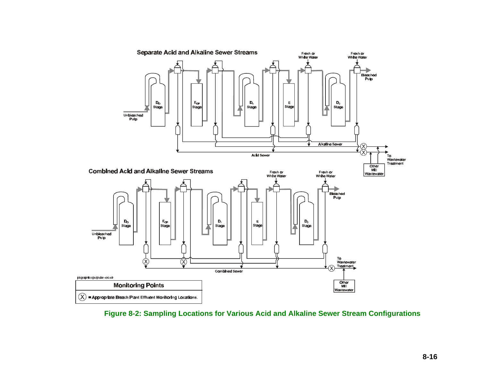

**Figure 8-2: Sampling Locations for Various Acid and Alkaline Sewer Stream Configurations**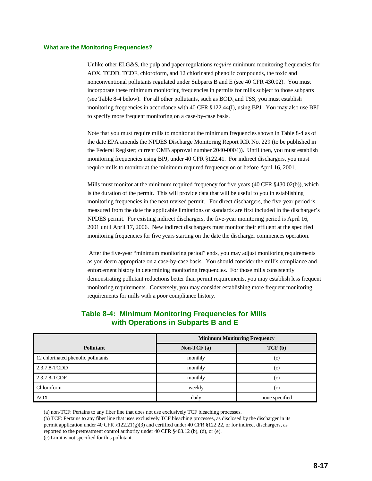#### **What are the Monitoring Frequencies?**

Unlike other ELG&S, the pulp and paper regulations *require* minimum monitoring frequencies for AOX, TCDD, TCDF, chloroform, and 12 chlorinated phenolic compounds, the toxic and nonconventional pollutants regulated under Subparts B and E (see 40 CFR 430.02). You must incorporate these minimum monitoring frequencies in permits for mills subject to those subparts (see Table 8-4 below). For all other pollutants, such as  $BOD<sub>5</sub>$  and TSS, you must establish monitoring frequencies in accordance with 40 CFR §122.44(I), using BPJ. You may also use BPJ to specify more frequent monitoring on a case-by-case basis.

Note that you must require mills to monitor at the minimum frequencies shown in Table 8-4 as of the date EPA amends the NPDES Discharge Monitoring Report ICR No. 229 (to be published in the Federal Register; current OMB approval number 2040-0004)). Until then, you must establish monitoring frequencies using BPJ, under 40 CFR §122.41. For indirect dischargers, you must require mills to monitor at the minimum required frequency on or before April 16, 2001.

Mills must monitor at the minimum required frequency for five years (40 CFR §430.02(b)), which is the duration of the permit. This will provide data that will be useful to you in establishing monitoring frequencies in the next revised permit. For direct dischargers, the five-year period is measured from the date the applicable limitations or standards are first included in the discharger's NPDES permit. For existing indirect dischargers, the five-year monitoring period is April 16, 2001 until April 17, 2006. New indirect dischargers must monitor their effluent at the specified monitoring frequencies for five years starting on the date the discharger commences operation.

 After the five-year "minimum monitoring period" ends, you may adjust monitoring requirements as you deem appropriate on a case-by-case basis. You should consider the mill's compliance and enforcement history in determining monitoring frequencies. For those mills consistently demonstrating pollutant reductions better than permit requirements, you may establish less frequent monitoring requirements. Conversely, you may consider establishing more frequent monitoring requirements for mills with a poor compliance history.

|                                    | <b>Minimum Monitoring Frequency</b> |                |  |
|------------------------------------|-------------------------------------|----------------|--|
| <b>Pollutant</b>                   | Non-TCF $(a)$                       | TCF(b)         |  |
| 12 chlorinated phenolic pollutants | monthly                             | (c)            |  |
| 2,3,7,8-TCDD                       | monthly                             | (c)            |  |
| 2,3,7,8-TCDF                       | monthly                             | (c)            |  |
| Chloroform                         | weekly                              | (c)            |  |
| <b>AOX</b>                         | daily                               | none specified |  |

## **Table 8-4: Minimum Monitoring Frequencies for Mills with Operations in Subparts B and E**

(a) non-TCF: Pertains to any fiber line that does not use exclusively TCF bleaching processes.

(b) TCF: Pertains to any fiber line that uses exclusively TCF bleaching processes, as disclosed by the discharger in its permit application under 40 CFR §122.21(g)(3) and certified under 40 CFR §122.22, or for indirect dischargers, as reported to the pretreatment control authority under 40 CFR §403.12 (b), (d), or (e).

(c) Limit is not specified for this pollutant.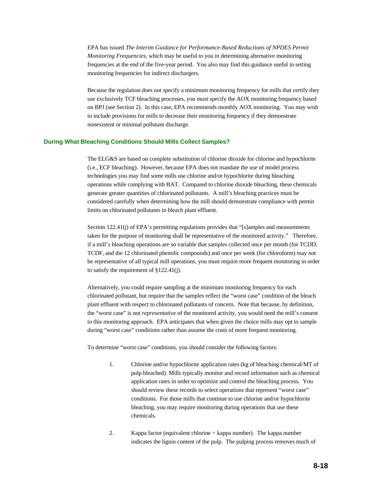EPA has issued *The Interim Guidance for Performance-Based Reductions of NPDES Permit Monitoring Frequencies*, which may be useful to you in determining alternative monitoring frequencies at the end of the five-year period. You also may find this guidance useful in setting monitoring frequencies for indirect dischargers.

Because the regulation does not specify a minimum monitoring frequency for mills that certify they use exclusively TCF bleaching processes, you must specify the AOX monitoring frequency based on BPJ (see Section 2). In this case, EPA recommends monthly AOX monitoring. You may wish to include provisions for mills to decrease their monitoring frequency if they demonstrate nonexistent or minimal pollutant discharge.

#### **During What Bleaching Conditions Should Mills Collect Samples?**

The ELG&S are based on complete substitution of chlorine dioxide for chlorine and hypochlorite (i.e., ECF bleaching). However, because EPA does not mandate the use of model process technologies you may find some mills use chlorine and/or hypochlorite during bleaching operations while complying with BAT. Compared to chlorine dioxide bleaching, these chemicals generate greater quantities of chlorinated pollutants. A mill's bleaching practices must be considered carefully when determining how the mill should demonstrate compliance with permit limits on chlorinated pollutants in bleach plant effluent.

Section 122.41(j) of EPA's permitting regulations provides that "[s]amples and measurements taken for the purpose of monitoring shall be representative of the monitored activity." Therefore, if a mill's bleaching operations are so variable that samples collected once per month (for TCDD, TCDF, and the 12 chlorinated phenolic compounds) and once per week (for chloroform) may not be representative of all typical mill operations, you must require more frequent monitoring in order to satisfy the requirement of §122.41(j).

Alternatively, you could require sampling at the minimum monitoring frequency for each chlorinated pollutant, but require that the samples reflect the "worst case" condition of the bleach plant effluent with respect to chlorinated pollutants of concern. Note that because, by definition, the "worst case" is not *representative* of the monitored activity, you would need the mill's consent to this monitoring approach. EPA anticipates that when given the choice mills may opt to sample during "worst case" conditions rather than assume the costs of more frequent monitoring.

To determine "worst case" conditions, you should consider the following factors:

- 1. Chlorine and/or hypochlorite application rates (kg of bleaching chemical/MT of pulp bleached). Mills typically monitor and record information such as chemical application rates in order to optimize and control the bleaching process. You should review these records to select operations that represent "worst case" conditions. For those mills that continue to use chlorine and/or hypochlorite bleaching, you may require monitoring during operations that use these chemicals.
- 2. Kappa factor (equivalent chlorine  $\div$  kappa number). The kappa number indicates the lignin content of the pulp. The pulping process removes much of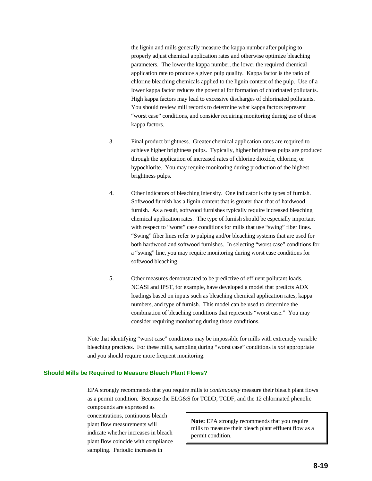the lignin and mills generally measure the kappa number after pulping to properly adjust chemical application rates and otherwise optimize bleaching parameters. The lower the kappa number, the lower the required chemical application rate to produce a given pulp quality. Kappa factor is the ratio of chlorine bleaching chemicals applied to the lignin content of the pulp. Use of a lower kappa factor reduces the potential for formation of chlorinated pollutants. High kappa factors may lead to excessive discharges of chlorinated pollutants. You should review mill records to determine what kappa factors represent "worst case" conditions, and consider requiring monitoring during use of those kappa factors.

- 3. Final product brightness. Greater chemical application rates are required to achieve higher brightness pulps. Typically, higher brightness pulps are produced through the application of increased rates of chlorine dioxide, chlorine, or hypochlorite. You may require monitoring during production of the highest brightness pulps.
- 4. Other indicators of bleaching intensity. One indicator is the types of furnish. Softwood furnish has a lignin content that is greater than that of hardwood furnish. As a result, softwood furnishes typically require increased bleaching chemical application rates. The type of furnish should be especially important with respect to "worst" case conditions for mills that use "swing" fiber lines. "Swing" fiber lines refer to pulping and/or bleaching systems that are used for both hardwood and softwood furnishes. In selecting "worst case" conditions for a "swing" line, you may require monitoring during worst case conditions for softwood bleaching.
- 5. Other measures demonstrated to be predictive of effluent pollutant loads. NCASI and IPST, for example, have developed a model that predicts AOX loadings based on inputs such as bleaching chemical application rates, kappa numbers, and type of furnish. This model can be used to determine the combination of bleaching conditions that represents "worst case." You may consider requiring monitoring during those conditions.

Note that identifying "worst case" conditions may be impossible for mills with extremely variable bleaching practices. For these mills, sampling during "worst case" conditions is *not* appropriate and you should require more frequent monitoring.

#### **Should Mills be Required to Measure Bleach Plant Flows?**

EPA strongly recommends that you require mills to *continuously* measure their bleach plant flows as a permit condition. Because the ELG&S for TCDD, TCDF, and the 12 chlorinated phenolic

compounds are expressed as concentrations, continuous bleach plant flow measurements will indicate whether increases in bleach plant flow coincide with compliance sampling. Periodic increases in

**Note:** EPA strongly recommends that you require mills to measure their bleach plant effluent flow as a permit condition.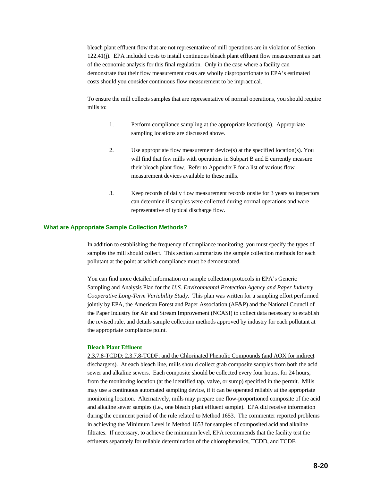bleach plant effluent flow that are not representative of mill operations are in violation of Section 122.41(j). EPA included costs to install continuous bleach plant effluent flow measurement as part of the economic analysis for this final regulation. Only in the case where a facility can demonstrate that their flow measurement costs are wholly disproportionate to EPA's estimated costs should you consider continuous flow measurement to be impractical.

To ensure the mill collects samples that are representative of normal operations, you should require mills to:

- 1. Perform compliance sampling at the appropriate location(s). Appropriate sampling locations are discussed above.
- 2. Use appropriate flow measurement device(s) at the specified location(s). You will find that few mills with operations in Subpart B and E currently measure their bleach plant flow. Refer to Appendix F for a list of various flow measurement devices available to these mills.
- 3. Keep records of daily flow measurement records onsite for 3 years so inspectors can determine if samples were collected during normal operations and were representative of typical discharge flow.

#### **What are Appropriate Sample Collection Methods?**

In addition to establishing the frequency of compliance monitoring, you must specify the types of samples the mill should collect. This section summarizes the sample collection methods for each pollutant at the point at which compliance must be demonstrated.

You can find more detailed information on sample collection protocols in EPA's Generic Sampling and Analysis Plan for the *U.S. Environmental Protection Agency and Paper Industry Cooperative Long-Term Variability Study*. This plan was written for a sampling effort performed jointly by EPA, the American Forest and Paper Association (AF&P) and the National Council of the Paper Industry for Air and Stream Improvement (NCASI) to collect data necessary to establish the revised rule, and details sample collection methods approved by industry for each pollutant at the appropriate compliance point.

#### **Bleach Plant Effluent**

2,3,7,8-TCDD; 2,3,7,8-TCDF; and the Chlorinated Phenolic Compounds (and AOX for indirect dischargers). At each bleach line, mills should collect grab composite samples from both the acid sewer and alkaline sewers. Each composite should be collected every four hours, for 24 hours, from the monitoring location (at the identified tap, valve, or sump) specified in the permit. Mills may use a continuous automated sampling device, if it can be operated reliably at the appropriate monitoring location. Alternatively, mills may prepare one flow-proportioned composite of the acid and alkaline sewer samples (i.e., one bleach plant effluent sample). EPA did receive information during the comment period of the rule related to Method 1653. The commenter reported problems in achieving the Minimum Level in Method 1653 for samples of composited acid and alkaline filtrates. If necessary, to achieve the minimum level, EPA recommends that the facility test the effluents separately for reliable determination of the chlorophenolics, TCDD, and TCDF.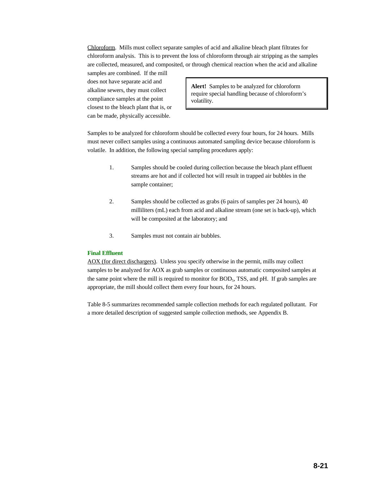Chloroform. Mills must collect separate samples of acid and alkaline bleach plant filtrates for chloroform analysis. This is to prevent the loss of chloroform through air stripping as the samples are collected, measured, and composited, or through chemical reaction when the acid and alkaline

samples are combined. If the mill does not have separate acid and alkaline sewers, they must collect compliance samples at the point closest to the bleach plant that is, or can be made, physically accessible.

**Alert!** Samples to be analyzed for chloroform require special handling because of chloroform's volatility.

Samples to be analyzed for chloroform should be collected every four hours, for 24 hours. Mills must never collect samples using a continuous automated sampling device because chloroform is volatile. In addition, the following special sampling procedures apply:

- 1. Samples should be cooled during collection because the bleach plant effluent streams are hot and if collected hot will result in trapped air bubbles in the sample container;
- 2. Samples should be collected as grabs (6 pairs of samples per 24 hours), 40 milliliters (mL) each from acid and alkaline stream (one set is back-up), which will be composited at the laboratory; and
- 3. Samples must not contain air bubbles.

#### **Final Effluent**

AOX (for direct dischargers). Unless you specify otherwise in the permit, mills may collect samples to be analyzed for AOX as grab samples or continuous automatic composited samples at the same point where the mill is required to monitor for BOD<sub>5</sub>, TSS, and pH. If grab samples are appropriate, the mill should collect them every four hours, for 24 hours.

Table 8-5 summarizes recommended sample collection methods for each regulated pollutant. For a more detailed description of suggested sample collection methods, see Appendix B.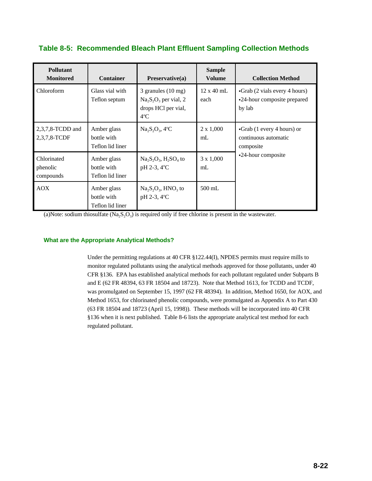| Table 8-5: Recommended Bleach Plant Effluent Sampling Collection Methods |  |  |  |
|--------------------------------------------------------------------------|--|--|--|
|                                                                          |  |  |  |

| <b>Pollutant</b><br><b>Monitored</b> | <b>Container</b>                               | Preservative(a)                                                                              | <b>Sample</b><br><b>Volume</b> | <b>Collection Method</b>                                               |
|--------------------------------------|------------------------------------------------|----------------------------------------------------------------------------------------------|--------------------------------|------------------------------------------------------------------------|
| Chloroform                           | Glass vial with<br>Teflon septum               | 3 granules $(10 \text{ mg})$<br>$Na2S2O3$ per vial, 2<br>drops HCl per vial,<br>$4^{\circ}C$ | $12 \times 40$ mL<br>each      | •Grab (2 vials every 4 hours)<br>•24-hour composite prepared<br>by lab |
| $2,3,7,8$ -TCDD and<br>2,3,7,8-TCDF  | Amber glass<br>bottle with<br>Teflon lid liner | $Na2S2O3$ , 4°C                                                                              | $2 \times 1,000$<br>mL         | •Grab (1 every 4 hours) or<br>continuous automatic<br>composite        |
| Chlorinated<br>phenolic<br>compounds | Amber glass<br>bottle with<br>Teflon lid liner | $Na_2S_2O_3$ , H <sub>2</sub> SO <sub>4</sub> to<br>pH 2-3, 4°C                              | $3 \times 1,000$<br>mL         | •24-hour composite                                                     |
| <b>AOX</b>                           | Amber glass<br>bottle with<br>Teflon lid liner | $Na_2S_2O_3$ , HNO <sub>3</sub> to<br>pH 2-3, 4°C                                            | $500 \text{ mL}$               |                                                                        |

(a)Note: sodium thiosulfate  $(N<sub>a</sub>, S<sub>2</sub>O<sub>3</sub>)$  is required only if free chlorine is present in the wastewater.

#### **What are the Appropriate Analytical Methods?**

Under the permitting regulations at 40 CFR §122.44(I), NPDES permits must require mills to monitor regulated pollutants using the analytical methods approved for those pollutants, under 40 CFR §136. EPA has established analytical methods for each pollutant regulated under Subparts B and E (62 FR 48394, 63 FR 18504 and 18723). Note that Method 1613, for TCDD and TCDF, was promulgated on September 15, 1997 (62 FR 48394). In addition, Method 1650, for AOX, and Method 1653, for chlorinated phenolic compounds, were promulgated as Appendix A to Part 430 (63 FR 18504 and 18723 (April 15, 1998)). These methods will be incorporated into 40 CFR §136 when it is next published. Table 8-6 lists the appropriate analytical test method for each regulated pollutant.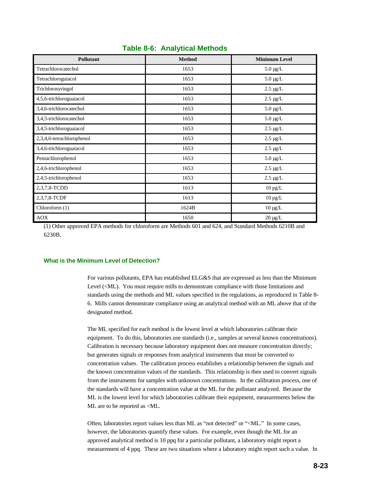| <b>Pollutant</b>          | <b>Method</b> | <b>Minimum Level</b> |
|---------------------------|---------------|----------------------|
| Tetrachlorocatechol       | 1653          | $5.0 \ \mu g/L$      |
| Tetrachloroguiacol        | 1653          | $5.0 \,\mu g/L$      |
| Trichlorosyringol         | 1653          | $2.5 \mu g/L$        |
| 4,5,6-trichloroguaiacol   | 1653          | $2.5 \mu g/L$        |
| 3,4,6-trichlorocatechol   | 1653          | $5.0 \,\mu g/L$      |
| 3,4,5-trichlorocatechol   | 1653          | $5.0 \,\mu g/L$      |
| 3,4,5-trichloroguaiacol   | 1653          | $2.5 \mu g/L$        |
| 2,3,4,6-tetrachlorophenol | 1653          | $2.5 \mu g/L$        |
| 3,4,6-trichloroguaiacol   | 1653          | $2.5 \mu g/L$        |
| Pentachlorophenol         | 1653          | $5.0 \,\mu g/L$      |
| 2,4,6-trichlorophenol     | 1653          | $2.5 \mu g/L$        |
| 2,4,5-trichlorophenol     | 1653          | $2.5 \ \mu g/L$      |
| 2,3,7,8-TCDD              | 1613          | $10$ pg/L            |
| 2,3,7,8-TCDF              | 1613          | $10$ pg/L            |
| Chloroform (1)            | 1624B         | $10 \mu g/L$         |
| <b>AOX</b>                | 1650          | $20 \mu g/L$         |

## **Table 8-6: Analytical Methods**

(1) Other approved EPA methods for chloroform are Methods 601 and 624, and Standard Methods 6210B and 6230B.

#### **What is the Minimum Level of Detection?**

For various pollutants, EPA has established ELG&S that are expressed as less than the Minimum Level (<ML). You must require mills to demonstrate compliance with those limitations and standards using the methods and ML values specified in the regulations, as reproduced in Table 8- 6. Mills cannot demonstrate compliance using an analytical method with an ML above that of the designated method.

The ML specified for each method is the lowest level at which laboratories calibrate their equipment. To do this, laboratories use standards (i.e., samples at several known concentrations). Calibration is necessary because laboratory equipment does not measure concentration directly; but generates signals or responses from analytical instruments that must be converted to concentration values. The calibration process establishes a relationship between the signals and the known concentration values of the standards. This relationship is then used to convert signals from the instruments for samples with unknown concentrations. In the calibration process, one of the standards will have a concentration value at the ML for the pollutant analyzed. Because the ML is the lowest level for which laboratories calibrate their equipment, measurements below the ML are to be reported as <ML.

Often, laboratories report values less than ML as "not detected" or "<ML." In some cases, however, the laboratories quantify these values. For example, even though the ML for an approved analytical method is 10 ppq for a particular pollutant, a laboratory might report a measurement of 4 ppq. These are two situations where a laboratory might report such a value. In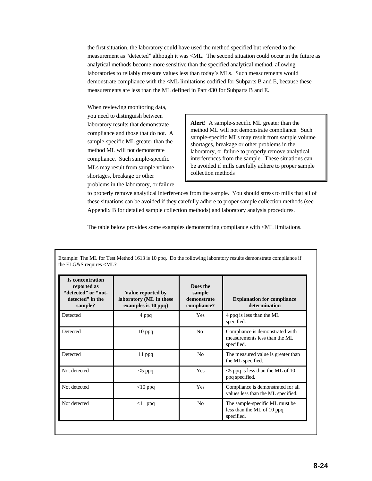the first situation, the laboratory could have used the method specified but referred to the measurement as "detected" although it was <ML. The second situation could occur in the future as analytical methods become more sensitive than the specified analytical method, allowing laboratories to reliably measure values less than today's MLs. Such measurements would demonstrate compliance with the <ML limitations codified for Subparts B and E, because these measurements are less than the ML defined in Part 430 for Subparts B and E.

When reviewing monitoring data, you need to distinguish between laboratory results that demonstrate compliance and those that do not. A sample-specific ML greater than the method ML will not demonstrate compliance. Such sample-specific MLs may result from sample volume shortages, breakage or other problems in the laboratory, or failure

**Alert!** A sample-specific ML greater than the method ML will not demonstrate compliance. Such sample-specific MLs may result from sample volume shortages, breakage or other problems in the laboratory, or failure to properly remove analytical interferences from the sample. These situations can be avoided if mills carefully adhere to proper sample collection methods

to properly remove analytical interferences from the sample. You should stress to mills that all of these situations can be avoided if they carefully adhere to proper sample collection methods (see Appendix B for detailed sample collection methods) and laboratory analysis procedures.

The table below provides some examples demonstrating compliance with <ML limitations.

| Is concentration<br>reported as<br>"detected" or "not-<br>detected" in the<br>sample? | Value reported by<br>laboratory (ML in these<br>examples is 10 ppq) | Does the<br>sample<br>demonstrate<br>compliance? | <b>Explanation for compliance</b><br>determination                             |
|---------------------------------------------------------------------------------------|---------------------------------------------------------------------|--------------------------------------------------|--------------------------------------------------------------------------------|
| Detected                                                                              | 4 ppq                                                               | <b>Yes</b>                                       | 4 ppq is less than the ML<br>specified.                                        |
| Detected                                                                              | $10$ ppq                                                            | N <sub>0</sub>                                   | Compliance is demonstrated with<br>measurements less than the ML<br>specified. |
| Detected                                                                              | $11$ ppq                                                            | N <sub>0</sub>                                   | The measured value is greater than<br>the ML specified.                        |
| Not detected                                                                          | $<$ 5 ppq                                                           | Yes                                              | $\leq$ 5 ppq is less than the ML of 10<br>ppq specified.                       |
| Not detected                                                                          | $<$ 10 ppq                                                          | Yes                                              | Compliance is demonstrated for all<br>values less than the ML specified.       |
| Not detected                                                                          | $<$ 11 ppq                                                          | N <sub>0</sub>                                   | The sample-specific ML must be<br>less than the ML of 10 ppq<br>specified.     |

Example: The ML for Test Method 1613 is 10 ppq. Do the following laboratory results demonstrate compliance if the ELG&S requires <ML?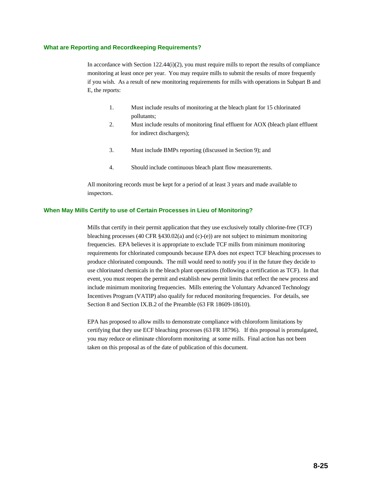#### **What are Reporting and Recordkeeping Requirements?**

In accordance with Section  $122.44(i)(2)$ , you must require mills to report the results of compliance monitoring at least once per year. You may require mills to submit the results of more frequently if you wish. As a result of new monitoring requirements for mills with operations in Subpart B and E, the reports:

- 1. Must include results of monitoring at the bleach plant for 15 chlorinated pollutants;
- 2. Must include results of monitoring final effluent for AOX (bleach plant effluent for indirect dischargers);
- 3. Must include BMPs reporting (discussed in Section 9); and
- 4. Should include continuous bleach plant flow measurements.

All monitoring records must be kept for a period of at least 3 years and made available to inspectors.

#### **When May Mills Certify to use of Certain Processes in Lieu of Monitoring?**

Mills that certify in their permit application that they use exclusively totally chlorine-free (TCF) bleaching processes (40 CFR  $\S 430.02(a)$  and (c)-(e)) are not subject to minimum monitoring frequencies. EPA believes it is appropriate to exclude TCF mills from minimum monitoring requirements for chlorinated compounds because EPA does not expect TCF bleaching processes to produce chlorinated compounds. The mill would need to notify you if in the future they decide to use chlorinated chemicals in the bleach plant operations (following a certification as TCF). In that event, you must reopen the permit and establish new permit limits that reflect the new process and include minimum monitoring frequencies. Mills entering the Voluntary Advanced Technology Incentives Program (VATIP) also qualify for reduced monitoring frequencies. For details, see Section 8 and Section IX.B.2 of the Preamble (63 FR 18609-18610).

EPA has proposed to allow mills to demonstrate compliance with chloroform limitations by certifying that they use ECF bleaching processes (63 FR 18796). If this proposal is promulgated, you may reduce or eliminate chloroform monitoring at some mills. Final action has not been taken on this proposal as of the date of publication of this document.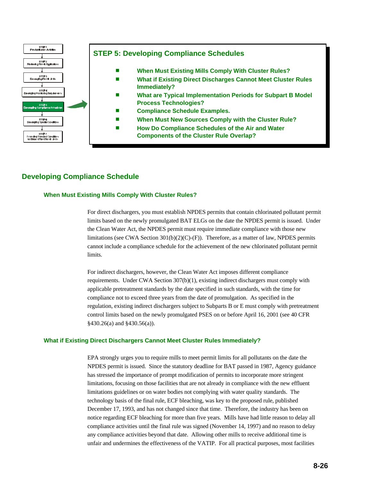

# **Developing Compliance Schedule**

#### **When Must Existing Mills Comply With Cluster Rules?**

For direct dischargers, you must establish NPDES permits that contain chlorinated pollutant permit limits based on the newly promulgated BAT ELGs on the date the NPDES permit is issued. Under the Clean Water Act, the NPDES permit must require immediate compliance with those new limitations (see CWA Section  $301(b)(2)(C)$ -(F)). Therefore, as a matter of law, NPDES permits cannot include a compliance schedule for the achievement of the new chlorinated pollutant permit limits.

For indirect dischargers, however, the Clean Water Act imposes different compliance requirements. Under CWA Section 307(b)(1), existing indirect dischargers must comply with applicable pretreatment standards by the date specified in such standards, with the time for compliance not to exceed three years from the date of promulgation. As specified in the regulation, existing indirect dischargers subject to Subparts B or E must comply with pretreatment control limits based on the newly promulgated PSES on or before April 16, 2001 (see 40 CFR §430.26(a) and §430.56(a)).

#### **What if Existing Direct Dischargers Cannot Meet Cluster Rules Immediately?**

EPA strongly urges you to require mills to meet permit limits for all pollutants on the date the NPDES permit is issued. Since the statutory deadline for BAT passed in 1987, Agency guidance has stressed the importance of prompt modification of permits to incorporate more stringent limitations, focusing on those facilities that are not already in compliance with the new effluent limitations guidelines or on water bodies not complying with water quality standards. The technology basis of the final rule, ECF bleaching, was key to the proposed rule, published December 17, 1993, and has not changed since that time. Therefore, the industry has been on notice regarding ECF bleaching for more than five years. Mills have had little reason to delay all compliance activities until the final rule was signed (November 14, 1997) and no reason to delay any compliance activities beyond that date. Allowing other mills to receive additional time is unfair and undermines the effectiveness of the VATIP. For all practical purposes, most facilities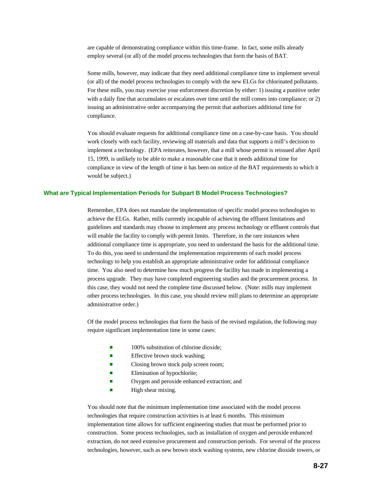are capable of demonstrating compliance within this time-frame. In fact, some mills already employ several (or all) of the model process technologies that form the basis of BAT.

Some mills, however, may indicate that they need additional compliance time to implement several (or all) of the model process technologies to comply with the new ELGs for chlorinated pollutants. For these mills, you may exercise your enforcement discretion by either: 1) issuing a punitive order with a daily fine that accumulates or escalates over time until the mill comes into compliance; or 2) issuing an administrative order accompanying the permit that authorizes additional time for compliance.

You should evaluate requests for additional compliance time on a case-by-case basis. You should work closely with each facility, reviewing all materials and data that supports a mill's decision to implement a technology. (EPA reiterates, however, that a mill whose permit is reissued after April 15, 1999, is unlikely to be able to make a reasonable case that it needs additional time for compliance in view of the length of time it has been on notice of the BAT requirements to which it would be subject.)

#### **What are Typical Implementation Periods for Subpart B Model Process Technologies?**

Remember, EPA does not mandate the implementation of specific model process technologies to achieve the ELGs. Rather, mills currently incapable of achieving the effluent limitations and guidelines and standards may choose to implement any process technology or effluent controls that will enable the facility to comply with permit limits. Therefore, in the rare instances when additional compliance time is appropriate, you need to understand the basis for the additional time. To do this, you need to understand the implementation requirements of each model process technology to help you establish an appropriate administrative order for additional compliance time. You also need to determine how much progress the facility has made in implementing a process upgrade. They may have completed engineering studies and the procurement process. In this case, they would not need the complete time discussed below. (Note: mills may implement other process technologies. In this case, you should review mill plans to determine an appropriate administrative order.)

Of the model process technologies that form the basis of the revised regulation, the following may require significant implementation time in some cases:

- $\blacksquare$  100% substitution of chlorine dioxide;
- $\blacksquare$  Effective brown stock washing;
- Closing brown stock pulp screen room;
- $\blacksquare$  Elimination of hypochlorite;
- Oxygen and peroxide enhanced extraction; and
- $\blacksquare$  High shear mixing.

You should note that the minimum implementation time associated with the model process technologies that require construction activities is at least 6 months. This minimum implementation time allows for sufficient engineering studies that must be performed prior to construction. Some process technologies, such as installation of oxygen and peroxide enhanced extraction, do not need extensive procurement and construction periods. For several of the process technologies, however, such as new brown stock washing systems, new chlorine dioxide towers, or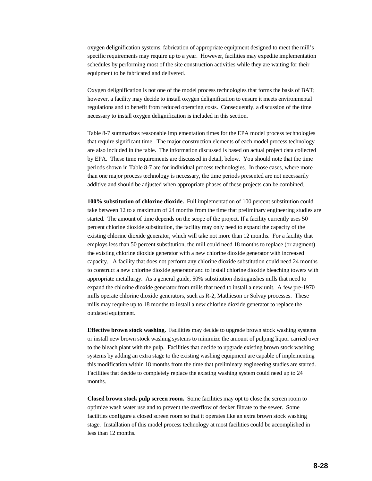oxygen delignification systems, fabrication of appropriate equipment designed to meet the mill's specific requirements may require up to a year. However, facilities may expedite implementation schedules by performing most of the site construction activities while they are waiting for their equipment to be fabricated and delivered.

Oxygen delignification is not one of the model process technologies that forms the basis of BAT; however, a facility may decide to install oxygen delignification to ensure it meets environmental regulations and to benefit from reduced operating costs. Consequently, a discussion of the time necessary to install oxygen delignification is included in this section.

Table 8-7 summarizes reasonable implementation times for the EPA model process technologies that require significant time. The major construction elements of each model process technology are also included in the table. The information discussed is based on actual project data collected by EPA. These time requirements are discussed in detail, below. You should note that the time periods shown in Table 8-7 are for individual process technologies. In those cases, where more than one major process technology is necessary, the time periods presented are not necessarily additive and should be adjusted when appropriate phases of these projects can be combined.

**100% substitution of chlorine dioxide.** Full implementation of 100 percent substitution could take between 12 to a maximum of 24 months from the time that preliminary engineering studies are started. The amount of time depends on the scope of the project. If a facility currently uses 50 percent chlorine dioxide substitution, the facility may only need to expand the capacity of the existing chlorine dioxide generator, which will take not more than 12 months. For a facility that employs less than 50 percent substitution, the mill could need 18 months to replace (or augment) the existing chlorine dioxide generator with a new chlorine dioxide generator with increased capacity. A facility that does not perform any chlorine dioxide substitution could need 24 months to construct a new chlorine dioxide generator and to install chlorine dioxide bleaching towers with appropriate metallurgy. As a general guide, 50% substitution distinguishes mills that need to expand the chlorine dioxide generator from mills that need to install a new unit. A few pre-1970 mills operate chlorine dioxide generators, such as R-2, Mathieson or Solvay processes. These mills may require up to 18 months to install a new chlorine dioxide generator to replace the outdated equipment.

**Effective brown stock washing.** Facilities may decide to upgrade brown stock washing systems or install new brown stock washing systems to minimize the amount of pulping liquor carried over to the bleach plant with the pulp. Facilities that decide to upgrade existing brown stock washing systems by adding an extra stage to the existing washing equipment are capable of implementing this modification within 18 months from the time that preliminary engineering studies are started. Facilities that decide to completely replace the existing washing system could need up to 24 months.

**Closed brown stock pulp screen room.** Some facilities may opt to close the screen room to optimize wash water use and to prevent the overflow of decker filtrate to the sewer. Some facilities configure a closed screen room so that it operates like an extra brown stock washing stage. Installation of this model process technology at most facilities could be accomplished in less than 12 months.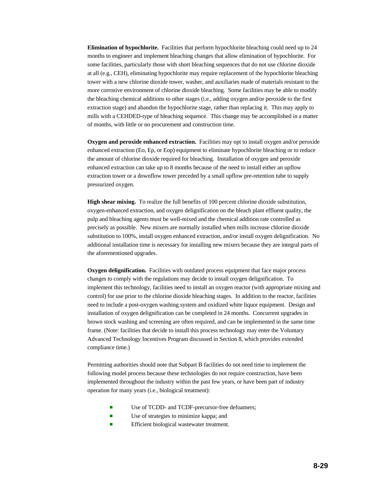**Elimination of hypochlorite.** Facilities that perform hypochlorite bleaching could need up to 24 months to engineer and implement bleaching changes that allow elimination of hypochlorite. For some facilities, particularly those with short bleaching sequences that do not use chlorine dioxide at all (e.g., CEH), eliminating hypochlorite may require replacement of the hypochlorite bleaching tower with a new chlorine dioxide tower, washer, and auxiliaries made of materials resistant to the more corrosive environment of chlorine dioxide bleaching. Some facilities may be able to modify the bleaching chemical additions to other stages (i.e., adding oxygen and/or peroxide to the first extraction stage) and abandon the hypochlorite stage, rather than replacing it. This may apply to mills with a CEHDED-type of bleaching sequence. This change may be accomplished in a matter of months, with little or no procurement and construction time.

**Oxygen and peroxide enhanced extraction.** Facilities may opt to install oxygen and/or peroxide enhanced extraction (Eo, Ep, or Eop) equipment to eliminate hypochlorite bleaching or to reduce the amount of chlorine dioxide required for bleaching. Installation of oxygen and peroxide enhanced extraction can take up to 8 months because of the need to install either an upflow extraction tower or a downflow tower preceded by a small upflow pre-retention tube to supply pressurized oxygen.

**High shear mixing.** To realize the full benefits of 100 percent chlorine dioxide substitution, oxygen-enhanced extraction, and oxygen delignification on the bleach plant effluent quality, the pulp and bleaching agents must be well-mixed and the chemical addition rate controlled as precisely as possible. New mixers are normally installed when mills increase chlorine dioxide substitution to 100%, install oxygen enhanced extraction, and/or install oxygen delignification. No additional installation time is necessary for installing new mixers because they are integral parts of the aforementioned upgrades.

**Oxygen delignification.** Facilities with outdated process equipment that face major process changes to comply with the regulations may decide to install oxygen delignification. To implement this technology, facilities need to install an oxygen reactor (with appropriate mixing and control) for use prior to the chlorine dioxide bleaching stages. In addition to the reactor, facilities need to include a post-oxygen washing system and oxidized white liquor equipment. Design and installation of oxygen delignification can be completed in 24 months. Concurrent upgrades in brown stock washing and screening are often required, and can be implemented in the same time frame. (Note: facilities that decide to install this process technology may enter the Voluntary Advanced Technology Incentives Program discussed in Section 8, which provides extended compliance time.)

Permitting authorities should note that Subpart B facilities do not need time to implement the following model process because these technologies do not require construction, have been implemented throughout the industry within the past few years, or have been part of industry operation for many years (i.e., biological treatment):

- Use of TCDD- and TCDF-precursor-free defoamers;
- $\blacksquare$  Use of strategies to minimize kappa; and
- **EXECUTE:** Efficient biological wastewater treatment.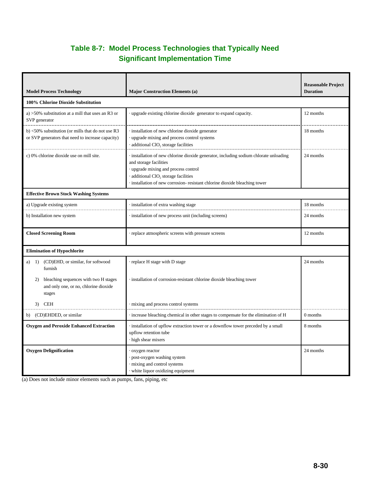# **Table 8-7: Model Process Technologies that Typically Need Significant Implementation Time**

| <b>Model Process Technology</b>                                                                                  | <b>Major Construction Elements (a)</b>                                                                                                                                                                                                                                                      | <b>Reasonable Project</b><br><b>Duration</b> |
|------------------------------------------------------------------------------------------------------------------|---------------------------------------------------------------------------------------------------------------------------------------------------------------------------------------------------------------------------------------------------------------------------------------------|----------------------------------------------|
| 100% Chlorine Dioxide Substitution                                                                               |                                                                                                                                                                                                                                                                                             |                                              |
| a) $>50\%$ substitution at a mill that uses an R3 or<br>SVP generator                                            | upgrade existing chlorine dioxide generator to expand capacity.                                                                                                                                                                                                                             | 12 months                                    |
| b) $\langle 50\%$ substitution (or mills that do not use R3<br>or SVP generators that need to increase capacity) | installation of new chlorine dioxide generator<br>upgrade mixing and process control systems<br>· additional ClO <sub>2</sub> storage facilities                                                                                                                                            | 18 months                                    |
| c) 0% chlorine dioxide use on mill site.                                                                         | · installation of new chlorine dioxide generator, including sodium chlorate unloading<br>and storage facilities<br>upgrade mixing and process control<br>$\cdot$ additional ClO <sub>2</sub> storage facilities<br>installation of new corrosion-resistant chlorine dioxide bleaching tower | 24 months                                    |
| <b>Effective Brown Stock Washing Systems</b>                                                                     |                                                                                                                                                                                                                                                                                             |                                              |
| a) Upgrade existing system                                                                                       | · installation of extra washing stage                                                                                                                                                                                                                                                       | 18 months                                    |
| b) Installation new system                                                                                       | installation of new process unit (including screens)                                                                                                                                                                                                                                        | 24 months                                    |
| <b>Closed Screening Room</b>                                                                                     | replace atmospheric screens with pressure screens                                                                                                                                                                                                                                           | 12 months                                    |
| <b>Elimination of Hypochlorite</b>                                                                               |                                                                                                                                                                                                                                                                                             |                                              |
| (CD)EHD, or similar, for softwood<br>1)<br>a)<br>furnish                                                         | replace H stage with D stage                                                                                                                                                                                                                                                                | 24 months                                    |
| bleaching sequences with two H stages<br>2)<br>and only one, or no, chlorine dioxide<br>stages                   | installation of corrosion-resistant chlorine dioxide bleaching tower                                                                                                                                                                                                                        |                                              |
| 3) CEH                                                                                                           | mixing and process control systems                                                                                                                                                                                                                                                          |                                              |
| (CD)EHDED, or similar<br>b)                                                                                      | increase bleaching chemical in other stages to compensate for the elimination of H                                                                                                                                                                                                          | 0 months                                     |
| <b>Oxygen and Peroxide Enhanced Extraction</b>                                                                   | installation of upflow extraction tower or a downflow tower preceded by a small<br>upflow retention tube<br>high shear mixers                                                                                                                                                               | 8 months                                     |
| <b>Oxygen Delignification</b>                                                                                    | oxygen reactor<br>post-oxygen washing system<br>mixing and control systems<br>white liquor oxidizing equipment                                                                                                                                                                              | 24 months                                    |

(a) Does not include minor elements such as pumps, fans, piping, etc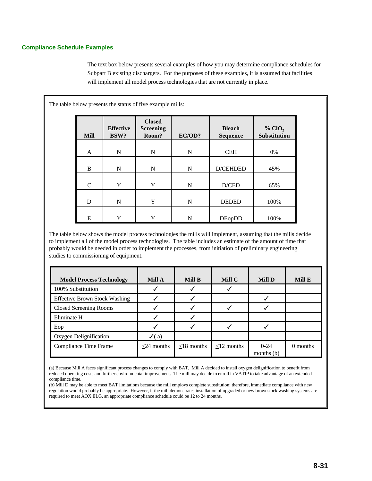#### **Compliance Schedule Examples**

The text box below presents several examples of how you may determine compliance schedules for Subpart B existing dischargers. For the purposes of these examples, it is assumed that facilities will implement all model process technologies that are not currently in place.

| <b>Mill</b>  | <b>Effective</b><br>BSW? | <b>Closed</b><br><b>Screening</b><br>Room? | EC/OD? | <b>Bleach</b><br><b>Sequence</b> | % ClO <sub>2</sub><br><b>Substitution</b> |
|--------------|--------------------------|--------------------------------------------|--------|----------------------------------|-------------------------------------------|
| A            | N                        | N                                          | N      | <b>CEH</b>                       | 0%                                        |
| B            | N                        | N                                          | N      | D/CEHDED                         | 45%                                       |
| $\mathsf{C}$ | Y                        | Y                                          | N      | D/CED                            | 65%                                       |
| D            | N                        | Y                                          | N      | <b>DEDED</b>                     | 100%                                      |

The table below shows the model process technologies the mills will implement, assuming that the mills decide to implement all of the model process technologies. The table includes an estimate of the amount of time that probably would be needed in order to implement the processes, from initiation of preliminary engineering studies to commissioning of equipment.

| <b>Model Process Technology</b>      | <b>Mill A</b>    | <b>Mill B</b> | Mill C        | <b>Mill D</b>            | Mill E     |
|--------------------------------------|------------------|---------------|---------------|--------------------------|------------|
| 100% Substitution                    |                  |               |               |                          |            |
| <b>Effective Brown Stock Washing</b> |                  |               |               |                          |            |
| <b>Closed Screening Rooms</b>        |                  |               |               |                          |            |
| Eliminate H                          |                  |               |               |                          |            |
| Eop                                  |                  |               |               |                          |            |
| Oxygen Delignification               | $\checkmark$ (a) |               |               |                          |            |
| Compliance Time Frame                | $<$ 24 months    | $<$ 18 months | $<$ 12 months | $0 - 24$<br>months $(b)$ | $0$ months |

(a) Because Mill A faces significant process changes to comply with BAT, Mill A decided to install oxygen delignification to benefit from reduced operating costs and further environmental improvement. The mill may decide to enroll in VATIP to take advantage of an extended compliance time.

(b) Mill D may be able to meet BAT limitations because the mill employs complete substitution; therefore, immediate compliance with new regulation would probably be appropriate. However, if the mill demonstrates installation of upgraded or new brownstock washing systems are required to meet AOX ELG, an appropriate compliance schedule could be 12 to 24 months.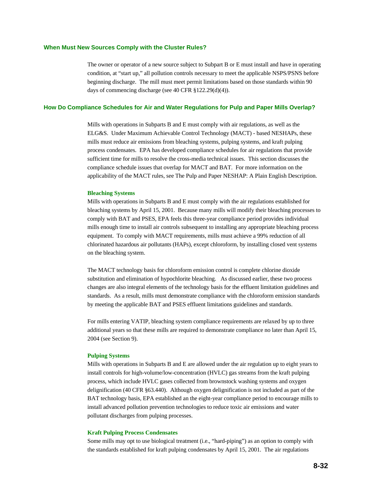#### **When Must New Sources Comply with the Cluster Rules?**

The owner or operator of a new source subject to Subpart B or E must install and have in operating condition, at "start up," all pollution controls necessary to meet the applicable NSPS/PSNS before beginning discharge. The mill must meet permit limitations based on those standards within 90 days of commencing discharge (see 40 CFR §122.29(d)(4)).

#### **How Do Compliance Schedules for Air and Water Regulations for Pulp and Paper Mills Overlap?**

Mills with operations in Subparts B and E must comply with air regulations, as well as the ELG&S. Under Maximum Achievable Control Technology (MACT) - based NESHAPs, these mills must reduce air emissions from bleaching systems, pulping systems, and kraft pulping process condensates. EPA has developed compliance schedules for air regulations that provide sufficient time for mills to resolve the cross-media technical issues. This section discusses the compliance schedule issues that overlap for MACT and BAT. For more information on the applicability of the MACT rules, see The Pulp and Paper NESHAP: A Plain English Description.

#### **Bleaching Systems**

Mills with operations in Subparts B and E must comply with the air regulations established for bleaching systems by April 15, 2001. Because many mills will modify their bleaching processes to comply with BAT and PSES, EPA feels this three-year compliance period provides individual mills enough time to install air controls subsequent to installing any appropriate bleaching process equipment. To comply with MACT requirements, mills must achieve a 99% reduction of all chlorinated hazardous air pollutants (HAPs), except chloroform, by installing closed vent systems on the bleaching system.

The MACT technology basis for chloroform emission control is complete chlorine dioxide substitution and elimination of hypochlorite bleaching. As discussed earlier, these two process changes are also integral elements of the technology basis for the effluent limitation guidelines and standards. As a result, mills must demonstrate compliance with the chloroform emission standards by meeting the applicable BAT and PSES effluent limitations guidelines and standards.

For mills entering VATIP, bleaching system compliance requirements are relaxed by up to three additional years so that these mills are required to demonstrate compliance no later than April 15, 2004 (see Section 9).

#### **Pulping Systems**

Mills with operations in Subparts B and E are allowed under the air regulation up to eight years to install controls for high-volume/low-concentration (HVLC) gas streams from the kraft pulping process, which include HVLC gases collected from brownstock washing systems and oxygen delignification (40 CFR §63.440). Although oxygen delignification is not included as part of the BAT technology basis, EPA established an the eight-year compliance period to encourage mills to install advanced pollution prevention technologies to reduce toxic air emissions and water pollutant discharges from pulping processes.

#### **Kraft Pulping Process Condensates**

Some mills may opt to use biological treatment (i.e., "hard-piping") as an option to comply with the standards established for kraft pulping condensates by April 15, 2001. The air regulations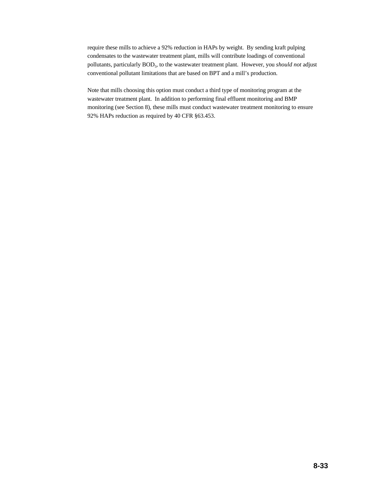require these mills to achieve a 92% reduction in HAPs by weight. By sending kraft pulping condensates to the wastewater treatment plant, mills will contribute loadings of conventional pollutants, particularly BOD<sub>5</sub>, to the wastewater treatment plant. However, you *should not* adjust conventional pollutant limitations that are based on BPT and a mill's production.

Note that mills choosing this option must conduct a third type of monitoring program at the wastewater treatment plant. In addition to performing final effluent monitoring and BMP monitoring (see Section 8), these mills must conduct wastewater treatment monitoring to ensure 92% HAPs reduction as required by 40 CFR §63.453.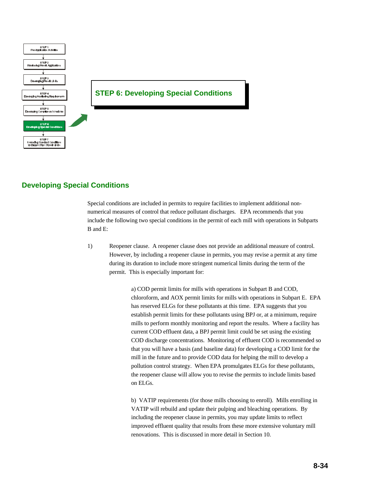

# **Developing Special Conditions**

Special conditions are included in permits to require facilities to implement additional nonnumerical measures of control that reduce pollutant discharges. EPA recommends that you include the following two special conditions in the permit of each mill with operations in Subparts B and E:

1) Reopener clause. A reopener clause does not provide an additional measure of control. However, by including a reopener clause in permits, you may revise a permit at any time during its duration to include more stringent numerical limits during the term of the permit. This is especially important for:

> a) COD permit limits for mills with operations in Subpart B and COD, chloroform, and AOX permit limits for mills with operations in Subpart E. EPA has reserved ELGs for these pollutants at this time. EPA suggests that you establish permit limits for these pollutants using BPJ or, at a minimum, require mills to perform monthly monitoring and report the results. Where a facility has current COD effluent data, a BPJ permit limit could be set using the existing COD discharge concentrations. Monitoring of effluent COD is recommended so that you will have a basis (and baseline data) for developing a COD limit for the mill in the future and to provide COD data for helping the mill to develop a pollution control strategy. When EPA promulgates ELGs for these pollutants, the reopener clause will allow you to revise the permits to include limits based on ELGs.

b) VATIP requirements (for those mills choosing to enroll). Mills enrolling in VATIP will rebuild and update their pulping and bleaching operations. By including the reopener clause in permits, you may update limits to reflect improved effluent quality that results from these more extensive voluntary mill renovations. This is discussed in more detail in Section 10.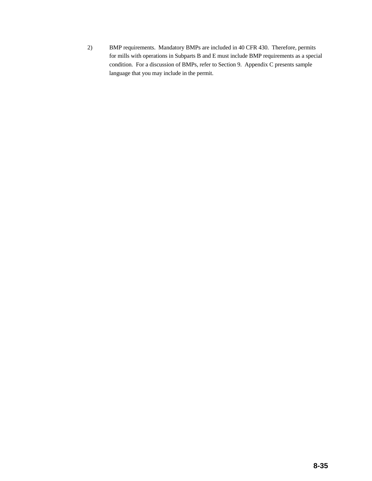2) BMP requirements. Mandatory BMPs are included in 40 CFR 430. Therefore, permits for mills with operations in Subparts B and E must include BMP requirements as a special condition. For a discussion of BMPs, refer to Section 9. Appendix C presents sample language that you may include in the permit.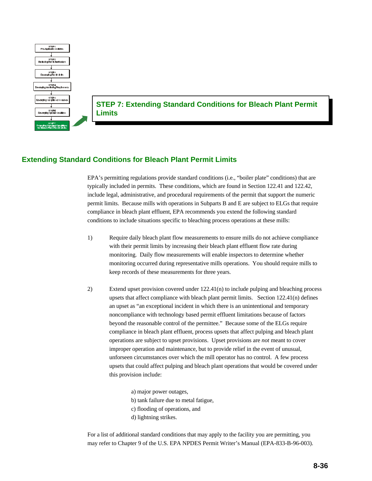

**STEP 7: Extending Standard Conditions for Bleach Plant Permit Limits**

# **Extending Standard Conditions for Bleach Plant Permit Limits**

EPA's permitting regulations provide standard conditions (i.e., "boiler plate" conditions) that are typically included in permits. These conditions, which are found in Section 122.41 and 122.42, include legal, administrative, and procedural requirements of the permit that support the numeric permit limits. Because mills with operations in Subparts B and E are subject to ELGs that require compliance in bleach plant effluent, EPA recommends you extend the following standard conditions to include situations specific to bleaching process operations at these mills:

- 1) Require daily bleach plant flow measurements to ensure mills do not achieve compliance with their permit limits by increasing their bleach plant effluent flow rate during monitoring. Daily flow measurements will enable inspectors to determine whether monitoring occurred during representative mills operations. You should require mills to keep records of these measurements for three years.
- 2) Extend upset provision covered under 122.41(n) to include pulping and bleaching process upsets that affect compliance with bleach plant permit limits. Section 122.41(n) defines an upset as "an exceptional incident in which there is an unintentional and temporary noncompliance with technology based permit effluent limitations because of factors beyond the reasonable control of the permittee." Because some of the ELGs require compliance in bleach plant effluent, process upsets that affect pulping and bleach plant operations are subject to upset provisions. Upset provisions are *not* meant to cover improper operation and maintenance, but to provide relief in the event of unusual, unforseen circumstances over which the mill operator has no control. A few process upsets that could affect pulping and bleach plant operations that would be covered under this provision include:
	- a) major power outages, b) tank failure due to metal fatigue, c) flooding of operations, and d) lightning strikes.

For a list of additional standard conditions that may apply to the facility you are permitting, you may refer to Chapter 9 of the U.S. EPA NPDES Permit Writer's Manual (EPA-833-B-96-003).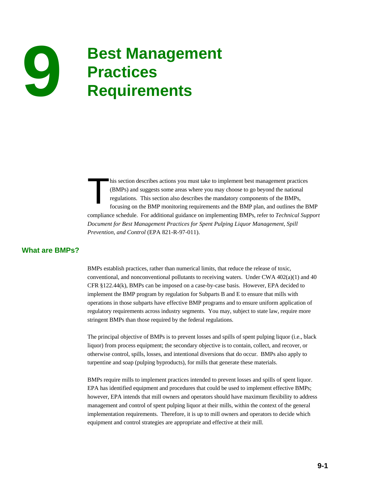# **Best Management 9 Practices Requirements**

his section describes actions you must take to implement best management practices (BMPs) and suggests some areas where you may choose to go beyond the national regulations. This section also describes the mandatory components of the BMPs, focusing on the BMP monitoring requirements and the BMP plan, and outlines the BMP compliance schedule. For additional guidance on implementing BMPs, refer to *Technical Support Document for Best Management Practices for Spent Pulping Liquor Management, Spill Prevention, and Control* (EPA 821-R-97-011).

# **What are BMPs?**

BMPs establish practices, rather than numerical limits, that reduce the release of toxic, conventional, and nonconventional pollutants to receiving waters. Under CWA 402(a)(1) and 40 CFR §122.44(k), BMPs can be imposed on a case-by-case basis. However, EPA decided to implement the BMP program by regulation for Subparts B and E to ensure that mills with operations in those subparts have effective BMP programs and to ensure uniform application of regulatory requirements across industry segments. You may, subject to state law, require more stringent BMPs than those required by the federal regulations.

The principal objective of BMPs is to prevent losses and spills of spent pulping liquor (i.e., black liquor) from process equipment; the secondary objective is to contain, collect, and recover, or otherwise control, spills, losses, and intentional diversions that do occur. BMPs also apply to turpentine and soap (pulping byproducts), for mills that generate these materials.

BMPs require mills to implement practices intended to prevent losses and spills of spent liquor. EPA has identified equipment and procedures that could be used to implement effective BMPs; however, EPA intends that mill owners and operators should have maximum flexibility to address management and control of spent pulping liquor at their mills, within the context of the general implementation requirements. Therefore, it is up to mill owners and operators to decide which equipment and control strategies are appropriate and effective at their mill.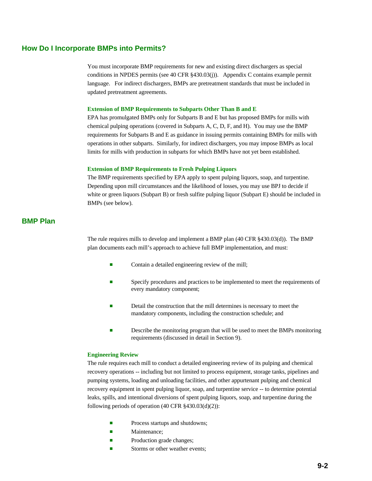#### **How Do I Incorporate BMPs into Permits?**

You must incorporate BMP requirements for new and existing direct dischargers as special conditions in NPDES permits (see 40 CFR §430.03(j)). Appendix C contains example permit language. For indirect dischargers, BMPs are pretreatment standards that must be included in updated pretreatment agreements.

#### **Extension of BMP Requirements to Subparts Other Than B and E**

EPA has promulgated BMPs only for Subparts B and E but has proposed BMPs for mills with chemical pulping operations (covered in Subparts A, C, D, F, and H). You may use the BMP requirements for Subparts B and E as guidance in issuing permits containing BMPs for mills with operations in other subparts. Similarly, for indirect dischargers, you may impose BMPs as local limits for mills with production in subparts for which BMPs have not yet been established.

#### **Extension of BMP Requirements to Fresh Pulping Liquors**

The BMP requirements specified by EPA apply to spent pulping liquors, soap, and turpentine. Depending upon mill circumstances and the likelihood of losses, you may use BPJ to decide if white or green liquors (Subpart B) or fresh sulfite pulping liquor (Subpart E) should be included in BMPs (see below).

# **BMP Plan**

The rule requires mills to develop and implement a BMP plan (40 CFR §430.03(d)). The BMP plan documents each mill's approach to achieve full BMP implementation, and must:

- Contain a detailed engineering review of the mill;
- **Exercify procedures and practices to be implemented to meet the requirements of** every mandatory component;
- **Example 1** Detail the construction that the mill determines is necessary to meet the mandatory components, including the construction schedule; and
- Describe the monitoring program that will be used to meet the BMPs monitoring requirements (discussed in detail in Section 9).

#### **Engineering Review**

The rule requires each mill to conduct a detailed engineering review of its pulping and chemical recovery operations -- including but not limited to process equipment, storage tanks, pipelines and pumping systems, loading and unloading facilities, and other appurtenant pulping and chemical recovery equipment in spent pulping liquor, soap, and turpentine service -- to determine potential leaks, spills, and intentional diversions of spent pulping liquors, soap, and turpentine during the following periods of operation (40 CFR §430.03(d)(2)):

- **Exercise** Process startups and shutdowns;
- Maintenance;
- **Exercise Production grade changes;**
- $\blacksquare$  Storms or other weather events;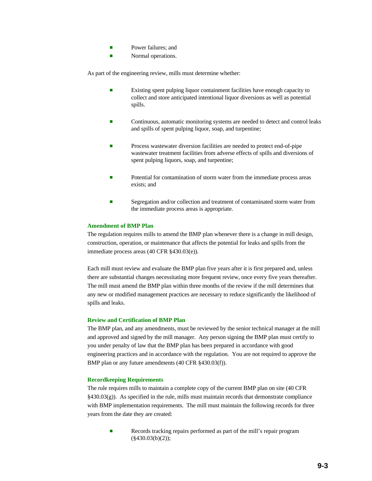- **E** Power failures: and
- **Exercise 3** Normal operations.

As part of the engineering review, mills must determine whether:

- **Existing spent pulping liquor containment facilities have enough capacity to** collect and store anticipated intentional liquor diversions as well as potential spills.
- **Exercise 2** Continuous, automatic monitoring systems are needed to detect and control leaks and spills of spent pulping liquor, soap, and turpentine;
- **EXECUTE:** Process wastewater diversion facilities are needed to protect end-of-pipe wastewater treatment facilities from adverse effects of spills and diversions of spent pulping liquors, soap, and turpentine;
- Potential for contamination of storm water from the immediate process areas exists; and
- Segregation and/or collection and treatment of contaminated storm water from the immediate process areas is appropriate.

#### **Amendment of BMP Plan**

The regulation requires mills to amend the BMP plan whenever there is a change in mill design, construction, operation, or maintenance that affects the potential for leaks and spills from the immediate process areas (40 CFR §430.03(e)).

Each mill must review and evaluate the BMP plan five years after it is first prepared and, unless there are substantial changes necessitating more frequent review, once every five years thereafter. The mill must amend the BMP plan within three months of the review if the mill determines that any new or modified management practices are necessary to reduce significantly the likelihood of spills and leaks.

#### **Review and Certification of BMP Plan**

The BMP plan, and any amendments, must be reviewed by the senior technical manager at the mill and approved and signed by the mill manager. Any person signing the BMP plan must certify to you under penalty of law that the BMP plan has been prepared in accordance with good engineering practices and in accordance with the regulation. You are not required to approve the BMP plan or any future amendments (40 CFR §430.03(f)).

#### **Recordkeeping Requirements**

The rule requires mills to maintain a complete copy of the current BMP plan on site (40 CFR  $\S$ 430.03(g)). As specified in the rule, mills must maintain records that demonstrate compliance with BMP implementation requirements. The mill must maintain the following records for three years from the date they are created:

Records tracking repairs performed as part of the mill's repair program (§430.03(b)(2));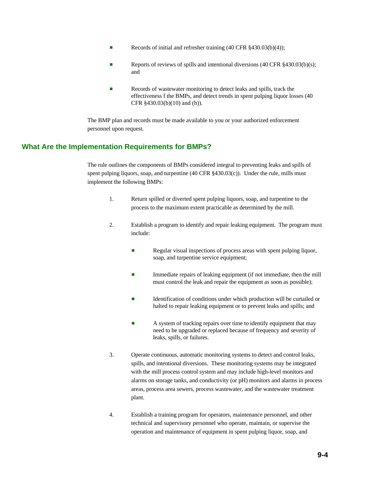- Records of initial and refresher training  $(40 \text{ CFR } \text{\textless} 430.03(b)(4));$
- Reports of reviews of spills and intentional diversions  $(40 \text{ CFR } \text{\textless} 430.03(b)(s))$ ; and
- **EXECUTE:** Records of wastewater monitoring to detect leaks and spills, track the effectiveness f the BMPs, and detect trends in spent pulping liquor losses (40 CFR §430.03(b)(10) and (h)).

The BMP plan and records must be made available to you or your authorized enforcement personnel upon request.

# **What Are the Implementation Requirements for BMPs?**

The rule outlines the components of BMPs considered integral to preventing leaks and spills of spent pulping liquors, soap, and turpentine (40 CFR §430.03(c)). Under the rule, mills must implement the following BMPs:

- 1. Return spilled or diverted spent pulping liquors, soap, and turpentine to the process to the maximum extent practicable as determined by the mill.
- 2. Establish a program to identify and repair leaking equipment. The program must include:
	- **Executer 1** Regular visual inspections of process areas with spent pulping liquor, soap, and turpentine service equipment;
	- Immediate repairs of leaking equipment (if not immediate, then the mill must control the leak and repair the equipment as soon as possible);
	- **Exercise 1** Identification of conditions under which production will be curtailed or halted to repair leaking equipment or to prevent leaks and spills; and
	- A system of tracking repairs over time to identify equipment that may need to be upgraded or replaced because of frequency and severity of leaks, spills, or failures.
- 3. Operate continuous, automatic monitoring systems to detect and control leaks, spills, and intentional diversions. These monitoring systems may be integrated with the mill process control system and may include high-level monitors and alarms on storage tanks, and conductivity (or pH) monitors and alarms in process areas, process area sewers, process wastewater, and the wastewater treatment plant.
- 4. Establish a training program for operators, maintenance personnel, and other technical and supervisory personnel who operate, maintain, or supervise the operation and maintenance of equipment in spent pulping liquor, soap, and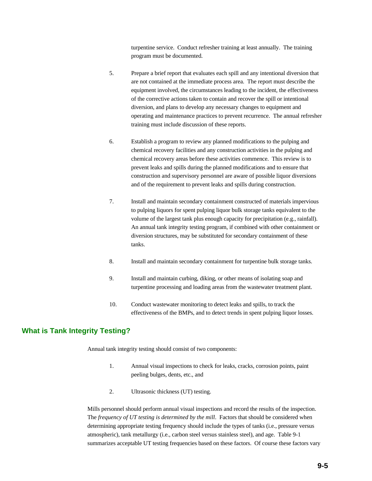turpentine service. Conduct refresher training at least annually. The training program must be documented.

- 5. Prepare a brief report that evaluates each spill and any intentional diversion that are not contained at the immediate process area. The report must describe the equipment involved, the circumstances leading to the incident, the effectiveness of the corrective actions taken to contain and recover the spill or intentional diversion, and plans to develop any necessary changes to equipment and operating and maintenance practices to prevent recurrence. The annual refresher training must include discussion of these reports.
- 6. Establish a program to review any planned modifications to the pulping and chemical recovery facilities and any construction activities in the pulping and chemical recovery areas before these activities commence. This review is to prevent leaks and spills during the planned modifications and to ensure that construction and supervisory personnel are aware of possible liquor diversions and of the requirement to prevent leaks and spills during construction.
- 7. Install and maintain secondary containment constructed of materials impervious to pulping liquors for spent pulping liquor bulk storage tanks equivalent to the volume of the largest tank plus enough capacity for precipitation (e.g., rainfall). An annual tank integrity testing program, if combined with other containment or diversion structures, may be substituted for secondary containment of these tanks.
- 8. Install and maintain secondary containment for turpentine bulk storage tanks.
- 9. Install and maintain curbing, diking, or other means of isolating soap and turpentine processing and loading areas from the wastewater treatment plant.
- 10. Conduct wastewater monitoring to detect leaks and spills, to track the effectiveness of the BMPs, and to detect trends in spent pulping liquor losses.

# **What is Tank Integrity Testing?**

Annual tank integrity testing should consist of two components:

- 1. Annual visual inspections to check for leaks, cracks, corrosion points, paint peeling bulges, dents, etc., and
- 2. Ultrasonic thickness (UT) testing.

Mills personnel should perform annual visual inspections and record the results of the inspection. The *frequency of UT testing is determined by the mill*. Factors that should be considered when determining appropriate testing frequency should include the types of tanks (i.e., pressure versus atmospheric), tank metallurgy (i.e., carbon steel versus stainless steel), and age. Table 9-1 summarizes acceptable UT testing frequencies based on these factors. Of course these factors vary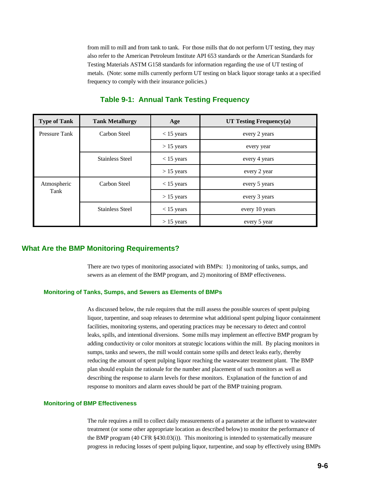from mill to mill and from tank to tank. For those mills that do not perform UT testing, they may also refer to the American Petroleum Institute API 653 standards or the American Standards for Testing Materials ASTM G158 standards for information regarding the use of UT testing of metals. (Note: some mills currently perform UT testing on black liquor storage tanks at a specified frequency to comply with their insurance policies.)

| <b>Type of Tank</b>  | <b>Tank Metallurgy</b>                 | Age          | UT Testing Frequency $(a)$ |
|----------------------|----------------------------------------|--------------|----------------------------|
| <b>Pressure Tank</b> | Carbon Steel                           | $< 15$ years | every 2 years              |
|                      |                                        | $> 15$ years | every year                 |
|                      | <b>Stainless Steel</b><br>$<$ 15 years |              | every 4 years              |
|                      |                                        | $> 15$ years | every 2 year               |
| Atmospheric          | Carbon Steel                           | $<$ 15 years | every 5 years              |
| Tank                 |                                        | $> 15$ years | every 3 years              |
|                      | <b>Stainless Steel</b>                 | $<$ 15 years | every 10 years             |
|                      |                                        | $> 15$ years | every 5 year               |

# **Table 9-1: Annual Tank Testing Frequency**

# **What Are the BMP Monitoring Requirements?**

There are two types of monitoring associated with BMPs: 1) monitoring of tanks, sumps, and sewers as an element of the BMP program, and 2) monitoring of BMP effectiveness.

#### **Monitoring of Tanks, Sumps, and Sewers as Elements of BMPs**

As discussed below, the rule requires that the mill assess the possible sources of spent pulping liquor, turpentine, and soap releases to determine what additional spent pulping liquor containment facilities, monitoring systems, and operating practices may be necessary to detect and control leaks, spills, and intentional diversions. Some mills may implement an effective BMP program by adding conductivity or color monitors at strategic locations within the mill. By placing monitors in sumps, tanks and sewers, the mill would contain some spills and detect leaks early, thereby reducing the amount of spent pulping liquor reaching the wastewater treatment plant. The BMP plan should explain the rationale for the number and placement of such monitors as well as describing the response to alarm levels for these monitors. Explanation of the function of and response to monitors and alarm eaves should be part of the BMP training program.

#### **Monitoring of BMP Effectiveness**

The rule requires a mill to collect daily measurements of a parameter at the influent to wastewater treatment (or some other appropriate location as described below) to monitor the performance of the BMP program (40 CFR §430.03(i)). This monitoring is intended to systematically measure progress in reducing losses of spent pulping liquor, turpentine, and soap by effectively using BMPs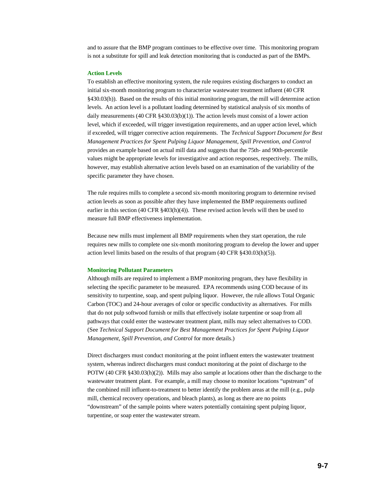and to assure that the BMP program continues to be effective over time. This monitoring program is not a substitute for spill and leak detection monitoring that is conducted as part of the BMPs.

#### **Action Levels**

To establish an effective monitoring system, the rule requires existing dischargers to conduct an initial six-month monitoring program to characterize wastewater treatment influent (40 CFR §430.03(h)). Based on the results of this initial monitoring program, the mill will determine action levels. An action level is a pollutant loading determined by statistical analysis of six months of daily measurements (40 CFR  $\S 430.03(b)(1)$ ). The action levels must consist of a lower action level, which if exceeded, will trigger investigation requirements, and an upper action level, which if exceeded, will trigger corrective action requirements. The *Technical Support Document for Best Management Practices for Spent Pulping Liquor Management, Spill Prevention, and Control* provides an example based on actual mill data and suggests that the 75th- and 90th-percentile values might be appropriate levels for investigative and action responses, respectively. The mills, however, may establish alternative action levels based on an examination of the variability of the specific parameter they have chosen.

The rule requires mills to complete a second six-month monitoring program to determine revised action levels as soon as possible after they have implemented the BMP requirements outlined earlier in this section (40 CFR  $\S 403(h)(4)$ ). These revised action levels will then be used to measure full BMP effectiveness implementation.

Because new mills must implement all BMP requirements when they start operation, the rule requires new mills to complete one six-month monitoring program to develop the lower and upper action level limits based on the results of that program (40 CFR §430.03(h)(5)).

#### **Monitoring Pollutant Parameters**

Although mills are required to implement a BMP monitoring program, they have flexibility in selecting the specific parameter to be measured. EPA recommends using COD because of its sensitivity to turpentine, soap, and spent pulping liquor. However, the rule allows Total Organic Carbon (TOC) and 24-hour averages of color or specific conductivity as alternatives. For mills that do not pulp softwood furnish or mills that effectively isolate turpentine or soap from all pathways that could enter the wastewater treatment plant, mills may select alternatives to COD. (See *Technical Support Document for Best Management Practices for Spent Pulping Liquor Management, Spill Prevention, and Control* for more details.)

Direct dischargers must conduct monitoring at the point influent enters the wastewater treatment system, whereas indirect dischargers must conduct monitoring at the point of discharge to the POTW (40 CFR §430.03(h)(2)). Mills may also sample at locations other than the discharge to the wastewater treatment plant. For example, a mill may choose to monitor locations "upstream" of the combined mill influent-to-treatment to better identify the problem areas at the mill (e.g., pulp mill, chemical recovery operations, and bleach plants), as long as there are no points "downstream" of the sample points where waters potentially containing spent pulping liquor, turpentine, or soap enter the wastewater stream.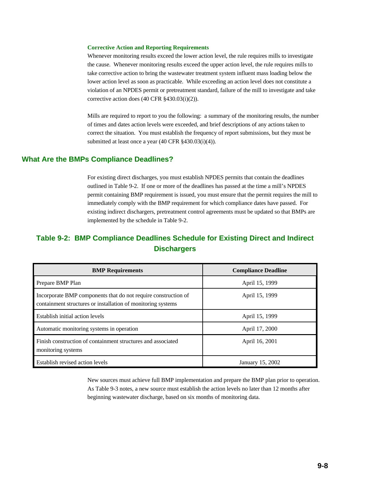#### **Corrective Action and Reporting Requirements**

Whenever monitoring results exceed the lower action level, the rule requires mills to investigate the cause. Whenever monitoring results exceed the upper action level, the rule requires mills to take corrective action to bring the wastewater treatment system influent mass loading below the lower action level as soon as practicable. While exceeding an action level does not constitute a violation of an NPDES permit or pretreatment standard, failure of the mill to investigate and take corrective action does (40 CFR §430.03(i)(2)).

Mills are required to report to you the following: a summary of the monitoring results, the number of times and dates action levels were exceeded, and brief descriptions of any actions taken to correct the situation. You must establish the frequency of report submissions, but they must be submitted at least once a year (40 CFR §430.03(i)(4)).

## **What Are the BMPs Compliance Deadlines?**

For existing direct discharges, you must establish NPDES permits that contain the deadlines outlined in Table 9-2. If one or more of the deadlines has passed at the time a mill's NPDES permit containing BMP requirement is issued, you must ensure that the permit requires the mill to immediately comply with the BMP requirement for which compliance dates have passed. For existing indirect dischargers, pretreatment control agreements must be updated so that BMPs are implemented by the schedule in Table 9-2.

# **Table 9-2: BMP Compliance Deadlines Schedule for Existing Direct and Indirect Dischargers**

| <b>BMP</b> Requirements                                                                                                        | <b>Compliance Deadline</b> |
|--------------------------------------------------------------------------------------------------------------------------------|----------------------------|
| Prepare BMP Plan                                                                                                               | April 15, 1999             |
| Incorporate BMP components that do not require construction of<br>containment structures or installation of monitoring systems | April 15, 1999             |
| Establish initial action levels                                                                                                | April 15, 1999             |
| Automatic monitoring systems in operation                                                                                      | April 17, 2000             |
| Finish construction of containment structures and associated<br>monitoring systems                                             | April 16, 2001             |
| Establish revised action levels                                                                                                | January 15, 2002           |

New sources must achieve full BMP implementation and prepare the BMP plan prior to operation. As Table 9-3 notes, a new source must establish the action levels no later than 12 months after beginning wastewater discharge, based on six months of monitoring data.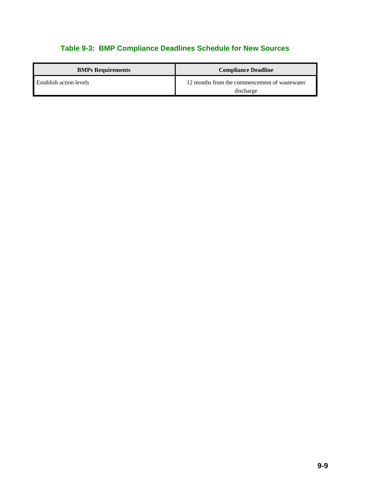# **Table 9-3: BMP Compliance Deadlines Schedule for New Sources**

| <b>BMPs Requirements</b>       | <b>Compliance Deadline</b>                                 |
|--------------------------------|------------------------------------------------------------|
| <b>Establish action levels</b> | 12 months from the commencement of wastewater<br>discharge |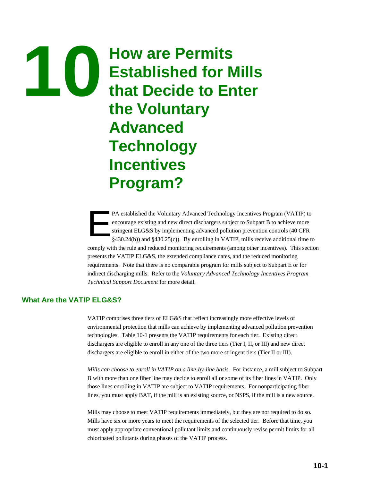# **How are Permits 10 Established for Mills that Decide to Enter the Voluntary Advanced Technology Incentives Program?**

PA established the Voluntary Advanced Technology Incentives Program (VATIP) to encourage existing and new direct dischargers subject to Subpart B to achieve more stringent ELG&S by implementing advanced pollution preventio encourage existing and new direct dischargers subject to Subpart B to achieve more stringent ELG&S by implementing advanced pollution prevention controls (40 CFR §430.24(b)) and §430.25(c)). By enrolling in VATIP, mills receive additional time to comply with the rule and reduced monitoring requirements (among other incentives). This section presents the VATIP ELG&S, the extended compliance dates, and the reduced monitoring requirements. Note that there is no comparable program for mills subject to Subpart E or for indirect discharging mills. Refer to the *Voluntary Advanced Technology Incentives Program Technical Support Document* for more detail.

# **What Are the VATIP ELG&S?**

VATIP comprises three tiers of ELG&S that reflect increasingly more effective levels of environmental protection that mills can achieve by implementing advanced pollution prevention technologies. Table 10-1 presents the VATIP requirements for each tier.Existing direct dischargers are eligible to enroll in any one of the three tiers (Tier I, II, or III) and new direct dischargers are eligible to enroll in either of the two more stringent tiers (Tier II or III).

*Mills can choose to enroll in VATIP on a line-by-line basis.* For instance, a mill subject to Subpart B with more than one fiber line may decide to enroll all or some of its fiber lines in VATIP. Only those lines enrolling in VATIP are subject to VATIP requirements. For nonparticipating fiber lines, you must apply BAT, if the mill is an existing source, or NSPS, if the mill is a new source.

Mills may choose to meet VATIP requirements immediately, but they are not required to do so. Mills have six or more years to meet the requirements of the selected tier. Before that time, you must apply appropriate conventional pollutant limits and continuously revise permit limits for all chlorinated pollutants during phases of the VATIP process.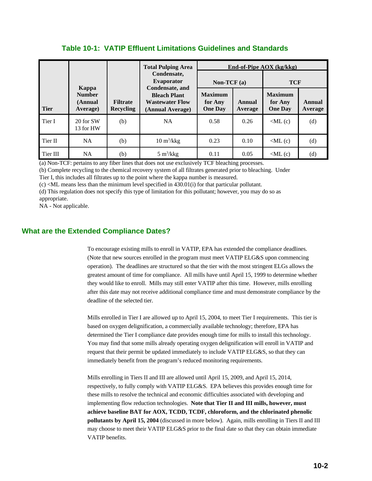|             |                                               |                                     | <b>Total Pulping Area</b>                                                            |                                             |                   | End-of-Pipe $AOX$ (kg/kkg)                  |                   |
|-------------|-----------------------------------------------|-------------------------------------|--------------------------------------------------------------------------------------|---------------------------------------------|-------------------|---------------------------------------------|-------------------|
|             |                                               |                                     | Condensate.<br><b>Evaporator</b>                                                     | Non-TCF $(a)$                               |                   | <b>TCF</b>                                  |                   |
| <b>Tier</b> | Kappa<br><b>Number</b><br>(Annual<br>Average) | <b>Filtrate</b><br><b>Recycling</b> | Condensate, and<br><b>Bleach Plant</b><br><b>Wastewater Flow</b><br>(Annual Average) | <b>Maximum</b><br>for Any<br><b>One Day</b> | Annual<br>Average | <b>Maximum</b><br>for Any<br><b>One Day</b> | Annual<br>Average |
| Tier I      | 20 for SW<br>13 for HW                        | (b)                                 | <b>NA</b>                                                                            | 0.58                                        | 0.26              | $\langle$ ML $(c)$                          | (d)               |
| Tier II     | NA                                            | (b)                                 | $10 \text{ m}^3/\text{kkg}$                                                          | 0.23                                        | 0.10              | $\langle$ ML $(c)$                          | (d)               |
| Tier III    | NA.                                           | (b)                                 | $5 \text{ m}^3/\text{kkg}$                                                           | 0.11                                        | 0.05              | $\langle$ ML $(c)$                          | (d)               |

# **Table 10-1: VATIP Effluent Limitations Guidelines and Standards**

(a) Non-TCF: pertains to any fiber lines that does not use exclusively TCF bleaching processes.

(b) Complete recycling to the chemical recovery system of all filtrates generated prior to bleaching. Under

Tier I, this includes all filtrates up to the point where the kappa number is measured.

 $(c)$  <ML means less than the minimum level specified in 430.01(i) for that particular pollutant.

(d) This regulation does not specify this type of limitation for this pollutant; however, you may do so as appropriate.

NA - Not applicable.

# **What are the Extended Compliance Dates?**

To encourage existing mills to enroll in VATIP, EPA has extended the compliance deadlines. (Note that new sources enrolled in the program must meet VATIP ELG&S upon commencing operation). The deadlines are structured so that the tier with the most stringent ELGs allows the greatest amount of time for compliance. All mills have until April 15, 1999 to determine whether they would like to enroll. Mills may still enter VATIP after this time. However, mills enrolling after this date may not receive additional compliance time and must demonstrate compliance by the deadline of the selected tier.

Mills enrolled in Tier I are allowed up to April 15, 2004, to meet Tier I requirements. This tier is based on oxygen delignification, a commercially available technology; therefore, EPA has determined the Tier I compliance date provides enough time for mills to install this technology. You may find that some mills already operating oxygen delignification will enroll in VATIP and request that their permit be updated immediately to include VATIP ELG&S, so that they can immediately benefit from the program's reduced monitoring requirements.

Mills enrolling in Tiers II and III are allowed until April 15, 2009, and April 15, 2014, respectively, to fully comply with VATIP ELG&S. EPA believes this provides enough time for these mills to resolve the technical and economic difficulties associated with developing and implementing flow reduction technologies. **Note that Tier II and III mills, however, must achieve baseline BAT for AOX, TCDD, TCDF, chloroform, and the chlorinated phenolic pollutants by April 15, 2004** (discussed in more below). Again, mills enrolling in Tiers II and III may choose to meet their VATIP ELG&S prior to the final date so that they can obtain immediate VATIP benefits.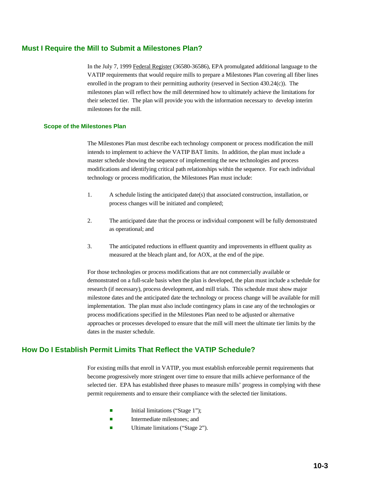# **Must I Require the Mill to Submit a Milestones Plan?**

In the July 7, 1999 Federal Register (36580-36586), EPA promulgated additional language to the VATIP requirements that would require mills to prepare a Milestones Plan covering all fiber lines enrolled in the program to their permitting authority (reserved in Section 430.24(c)). The milestones plan will reflect how the mill determined how to ultimately achieve the limitations for their selected tier. The plan will provide you with the information necessary to develop interim milestones for the mill.

#### **Scope of the Milestones Plan**

The Milestones Plan must describe each technology component or process modification the mill intends to implement to achieve the VATIP BAT limits. In addition, the plan must include a master schedule showing the sequence of implementing the new technologies and process modifications and identifying critical path relationships within the sequence. For each individual technology or process modification, the Milestones Plan must include:

- 1. A schedule listing the anticipated date(s) that associated construction, installation, or process changes will be initiated and completed;
- 2. The anticipated date that the process or individual component will be fully demonstrated as operational; and
- 3. The anticipated reductions in effluent quantity and improvements in effluent quality as measured at the bleach plant and, for AOX, at the end of the pipe.

For those technologies or process modifications that are not commercially available or demonstrated on a full-scale basis when the plan is developed, the plan must include a schedule for research (if necessary), process development, and mill trials. This schedule must show major milestone dates and the anticipated date the technology or process change will be available for mill implementation. The plan must also include contingency plans in case any of the technologies or process modifications specified in the Milestones Plan need to be adjusted or alternative approaches or processes developed to ensure that the mill will meet the ultimate tier limits by the dates in the master schedule.

# **How Do I Establish Permit Limits That Reflect the VATIP Schedule?**

For existing mills that enroll in VATIP, you must establish enforceable permit requirements that become progressively more stringent over time to ensure that mills achieve performance of the selected tier. EPA has established three phases to measure mills' progress in complying with these permit requirements and to ensure their compliance with the selected tier limitations.

- Initial limitations ("Stage 1");
- **Exercise** Intermediate milestones; and
- **E** Ultimate limitations ("Stage 2").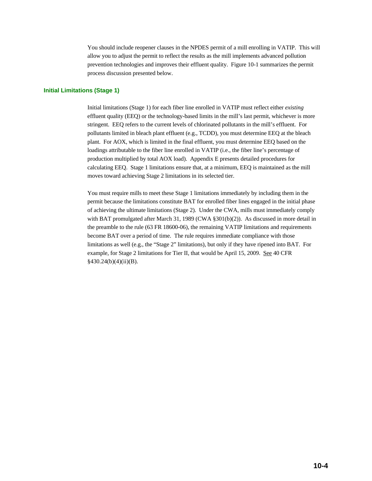You should include reopener clauses in the NPDES permit of a mill enrolling in VATIP. This will allow you to adjust the permit to reflect the results as the mill implements advanced pollution prevention technologies and improves their effluent quality. Figure 10-1 summarizes the permit process discussion presented below.

#### **Initial Limitations (Stage 1)**

Initial limitations (Stage 1) for each fiber line enrolled in VATIP must reflect either *existing* effluent quality (EEQ) or the technology-based limits in the mill's last permit, whichever is more stringent. EEQ refers to the current levels of chlorinated pollutants in the mill's effluent. For pollutants limited in bleach plant effluent (e.g., TCDD), you must determine EEQ at the bleach plant. For AOX, which is limited in the final effluent, you must determine EEQ based on the loadings attributable to the fiber line enrolled in VATIP (i.e., the fiber line's percentage of production multiplied by total AOX load). Appendix E presents detailed procedures for calculating EEQ. Stage 1 limitations ensure that, at a minimum, EEQ is maintained as the mill moves toward achieving Stage 2 limitations in its selected tier.

You must require mills to meet these Stage 1 limitations immediately by including them in the permit because the limitations constitute BAT for enrolled fiber lines engaged in the initial phase of achieving the ultimate limitations (Stage 2). Under the CWA, mills must immediately comply with BAT promulgated after March 31, 1989 (CWA §301(b)(2)). As discussed in more detail in the preamble to the rule (63 FR 18600-06), the remaining VATIP limitations and requirements become BAT over a period of time. The rule requires immediate compliance with those limitations as well (e.g., the "Stage 2" limitations), but only if they have ripened into BAT. For example, for Stage 2 limitations for Tier II, that would be April 15, 2009. See 40 CFR  $§430.24(b)(4)(ii)(B).$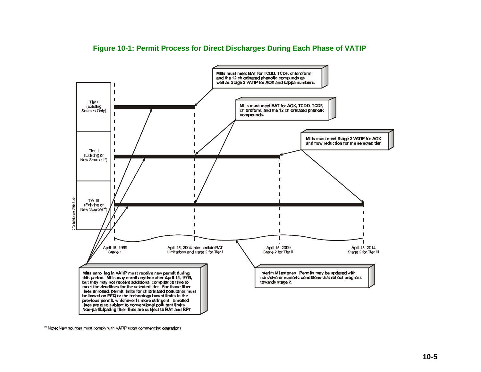

# **Figure 10-1: Permit Process for Direct Discharges During Each Phase of VATIP**

<sup>(</sup>a) Note: New sources must comply with VATIP upon commencing operations.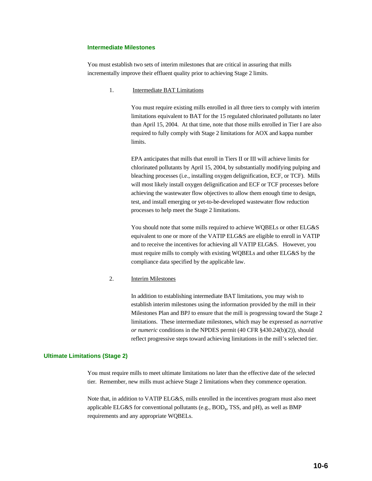#### **Intermediate Milestones**

You must establish two sets of interim milestones that are critical in assuring that mills incrementally improve their effluent quality prior to achieving Stage 2 limits.

1. Intermediate BAT Limitations

You must require existing mills enrolled in all three tiers to comply with interim limitations equivalent to BAT for the 15 regulated chlorinated pollutants no later than April 15, 2004. At that time, note that those mills enrolled in Tier I are also required to fully comply with Stage 2 limitations for AOX and kappa number limits.

EPA anticipates that mills that enroll in Tiers II or III will achieve limits for chlorinated pollutants by April 15, 2004, by substantially modifying pulping and bleaching processes (i.e., installing oxygen delignification, ECF, or TCF). Mills will most likely install oxygen delignification and ECF or TCF processes before achieving the wastewater flow objectives to allow them enough time to design, test, and install emerging or yet-to-be-developed wastewater flow reduction processes to help meet the Stage 2 limitations.

You should note that some mills required to achieve WQBELs or other ELG&S equivalent to one or more of the VATIP ELG&S are eligible to enroll in VATIP and to receive the incentives for achieving all VATIP ELG&S. However, you must require mills to comply with existing WQBELs and other ELG&S by the compliance data specified by the applicable law.

#### 2. Interim Milestones

In addition to establishing intermediate BAT limitations, you may wish to establish interim milestones using the information provided by the mill in their Milestones Plan and BPJ to ensure that the mill is progressing toward the Stage 2 limitations. These intermediate milestones, which may be expressed as *narrative or numeric* conditions in the NPDES permit (40 CFR §430.24(b)(2)), should reflect progressive steps toward achieving limitations in the mill's selected tier.

#### **Ultimate Limitations (Stage 2)**

You must require mills to meet ultimate limitations no later than the effective date of the selected tier. Remember, new mills must achieve Stage 2 limitations when they commence operation.

Note that, in addition to VATIP ELG&S, mills enrolled in the incentives program must also meet applicable ELG&S for conventional pollutants (e.g., BOD<sub>5</sub>, TSS, and pH), as well as BMP requirements and any appropriate WQBELs.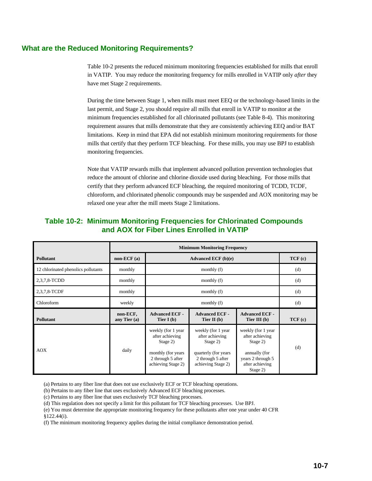# **What are the Reduced Monitoring Requirements?**

Table 10-2 presents the reduced minimum monitoring frequencies established for mills that enroll in VATIP. You may reduce the monitoring frequency for mills enrolled in VATIP only *after* they have met Stage 2 requirements.

During the time between Stage 1, when mills must meet EEQ or the technology-based limits in the last permit, and Stage 2, you should require all mills that enroll in VATIP to monitor at the minimum frequencies established for all chlorinated pollutants (see Table 8-4). This monitoring requirement assures that mills demonstrate that they are consistently achieving EEQ and/or BAT limitations. Keep in mind that EPA did not establish minimum monitoring requirements for those mills that certify that they perform TCF bleaching. For these mills, you may use BPJ to establish monitoring frequencies.

Note that VATIP rewards mills that implement advanced pollution prevention technologies that reduce the amount of chlorine and chlorine dioxide used during bleaching. For those mills that certify that they perform advanced ECF bleaching, the required monitoring of TCDD, TCDF, chloroform, and chlorinated phenolic compounds may be suspended and AOX monitoring may be relaxed one year after the mill meets Stage 2 limitations.

# **Table 10-2: Minimum Monitoring Frequencies for Chlorinated Compounds and AOX for Fiber Lines Enrolled in VATIP**

|                                     | <b>Minimum Monitoring Frequency</b> |                                                                                                                     |                                                                                                                       |                                                                                                                        |        |  |  |
|-------------------------------------|-------------------------------------|---------------------------------------------------------------------------------------------------------------------|-----------------------------------------------------------------------------------------------------------------------|------------------------------------------------------------------------------------------------------------------------|--------|--|--|
| <b>Pollutant</b>                    | $non-ECF(a)$                        |                                                                                                                     | TCF(c)                                                                                                                |                                                                                                                        |        |  |  |
| 12 chlorinated phenolics pollutants | monthly                             |                                                                                                                     | (d)                                                                                                                   |                                                                                                                        |        |  |  |
| 2,3,7,8-TCDD                        | monthly                             |                                                                                                                     | (d)                                                                                                                   |                                                                                                                        |        |  |  |
| 2,3,7,8-TCDF                        | monthly                             |                                                                                                                     | (d)                                                                                                                   |                                                                                                                        |        |  |  |
| Chloroform                          | weekly                              |                                                                                                                     | (d)                                                                                                                   |                                                                                                                        |        |  |  |
| <b>Pollutant</b>                    | non-ECF,<br>any Tier $(a)$          | <b>Advanced ECF -</b><br>Tier I $(b)$                                                                               | <b>Advanced ECF -</b><br>Tier II $(b)$                                                                                | <b>Advanced ECF -</b><br>Tier III $(b)$                                                                                | TCF(c) |  |  |
| <b>AOX</b>                          | daily                               | weekly (for 1 year<br>after achieving<br>Stage 2)<br>monthly (for years)<br>2 through 5 after<br>achieving Stage 2) | weekly (for 1 year<br>after achieving<br>Stage 2)<br>quarterly (for years)<br>2 through 5 after<br>achieving Stage 2) | weekly (for 1 year<br>after achieving<br>Stage 2)<br>annually (for<br>years 2 through 5<br>after achieving<br>Stage 2) | (d)    |  |  |

(a) Pertains to any fiber line that does not use exclusively ECF or TCF bleaching operations.

(b) Pertains to any fiber line that uses exclusively Advanced ECF bleaching processes.

(c) Pertains to any fiber line that uses exclusively TCF bleaching processes.

(d) This regulation does not specify a limit for this pollutant for TCF bleaching processes. Use BPJ.

(e) You must determine the appropriate monitoring frequency for these pollutants after one year under 40 CFR §122.44(i).

(f) The minimum monitoring frequency applies during the initial compliance demonstration period.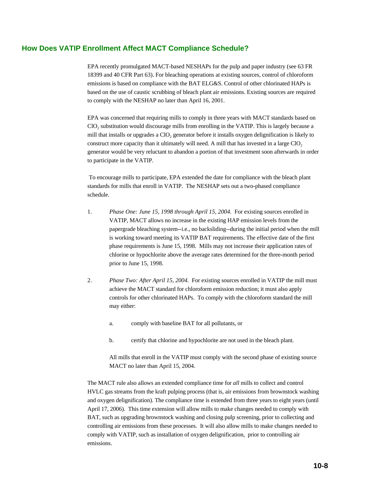# **How Does VATIP Enrollment Affect MACT Compliance Schedule?**

EPA recently promulgated MACT-based NESHAPs for the pulp and paper industry (see 63 FR 18399 and 40 CFR Part 63). For bleaching operations at existing sources, control of chloroform emissions is based on compliance with the BAT ELG&S. Control of other chlorinated HAPs is based on the use of caustic scrubbing of bleach plant air emissions. Existing sources are required to comply with the NESHAP no later than April 16, 2001.

EPA was concerned that requiring mills to comply in three years with MACT standards based on  $ClO<sub>2</sub>$  substitution would discourage mills from enrolling in the VATIP. This is largely because a mill that installs or upgrades a ClO<sub>2</sub> generator before it installs oxygen delignification is likely to construct more capacity than it ultimately will need. A mill that has invested in a large ClO<sub>2</sub> generator would be very reluctant to abandon a portion of that investment soon afterwards in order to participate in the VATIP.

 To encourage mills to participate, EPA extended the date for compliance with the bleach plant standards for mills that enroll in VATIP. The NESHAP sets out a two-phased compliance schedule.

- 1. *Phase One: June 15, 1998 through April 15, 2004.* For existing sources enrolled in VATIP, MACT allows no increase in the existing HAP emission levels from the papergrade bleaching system--i.e., no backsliding--during the initial period when the mill is working toward meeting its VATIP BAT requirements. The effective date of the first phase requirements is June 15, 1998. Mills may not increase their application rates of chlorine or hypochlorite above the average rates determined for the three-month period prior to June 15, 1998.
- 2. *Phase Two: After April 15, 2004.* For existing sources enrolled in VATIP the mill must achieve the MACT standard for chloroform emission reduction; it must also apply controls for other chlorinated HAPs. To comply with the chloroform standard the mill may either:
	- a. comply with baseline BAT for all pollutants, or
	- b. certify that chlorine and hypochlorite are not used in the bleach plant.

All mills that enroll in the VATIP must comply with the second phase of existing source MACT no later than April 15, 2004.

The MACT rule also allows an extended compliance time for *all* mills to collect and control HVLC gas streams from the kraft pulping process (that is, air emissions from brownstock washing and oxygen delignification). The compliance time is extended from three years to eight years (until April 17, 2006). This time extension will allow mills to make changes needed to comply with BAT, such as upgrading brownstock washing and closing pulp screening, prior to collecting and controlling air emissions from these processes. It will also allow mills to make changes needed to comply with VATIP, such as installation of oxygen delignification, prior to controlling air emissions.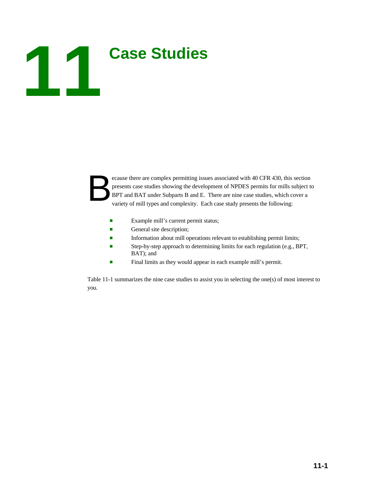# **Case Studies**

ecause there are complex permitting issues associated with 40 CFR 430, this section presents case studies showing the development of NPDES permits for mills subject to BPT and BAT under Subparts B and E. There are nine cas presents case studies showing the development of NPDES permits for mills subject to BPT and BAT under Subparts B and E. There are nine case studies, which cover a variety of mill types and complexity. Each case study presents the following:

- Example mill's current permit status;
- General site description;
- **Information about mill operations relevant to establishing permit limits;**
- **Example 3** Step-by-step approach to determining limits for each regulation (e.g., BPT, BAT); and
- **Example 1** Final limits as they would appear in each example mill's permit.

Table 11-1 summarizes the nine case studies to assist you in selecting the one(s) of most interest to you.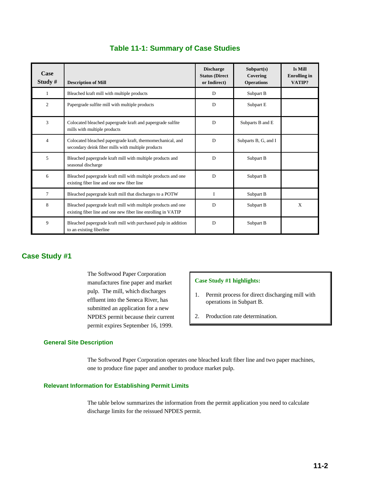| Case<br>Study $#$ | <b>Description of Mill</b>                                                                                                     | <b>Discharge</b><br><b>Status (Direct)</b><br>or Indirect) | Subpart(s)<br>Covering<br><b>Operations</b> | <b>Is Mill</b><br><b>Enrolling</b> in<br>VATIP? |
|-------------------|--------------------------------------------------------------------------------------------------------------------------------|------------------------------------------------------------|---------------------------------------------|-------------------------------------------------|
| $\mathbf{1}$      | Bleached kraft mill with multiple products                                                                                     | D                                                          | Subpart B                                   |                                                 |
| $\overline{c}$    | Papergrade sulfite mill with multiple products                                                                                 | D                                                          | Subpart E                                   |                                                 |
| 3                 | Colocated bleached papergrade kraft and papergrade sulfite<br>mills with multiple products                                     | D                                                          | Subparts B and E                            |                                                 |
| $\overline{4}$    | Colocated bleached papergrade kraft, thermomechanical, and<br>secondary deink fiber mills with multiple products               | D                                                          | Subparts B, G, and I                        |                                                 |
| 5                 | Bleached papergrade kraft mill with multiple products and<br>seasonal discharge                                                | D                                                          | Subpart B                                   |                                                 |
| 6                 | Bleached papergrade kraft mill with multiple products and one<br>existing fiber line and one new fiber line                    | D                                                          | Subpart B                                   |                                                 |
| 7                 | Bleached papergrade kraft mill that discharges to a POTW                                                                       | T                                                          | Subpart B                                   |                                                 |
| 8                 | Bleached papergrade kraft mill with multiple products and one<br>existing fiber line and one new fiber line enrolling in VATIP | D                                                          | Subpart B                                   | X                                               |
| 9                 | Bleached papergrade kraft mill with purchased pulp in addition<br>to an existing fiberline                                     | D                                                          | Subpart B                                   |                                                 |

# **Table 11-1: Summary of Case Studies**

# **Case Study #1**

The Softwood Paper Corporation manufactures fine paper and market pulp. The mill, which discharges effluent into the Seneca River, has submitted an application for a new NPDES permit because their current permit expires September 16, 1999.

## **Case Study #1 highlights:**

- 1. Permit process for direct discharging mill with operations in Subpart B.
- 2. Production rate determination.

## **General Site Description**

The Softwood Paper Corporation operates one bleached kraft fiber line and two paper machines, one to produce fine paper and another to produce market pulp.

### **Relevant Information for Establishing Permit Limits**

The table below summarizes the information from the permit application you need to calculate discharge limits for the reissued NPDES permit.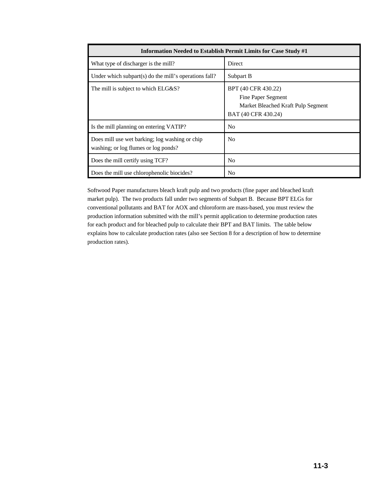| <b>Information Needed to Establish Permit Limits for Case Study #1</b>                 |                                                                                                        |  |  |  |  |  |
|----------------------------------------------------------------------------------------|--------------------------------------------------------------------------------------------------------|--|--|--|--|--|
| What type of discharger is the mill?                                                   | <b>Direct</b>                                                                                          |  |  |  |  |  |
| Under which subpart(s) do the mill's operations fall?                                  | Subpart B                                                                                              |  |  |  |  |  |
| The mill is subject to which ELG&S?                                                    | BPT (40 CFR 430.22)<br>Fine Paper Segment<br>Market Bleached Kraft Pulp Segment<br>BAT (40 CFR 430.24) |  |  |  |  |  |
| Is the mill planning on entering VATIP?                                                | No                                                                                                     |  |  |  |  |  |
| Does mill use wet barking; log washing or chip<br>washing; or log flumes or log ponds? | No                                                                                                     |  |  |  |  |  |
| Does the mill certify using TCF?                                                       | N <sub>0</sub>                                                                                         |  |  |  |  |  |
| Does the mill use chlorophenolic biocides?                                             | N <sub>0</sub>                                                                                         |  |  |  |  |  |

Softwood Paper manufactures bleach kraft pulp and two products (fine paper and bleached kraft market pulp). The two products fall under two segments of Subpart B. Because BPT ELGs for conventional pollutants and BAT for AOX and chloroform are mass-based, you must review the production information submitted with the mill's permit application to determine production rates for each product and for bleached pulp to calculate their BPT and BAT limits. The table below explains how to calculate production rates (also see Section 8 for a description of how to determine production rates).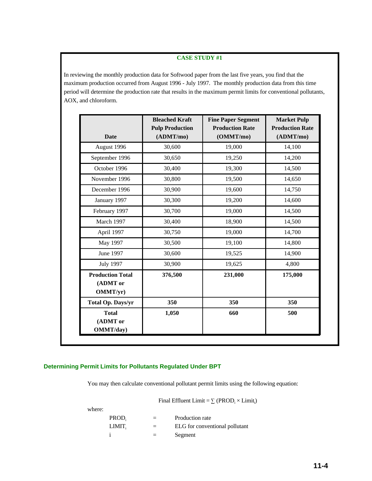In reviewing the monthly production data for Softwood paper from the last five years, you find that the maximum production occurred from August 1996 - July 1997. The monthly production data from this time period will determine the production rate that results in the maximum permit limits for conventional pollutants, AOX, and chloroform.

| <b>Date</b>                                     | <b>Bleached Kraft</b><br><b>Pulp Production</b><br>(ADMT/mol) | <b>Fine Paper Segment</b><br><b>Production Rate</b><br>(OMMT/mo) | <b>Market Pulp</b><br><b>Production Rate</b><br>(ADMT/mol) |
|-------------------------------------------------|---------------------------------------------------------------|------------------------------------------------------------------|------------------------------------------------------------|
| August 1996                                     | 30,600                                                        | 19,000                                                           | 14,100                                                     |
| September 1996                                  | 30,650                                                        | 19,250                                                           | 14,200                                                     |
| October 1996                                    | 30,400                                                        | 19,300                                                           | 14,500                                                     |
| November 1996                                   | 30,800                                                        | 19,500                                                           | 14,650                                                     |
| December 1996                                   | 30,900                                                        | 19,600                                                           | 14,750                                                     |
| January 1997                                    | 30,300                                                        | 19,200                                                           | 14,600                                                     |
| February 1997                                   | 30,700                                                        | 19,000                                                           | 14,500                                                     |
| March 1997                                      | 30,400                                                        | 18,900                                                           | 14,500                                                     |
| April 1997                                      | 30,750                                                        | 19,000                                                           | 14,700                                                     |
| May 1997                                        | 30,500                                                        | 19,100                                                           | 14,800                                                     |
| June 1997                                       | 30,600                                                        | 19,525                                                           | 14,900                                                     |
| <b>July 1997</b>                                | 30,900                                                        | 19,625                                                           | 4,800                                                      |
| <b>Production Total</b><br>(ADMT or<br>OMMT/yr) | 376,500                                                       | 231,000                                                          | 175,000                                                    |
| Total Op. Days/yr                               | 350                                                           | 350                                                              | 350                                                        |
| <b>Total</b><br>(ADMT or<br>OMMT/day)           | 1,050                                                         | 660                                                              | 500                                                        |

## **Determining Permit Limits for Pollutants Regulated Under BPT**

You may then calculate conventional pollutant permit limits using the following equation:

Final Effluent Limit =  $\sum$  (PROD<sub>i</sub>  $\times$  Limit<sub>i</sub>)

| wner |
|------|
|------|

| PROD,  | $=$ | Production rate                |
|--------|-----|--------------------------------|
| LIMIT. | $=$ | ELG for conventional pollutant |
|        | $=$ | Segment                        |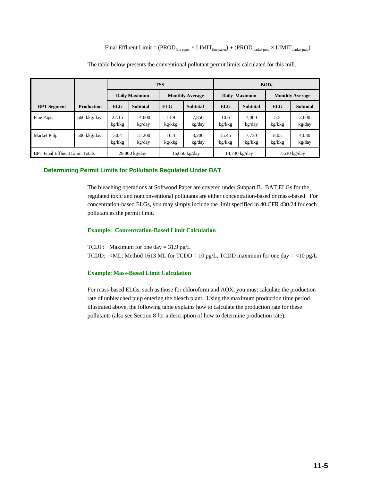Final Effluent Limit =  $(PROD_{\text{fine paper}} \times LIMIT_{\text{fine paper}}) + (PROD_{\text{market pub}} \times LIMIT_{\text{market pub}})$ 

|                                        |                   |                 |                  | <b>TSS</b>     |                        | BOD <sub>5</sub> |                 |                |                        |  |
|----------------------------------------|-------------------|-----------------|------------------|----------------|------------------------|------------------|-----------------|----------------|------------------------|--|
|                                        |                   |                 | Daily Maximum    |                | <b>Monthly Average</b> |                  | Daily Maximum   |                | <b>Monthly Average</b> |  |
| <b>BPT</b> Segment                     | <b>Production</b> | <b>ELG</b>      | <b>Subtotal</b>  | <b>ELG</b>     | <b>Subtotal</b>        | <b>ELG</b>       | <b>Subtotal</b> | <b>ELG</b>     | <b>Subtotal</b>        |  |
| Fine Paper                             | 660 kkg/day       | 22.15<br>kg/kkg | 14.600<br>kg/day | 11.9<br>kg/kkg | 7,850<br>kg/day        | 10.6<br>kg/kkg   | 7.000<br>kg/day | 5.5<br>kg/kkg  | 3,600<br>kg/day        |  |
| <b>Market Pulp</b>                     | 500 kkg/day       | 30.4<br>kg/kkg  | 15,200<br>kg/day | 16.4<br>kg/kkg | 8.200<br>kg/day        | 15.45<br>kg/kkg  | 7,730<br>kg/kkg | 8.05<br>kg/kkg | 4,030<br>kg/day        |  |
| <b>BPT Final Effluent Limit Totals</b> |                   | 29,800 kg/day   |                  | 16,050 kg/day  |                        | 14,730 kg/day    |                 | $7,630$ kg/day |                        |  |

The table below presents the conventional pollutant permit limits calculated for this mill.

### **Determining Permit Limits for Pollutants Regulated Under BAT**

The bleaching operations at Softwood Paper are covered under Subpart B. BAT ELGs for the regulated toxic and nonconventional pollutants are either concentration-based or mass-based. For concentration-based ELGs, you may simply include the limit specified in 40 CFR 430.24 for each pollutant as the permit limit.

### **Example: Concentration-Based Limit Calculation**

TCDF: Maximum for one day = 31.9 pg/L TCDD: <ML; Method 1613 ML for TCDD = 10 pg/L, TCDD maximum for one day = <10 pg/L

### **Example: Mass-Based Limit Calculation**

For mass-based ELGs, such as those for chloroform and AOX, you must calculate the production rate of unbleached pulp entering the bleach plant. Using the maximum production time period illustrated above, the following table explains how to calculate the production rate for these pollutants (also see Section 8 for a description of how to determine production rate).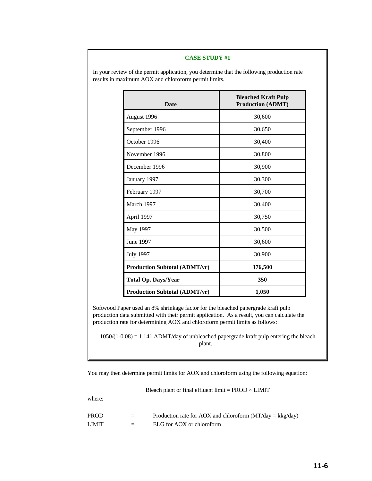In your review of the permit application, you determine that the following production rate results in maximum AOX and chloroform permit limits.

| <b>Date</b>                          | <b>Bleached Kraft Pulp</b><br><b>Production (ADMT)</b> |  |  |
|--------------------------------------|--------------------------------------------------------|--|--|
| August 1996                          | 30,600                                                 |  |  |
| September 1996                       | 30,650                                                 |  |  |
| October 1996                         | 30,400                                                 |  |  |
| November 1996                        | 30,800                                                 |  |  |
| December 1996                        | 30,900                                                 |  |  |
| January 1997                         | 30,300                                                 |  |  |
| February 1997                        | 30,700                                                 |  |  |
| March 1997                           | 30,400                                                 |  |  |
| April 1997                           | 30,750                                                 |  |  |
| May 1997                             | 30,500                                                 |  |  |
| June 1997                            | 30,600                                                 |  |  |
| <b>July 1997</b>                     | 30,900                                                 |  |  |
| <b>Production Subtotal (ADMT/yr)</b> | 376,500                                                |  |  |
| <b>Total Op. Days/Year</b>           | 350                                                    |  |  |
| <b>Production Subtotal (ADMT/yr)</b> | 1,050                                                  |  |  |

Softwood Paper used an 8% shrinkage factor for the bleached papergrade kraft pulp production data submitted with their permit application. As a result, you can calculate the production rate for determining AOX and chloroform permit limits as follows:

 $1050/(1-0.08) = 1,141$  ADMT/day of unbleached papergrade kraft pulp entering the bleach plant.

You may then determine permit limits for AOX and chloroform using the following equation:

Bleach plant or final effluent limit  $=$  PROD  $\times$  LIMIT

where:

| PROD  | $=$ | Production rate for AOX and chloroform $(MT/day = kkg/day)$ |
|-------|-----|-------------------------------------------------------------|
| LIMIT | $=$ | ELG for AOX or chloroform                                   |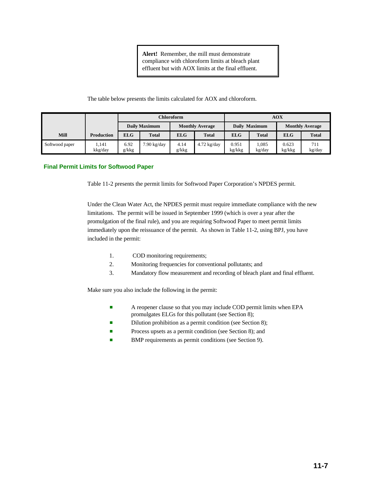**Alert!** Remember, the mill must demonstrate compliance with chloroform limits at bleach plant effluent but with AOX limits at the final effluent.

### The table below presents the limits calculated for AOX and chloroform.

|                |                   |                      |              |                        | Chloroform    |                 |                 |                        | <b>AOX</b>    |  |  |  |
|----------------|-------------------|----------------------|--------------|------------------------|---------------|-----------------|-----------------|------------------------|---------------|--|--|--|
|                |                   | <b>Daily Maximum</b> |              | <b>Monthly Average</b> |               | Daily Maximum   |                 | <b>Monthly Average</b> |               |  |  |  |
| <b>Mill</b>    | <b>Production</b> | <b>ELG</b>           | <b>Total</b> | <b>ELG</b>             | <b>Total</b>  | <b>ELG</b>      | <b>Total</b>    | <b>ELG</b>             | <b>Total</b>  |  |  |  |
| Softwood paper | 1.141<br>kkg/day  | 6.92<br>g/kkg        | '.90 kg/day  | 4.14<br>g/kkg          | $4.72$ kg/day | 0.951<br>kg/kkg | 1.085<br>kg/day | 0.623<br>kg/kkg        | 711<br>kg/day |  |  |  |

### **Final Permit Limits for Softwood Paper**

Table 11-2 presents the permit limits for Softwood Paper Corporation's NPDES permit.

Under the Clean Water Act, the NPDES permit must require immediate compliance with the new limitations. The permit will be issued in September 1999 (which is over a year after the promulgation of the final rule), and you are requiring Softwood Paper to meet permit limits immediately upon the reissuance of the permit. As shown in Table 11-2, using BPJ, you have included in the permit:

- 1. COD monitoring requirements;
- 2. Monitoring frequencies for conventional pollutants; and
- 3. Mandatory flow measurement and recording of bleach plant and final effluent.

Make sure you also include the following in the permit:

- **Example 2** A reopener clause so that you may include COD permit limits when EPA promulgates ELGs for this pollutant (see Section 8);
- Dilution prohibition as a permit condition (see Section 8);
- **Process upsets as a permit condition (see Section 8); and**
- BMP requirements as permit conditions (see Section 9).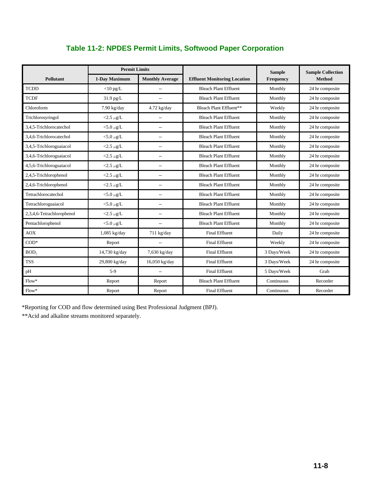|                           | <b>Permit Limits</b> |                        |                                     | <b>Sample</b> | <b>Sample Collection</b> |
|---------------------------|----------------------|------------------------|-------------------------------------|---------------|--------------------------|
| Pollutant                 | 1-Day Maximum        | <b>Monthly Average</b> | <b>Effluent Monitoring Location</b> | Frequency     | <b>Method</b>            |
| <b>TCDD</b>               | $<$ 10 pg/L          | $\overline{a}$         | <b>Bleach Plant Effluent</b>        | Monthly       | 24 hr composite          |
| <b>TCDF</b>               | 31.9 pg/L            | $\overline{a}$         | <b>Bleach Plant Effluent</b>        | Monthly       | 24 hr composite          |
| Chloroform                | $7.90$ kg/day        | $4.72$ kg/day          | Bleach Plant Effluent**             | Weekly        | 24 hr composite          |
| Trichlorosyringol         | <2.5 $\mu$ g/L       |                        | <b>Bleach Plant Effluent</b>        | Monthly       | 24 hr composite          |
| 3.4.5-Trichlorocatechol   | <5.0 $\mu$ g/L       | $\overline{a}$         | <b>Bleach Plant Effluent</b>        | Monthly       | 24 hr composite          |
| 3,4,6-Trichlorocatechol   | <5.0 $\mu$ g/L       | $\overline{a}$         | <b>Bleach Plant Effluent</b>        | Monthly       | 24 hr composite          |
| 3,4,5-Trichloroguaiacol   | <2.5 $\mu$ g/L       | $\overline{a}$         | <b>Bleach Plant Effluent</b>        | Monthly       | 24 hr composite          |
| 3,4,6-Trichloroguaiacol   | $<$ 2.5 $\mu$ g/L    | $\overline{a}$         | <b>Bleach Plant Effluent</b>        | Monthly       | 24 hr composite          |
| 4,5,6-Trichloroguaiacol   | $<$ 2.5 $\mu$ g/L    | $\overline{a}$         | <b>Bleach Plant Effluent</b>        | Monthly       | 24 hr composite          |
| 2,4,5-Trichlorophenol     | <2.5 $\mu$ g/L       | $\overline{a}$         | <b>Bleach Plant Effluent</b>        | Monthly       | 24 hr composite          |
| 2,4,6-Trichlorophenol     | $<$ 2.5 $\mu$ g/L    | $\overline{a}$         | <b>Bleach Plant Effluent</b>        | Monthly       | 24 hr composite          |
| Tetrachlorocatechol       | $<$ 5.0 $\mu$ g/L    | $\overline{a}$         | <b>Bleach Plant Effluent</b>        | Monthly       | 24 hr composite          |
| Tetrachloroguaiacol       | $<$ 5.0 $\mu$ g/L    | $\overline{a}$         | <b>Bleach Plant Effluent</b>        | Monthly       | 24 hr composite          |
| 2,3,4,6-Tetrachlorophenol | <2.5 $\mu$ g/L       | $\overline{a}$         | <b>Bleach Plant Effluent</b>        | Monthly       | 24 hr composite          |
| Pentachlorophenol         | <5.0 $\mu$ g/L       | $\overline{a}$         | <b>Bleach Plant Effluent</b>        | Monthly       | 24 hr composite          |
| <b>AOX</b>                | $1,085$ kg/day       | $711$ kg/day           | <b>Final Effluent</b>               | Daily         | 24 hr composite          |
| $COD*$                    | Report               |                        | <b>Final Effluent</b>               | Weekly        | 24 hr composite          |
| BOD <sub>s</sub>          | 14,730 kg/day        | 7,630 kg/day           | <b>Final Effluent</b>               | 3 Days/Week   | 24 hr composite          |
| <b>TSS</b>                | 29,800 kg/day        | 16,050 kg/day          | <b>Final Effluent</b>               | 3 Days/Week   | 24 hr composite          |
| pH                        | $5-9$                | $\overline{a}$         | <b>Final Effluent</b>               | 5 Days/Week   | Grab                     |
| $Flow*$                   | Report               | Report                 | <b>Bleach Plant Effluent</b>        | Continuous    | Recorder                 |
| $Flow*$                   | Report               | Report                 | <b>Final Effluent</b>               | Continuous    | Recorder                 |

\*Reporting for COD and flow determined using Best Professional Judgment (BPJ).

\*\*Acid and alkaline streams monitored separately.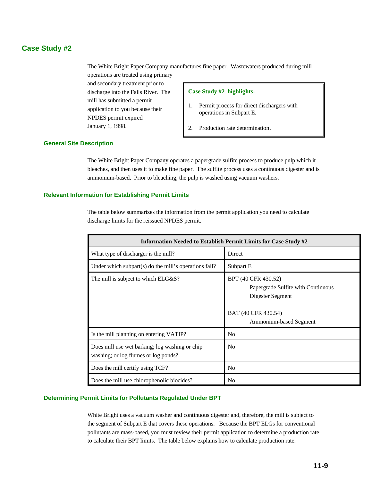# **Case Study #2**

The White Bright Paper Company manufactures fine paper. Wastewaters produced during mill operations are treated using primary

and secondary treatment prior to discharge into the Falls River. The mill has submitted a permit application to you because their NPDES permit expired January 1, 1998.

### **Case Study #2 highlights:**

- 1. Permit process for direct dischargers with operations in Subpart E.
- 2. Production rate determination.

### **General Site Description**

The White Bright Paper Company operates a papergrade sulfite process to produce pulp which it bleaches, and then uses it to make fine paper. The sulfite process uses a continuous digester and is ammonium-based. Prior to bleaching, the pulp is washed using vacuum washers.

### **Relevant Information for Establishing Permit Limits**

The table below summarizes the information from the permit application you need to calculate discharge limits for the reissued NPDES permit.

| Information Needed to Establish Permit Limits for Case Study #2                        |                                                                                                                                |  |  |  |  |
|----------------------------------------------------------------------------------------|--------------------------------------------------------------------------------------------------------------------------------|--|--|--|--|
| What type of discharger is the mill?                                                   | Direct                                                                                                                         |  |  |  |  |
| Under which subpart(s) do the mill's operations fall?                                  | Subpart E                                                                                                                      |  |  |  |  |
| The mill is subject to which ELG&S?                                                    | BPT (40 CFR 430.52)<br>Papergrade Sulfite with Continuous<br>Digester Segment<br>BAT (40 CFR 430.54)<br>Ammonium-based Segment |  |  |  |  |
| Is the mill planning on entering VATIP?                                                | N <sub>0</sub>                                                                                                                 |  |  |  |  |
| Does mill use wet barking; log washing or chip<br>washing; or log flumes or log ponds? | No                                                                                                                             |  |  |  |  |
| Does the mill certify using TCF?                                                       | N <sub>0</sub>                                                                                                                 |  |  |  |  |
| Does the mill use chlorophenolic biocides?                                             | No                                                                                                                             |  |  |  |  |

### **Determining Permit Limits for Pollutants Regulated Under BPT**

White Bright uses a vacuum washer and continuous digester and, therefore, the mill is subject to the segment of Subpart E that covers these operations. Because the BPT ELGs for conventional pollutants are mass-based, you must review their permit application to determine a production rate to calculate their BPT limits. The table below explains how to calculate production rate.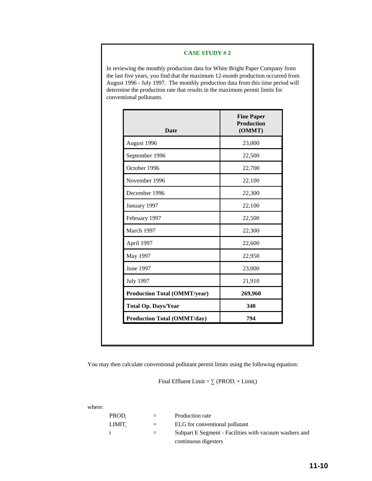In reviewing the monthly production data for White Bright Paper Company from the last five years, you find that the maximum 12-month production occurred from August 1996 - July 1997. The monthly production data from this time period will determine the production rate that results in the maximum permit limits for conventional pollutants.

| <b>Date</b>                         | <b>Fine Paper</b><br><b>Production</b><br>(OMMT) |
|-------------------------------------|--------------------------------------------------|
| August 1996                         | 23,000                                           |
| September 1996                      | 22,500                                           |
| October 1996                        | 22,700                                           |
| November 1996                       | 22,100                                           |
| December 1996                       | 22,300                                           |
| January 1997                        | 22,100                                           |
| February 1997                       | 22,500                                           |
| March 1997                          | 22,300                                           |
| April 1997                          | 22,600                                           |
| May 1997                            | 22,950                                           |
| June 1997                           | 23,000                                           |
| <b>July 1997</b>                    | 21,910                                           |
| <b>Production Total (OMMT/year)</b> | 269,960                                          |
| <b>Total Op. Days/Year</b>          | 340                                              |
| <b>Production Total (OMMT/day)</b>  | 794                                              |

You may then calculate conventional pollutant permit limits using the following equation:

Final Effluent Limit =  $\sum$  (PROD<sub>i</sub>  $\times$  Limit<sub>i</sub>)

where:

| PROD.  | $=$     | Production rate                                        |
|--------|---------|--------------------------------------------------------|
| LIMIT. | $=$ $-$ | ELG for conventional pollutant                         |
|        | $=$     | Subpart E Segment - Facilities with vacuum washers and |
|        |         | continuous digesters                                   |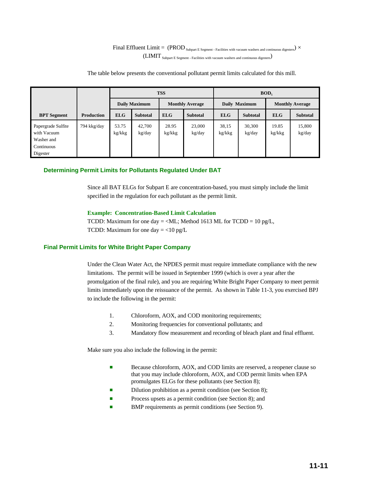# Final Effluent Limit =  $(PROD_{\text{Subpart E Segment - Facilities with vacuum washers and continuous digesters}})$   $\times$  $(LIMIT_{\text{Subpart E Segment}}$  - Facilities with vacuum washers and continuous digesters)

The table below presents the conventional pollutant permit limits calculated for this mill.

|                                                                           |                   |                 |                      | <b>TSS</b>      |                        | BOD <sub>5</sub> |                  |                        |                  |  |  |
|---------------------------------------------------------------------------|-------------------|-----------------|----------------------|-----------------|------------------------|------------------|------------------|------------------------|------------------|--|--|
|                                                                           |                   |                 | <b>Daily Maximum</b> |                 | <b>Monthly Average</b> |                  | Daily Maximum    | <b>Monthly Average</b> |                  |  |  |
| <b>BPT</b> Segment                                                        | <b>Production</b> | <b>ELG</b>      | <b>Subtotal</b>      | <b>ELG</b>      | <b>Subtotal</b>        | <b>ELG</b>       | <b>Subtotal</b>  | <b>ELG</b>             | <b>Subtotal</b>  |  |  |
| Papergrade Sulfite<br>with Vacuum<br>Washer and<br>Continuous<br>Digester | 794 kkg/day       | 53.75<br>kg/kkg | 42,700<br>kg/day     | 28.95<br>kg/kkg | 23,000<br>kg/day       | 38,15<br>kg/kkg  | 30,300<br>kg/day | 19.85<br>kg/kkg        | 15,800<br>kg/day |  |  |

### **Determining Permit Limits for Pollutants Regulated Under BAT**

Since all BAT ELGs for Subpart E are concentration-based, you must simply include the limit specified in the regulation for each pollutant as the permit limit.

### **Example: Concentration-Based Limit Calculation**

TCDD: Maximum for one day = <ML; Method 1613 ML for TCDD =  $10 \text{ pg/L}$ , TCDD: Maximum for one day  $=$  <10 pg/L

### **Final Permit Limits for White Bright Paper Company**

Under the Clean Water Act, the NPDES permit must require immediate compliance with the new limitations. The permit will be issued in September 1999 (which is over a year after the promulgation of the final rule), and you are requiring White Bright Paper Company to meet permit limits immediately upon the reissuance of the permit. As shown in Table 11-3, you exercised BPJ to include the following in the permit:

- 1. Chloroform, AOX, and COD monitoring requirements;
- 2. Monitoring frequencies for conventional pollutants; and
- 3. Mandatory flow measurement and recording of bleach plant and final effluent.

Make sure you also include the following in the permit:

- Because chloroform, AOX, and COD limits are reserved, a reopener clause so that you may include chloroform, AOX, and COD permit limits when EPA promulgates ELGs for these pollutants (see Section 8);
- Dilution prohibition as a permit condition (see Section 8);
- Process upsets as a permit condition (see Section 8); and
- BMP requirements as permit conditions (see Section 9).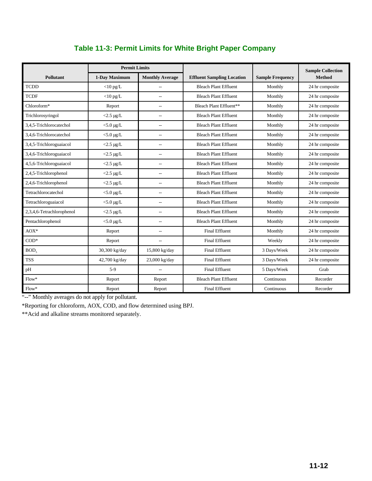|                           | <b>Permit Limits</b> |                          |                                   |                         | <b>Sample Collection</b> |
|---------------------------|----------------------|--------------------------|-----------------------------------|-------------------------|--------------------------|
| <b>Pollutant</b>          | 1-Day Maximum        | <b>Monthly Average</b>   | <b>Effluent Sampling Location</b> | <b>Sample Frequency</b> | <b>Method</b>            |
| <b>TCDD</b>               | $<$ 10 pg/L          | $\overline{a}$           | <b>Bleach Plant Effluent</b>      | Monthly                 | 24 hr composite          |
| <b>TCDF</b>               | $<$ 10 pg/L          | $\overline{a}$           | <b>Bleach Plant Effluent</b>      | Monthly                 | 24 hr composite          |
| Chloroform*               | Report               | $\overline{a}$           | Bleach Plant Effluent**           | Monthly                 | 24 hr composite          |
| Trichlorosyringol         | $<$ 2.5 µg/L         | $\overline{a}$           | <b>Bleach Plant Effluent</b>      | Monthly                 | 24 hr composite          |
| 3.4.5-Trichlorocatechol   | $<$ 5.0 µg/L         | --                       | <b>Bleach Plant Effluent</b>      | Monthly                 | 24 hr composite          |
| 3.4.6-Trichlorocatechol   | $<$ 5.0 µg/L         | $\overline{a}$           | <b>Bleach Plant Effluent</b>      | Monthly                 | 24 hr composite          |
| 3,4,5-Trichloroguaiacol   | $<$ 2.5 µg/L         | --                       | <b>Bleach Plant Effluent</b>      | Monthly                 | 24 hr composite          |
| 3,4,6-Trichloroguaiacol   | $<$ 2.5 µg/L         | $\overline{a}$           | <b>Bleach Plant Effluent</b>      | Monthly                 | 24 hr composite          |
| 4,5,6-Trichloroguaiacol   | $<$ 2.5 µg/L         | $\overline{\phantom{a}}$ | <b>Bleach Plant Effluent</b>      | Monthly                 | 24 hr composite          |
| 2,4,5-Trichlorophenol     | $<$ 2.5 µg/L         | $\sim$                   | <b>Bleach Plant Effluent</b>      | Monthly                 | 24 hr composite          |
| 2,4,6-Trichlorophenol     | $<$ 2.5 µg/L         | $\overline{\phantom{a}}$ | <b>Bleach Plant Effluent</b>      | Monthly                 | 24 hr composite          |
| Tetrachlorocatechol       | $<$ 5.0 $\mu$ g/L    | $\overline{a}$           | <b>Bleach Plant Effluent</b>      | Monthly                 | 24 hr composite          |
| Tetrachloroguaiacol       | $<$ 5.0 µg/L         | $\sim$                   | <b>Bleach Plant Effluent</b>      | Monthly                 | 24 hr composite          |
| 2,3,4,6-Tetrachlorophenol | $<$ 2.5 µg/L         | $\overline{a}$           | <b>Bleach Plant Effluent</b>      | Monthly                 | 24 hr composite          |
| Pentachlorophenol         | $<$ 5.0 $\mu$ g/L    | --                       | <b>Bleach Plant Effluent</b>      | Monthly                 | 24 hr composite          |
| $AOX^*$                   | Report               | $\overline{a}$           | <b>Final Effluent</b>             | Monthly                 | 24 hr composite          |
| $COD*$                    | Report               | $\overline{\phantom{a}}$ | <b>Final Effluent</b>             | Weekly                  | 24 hr composite          |
| BOD <sub>5</sub>          | 30,300 kg/day        | 15,800 kg/day            | <b>Final Effluent</b>             | 3 Days/Week             | 24 hr composite          |
| <b>TSS</b>                | 42,700 kg/day        | 23,000 kg/day            | <b>Final Effluent</b>             | 3 Days/Week             | 24 hr composite          |
| pH                        | $5-9$                | --                       | <b>Final Effluent</b>             | 5 Days/Week             | Grab                     |
| $Flow*$                   | Report               | Report                   | <b>Bleach Plant Effluent</b>      | Continuous              | Recorder                 |
| $Flow*$                   | Report               | Report                   | <b>Final Effluent</b>             | Continuous              | Recorder                 |

# **Table 11-3: Permit Limits for White Bright Paper Company**

"--" Monthly averages do not apply for pollutant.

\*Reporting for chloroform, AOX, COD, and flow determined using BPJ.

\*\*Acid and alkaline streams monitored separately.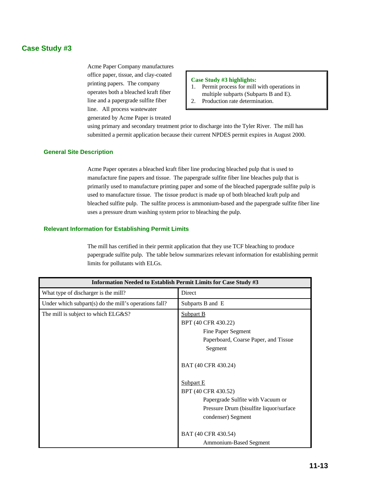# **Case Study #3**

Acme Paper Company manufactures office paper, tissue, and clay-coated printing papers. The company operates both a bleached kraft fiber line and a papergrade sulfite fiber line. All process wastewater generated by Acme Paper is treated

### **Case Study #3 highlights:**

- 1. Permit process for mill with operations in multiple subparts (Subparts B and E).
- 2. Production rate determination.

using primary and secondary treatment prior to discharge into the Tyler River. The mill has submitted a permit application because their current NPDES permit expires in August 2000.

### **General Site Description**

Acme Paper operates a bleached kraft fiber line producing bleached pulp that is used to manufacture fine papers and tissue. The papergrade sulfite fiber line bleaches pulp that is primarily used to manufacture printing paper and some of the bleached papergrade sulfite pulp is used to manufacture tissue. The tissue product is made up of both bleached kraft pulp and bleached sulfite pulp. The sulfite process is ammonium-based and the papergrade sulfite fiber line uses a pressure drum washing system prior to bleaching the pulp.

### **Relevant Information for Establishing Permit Limits**

The mill has certified in their permit application that they use TCF bleaching to produce papergrade sulfite pulp. The table below summarizes relevant information for establishing permit limits for pollutants with ELGs.

| Information Needed to Establish Permit Limits for Case Study #3 |                                                                                                                                                                                                                  |  |  |  |  |  |
|-----------------------------------------------------------------|------------------------------------------------------------------------------------------------------------------------------------------------------------------------------------------------------------------|--|--|--|--|--|
| What type of discharger is the mill?                            | Direct                                                                                                                                                                                                           |  |  |  |  |  |
| Under which subpart(s) do the mill's operations fall?           | Subparts B and E                                                                                                                                                                                                 |  |  |  |  |  |
| The mill is subject to which ELG&S?                             | <b>Subpart B</b><br>BPT (40 CFR 430.22)<br>Fine Paper Segment<br>Paperboard, Coarse Paper, and Tissue<br>Segment<br>BAT (40 CFR 430.24)<br>Subpart E<br>BPT (40 CFR 430.52)<br>Papergrade Sulfite with Vacuum or |  |  |  |  |  |
|                                                                 | Pressure Drum (bisulfite liquor/surface)<br>condenser) Segment                                                                                                                                                   |  |  |  |  |  |
|                                                                 | BAT (40 CFR 430.54)<br>Ammonium-Based Segment                                                                                                                                                                    |  |  |  |  |  |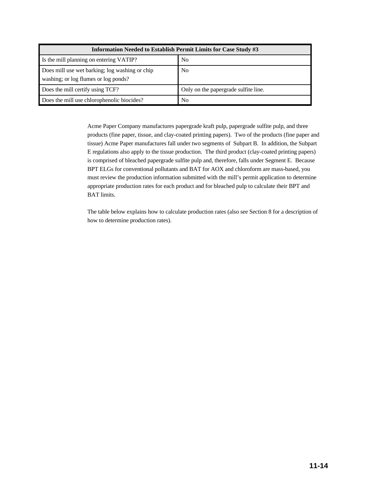| Information Needed to Establish Permit Limits for Case Study #3                        |                                      |  |  |  |  |  |
|----------------------------------------------------------------------------------------|--------------------------------------|--|--|--|--|--|
| Is the mill planning on entering VATIP?                                                | N <sub>0</sub>                       |  |  |  |  |  |
| Does mill use wet barking; log washing or chip<br>washing; or log flumes or log ponds? | N <sub>0</sub>                       |  |  |  |  |  |
| Does the mill certify using TCF?                                                       | Only on the papergrade sulfite line. |  |  |  |  |  |
| Does the mill use chlorophenolic biocides?                                             | No                                   |  |  |  |  |  |

Acme Paper Company manufactures papergrade kraft pulp, papergrade sulfite pulp, and three products (fine paper, tissue, and clay-coated printing papers). Two of the products (fine paper and tissue) Acme Paper manufactures fall under two segments of Subpart B. In addition, the Subpart E regulations also apply to the tissue production. The third product (clay-coated printing papers) is comprised of bleached papergrade sulfite pulp and, therefore, falls under Segment E. Because BPT ELGs for conventional pollutants and BAT for AOX and chloroform are mass-based, you must review the production information submitted with the mill's permit application to determine appropriate production rates for each product and for bleached pulp to calculate their BPT and BAT limits.

The table below explains how to calculate production rates (also see Section 8 for a description of how to determine production rates).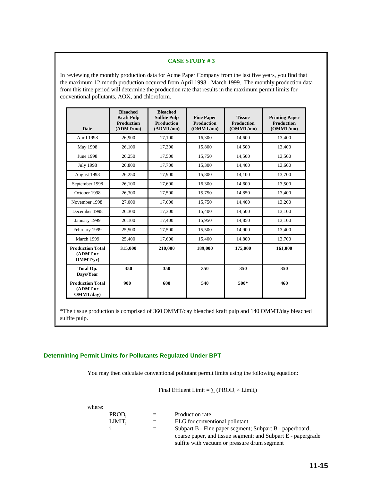In reviewing the monthly production data for Acme Paper Company from the last five years, you find that the maximum 12-month production occurred from April 1998 - March 1999. The monthly production data from this time period will determine the production rate that results in the maximum permit limits for conventional pollutants, AOX, and chloroform.

| Date                                             | <b>Bleached</b><br><b>Kraft Pulp</b><br><b>Production</b><br>(ADMT/mol) | <b>Bleached</b><br><b>Sulfite Pulp</b><br><b>Production</b><br>(ADMT/mol) | <b>Fine Paper</b><br><b>Production</b><br>(OMMT/mo) | <b>Tissue</b><br><b>Production</b><br>(OMMT/mo) | <b>Printing Paper</b><br><b>Production</b><br>(OMMT/mo) |
|--------------------------------------------------|-------------------------------------------------------------------------|---------------------------------------------------------------------------|-----------------------------------------------------|-------------------------------------------------|---------------------------------------------------------|
| April 1998                                       | 26,900                                                                  | 17,100                                                                    | 16,300                                              | 14,600                                          | 13,400                                                  |
| May 1998                                         | 26,100                                                                  | 17,300                                                                    | 15,800                                              | 14,500                                          | 13,400                                                  |
| <b>June 1998</b>                                 | 26,250                                                                  | 17,500                                                                    | 15,750                                              | 14,500                                          | 13,500                                                  |
| <b>July 1998</b>                                 | 26,800                                                                  | 17,700                                                                    | 15,300                                              | 14,400                                          | 13,600                                                  |
| August 1998                                      | 26,250                                                                  | 17,900                                                                    | 15,800                                              | 14,100                                          | 13,700                                                  |
| September 1998                                   | 26,100                                                                  | 17,600                                                                    | 16,300                                              | 14,600                                          | 13,500                                                  |
| October 1998                                     | 26,300                                                                  | 17,500                                                                    | 15,750                                              | 14,850                                          | 13,400                                                  |
| November 1998                                    | 27,000                                                                  | 17,600                                                                    | 15,750                                              | 14,400                                          | 13,200                                                  |
| December 1998                                    | 26,300                                                                  | 17,300                                                                    | 15,400                                              | 14,500                                          | 13,100                                                  |
| January 1999                                     | 26,100                                                                  | 17,400                                                                    | 15,950                                              | 14,850                                          | 13,100                                                  |
| February 1999                                    | 25,500                                                                  | 17,500                                                                    | 15,500                                              | 14,900                                          | 13,400                                                  |
| March 1999                                       | 25,400                                                                  | 17,600                                                                    | 15,400                                              | 14,800                                          | 13,700                                                  |
| <b>Production Total</b><br>(ADMT or<br>OMMT/yr)  | 315,000                                                                 | 210,000                                                                   | 189,000                                             | 175,000                                         | 161,000                                                 |
| Total Op.<br>Days/Year                           | 350                                                                     | 350                                                                       | 350                                                 | 350                                             | 350                                                     |
| <b>Production Total</b><br>(ADMT or<br>OMMT/day) | 900                                                                     | 600                                                                       | 540                                                 | 500*                                            | 460                                                     |

\*The tissue production is comprised of 360 OMMT/day bleached kraft pulp and 140 OMMT/day bleached sulfite pulp.

## **Determining Permit Limits for Pollutants Regulated Under BPT**

You may then calculate conventional pollutant permit limits using the following equation:

Final Effluent Limit =  $\sum$  (PROD<sub>i</sub>  $\times$  Limit<sub>i</sub>)

| where: |        |     |                                                              |
|--------|--------|-----|--------------------------------------------------------------|
|        | PROD.  | $=$ | Production rate                                              |
|        | LIMIT. | $=$ | ELG for conventional pollutant                               |
|        |        |     | Subpart B - Fine paper segment; Subpart B - paperboard,      |
|        |        |     | coarse paper, and tissue segment; and Subpart E - papergrade |
|        |        |     | sulfite with vacuum or pressure drum segment                 |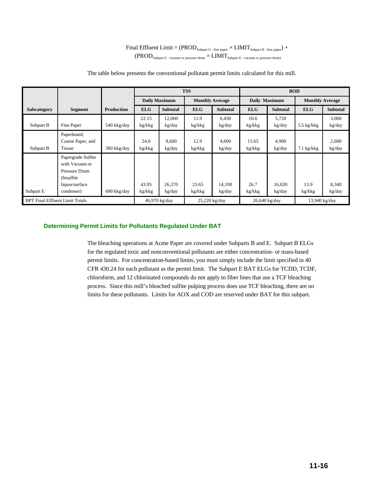$\text{Final Efficient Limit} = \text{(PROD}_{\text{Subpart G - fine paper}} \times \text{LIMIT}_{\text{Subpart B - fine paper}}) + \\$  $(PROD_{\text{Subpart E - vacuum or pressure drum}} \times LIMIT_{\text{Subpart E - vacuum or pressure drum}}$ 

|                                        |                                                                                                      |                   | <b>TSS</b>      |                      |                        |                  | <b>BOD</b>      |                  |                        |                 |  |
|----------------------------------------|------------------------------------------------------------------------------------------------------|-------------------|-----------------|----------------------|------------------------|------------------|-----------------|------------------|------------------------|-----------------|--|
|                                        |                                                                                                      |                   |                 | <b>Daily Maximum</b> | <b>Monthly Average</b> |                  | Daily Maximum   |                  | <b>Monthly Average</b> |                 |  |
| Subcategory                            | <b>Segment</b>                                                                                       | <b>Production</b> | <b>ELG</b>      | <b>Subtotal</b>      | <b>ELG</b>             | <b>Subtotal</b>  | <b>ELG</b>      | <b>Subtotal</b>  | <b>ELG</b>             | <b>Subtotal</b> |  |
| Subpart B                              | Fine Paper                                                                                           | 540 kkg/day       | 22.15<br>kg/kkg | 12,000<br>kg/day     | 11.9<br>kg/kkg         | 6,430<br>kg/day  | 10.6<br>kg/kkg  | 5,720<br>kg/day  | $5.5 \text{ kg/kg}$    | 3,000<br>kg/day |  |
| Subpart B                              | Paperboard,<br>Coarse Paper, and<br>Tissue                                                           | 360 kkg/day       | 24.0<br>kg/kkg  | 8,600<br>kg/day      | 12.9<br>kg/kkg         | 4,600<br>kg/day  | 13.65<br>kg/kkg | 4,900<br>kg/day  | $7.1 \text{ kg/kg}$    | 2,600<br>kg/day |  |
| Subpart E                              | Papergrade Sulfite<br>with Vacuum or<br>Pressure Drum<br>(bisulfite)<br>liquor/surface<br>condenser) | 600 kkg/day       | 43.95<br>kg/kkg | 26,370<br>kg/day     | 23.65<br>kg/kkg        | 14,190<br>kg/day | 26.7<br>kg/kkg  | 16,020<br>kg/day | 13.9<br>kg/kkg         | 8,340<br>kg/day |  |
| <b>BPT Final Effluent Limit Totals</b> |                                                                                                      |                   |                 | 46,970 kg/day        | $25,220$ kg/day        |                  | 26,640 kg/day   |                  | $13,940$ kg/day        |                 |  |

The table below presents the conventional pollutant permit limits calculated for this mill.

### **Determining Permit Limits for Pollutants Regulated Under BAT**

The bleaching operations at Acme Paper are covered under Subparts B and E. Subpart B ELGs for the regulated toxic and nonconventional pollutants are either concentration- or mass-based permit limits. For concentration-based limits, you must simply include the limit specified in 40 CFR 430.24 for each pollutant as the permit limit. The Subpart E BAT ELGs for TCDD, TCDF, chloroform, and 12 chlorinated compounds do not apply to fiber lines that use a TCF bleaching process. Since this mill's bleached sulfite pulping process does use TCF bleaching, there are no limits for these pollutants. Limits for AOX and COD are reserved under BAT for this subpart.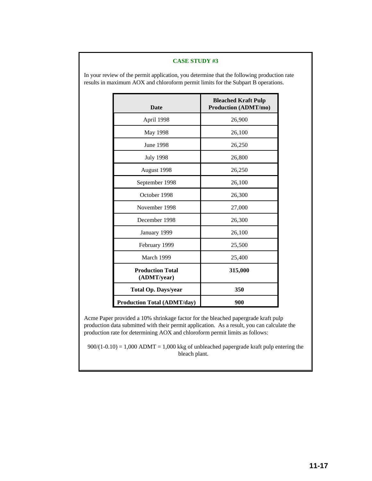| <b>Date</b>                            | <b>Bleached Kraft Pulp</b><br><b>Production (ADMT/mo)</b> |  |  |
|----------------------------------------|-----------------------------------------------------------|--|--|
| April 1998                             | 26,900                                                    |  |  |
| May 1998                               | 26,100                                                    |  |  |
| June 1998                              | 26,250                                                    |  |  |
| <b>July 1998</b>                       | 26,800                                                    |  |  |
| August 1998                            | 26,250                                                    |  |  |
| September 1998                         | 26,100                                                    |  |  |
| October 1998                           | 26,300                                                    |  |  |
| November 1998                          | 27,000                                                    |  |  |
| December 1998                          | 26,300                                                    |  |  |
| January 1999                           | 26,100                                                    |  |  |
| February 1999                          | 25,500                                                    |  |  |
| March 1999                             | 25,400                                                    |  |  |
| <b>Production Total</b><br>(ADMT/year) | 315,000                                                   |  |  |
| <b>Total Op. Days/year</b>             | 350                                                       |  |  |
| <b>Production Total (ADMT/day)</b>     | 900                                                       |  |  |

In your review of the permit application, you determine that the following production rate results in maximum AOX and chloroform permit limits for the Subpart B operations.

Acme Paper provided a 10% shrinkage factor for the bleached papergrade kraft pulp production data submitted with their permit application. As a result, you can calculate the production rate for determining AOX and chloroform permit limits as follows:

 $900/(1-0.10) = 1,000$  ADMT = 1,000 kkg of unbleached papergrade kraft pulp entering the bleach plant.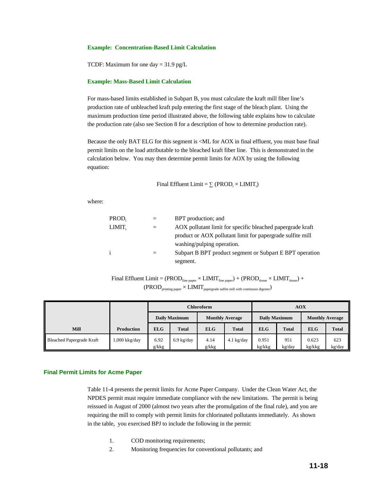### **Example: Concentration-Based Limit Calculation**

TCDF: Maximum for one day  $= 31.9$  pg/L

### **Example: Mass-Based Limit Calculation**

For mass-based limits established in Subpart B, you must calculate the kraft mill fiber line's production rate of unbleached kraft pulp entering the first stage of the bleach plant. Using the maximum production time period illustrated above, the following table explains how to calculate the production rate (also see Section 8 for a description of how to determine production rate).

Because the only BAT ELG for this segment is <ML for AOX in final effluent, you must base final permit limits on the load attributable to the bleached kraft fiber line. This is demonstrated in the calculation below. You may then determine permit limits for AOX by using the following equation:

Final Effluent Limit =  $\sum$  (PROD<sub>i</sub>  $\times$  LIMIT<sub>i</sub>)

where:

| PROD.              |          | BPT production; and                                        |
|--------------------|----------|------------------------------------------------------------|
| LIMIT <sub>i</sub> | $\equiv$ | AOX pollutant limit for specific bleached papergrade kraft |
|                    |          | product or AOX pollutant limit for papergrade sulfite mill |
|                    |          | washing/pulping operation.                                 |
|                    |          | Subpart B BPT product segment or Subpart E BPT operation   |
|                    |          | segment.                                                   |

 ${\rm Final\;Effuent\; Limit} = {\rm (PROD_{fine\;paper} \times LIMIT_{fine\;paper})} + {\rm (PROD_{tissue} \times LIMIT_{tissue})}} +$  $\rm (PROD_{\rm printing\ paper} \times LIMIT_{\rm papergrade\ sufficient\ with\ continuous\ digester})$ 

|                           |                   |                      |                      | <b>Chloroform</b>      |              | <b>AOX</b>      |               |                        |               |
|---------------------------|-------------------|----------------------|----------------------|------------------------|--------------|-----------------|---------------|------------------------|---------------|
|                           |                   | <b>Daily Maximum</b> |                      | <b>Monthly Average</b> |              | Daily Maximum   |               | <b>Monthly Average</b> |               |
| <b>Mill</b>               | <b>Production</b> | <b>ELG</b>           | <b>Total</b>         | <b>ELG</b>             | <b>Total</b> | <b>ELG</b>      | <b>Total</b>  | <b>ELG</b>             | <b>Total</b>  |
| Bleached Papergrade Kraft | 1,000 kkg/day     | 6.92<br>g/kkg        | $6.9 \text{ kg/day}$ | 4.14<br>g/kkg          | $4.1$ kg/day | 0.951<br>kg/kkg | 951<br>kg/day | 0.623<br>kg/kkg        | 623<br>kg/day |

### **Final Permit Limits for Acme Paper**

Table 11-4 presents the permit limits for Acme Paper Company. Under the Clean Water Act, the NPDES permit must require immediate compliance with the new limitations. The permit is being reissued in August of 2000 (almost two years after the promulgation of the final rule), and you are requiring the mill to comply with permit limits for chlorinated pollutants immediately. As shown in the table, you exercised BPJ to include the following in the permit:

- 1. COD monitoring requirements;
- 2. Monitoring frequencies for conventional pollutants; and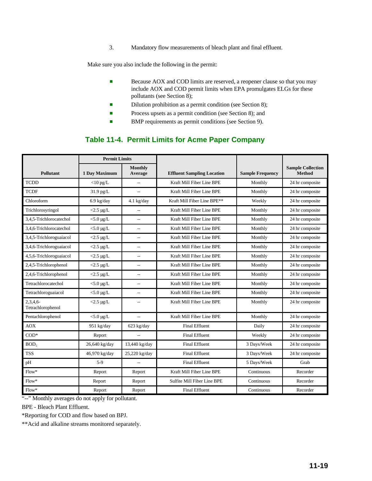3. Mandatory flow measurements of bleach plant and final effluent.

Make sure you also include the following in the permit:

- **Because AOX and COD limits are reserved, a reopener clause so that you may** include AOX and COD permit limits when EPA promulgates ELGs for these pollutants (see Section 8);
- **Example 3** Dilution prohibition as a permit condition (see Section 8);
- **Exercise** Process upsets as a permit condition (see Section 8); and
- BMP requirements as permit conditions (see Section 9).

# **Table 11-4. Permit Limits for Acme Paper Company**

|                                 | <b>Permit Limits</b> |                           |                                   |                         |                                           |  |
|---------------------------------|----------------------|---------------------------|-----------------------------------|-------------------------|-------------------------------------------|--|
| <b>Pollutant</b>                | 1 Day Maximum        | <b>Monthly</b><br>Average | <b>Effluent Sampling Location</b> | <b>Sample Frequency</b> | <b>Sample Collection</b><br><b>Method</b> |  |
| <b>TCDD</b>                     | $<$ 10 pg/L          |                           | Kraft Mill Fiber Line BPE         | Monthly                 | 24 hr composite                           |  |
| <b>TCDF</b>                     | $31.9$ pg/L          | $\overline{a}$            | Kraft Mill Fiber Line BPE         | Monthly                 | 24 hr composite                           |  |
| Chloroform                      | $6.9$ kg/day         | $4.1$ kg/day              | Kraft Mill Fiber Line BPE**       | Weekly                  | 24 hr composite                           |  |
| Trichlorosyringol               | $<$ 2.5 µg/L         |                           | Kraft Mill Fiber Line BPE         | Monthly                 | 24 hr composite                           |  |
| 3.4.5-Trichlorocatechol         | $<$ 5.0 $\mu$ g/L    | $\overline{a}$            | Kraft Mill Fiber Line BPE         | Monthly                 | 24 hr composite                           |  |
| 3.4.6-Trichlorocatechol         | $<$ 5.0 µg/L         | --                        | Kraft Mill Fiber Line BPE         | Monthly                 | 24 hr composite                           |  |
| 3,4,5-Trichloroguaiacol         | $<$ 2.5 µg/L         | $\overline{\phantom{a}}$  | Kraft Mill Fiber Line BPE         | Monthly                 | 24 hr composite                           |  |
| 3,4,6-Trichloroguaiacol         | $<$ 2.5 µg/L         | $\overline{a}$            | Kraft Mill Fiber Line BPE         | Monthly                 | 24 hr composite                           |  |
| 4,5,6-Trichloroguaiacol         | $<$ 2.5 µg/L         | $\overline{\phantom{a}}$  | Kraft Mill Fiber Line BPE         | Monthly                 | 24 hr composite                           |  |
| 2,4,5-Trichlorophenol           | $<$ 2.5 µg/L         | $\overline{a}$            | Kraft Mill Fiber Line BPE         | Monthly                 | 24 hr composite                           |  |
| 2,4,6-Trichlorophenol           | $<$ 2.5 µg/L         | $\sim$                    | Kraft Mill Fiber Line BPE         | Monthly                 | 24 hr composite                           |  |
| Tetrachlorocatechol             | $<$ 5.0 µg/L         | --                        | Kraft Mill Fiber Line BPE         | Monthly                 | 24 hr composite                           |  |
| Tetrachloroguaiacol             | $<$ 5.0 µg/L         | --                        | Kraft Mill Fiber Line BPE         | Monthly                 | 24 hr composite                           |  |
| $2.3.4.6-$<br>Tetrachlorophenol | $<$ 2.5 µg/L         | $\overline{a}$            | Kraft Mill Fiber Line BPE         | Monthly                 | 24 hr composite                           |  |
| Pentachlorophenol               | $<$ 5.0 µg/L         | $\overline{a}$            | Kraft Mill Fiber Line BPE         | Monthly                 | 24 hr composite                           |  |
| <b>AOX</b>                      | 951 kg/day           | $623$ kg/day              | <b>Final Effluent</b>             | Daily                   | 24 hr composite                           |  |
| $COD*$                          | Report               |                           | <b>Final Effluent</b>             | Weekly                  | 24 hr composite                           |  |
| BOD <sub>s</sub>                | 26,640 kg/day        | 13,440 kg/day             | <b>Final Effluent</b>             | 3 Days/Week             | 24 hr composite                           |  |
| <b>TSS</b>                      | 46,970 kg/day        | 25,220 kg/day             | <b>Final Effluent</b>             | 3 Days/Week             | 24 hr composite                           |  |
| pH                              | $5-9$                | $\overline{a}$            | <b>Final Effluent</b>             | 5 Days/Week             | Grab                                      |  |
| $Flow^*$                        | Report               | Report                    | Kraft Mill Fiber Line BPE         | Continuous              | Recorder                                  |  |
| $Flow*$                         | Report               | Report                    | Sulfite Mill Fiber Line BPE       | Continuous              | Recorder                                  |  |
| $Flow*$                         | Report               | Report                    | <b>Final Effluent</b>             | Continuous              | Recorder                                  |  |

"--" Monthly averages do not apply for pollutant.

BPE - Bleach Plant Effluent.

\*Reporting for COD and flow based on BPJ.

\*\*Acid and alkaline streams monitored separately.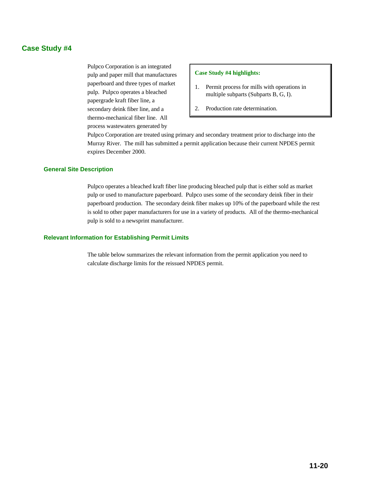# **Case Study #4**

Pulpco Corporation is an integrated pulp and paper mill that manufactures paperboard and three types of market pulp. Pulpco operates a bleached papergrade kraft fiber line, a secondary deink fiber line, and a thermo-mechanical fiber line. All process wastewaters generated by

### **Case Study #4 highlights:**

- 1. Permit process for mills with operations in multiple subparts (Subparts B, G, I).
- 2. Production rate determination.

Pulpco Corporation are treated using primary and secondary treatment prior to discharge into the Murray River. The mill has submitted a permit application because their current NPDES permit expires December 2000.

### **General Site Description**

Pulpco operates a bleached kraft fiber line producing bleached pulp that is either sold as market pulp or used to manufacture paperboard. Pulpco uses some of the secondary deink fiber in their paperboard production. The secondary deink fiber makes up 10% of the paperboard while the rest is sold to other paper manufacturers for use in a variety of products. All of the thermo-mechanical pulp is sold to a newsprint manufacturer.

### **Relevant Information for Establishing Permit Limits**

The table below summarizes the relevant information from the permit application you need to calculate discharge limits for the reissued NPDES permit.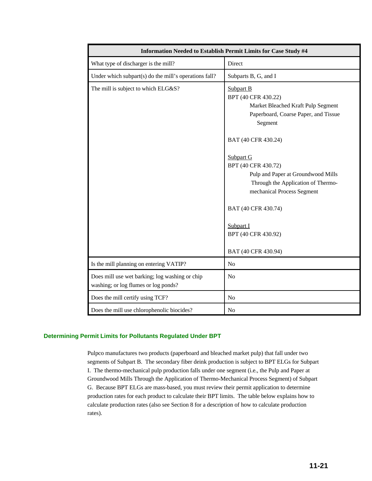| Information Needed to Establish Permit Limits for Case Study #4                        |                                                                                                                                                                                                                                                                                                                                                                                         |  |  |  |  |
|----------------------------------------------------------------------------------------|-----------------------------------------------------------------------------------------------------------------------------------------------------------------------------------------------------------------------------------------------------------------------------------------------------------------------------------------------------------------------------------------|--|--|--|--|
| What type of discharger is the mill?                                                   | Direct                                                                                                                                                                                                                                                                                                                                                                                  |  |  |  |  |
| Under which subpart(s) do the mill's operations fall?                                  | Subparts B, G, and I                                                                                                                                                                                                                                                                                                                                                                    |  |  |  |  |
| The mill is subject to which ELG&S?                                                    | <b>Subpart B</b><br>BPT (40 CFR 430.22)<br>Market Bleached Kraft Pulp Segment<br>Paperboard, Coarse Paper, and Tissue<br>Segment<br>BAT (40 CFR 430.24)<br>Subpart G<br>BPT (40 CFR 430.72)<br>Pulp and Paper at Groundwood Mills<br>Through the Application of Thermo-<br>mechanical Process Segment<br>BAT (40 CFR 430.74)<br>Subpart I<br>BPT (40 CFR 430.92)<br>BAT (40 CFR 430.94) |  |  |  |  |
| Is the mill planning on entering VATIP?                                                | No                                                                                                                                                                                                                                                                                                                                                                                      |  |  |  |  |
| Does mill use wet barking; log washing or chip<br>washing; or log flumes or log ponds? | N <sub>o</sub>                                                                                                                                                                                                                                                                                                                                                                          |  |  |  |  |
| Does the mill certify using TCF?                                                       | No                                                                                                                                                                                                                                                                                                                                                                                      |  |  |  |  |
| Does the mill use chlorophenolic biocides?                                             | No                                                                                                                                                                                                                                                                                                                                                                                      |  |  |  |  |

### **Determining Permit Limits for Pollutants Regulated Under BPT**

Pulpco manufactures two products (paperboard and bleached market pulp) that fall under two segments of Subpart B. The secondary fiber deink production is subject to BPT ELGs for Subpart I. The thermo-mechanical pulp production falls under one segment (i.e., the Pulp and Paper at Groundwood Mills Through the Application of Thermo-Mechanical Process Segment) of Subpart G. Because BPT ELGs are mass-based, you must review their permit application to determine production rates for each product to calculate their BPT limits. The table below explains how to calculate production rates (also see Section 8 for a description of how to calculate production rates).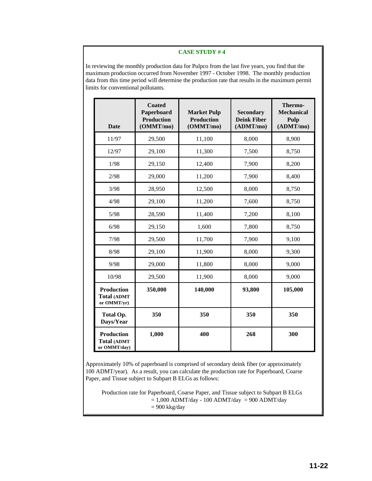In reviewing the monthly production data for Pulpco from the last five years, you find that the maximum production occurred from November 1997 - October 1998. The monthly production data from this time period will determine the production rate that results in the maximum permit limits for conventional pollutants.

| <b>Date</b>                                      | <b>Coated</b><br>Paperboard<br><b>Production</b><br>(OMMT/mo) | <b>Market Pulp</b><br><b>Production</b><br>(OMMT/mo) | <b>Secondary</b><br><b>Deink Fiber</b><br>(ADMT/mo) | Thermo-<br><b>Mechanical</b><br>Pulp<br>(ADMT/mo) |
|--------------------------------------------------|---------------------------------------------------------------|------------------------------------------------------|-----------------------------------------------------|---------------------------------------------------|
| 11/97                                            | 29,500                                                        | 11,100                                               | 8,000                                               | 8,900                                             |
| 12/97                                            | 29,100                                                        | 11,300                                               | 7,500                                               | 8,750                                             |
| 1/98                                             | 29,150                                                        | 12,400                                               | 7,900                                               | 8,200                                             |
| 2/98                                             | 29,000                                                        | 11,200                                               | 7,900                                               | 8,400                                             |
| 3/98                                             | 28,950                                                        | 12,500                                               | 8,000                                               | 8,750                                             |
| 4/98                                             | 29,100                                                        | 11,200                                               | 7,600                                               | 8,750                                             |
| 5/98                                             | 28,590                                                        | 11,400                                               | 7,200                                               | 8,100                                             |
| 6/98                                             | 29,150                                                        | 1,600                                                | 7,800                                               | 8,750                                             |
| 7/98                                             | 29,500                                                        | 11,700                                               | 7,900                                               | 9,100                                             |
| 8/98                                             | 29,100                                                        | 11,900                                               | 8,000                                               | 9,300                                             |
| 9/98                                             | 29,000                                                        | 11,800                                               | 8,000                                               | 9,000                                             |
| 10/98                                            | 29,500                                                        | 11,900                                               | 8,000                                               | 9,000                                             |
| <b>Production</b><br>Total (ADMT<br>or OMMT/yr)  | 350,000                                                       | 140,000                                              | 93,800                                              | 105,000                                           |
| <b>Total Op.</b><br>Days/Year                    | 350                                                           | 350                                                  | 350                                                 | 350                                               |
| <b>Production</b><br>Total (ADMT<br>or OMMT/day) | 1,000                                                         | 400                                                  | 268                                                 | 300                                               |

Approximately 10% of paperboard is comprised of secondary deink fiber (or approximately 100 ADMT/year). As a result, you can calculate the production rate for Paperboard, Coarse Paper, and Tissue subject to Subpart B ELGs as follows:

Production rate for Paperboard, Coarse Paper, and Tissue subject to Subpart B ELGs  $= 1,000$  ADMT/day - 100 ADMT/day  $= 900$  ADMT/day = 900 kkg/day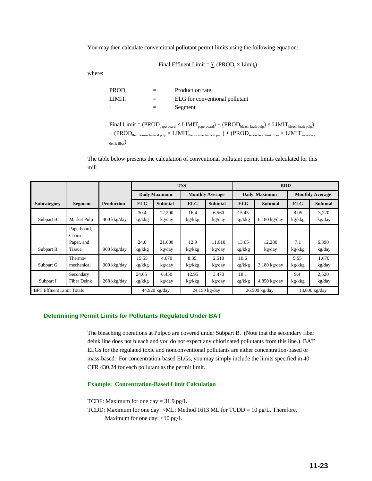You may then calculate conventional pollutant permit limits using the following equation:

Final Effluent Limit =  $\sum$  (PROD<sub>i</sub>  $\times$  Limit<sub>i</sub>)

where:

| $PROD_i$ | $=$ | Production rate                |
|----------|-----|--------------------------------|
| LIMIT.   | $=$ | ELG for conventional pollutant |
|          | $=$ | Segment                        |

| Final Limit = $(\text{PROD}_{\text{paperboard}} \times \text{LIMIT}_{\text{paperboard}}) + (\text{PROD}_{\text{bleach kraft pulp}}) \times \text{LIMIT}_{\text{bleach kraft pulp}})$ |
|--------------------------------------------------------------------------------------------------------------------------------------------------------------------------------------|
| $+$ (PROD <sub>thermo-mechanical pulp</sub> $\times$ LIMIT <sub>thermo-mechanical pulp</sub> ) $+$ (PROD <sub>secondary deink fiber</sub> $\times$ LIMIT <sub>secondary</sub>        |
| $_{\text{deink fiber}}$                                                                                                                                                              |

The table below presents the calculation of conventional pollutant permit limits calculated for this mill.

|                                  |                                                      |                   | <b>TSS</b>      |                      |                        | <b>BOD</b>       |                 |                  |                        |                 |
|----------------------------------|------------------------------------------------------|-------------------|-----------------|----------------------|------------------------|------------------|-----------------|------------------|------------------------|-----------------|
|                                  |                                                      |                   |                 | <b>Daily Maximum</b> | <b>Monthly Average</b> |                  | Daily Maximum   |                  | <b>Monthly Average</b> |                 |
| <b>Subcategory</b>               | <b>Segment</b>                                       | <b>Production</b> | <b>ELG</b>      | <b>Subtotal</b>      | <b>ELG</b>             | <b>Subtotal</b>  | <b>ELG</b>      | <b>Subtotal</b>  | <b>ELG</b>             | <b>Subtotal</b> |
| Subpart B                        | Market Pulp                                          | 400 kkg/day       | 30.4<br>kg/kkg  | 12,200<br>kg/day     | 16.4<br>kg/kkg         | 6,560<br>kg/day  | 15.45<br>kg/kkg | $6,180$ kg/day   | 8.05<br>kg/kkg         | 3,220<br>kg/day |
| Subpart B                        | Paperboard,<br>Coarse<br>Paper, and<br><b>Tissue</b> | 900 kkg/day       | 24.0<br>kg/kkg  | 21,600<br>kg/day     | 12.9<br>kg/kkg         | 11.610<br>kg/day | 13.65<br>kg/kkg | 12,280<br>kg/day | 7.1<br>kg/kkg          | 6,390<br>kg/day |
| Subpart G                        | Thermo-<br>mechanical                                | 300 kkg/day       | 15.55<br>kg/kkg | 4,670<br>kg/day      | 8.35<br>kg/kkg         | 2,510<br>kg/day  | 10.6<br>kg/kkg  | $3,180$ kg/day   | 5.55<br>kg/kkg         | 1,670<br>kg/day |
| Subpart I                        | Secondary<br>Fiber Deink                             | 268 kkg/day       | 24.05<br>kg/kkg | 6,450<br>kg/day      | 12.95<br>kg/kkg        | 3,470<br>kg/day  | 18.1<br>kg/kkg  | $4,850$ kg/day   | 9.4<br>kg/kkg          | 2,520<br>kg/day |
| <b>BPT Effluent Limit Totals</b> |                                                      |                   |                 | 44,920 kg/day        |                        | 24,150 kg/day    |                 | 26,500 kg/day    |                        | 13,800 kg/day   |

### **Determining Permit Limits for Pollutants Regulated Under BAT**

The bleaching operations at Pulpco are covered under Subpart B. (Note that the secondary fiber deink line does not bleach and you do not expect any chlorinated pollutants from this line.) BAT ELGs for the regulated toxic and nonconventional pollutants are either concentration-based or mass-based. For concentration-based ELGs, you may simply include the limits specified in 40 CFR 430.24 for each pollutant as the permit limit.

**Example: Concentration-Based Limit Calculation**

TCDF: Maximum for one day = 31.9 pg/L

TCDD: Maximum for one day: <ML: Method 1613 ML for TCDD = 10 pg/L. Therefore, Maximum for one day: <10 pg/L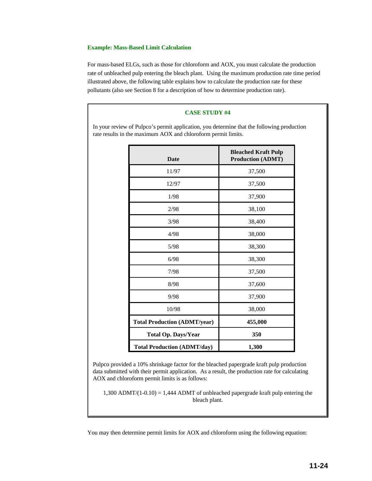### **Example: Mass-Based Limit Calculation**

For mass-based ELGs, such as those for chloroform and AOX, you must calculate the production rate of unbleached pulp entering the bleach plant. Using the maximum production rate time period illustrated above, the following table explains how to calculate the production rate for these pollutants (also see Section 8 for a description of how to determine production rate).

### **CASE STUDY #4**

In your review of Pulpco's permit application, you determine that the following production rate results in the maximum AOX and chloroform permit limits.

| <b>Date</b>                         | <b>Bleached Kraft Pulp</b><br><b>Production (ADMT)</b> |
|-------------------------------------|--------------------------------------------------------|
| 11/97                               | 37,500                                                 |
| 12/97                               | 37,500                                                 |
| 1/98                                | 37,900                                                 |
| 2/98                                | 38,100                                                 |
| 3/98                                | 38,400                                                 |
| 4/98                                | 38,000                                                 |
| 5/98                                | 38,300                                                 |
| 6/98                                | 38,300                                                 |
| 7/98                                | 37,500                                                 |
| 8/98                                | 37,600                                                 |
| 9/98                                | 37,900                                                 |
| 10/98                               | 38,000                                                 |
| <b>Total Production (ADMT/year)</b> | 455,000                                                |
| <b>Total Op. Days/Year</b>          | 350                                                    |
| <b>Total Production (ADMT/day)</b>  | 1,300                                                  |

Pulpco provided a 10% shrinkage factor for the bleached papergrade kraft pulp production data submitted with their permit application. As a result, the production rate for calculating AOX and chloroform permit limits is as follows:

1,300 ADMT/ $(1-0.10) = 1,444$  ADMT of unbleached papergrade kraft pulp entering the bleach plant.

You may then determine permit limits for AOX and chloroform using the following equation: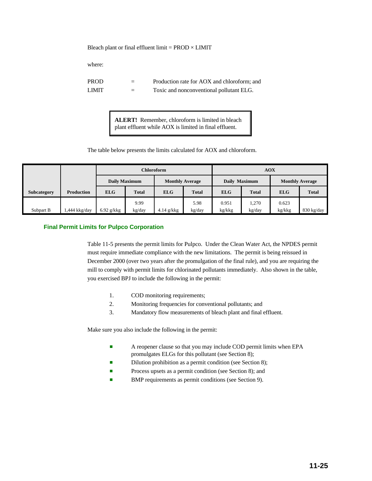Bleach plant or final effluent limit =  $PROD \times LIMIT$ 

where:

| PROD  |     | Production rate for AOX and chloroform; and |
|-------|-----|---------------------------------------------|
| LIMIT | $=$ | Toxic and nonconventional pollutant ELG.    |

**ALERT!** Remember, chloroform is limited in bleach plant effluent while AOX is limited in final effluent.

The table below presents the limits calculated for AOX and chloroform.

|             |                   | Chloroform    |                |                        |                |                 | <b>AOX</b>      |                        |              |
|-------------|-------------------|---------------|----------------|------------------------|----------------|-----------------|-----------------|------------------------|--------------|
|             |                   | Daily Maximum |                | <b>Monthly Average</b> |                | Daily Maximum   |                 | <b>Monthly Average</b> |              |
| Subcategory | <b>Production</b> | <b>ELG</b>    | <b>Total</b>   | <b>ELG</b>             | <b>Total</b>   | <b>ELG</b>      | <b>Total</b>    | <b>ELG</b>             | <b>Total</b> |
| Subpart B   | ,444 kkg/day      | $6.92$ g/kkg  | 9.99<br>kg/day | $4.14$ g/kkg           | 5.98<br>kg/day | 0.951<br>kg/kkg | 1.270<br>kg/day | 0.623<br>kg/kkg        | $830$ kg/day |

### **Final Permit Limits for Pulpco Corporation**

Table 11-5 presents the permit limits for Pulpco. Under the Clean Water Act, the NPDES permit must require immediate compliance with the new limitations. The permit is being reissued in December 2000 (over two years after the promulgation of the final rule), and you are requiring the mill to comply with permit limits for chlorinated pollutants immediately. Also shown in the table, you exercised BPJ to include the following in the permit:

- 1. COD monitoring requirements;
- 2. Monitoring frequencies for conventional pollutants; and
- 3. Mandatory flow measurements of bleach plant and final effluent.

Make sure you also include the following in the permit:

- **EXECUTE:** A reopener clause so that you may include COD permit limits when EPA promulgates ELGs for this pollutant (see Section 8);
- Dilution prohibition as a permit condition (see Section 8);
- **Exercise** Process upsets as a permit condition (see Section 8); and
- BMP requirements as permit conditions (see Section 9).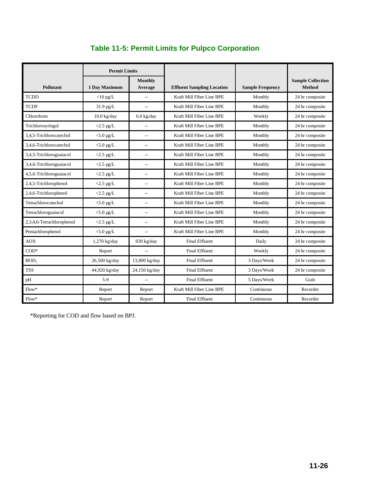|                           | <b>Permit Limits</b> |                          |                                   |                         |                                           |
|---------------------------|----------------------|--------------------------|-----------------------------------|-------------------------|-------------------------------------------|
| <b>Pollutant</b>          | 1 Day Maximum        | Monthly<br>Average       | <b>Effluent Sampling Location</b> | <b>Sample Frequency</b> | <b>Sample Collection</b><br><b>Method</b> |
| <b>TCDD</b>               | $<$ 10 pg/L          |                          | Kraft Mill Fiber Line BPE         | Monthly                 | 24 hr composite                           |
| <b>TCDF</b>               | 31.9 pg/L            | $\sim$                   | Kraft Mill Fiber Line BPE         | Monthly                 | 24 hr composite                           |
| Chloroform                | $10.0$ kg/day        | $6.0$ kg/day             | Kraft Mill Fiber Line BPE         | Weekly                  | 24 hr composite                           |
| Trichlorosyringol         | $<$ 2.5 µg/L         |                          | Kraft Mill Fiber Line BPE         | Monthly                 | 24 hr composite                           |
| 3,4,5-Trichlorocatechol   | $<$ 5.0 µg/L         | $\sim$                   | Kraft Mill Fiber Line BPE         | Monthly                 | 24 hr composite                           |
| 3,4,6-Trichlorocatechol   | $<$ 5.0 µg/L         | $\overline{a}$           | Kraft Mill Fiber Line BPE         | Monthly                 | 24 hr composite                           |
| 3,4,5-Trichloroguaiacol   | $<$ 2.5 µg/L         | $\overline{a}$           | Kraft Mill Fiber Line BPE         | Monthly                 | 24 hr composite                           |
| 3,4,6-Trichloroguaiacol   | $<$ 2.5 µg/L         | $\overline{\phantom{a}}$ | Kraft Mill Fiber Line BPE         | Monthly                 | 24 hr composite                           |
| 4,5,6-Trichloroguaiacol   | $<$ 2.5 µg/L         | $\sim$                   | Kraft Mill Fiber Line BPE         | Monthly                 | 24 hr composite                           |
| 2,4,5-Trichlorophenol     | $<$ 2.5 µg/L         | $\overline{a}$           | Kraft Mill Fiber Line BPE         | Monthly                 | 24 hr composite                           |
| 2,4,6-Trichlorophenol     | $<$ 2.5 µg/L         | $\overline{\phantom{0}}$ | Kraft Mill Fiber Line BPE         | Monthly                 | 24 hr composite                           |
| Tetrachlorocatechol       | $<$ 5.0 µg/L         | $\overline{\phantom{a}}$ | Kraft Mill Fiber Line BPE         | Monthly                 | 24 hr composite                           |
| Tetrachloroguaiacol       | $<$ 5.0 µg/L         | $\overline{a}$           | Kraft Mill Fiber Line BPE         | Monthly                 | 24 hr composite                           |
| 2,3,4,6-Tetrachlorophenol | $<2.5 \ \mu g/L$     | $\overline{\phantom{a}}$ | Kraft Mill Fiber Line BPE         | Monthly                 | 24 hr composite                           |
| Pentachlorophenol         | $<$ 5.0 µg/L         | $\overline{\phantom{a}}$ | Kraft Mill Fiber Line BPE         | Monthly                 | 24 hr composite                           |
| <b>AOX</b>                | 1,270 kg/day         | 830 kg/day               | <b>Final Effluent</b>             | Daily                   | 24 hr composite                           |
| $COD*$                    | Report               | $\overline{\phantom{a}}$ | <b>Final Effluent</b>             | Weekly                  | 24 hr composite                           |
| BOD <sub>5</sub>          | 26,500 kg/day        | 13,800 kg/day            | <b>Final Effluent</b>             | 3 Days/Week             | 24 hr composite                           |
| <b>TSS</b>                | 44,920 kg/day        | 24,150 kg/day            | <b>Final Effluent</b>             | 3 Days/Week             | 24 hr composite                           |
| $\rm{pH}$                 | $5-9$                |                          | <b>Final Effluent</b>             | 5 Days/Week             | Grab                                      |
| $Flow*$                   | Report               | Report                   | Kraft Mill Fiber Line BPE         | Continuous              | Recorder                                  |
| $Flow*$                   | Report               | Report                   | <b>Final Effluent</b>             | Continuous              | Recorder                                  |

\*Reporting for COD and flow based on BPJ.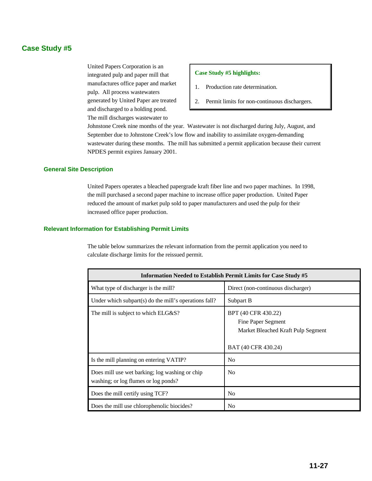# **Case Study #5**

United Papers Corporation is an integrated pulp and paper mill that manufactures office paper and market pulp. All process wastewaters generated by United Paper are treated and discharged to a holding pond. The mill discharges wastewater to

### **Case Study #5 highlights:**

- 1. Production rate determination.
- 2. Permit limits for non-continuous dischargers.

Johnstone Creek nine months of the year. Wastewater is not discharged during July, August, and September due to Johnstone Creek's low flow and inability to assimilate oxygen-demanding wastewater during these months. The mill has submitted a permit application because their current NPDES permit expires January 2001.

### **General Site Description**

United Papers operates a bleached papergrade kraft fiber line and two paper machines. In 1998, the mill purchased a second paper machine to increase office paper production. United Paper reduced the amount of market pulp sold to paper manufacturers and used the pulp for their increased office paper production.

### **Relevant Information for Establishing Permit Limits**

The table below summarizes the relevant information from the permit application you need to calculate discharge limits for the reissued permit.

| <b>Information Needed to Establish Permit Limits for Case Study #5</b>                 |                                                                                                        |  |  |  |  |
|----------------------------------------------------------------------------------------|--------------------------------------------------------------------------------------------------------|--|--|--|--|
| What type of discharger is the mill?                                                   | Direct (non-continuous discharger)                                                                     |  |  |  |  |
| Under which subpart(s) do the mill's operations fall?                                  | Subpart B                                                                                              |  |  |  |  |
| The mill is subject to which ELG&S?                                                    | BPT (40 CFR 430.22)<br>Fine Paper Segment<br>Market Bleached Kraft Pulp Segment<br>BAT (40 CFR 430.24) |  |  |  |  |
| Is the mill planning on entering VATIP?                                                | N <sub>0</sub>                                                                                         |  |  |  |  |
| Does mill use wet barking; log washing or chip<br>washing; or log flumes or log ponds? | N <sub>0</sub>                                                                                         |  |  |  |  |
| Does the mill certify using TCF?                                                       | N <sub>0</sub>                                                                                         |  |  |  |  |
| Does the mill use chlorophenolic biocides?                                             | N <sub>0</sub>                                                                                         |  |  |  |  |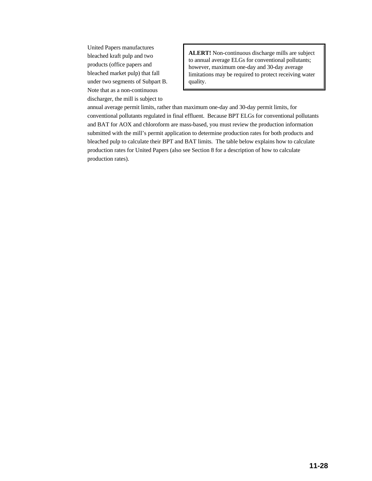United Papers manufactures bleached kraft pulp and two products (office papers and bleached market pulp) that fall under two segments of Subpart B. Note that as a non-continuous discharger, the mill is subject to

**ALERT!** Non-continuous discharge mills are subject to annual average ELGs for conventional pollutants; however, maximum one-day and 30-day average limitations may be required to protect receiving water quality.

annual average permit limits, rather than maximum one-day and 30-day permit limits, for conventional pollutants regulated in final effluent. Because BPT ELGs for conventional pollutants and BAT for AOX and chloroform are mass-based, you must review the production information submitted with the mill's permit application to determine production rates for both products and bleached pulp to calculate their BPT and BAT limits. The table below explains how to calculate production rates for United Papers (also see Section 8 for a description of how to calculate production rates).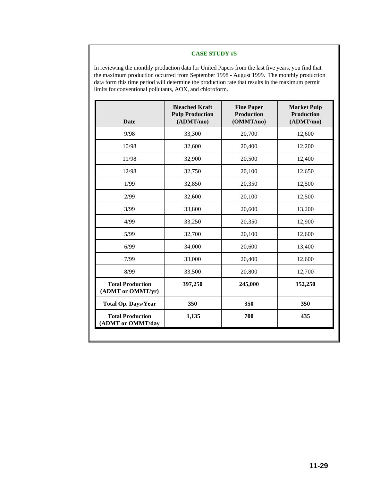In reviewing the monthly production data for United Papers from the last five years, you find that the maximum production occurred from September 1998 - August 1999. The monthly production data form this time period will determine the production rate that results in the maximum permit limits for conventional pollutants, AOX, and chloroform.

| <b>Date</b>                                  | <b>Bleached Kraft</b><br><b>Pulp Production</b><br>(ADMT/mol) | <b>Fine Paper</b><br><b>Production</b><br>(OMMT/mo) | <b>Market Pulp</b><br><b>Production</b><br>(ADMT/mol) |  |
|----------------------------------------------|---------------------------------------------------------------|-----------------------------------------------------|-------------------------------------------------------|--|
| 9/98                                         | 33,300                                                        | 20,700                                              | 12,600                                                |  |
| 10/98                                        | 32,600                                                        | 20,400                                              | 12,200                                                |  |
| 11/98                                        | 32,900                                                        | 20,500                                              | 12,400                                                |  |
| 12/98                                        | 32,750                                                        | 20,100                                              | 12,650                                                |  |
| 1/99                                         | 32,850                                                        | 20,350                                              | 12,500                                                |  |
| 2/99                                         | 32,600                                                        | 20,100                                              | 12,500                                                |  |
| 3/99                                         | 33,800                                                        | 20,600                                              | 13,200                                                |  |
| 4/99                                         | 33,250                                                        | 20,350                                              | 12,900                                                |  |
| 5/99                                         | 32,700                                                        | 20,100                                              | 12,600                                                |  |
| 6/99                                         | 34,000                                                        | 20,600                                              | 13,400                                                |  |
| 7/99                                         | 33,000                                                        | 20,400                                              | 12,600                                                |  |
| 8/99                                         | 33,500                                                        | 20,800                                              | 12,700                                                |  |
| <b>Total Production</b><br>(ADMT or OMMT/yr) | 397,250                                                       | 245,000                                             | 152,250                                               |  |
| <b>Total Op. Days/Year</b>                   | 350                                                           | 350                                                 | 350                                                   |  |
| <b>Total Production</b><br>(ADMT or OMMT/day | 1,135                                                         |                                                     | 435                                                   |  |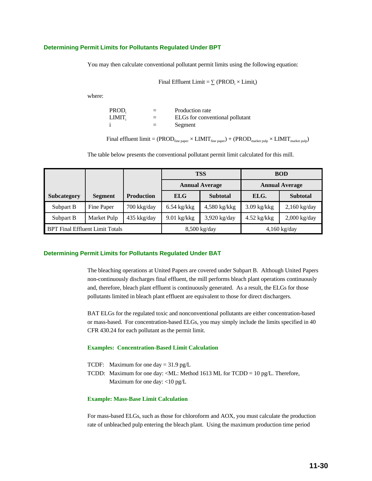### **Determining Permit Limits for Pollutants Regulated Under BPT**

You may then calculate conventional pollutant permit limits using the following equation:

Final Efficient Limit = 
$$
\sum
$$
 (PROD<sub>i</sub> × Limit<sub>i</sub>)

where:

| PROD <sub>i</sub> | $=$ | Production rate                 |
|-------------------|-----|---------------------------------|
| LIMIT,            | $=$ | ELGs for conventional pollutant |
|                   | $=$ | Segment                         |

Final effluent limit =  $(PROD_{\text{fine paper}} \times LIMIT_{\text{fine paper}}) + (PROD_{\text{market pub}} \times LIMIT_{\text{market pub}})$ 

The table below presents the conventional pollutant permit limit calculated for this mill.

|                                        |                |                   | <b>TSS</b>            |                 |               | <b>BOD</b>            |
|----------------------------------------|----------------|-------------------|-----------------------|-----------------|---------------|-----------------------|
|                                        |                |                   | <b>Annual Average</b> |                 |               | <b>Annual Average</b> |
| Subcategory                            | <b>Segment</b> | <b>Production</b> | <b>ELG</b>            | <b>Subtotal</b> | ELG.          | <b>Subtotal</b>       |
| Subpart B                              | Fine Paper     | 700 kkg/day       | $6.54$ kg/kkg         | $4,580$ kg/kkg  | $3.09$ kg/kkg | $2,160$ kg/day        |
| Subpart B                              | Market Pulp    | 435 kkg/day       | $9.01$ kg/kkg         | $3,920$ kg/day  | $4.52$ kg/kkg | $2,000$ kg/day        |
| <b>BPT Final Effluent Limit Totals</b> |                | 8,500 kg/day      |                       | $4,160$ kg/day  |               |                       |

### **Determining Permit Limits for Pollutants Regulated Under BAT**

The bleaching operations at United Papers are covered under Subpart B. Although United Papers non-continuously discharges final effluent, the mill performs bleach plant operations continuously and, therefore, bleach plant effluent is continuously generated. As a result, the ELGs for those pollutants limited in bleach plant effluent are equivalent to those for direct dischargers.

BAT ELGs for the regulated toxic and nonconventional pollutants are either concentration-based or mass-based. For concentration-based ELGs, you may simply include the limits specified in 40 CFR 430.24 for each pollutant as the permit limit.

### **Examples: Concentration-Based Limit Calculation**

- TCDF: Maximum for one day =  $31.9 \text{ pg/L}$
- TCDD: Maximum for one day: <ML: Method 1613 ML for TCDD = 10 pg/L. Therefore, Maximum for one day: <10 pg/L

### **Example: Mass-Base Limit Calculation**

For mass-based ELGs, such as those for chloroform and AOX, you must calculate the production rate of unbleached pulp entering the bleach plant. Using the maximum production time period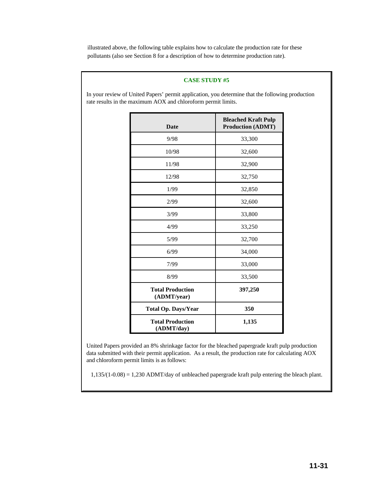illustrated above, the following table explains how to calculate the production rate for these pollutants (also see Section 8 for a description of how to determine production rate).

### **CASE STUDY #5**

In your review of United Papers' permit application, you determine that the following production rate results in the maximum AOX and chloroform permit limits.

| <b>Date</b>                            | <b>Bleached Kraft Pulp</b><br><b>Production (ADMT)</b> |
|----------------------------------------|--------------------------------------------------------|
| 9/98                                   | 33,300                                                 |
| 10/98                                  | 32,600                                                 |
| 11/98                                  | 32,900                                                 |
| 12/98                                  | 32,750                                                 |
| 1/99                                   | 32,850                                                 |
| 2/99                                   | 32,600                                                 |
| 3/99                                   | 33,800                                                 |
| 4/99                                   | 33,250                                                 |
| 5/99                                   | 32,700                                                 |
| 6/99                                   | 34,000                                                 |
| 7/99                                   | 33,000                                                 |
| 8/99                                   | 33,500                                                 |
| <b>Total Production</b><br>(ADMT/year) | 397,250                                                |
| <b>Total Op. Days/Year</b>             | 350                                                    |
| <b>Total Production</b><br>(ADMT/day)  | 1,135                                                  |

United Papers provided an 8% shrinkage factor for the bleached papergrade kraft pulp production data submitted with their permit application. As a result, the production rate for calculating AOX and chloroform permit limits is as follows:

1,135/(1-0.08) = 1,230 ADMT/day of unbleached papergrade kraft pulp entering the bleach plant.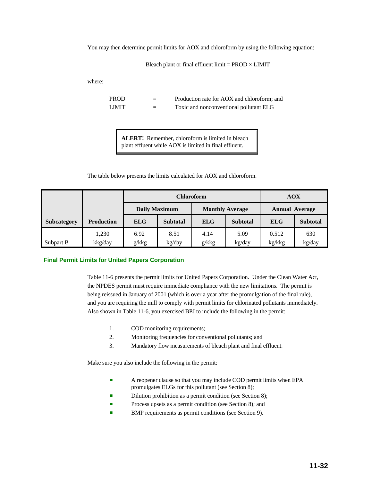You may then determine permit limits for AOX and chloroform by using the following equation:

Bleach plant or final effluent limit =  $PROD \times LIMIT$ 

where:

PROD = Production rate for AOX and chloroform; and LIMIT = Toxic and nonconventional pollutant ELG

**ALERT!** Remember, chloroform is limited in bleach plant effluent while AOX is limited in final effluent.

The table below presents the limits calculated for AOX and chloroform.

|                    |                   | <b>Chloroform</b>    |                 |                        |                 | AOX                   |                 |
|--------------------|-------------------|----------------------|-----------------|------------------------|-----------------|-----------------------|-----------------|
|                    |                   | <b>Daily Maximum</b> |                 | <b>Monthly Average</b> |                 | <b>Annual Average</b> |                 |
| <b>Subcategory</b> | <b>Production</b> | <b>ELG</b>           | <b>Subtotal</b> | <b>ELG</b>             | <b>Subtotal</b> | <b>ELG</b>            | <b>Subtotal</b> |
|                    | 1,230             | 6.92                 | 8.51            | 4.14                   | 5.09            | 0.512                 | 630             |
| Subpart B          | kkg/day           | g/kkg                | kg/day          | g/kkg                  | kg/day          | kg/kkg                | kg/day          |

### **Final Permit Limits for United Papers Corporation**

Table 11-6 presents the permit limits for United Papers Corporation. Under the Clean Water Act, the NPDES permit must require immediate compliance with the new limitations. The permit is being reissued in January of 2001 (which is over a year after the promulgation of the final rule), and you are requiring the mill to comply with permit limits for chlorinated pollutants immediately. Also shown in Table 11-6, you exercised BPJ to include the following in the permit:

- 1. COD monitoring requirements;
- 2. Monitoring frequencies for conventional pollutants; and
- 3. Mandatory flow measurements of bleach plant and final effluent.

Make sure you also include the following in the permit:

- A reopener clause so that you may include COD permit limits when EPA promulgates ELGs for this pollutant (see Section 8);
- Dilution prohibition as a permit condition (see Section 8);
- Process upsets as a permit condition (see Section 8); and
- **BMP** requirements as permit conditions (see Section 9).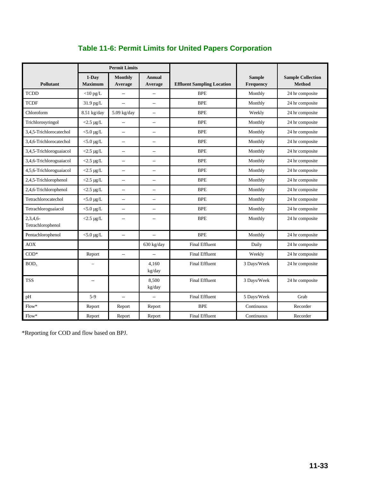|                              | <b>Permit Limits</b>      |                           |                          |                                   |                            |                                           |
|------------------------------|---------------------------|---------------------------|--------------------------|-----------------------------------|----------------------------|-------------------------------------------|
| <b>Pollutant</b>             | $1-Dav$<br><b>Maximum</b> | <b>Monthly</b><br>Average | <b>Annual</b><br>Average | <b>Effluent Sampling Location</b> | <b>Sample</b><br>Frequency | <b>Sample Collection</b><br><b>Method</b> |
| <b>TCDD</b>                  | $<$ 10 pg/L               | $\overline{\phantom{a}}$  | $\overline{\phantom{a}}$ | <b>BPE</b>                        | Monthly                    | 24 hr composite                           |
| <b>TCDF</b>                  | 31.9 pg/L                 | $\overline{\phantom{a}}$  | $\overline{\phantom{a}}$ | <b>BPE</b>                        | Monthly                    | 24 hr composite                           |
| Chloroform                   | 8.51 kg/day               | $5.09$ kg/day             | $\overline{\phantom{a}}$ | <b>BPE</b>                        | Weekly                     | 24 hr composite                           |
| Trichlorosyringol            | $<$ 2.5 µg/L              | $\overline{a}$            | $\sim$                   | <b>BPE</b>                        | Monthly                    | 24 hr composite                           |
| 3.4.5-Trichlorocatechol      | $<$ 5.0 $\mu$ g/L         | $\overline{\phantom{a}}$  | $\overline{\phantom{a}}$ | <b>BPE</b>                        | Monthly                    | 24 hr composite                           |
| 3.4.6-Trichlorocatechol      | $<$ 5.0 $\mu$ g/L         | $\overline{\phantom{a}}$  | $\overline{\phantom{a}}$ | <b>BPE</b>                        | Monthly                    | 24 hr composite                           |
| 3,4,5-Trichloroguaiacol      | $<$ 2.5 µg/L              | $\overline{\phantom{a}}$  | $\sim$                   | <b>BPE</b>                        | Monthly                    | 24 hr composite                           |
| 3,4,6-Trichloroguaiacol      | $<$ 2.5 µg/L              | $\overline{\phantom{a}}$  | $\overline{a}$           | <b>BPE</b>                        | Monthly                    | 24 hr composite                           |
| 4,5,6-Trichloroguaiacol      | $<$ 2.5 µg/L              | $\overline{\phantom{a}}$  | $\overline{\phantom{a}}$ | <b>BPE</b>                        | Monthly                    | 24 hr composite                           |
| 2,4,5-Trichlorophenol        | $<$ 2.5 µg/L              | $\overline{\phantom{a}}$  | $\overline{\phantom{a}}$ | <b>BPE</b>                        | Monthly                    | 24 hr composite                           |
| 2,4,6-Trichlorophenol        | $<$ 2.5 µg/L              | $\overline{\phantom{a}}$  | $\overline{\phantom{a}}$ | <b>BPE</b>                        | Monthly                    | 24 hr composite                           |
| Tetrachlorocatechol          | $<$ 5.0 µg/L              | $\overline{\phantom{a}}$  | $\overline{\phantom{a}}$ | <b>BPE</b>                        | Monthly                    | 24 hr composite                           |
| Tetrachloroguaiacol          | $<$ 5.0 µg/L              | $\overline{\phantom{a}}$  | $\overline{\phantom{a}}$ | <b>BPE</b>                        | Monthly                    | 24 hr composite                           |
| 2,3,4,6<br>Tetrachlorophenol | $<$ 2.5 µg/L              | $\overline{\phantom{a}}$  | $\overline{\phantom{a}}$ | <b>BPE</b>                        | Monthly                    | 24 hr composite                           |
| Pentachlorophenol            | $<$ 5.0 µg/L              | $\overline{\phantom{a}}$  | $\overline{\phantom{a}}$ | <b>BPE</b>                        | Monthly                    | 24 hr composite                           |
| <b>AOX</b>                   |                           |                           | 630 kg/day               | <b>Final Effluent</b>             | Daily                      | 24 hr composite                           |
| $COD*$                       | Report                    | $\overline{a}$            | $\overline{a}$           | <b>Final Effluent</b>             | Weekly                     | 24 hr composite                           |
| BOD <sub>5</sub>             |                           |                           | 4,160<br>kg/day          | <b>Final Effluent</b>             | 3 Days/Week                | 24 hr composite                           |
| <b>TSS</b>                   | $\overline{a}$            |                           | 8,500<br>kg/day          | <b>Final Effluent</b>             | 3 Days/Week                | 24 hr composite                           |
| pH                           | $5-9$                     | $\overline{a}$            | $\overline{a}$           | <b>Final Effluent</b>             | 5 Days/Week                | Grab                                      |
| $Flow*$                      | Report                    | Report                    | Report                   | <b>BPE</b>                        | Continuous                 | Recorder                                  |
| $Flow*$                      | Report                    | Report                    | Report                   | <b>Final Effluent</b>             | Continuous                 | Recorder                                  |

# **Table 11-6: Permit Limits for United Papers Corporation**

\*Reporting for COD and flow based on BPJ.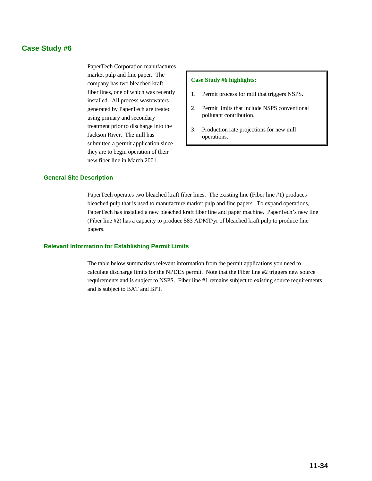# **Case Study #6**

PaperTech Corporation manufactures market pulp and fine paper. The company has two bleached kraft fiber lines, one of which was recently installed. All process wastewaters generated by PaperTech are treated using primary and secondary treatment prior to discharge into the Jackson River. The mill has submitted a permit application since they are to begin operation of their new fiber line in March 2001.

### **Case Study #6 highlights:**

- 1. Permit process for mill that triggers NSPS.
- 2. Permit limits that include NSPS conventional pollutant contribution.
- 3. Production rate projections for new mill operations.

### **General Site Description**

PaperTech operates two bleached kraft fiber lines. The existing line (Fiber line #1) produces bleached pulp that is used to manufacture market pulp and fine papers. To expand operations, PaperTech has installed a new bleached kraft fiber line and paper machine. PaperTech's new line (Fiber line #2) has a capacity to produce 583 ADMT/yr of bleached kraft pulp to produce fine papers.

### **Relevant Information for Establishing Permit Limits**

The table below summarizes relevant information from the permit applications you need to calculate discharge limits for the NPDES permit. Note that the Fiber line #2 triggers new source requirements and is subject to NSPS. Fiber line #1 remains subject to existing source requirements and is subject to BAT and BPT.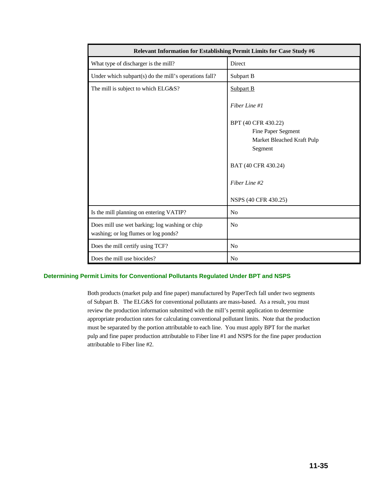| Relevant Information for Establishing Permit Limits for Case Study #6                  |                                                                                    |  |  |
|----------------------------------------------------------------------------------------|------------------------------------------------------------------------------------|--|--|
| What type of discharger is the mill?                                                   | Direct                                                                             |  |  |
| Under which subpart(s) do the mill's operations fall?                                  | Subpart B                                                                          |  |  |
| The mill is subject to which ELG&S?                                                    | <b>Subpart B</b>                                                                   |  |  |
|                                                                                        | Fiber Line #1                                                                      |  |  |
|                                                                                        | BPT (40 CFR 430.22)<br>Fine Paper Segment<br>Market Bleached Kraft Pulp<br>Segment |  |  |
|                                                                                        | BAT (40 CFR 430.24)                                                                |  |  |
|                                                                                        | Fiber Line #2                                                                      |  |  |
|                                                                                        | NSPS (40 CFR 430.25)                                                               |  |  |
| Is the mill planning on entering VATIP?                                                | N <sub>o</sub>                                                                     |  |  |
| Does mill use wet barking; log washing or chip<br>washing; or log flumes or log ponds? | N <sub>o</sub>                                                                     |  |  |
| Does the mill certify using TCF?                                                       | N <sub>0</sub>                                                                     |  |  |
| Does the mill use biocides?                                                            | N <sub>0</sub>                                                                     |  |  |

# **Determining Permit Limits for Conventional Pollutants Regulated Under BPT and NSPS**

Both products (market pulp and fine paper) manufactured by PaperTech fall under two segments of Subpart B. The ELG&S for conventional pollutants are mass-based. As a result, you must review the production information submitted with the mill's permit application to determine appropriate production rates for calculating conventional pollutant limits. Note that the production must be separated by the portion attributable to each line. You must apply BPT for the market pulp and fine paper production attributable to Fiber line #1 and NSPS for the fine paper production attributable to Fiber line #2.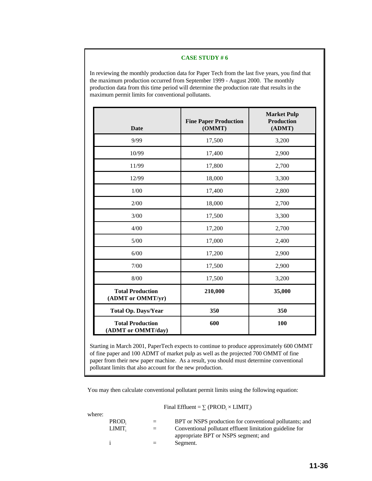#### **CASE STUDY # 6**

In reviewing the monthly production data for Paper Tech from the last five years, you find that the maximum production occurred from September 1999 - August 2000. The monthly production data from this time period will determine the production rate that results in the maximum permit limits for conventional pollutants.

| Date                                          | <b>Fine Paper Production</b><br>(OMMT) | <b>Market Pulp</b><br><b>Production</b><br>(ADMT) |
|-----------------------------------------------|----------------------------------------|---------------------------------------------------|
| 9/99                                          | 17,500                                 | 3,200                                             |
| 10/99                                         | 17,400                                 | 2,900                                             |
| 11/99                                         | 17,800                                 | 2,700                                             |
| 12/99                                         | 18,000                                 | 3,300                                             |
| 1/00                                          | 17,400                                 | 2,800                                             |
| 2/00                                          | 18,000                                 | 2,700                                             |
| 3/00                                          | 17,500                                 | 3,300                                             |
| 4/00                                          | 17,200                                 | 2,700                                             |
| $5/00$                                        | 17,000                                 | 2,400                                             |
| 6/00                                          | 17,200                                 | 2,900                                             |
| 7/00                                          | 17,500                                 | 2,900                                             |
| 8/00                                          | 17,500                                 | 3,200                                             |
| <b>Total Production</b><br>(ADMT or OMMT/yr)  | 210,000                                | 35,000                                            |
| <b>Total Op. Days/Year</b>                    | 350                                    | 350                                               |
| <b>Total Production</b><br>(ADMT or OMMT/day) | 600                                    | 100                                               |

Starting in March 2001, PaperTech expects to continue to produce approximately 600 OMMT of fine paper and 100 ADMT of market pulp as well as the projected 700 OMMT of fine paper from their new paper machine. As a result, you should must determine conventional pollutant limits that also account for the new production.

You may then calculate conventional pollutant permit limits using the following equation:

Final Effluent =  $\sum$  (PROD<sub>i</sub>  $\times$  LIMIT<sub>i</sub>)

| where: |                   |     |                                                                                                  |
|--------|-------------------|-----|--------------------------------------------------------------------------------------------------|
|        | PROD <sub>i</sub> | $=$ | BPT or NSPS production for conventional pollutants; and                                          |
|        | LIMIT.            | $=$ | Conventional pollutant effluent limitation guideline for<br>appropriate BPT or NSPS segment; and |
|        |                   |     | Segment.                                                                                         |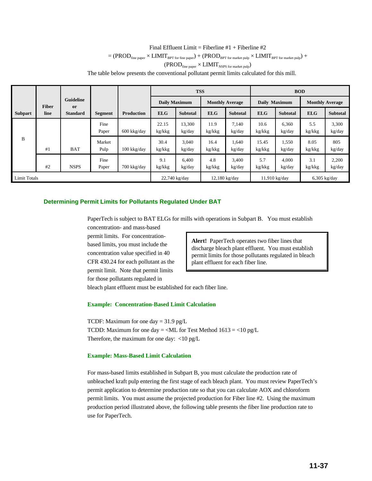# Final Effluent Limit = Fiberline  $#1$  + Fiberline  $#2$  $= {\rm (PROD_{fine\ paper} \times LIMIT_{BPT\ for\ fine\ paper}) + (PROD_{BPT\ for\ market\ pulp} \times LIMIT_{BPT\ for\ market\ pulp}) + }$  $(PROD<sub>fine paper</sub> × LIMIT<sub>NSPS for market pulp</sub>)$ The table below presents the conventional pollutant permit limits calculated for this mill.

**Subpart line Standard Segment Production ELG Subtotal ELG Subtotal ELG Subtotal ELG Subtotal Fiber or Guideline TSS BOD Daily Maximum Monthly Average Daily Maximum Monthly Average** B #1 BAT Pulp 100 kkg/day kg/kkg kg/day kg/kkg kg/day kg/kkg kg/day kg/kkg kg/day Fine 22.15 13,300 11.9 7,140 10.6 6,360 5.5 3,300 Paper 600 kkg/day kg/kkg kg/day kg/kkg kg/day kg/kkg kg/day kg/kkg kg/day Market 30.4 3,040 16.4 1,640 15.45 1,550 8.05 805 #2 NSPS Paper 700 kkg/day kg/kkg kg/day kg/kkg kg/day kg/kkg kg/day kg/kkg kg/day Fine 9.1 6,400 4.8 3,400 5.7 4,000 3.1 2,200 Limit Totals 22,740 kg/day 12,180 kg/day 11,910 kg/day 6,305 kg/day

#### **Determining Permit Limits for Pollutants Regulated Under BAT**

PaperTech is subject to BAT ELGs for mills with operations in Subpart B. You must establish

concentration- and mass-based permit limits. For concentrationbased limits, you must include the concentration value specified in 40 CFR 430.24 for each pollutant as the permit limit. Note that permit limits for those pollutants regulated in

**Alert!** PaperTech operates two fiber lines that discharge bleach plant effluent. You must establish permit limits for those pollutants regulated in bleach plant effluent for each fiber line.

bleach plant effluent must be established for each fiber line.

#### **Example: Concentration-Based Limit Calculation**

TCDF: Maximum for one day  $= 31.9$  pg/L TCDD: Maximum for one day = <ML for Test Method  $1613 = 10$  pg/L Therefore, the maximum for one day: <10 pg/L

#### **Example: Mass-Based Limit Calculation**

For mass-based limits established in Subpart B, you must calculate the production rate of unbleached kraft pulp entering the first stage of each bleach plant. You must review PaperTech's permit application to determine production rate so that you can calculate AOX and chloroform permit limits. You must assume the projected production for Fiber line #2. Using the maximum production period illustrated above, the following table presents the fiber line production rate to use for PaperTech.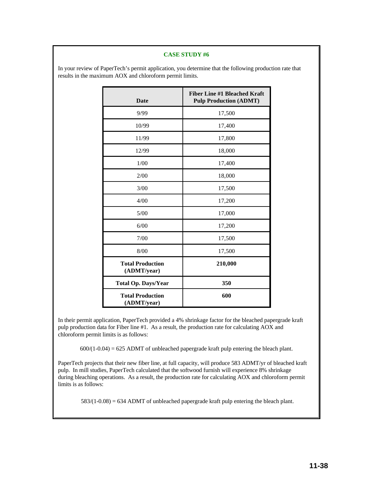#### **CASE STUDY #6**

In your review of PaperTech's permit application, you determine that the following production rate that results in the maximum AOX and chloroform permit limits.

| <b>Date</b>                            | <b>Fiber Line #1 Bleached Kraft</b><br><b>Pulp Production (ADMT)</b> |
|----------------------------------------|----------------------------------------------------------------------|
| 9/99                                   | 17,500                                                               |
| 10/99                                  | 17,400                                                               |
| 11/99                                  | 17,800                                                               |
| 12/99                                  | 18,000                                                               |
| 1/00                                   | 17,400                                                               |
| 2/00                                   | 18,000                                                               |
| 3/00                                   | 17,500                                                               |
| 4/00                                   | 17,200                                                               |
| $5/00$                                 | 17,000                                                               |
| 6/00                                   | 17,200                                                               |
| 7/00                                   | 17,500                                                               |
| 8/00                                   | 17,500                                                               |
| <b>Total Production</b><br>(ADMT/year) | 210,000                                                              |
| <b>Total Op. Days/Year</b>             | 350                                                                  |
| <b>Total Production</b><br>(ADMT/year) | 600                                                                  |

In their permit application, PaperTech provided a 4% shrinkage factor for the bleached papergrade kraft pulp production data for Fiber line #1. As a result, the production rate for calculating AOX and chloroform permit limits is as follows:

 $600/(1-0.04) = 625$  ADMT of unbleached papergrade kraft pulp entering the bleach plant.

PaperTech projects that their new fiber line, at full capacity, will produce 583 ADMT/yr of bleached kraft pulp. In mill studies, PaperTech calculated that the softwood furnish will experience 8% shrinkage during bleaching operations. As a result, the production rate for calculating AOX and chloroform permit limits is as follows:

 $583/(1-0.08) = 634$  ADMT of unbleached papergrade kraft pulp entering the bleach plant.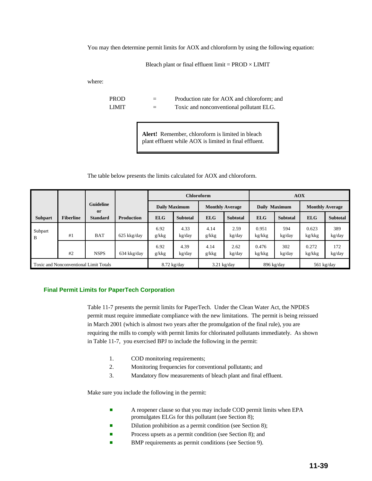You may then determine permit limits for AOX and chloroform by using the following equation:

Bleach plant or final effluent limit =  $PROD \times LIMIT$ 

where:

PROD = Production rate for AOX and chloroform; and LIMIT  $=$  Toxic and nonconventional pollutant ELG.

> **Alert!** Remember, chloroform is limited in bleach plant effluent while AOX is limited in final effluent.

#### The table below presents the limits calculated for AOX and chloroform.

|                |                  |                                               |                   |               | <b>Chloroform</b>    |               |                        | <b>AOX</b>                         |                 |                 |                        |
|----------------|------------------|-----------------------------------------------|-------------------|---------------|----------------------|---------------|------------------------|------------------------------------|-----------------|-----------------|------------------------|
|                |                  | <b>Guideline</b><br><sub>or</sub>             |                   |               | <b>Daily Maximum</b> |               | <b>Monthly Average</b> | Daily Maximum                      |                 |                 | <b>Monthly Average</b> |
| <b>Subpart</b> | <b>Fiberline</b> | <b>Standard</b>                               | <b>Production</b> | <b>ELG</b>    | <b>Subtotal</b>      | <b>ELG</b>    | <b>Subtotal</b>        | <b>ELG</b>                         | <b>Subtotal</b> | <b>ELG</b>      | <b>Subtotal</b>        |
| Subpart<br>B   | #1               | <b>BAT</b>                                    | 625 kkg/day       | 6.92<br>g/kkg | 4.33<br>kg/day       | 4.14<br>g/kkg | 2.59<br>kg/day         | 0.951<br>kg/kkg                    | 594<br>kg/day   | 0.623<br>kg/kkg | 389<br>kg/day          |
|                | #2               | <b>NSPS</b>                                   | 634 kkg/day       | 6.92<br>g/kkg | 4.39<br>kg/day       | 4.14<br>g/kkg | 2.62<br>kg/day         | 0.476<br>kg/kkg                    | 302<br>kg/day   | 0.272<br>kg/kkg | 172<br>kg/day          |
|                |                  | <b>Toxic and Nonconventional Limit Totals</b> |                   | $8.72$ kg/day |                      |               | $3.21 \text{ kg/day}$  | 896 kg/day<br>$561 \text{ kg/day}$ |                 |                 |                        |

#### **Final Permit Limits for PaperTech Corporation**

Table 11-7 presents the permit limits for PaperTech. Under the Clean Water Act, the NPDES permit must require immediate compliance with the new limitations. The permit is being reissued in March 2001 (which is almost two years after the promulgation of the final rule), you are requiring the mills to comply with permit limits for chlorinated pollutants immediately. As shown in Table 11-7, you exercised BPJ to include the following in the permit:

- 1. COD monitoring requirements;
- 2. Monitoring frequencies for conventional pollutants; and
- 3. Mandatory flow measurements of bleach plant and final effluent.

Make sure you include the following in the permit:

- **EXECUTE:** A reopener clause so that you may include COD permit limits when EPA promulgates ELGs for this pollutant (see Section 8);
- **Example 3** Dilution prohibition as a permit condition (see Section 8);
- **Exercise** Process upsets as a permit condition (see Section 8); and
- BMP requirements as permit conditions (see Section 9).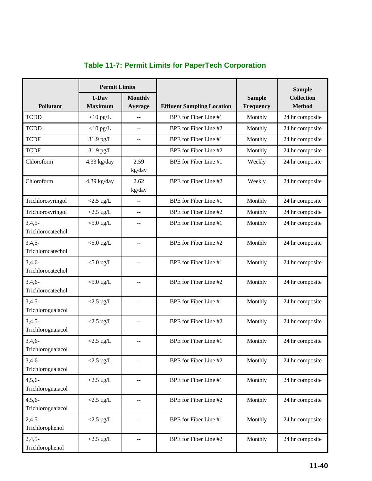|                               | <b>Permit Limits</b>       |                                               |                                   |                            | <b>Sample</b>                      |  |
|-------------------------------|----------------------------|-----------------------------------------------|-----------------------------------|----------------------------|------------------------------------|--|
| Pollutant                     | $1$ -Day<br><b>Maximum</b> | <b>Monthly</b><br>Average                     | <b>Effluent Sampling Location</b> | <b>Sample</b><br>Frequency | <b>Collection</b><br><b>Method</b> |  |
| <b>TCDD</b>                   | $<$ 10 pg/L                | $-$                                           | BPE for Fiber Line #1             | Monthly                    | 24 hr composite                    |  |
| <b>TCDD</b>                   | $<$ 10 pg/L                | $-$                                           | BPE for Fiber Line #2             | Monthly                    | 24 hr composite                    |  |
| <b>TCDF</b>                   | 31.9 pg/L                  | $\mathord{\hspace{1pt}\text{--}\hspace{1pt}}$ | BPE for Fiber Line #1             | Monthly                    | 24 hr composite                    |  |
| <b>TCDF</b>                   | 31.9 pg/L                  | $\mathord{\hspace{1pt}\text{--}\hspace{1pt}}$ | BPE for Fiber Line #2             | Monthly                    | 24 hr composite                    |  |
| Chloroform                    | 4.33 kg/day                | 2.59<br>kg/day                                | BPE for Fiber Line #1             | Weekly                     | 24 hr composite                    |  |
| Chloroform                    | 4.39 kg/day                | 2.62<br>kg/day                                | BPE for Fiber Line #2             | Weekly                     | 24 hr composite                    |  |
| Trichlorosyringol             | $<$ 2.5 µg/L               | $\overline{a}$                                | BPE for Fiber Line #1             | Monthly                    | 24 hr composite                    |  |
| Trichlorosyringol             | $<$ 2.5 µg/L               | $-$                                           | BPE for Fiber Line #2             | Monthly                    | 24 hr composite                    |  |
| $3,4,5-$<br>Trichlorocatechol | $<$ 5.0 µg/L               | --                                            | BPE for Fiber Line #1             | Monthly                    | 24 hr composite                    |  |
| $3,4,5-$<br>Trichlorocatechol | $<$ 5.0 µg/L               | $-$                                           | BPE for Fiber Line #2             | Monthly                    | 24 hr composite                    |  |
| $3,4,6-$<br>Trichlorocatechol | $<$ 5.0 µg/L               | $-$                                           | BPE for Fiber Line #1             | Monthly                    | 24 hr composite                    |  |
| $3,4,6-$<br>Trichlorocatechol | $<$ 5.0 µg/L               | $\sim$ $-$                                    | BPE for Fiber Line #2             | Monthly                    | 24 hr composite                    |  |
| $3,4,5-$<br>Trichloroguaiacol | $<$ 2.5 µg/L               | --                                            | BPE for Fiber Line #1             | Monthly                    | 24 hr composite                    |  |
| $3,4,5-$<br>Trichloroguaiacol | $<$ 2.5 µg/L               | $\sim$ $-$                                    | BPE for Fiber Line #2             | Monthly                    | 24 hr composite                    |  |
| $3,4,6-$<br>Trichloroguaiacol | $<$ 2.5 µg/L               | $-$                                           | BPE for Fiber Line #1             | Monthly                    | 24 hr composite                    |  |
| 3,4,6<br>Trichloroguaiacol    | $<$ 2.5 µg/L               | $-$                                           | BPE for Fiber Line #2             | Monthly                    | 24 hr composite                    |  |
| $4,5,6-$<br>Trichloroguaiacol | $<$ 2.5 µg/L               | $-$                                           | BPE for Fiber Line #1             | Monthly                    | 24 hr composite                    |  |
| $4,5,6-$<br>Trichloroguaiacol | $<$ 2.5 µg/L               | --                                            | BPE for Fiber Line #2             | Monthly                    | 24 hr composite                    |  |
| $2,4,5-$<br>Trichlorophenol   | $<$ 2.5 µg/L               | $- -$                                         | BPE for Fiber Line #1             | Monthly                    | 24 hr composite                    |  |
| $2,4,5-$<br>Trichlorophenol   | $<$ 2.5 µg/L               | $-$                                           | BPE for Fiber Line #2             | Monthly                    | 24 hr composite                    |  |

# **Table 11-7: Permit Limits for PaperTech Corporation**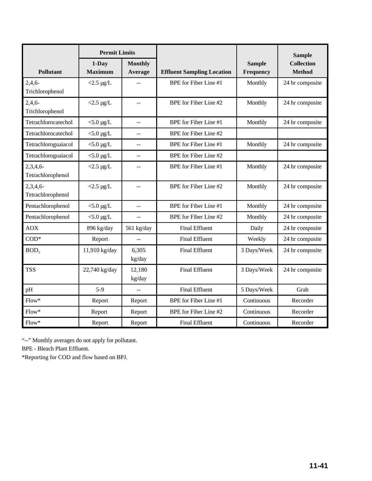|                                  | <b>Permit Limits</b>       |                                               |                                   |                            | <b>Sample</b>                      |
|----------------------------------|----------------------------|-----------------------------------------------|-----------------------------------|----------------------------|------------------------------------|
| Pollutant                        | $1$ -Day<br><b>Maximum</b> | <b>Monthly</b><br>Average                     | <b>Effluent Sampling Location</b> | <b>Sample</b><br>Frequency | <b>Collection</b><br><b>Method</b> |
| $2,4,6-$<br>Trichlorophenol      | $<$ 2.5 µg/L               | $\frac{1}{2}$                                 | BPE for Fiber Line #1             | Monthly                    | 24 hr composite                    |
| $2,4,6-$<br>Trichlorophenol      | $<$ 2.5 µg/L               | $\overline{a}$                                | BPE for Fiber Line #2             | Monthly                    | 24 hr composite                    |
| Tetrachlorocatechol              | $<$ 5.0 µg/L               | $\overline{a}$                                | BPE for Fiber Line #1             | Monthly                    | 24 hr composite                    |
| Tetrachlorocatechol              | $<$ 5.0 µg/L               | $-$                                           | BPE for Fiber Line #2             |                            |                                    |
| Tetrachloroguaiacol              | $<$ 5.0 µg/L               | $-$                                           | BPE for Fiber Line #1             | Monthly                    | 24 hr composite                    |
| Tetrachloroguaiacol              | $<$ 5.0 µg/L               | $-$                                           | BPE for Fiber Line #2             |                            |                                    |
| 2,3,4,6<br>Tetrachlorophenol     | $<$ 2.5 µg/L               | $\mathord{\hspace{1pt}\text{--}\hspace{1pt}}$ | BPE for Fiber Line #1             | Monthly                    | 24 hr composite                    |
| $2,3,4,6$ -<br>Tetrachlorophenol | $<$ 2.5 µg/L               | $\overline{a}$                                | BPE for Fiber Line #2             | Monthly                    | 24 hr composite                    |
| Pentachlorophenol                | $<$ 5.0 µg/L               | $-$                                           | BPE for Fiber Line #1             | Monthly                    | 24 hr composite                    |
| Pentachlorophenol                | $<$ 5.0 µg/L               | $\overline{a}$                                | BPE for Fiber Line #2             | Monthly                    | 24 hr composite                    |
| <b>AOX</b>                       | 896 kg/day                 | 561 kg/day                                    | <b>Final Effluent</b>             | Daily                      | 24 hr composite                    |
| $COD*$                           | Report                     | $\overline{a}$                                | <b>Final Effluent</b>             | Weekly                     | 24 hr composite                    |
| BOD <sub>5</sub>                 | 11,910 kg/day              | 6,305<br>kg/day                               | <b>Final Effluent</b>             | 3 Days/Week                | 24 hr composite                    |
| <b>TSS</b>                       | 22,740 kg/day              | 12,180<br>kg/day                              | <b>Final Effluent</b>             | 3 Days/Week                | 24 hr composite                    |
| pH                               | $5-9$                      | $\overline{a}$                                | <b>Final Effluent</b>             | 5 Days/Week                | Grab                               |
| $Flow*$                          | Report                     | Report                                        | <b>BPE</b> for Fiber Line #1      | Continuous                 | Recorder                           |
| $Flow*$                          | Report                     | Report                                        | BPE for Fiber Line #2             | Continuous                 | Recorder                           |
| $Flow^*$                         | Report                     | Report                                        | <b>Final Effluent</b>             | Continuous                 | Recorder                           |

"--" Monthly averages do not apply for pollutant.

BPE - Bleach Plant Effluent.

\*Reporting for COD and flow based on BPJ.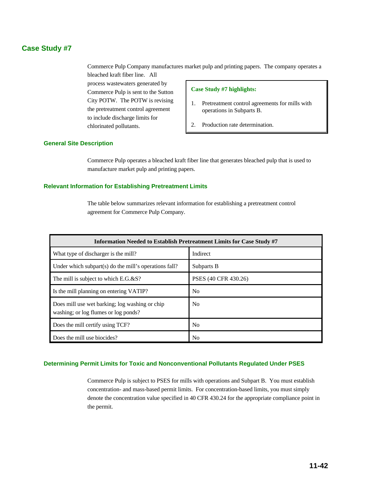# **Case Study #7**

Commerce Pulp Company manufactures market pulp and printing papers. The company operates a bleached kraft fiber line. All

process wastewaters generated by Commerce Pulp is sent to the Sutton City POTW. The POTW is revising the pretreatment control agreement to include discharge limits for chlorinated pollutants.

#### **Case Study #7 highlights:**

- 1. Pretreatment control agreements for mills with operations in Subparts B.
- 2. Production rate determination.

#### **General Site Description**

Commerce Pulp operates a bleached kraft fiber line that generates bleached pulp that is used to manufacture market pulp and printing papers.

#### **Relevant Information for Establishing Pretreatment Limits**

The table below summarizes relevant information for establishing a pretreatment control agreement for Commerce Pulp Company.

| <b>Information Needed to Establish Pretreatment Limits for Case Study #7</b>           |                      |  |  |
|----------------------------------------------------------------------------------------|----------------------|--|--|
| What type of discharger is the mill?                                                   | Indirect             |  |  |
| Under which subpart(s) do the mill's operations fall?                                  | Subparts B           |  |  |
| The mill is subject to which E.G.&S?                                                   | PSES (40 CFR 430.26) |  |  |
| Is the mill planning on entering VATIP?                                                | N <sub>0</sub>       |  |  |
| Does mill use wet barking; log washing or chip<br>washing; or log flumes or log ponds? | N <sub>0</sub>       |  |  |
| Does the mill certify using TCF?                                                       | No                   |  |  |
| Does the mill use biocides?                                                            | No                   |  |  |

#### **Determining Permit Limits for Toxic and Nonconventional Pollutants Regulated Under PSES**

Commerce Pulp is subject to PSES for mills with operations and Subpart B. You must establish concentration- and mass-based permit limits. For concentration-based limits, you must simply denote the concentration value specified in 40 CFR 430.24 for the appropriate compliance point in the permit.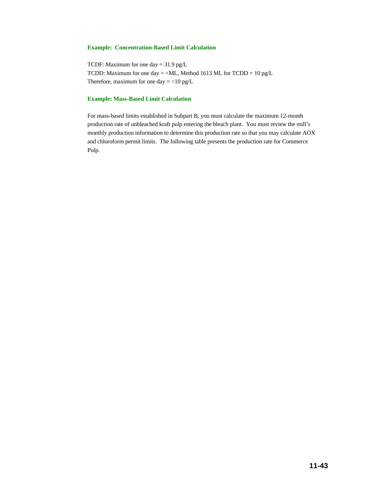#### **Example: Concentration-Based Limit Calculation**

TCDF: Maximum for one day  $= 31.9$  pg/L TCDD: Maximum for one day = <ML, Method 1613 ML for TCDD = 10 pg/L Therefore, maximum for one day  $=$  <10 pg/L

#### **Example: Mass-Based Limit Calculation**

For mass-based limits established in Subpart B, you must calculate the maximum 12-month production rate of unbleached kraft pulp entering the bleach plant. You must review the mill's monthly production information to determine this production rate so that you may calculate AOX and chloroform permit limits. The following table presents the production rate for Commerce Pulp.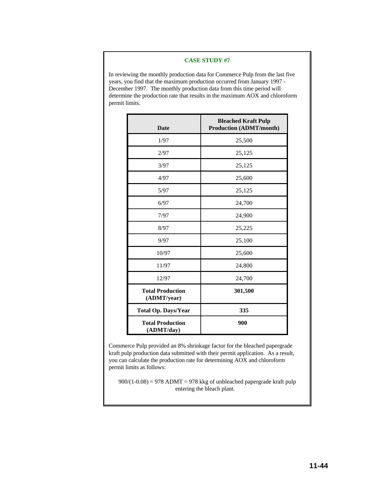#### **CASE STUDY #7**

In reviewing the monthly production data for Commerce Pulp from the last five years, you find that the maximum production occurred from January 1997 - December 1997. The monthly production data from this time period will determine the production rate that results in the maximum AOX and chloroform permit limits.

| <b>Date</b>                            | <b>Bleached Kraft Pulp</b><br><b>Production (ADMT/month)</b> |
|----------------------------------------|--------------------------------------------------------------|
| 1/97                                   | 25,500                                                       |
| 2/97                                   | 25,125                                                       |
| 3/97                                   | 25,125                                                       |
| 4/97                                   | 25,600                                                       |
| 5/97                                   | 25,125                                                       |
| 6/97                                   | 24,700                                                       |
| 7/97                                   | 24,900                                                       |
| 8/97                                   | 25,225                                                       |
| 9/97                                   | 25,100                                                       |
| 10/97                                  | 25,600                                                       |
| 11/97                                  | 24,800                                                       |
| 12/97                                  | 24,700                                                       |
| <b>Total Production</b><br>(ADMT/year) | 301,500                                                      |
| <b>Total Op. Days/Year</b>             | 335                                                          |
| <b>Total Production</b><br>(ADMT/day)  | 900                                                          |

Commerce Pulp provided an 8% shrinkage factor for the bleached papergrade kraft pulp production data submitted with their permit application. As a result, you can calculate the production rate for determining AOX and chloroform permit limits as follows:

 $900/(1-0.08) = 978$  ADMT = 978 kkg of unbleached papergrade kraft pulp entering the bleach plant.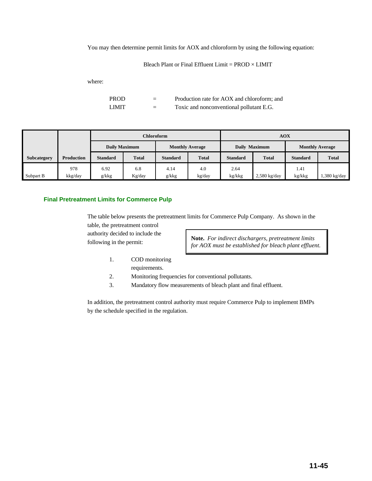You may then determine permit limits for AOX and chloroform by using the following equation:

Bleach Plant or Final Effluent Limit =  $PROD \times LIMIT$ 

where:

PROD = Production rate for AOX and chloroform; and LIMIT  $=$  Toxic and nonconventional pollutant E.G.

|             |                   |                      | Chloroform   |                        |              |                 | <b>AOX</b>     |                        |              |
|-------------|-------------------|----------------------|--------------|------------------------|--------------|-----------------|----------------|------------------------|--------------|
|             |                   | <b>Daily Maximum</b> |              | <b>Monthly Average</b> |              | Daily Maximum   |                | <b>Monthly Average</b> |              |
| Subcategory | <b>Production</b> | <b>Standard</b>      | <b>Total</b> | <b>Standard</b>        | <b>Total</b> | <b>Standard</b> | <b>Total</b>   | <b>Standard</b>        | <b>Total</b> |
|             | 978               | 6.92                 | 6.8          | 4.14                   | 4.0          | 2.64            |                | 1.41                   |              |
| Subpart B   | kkg/day           | g/kkg                | Kg/day       | g/kkg                  | kg/day       | kg/kkg          | $2,580$ kg/day | kg/kkg                 | 1,380 kg/day |

#### **Final Pretreatment Limits for Commerce Pulp**

The table below presents the pretreatment limits for Commerce Pulp Company. As shown in the

table, the pretreatment control authority decided to include the following in the permit:

**Note.** *For indirect dischargers, pretreatment limits for AOX must be established for bleach plant effluent.*

- 1. COD monitoring requirements.
- 2. Monitoring frequencies for conventional pollutants.
- 3. Mandatory flow measurements of bleach plant and final effluent.

In addition, the pretreatment control authority must require Commerce Pulp to implement BMPs by the schedule specified in the regulation.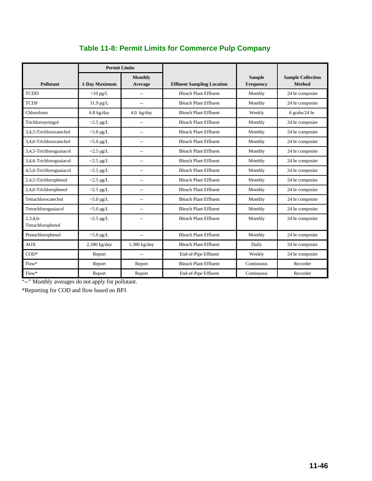|                              | <b>Permit Limits</b> |                           |                                   |                            |                                           |
|------------------------------|----------------------|---------------------------|-----------------------------------|----------------------------|-------------------------------------------|
| <b>Pollutant</b>             | 1-Day Maximum        | <b>Monthly</b><br>Average | <b>Effluent Sampling Location</b> | <b>Sample</b><br>Frequency | <b>Sample Collection</b><br><b>Method</b> |
| <b>TCDD</b>                  | $<$ 10 pg/L          | $\overline{\phantom{a}}$  | <b>Bleach Plant Effluent</b>      | Monthly                    | 24 hr composite                           |
| <b>TCDF</b>                  | $31.9$ pg/L          | $\overline{a}$            | <b>Bleach Plant Effluent</b>      | Monthly                    | 24 hr composite                           |
| Chloroform                   | $6.8 \text{ kg/day}$ | $4.0 \text{ kg/day}$      | <b>Bleach Plant Effluent</b>      | Weekly                     | $6$ grabs/24 hr                           |
| Trichlorosyringol            | $<$ 2.5 µg/L         | $\overline{\phantom{a}}$  | <b>Bleach Plant Effluent</b>      | Monthly                    | 24 hr composite                           |
| 3.4.5-Trichlorocatechol      | $<$ 5.0 µg/L         | $\overline{a}$            | <b>Bleach Plant Effluent</b>      | Monthly                    | 24 hr composite                           |
| 3.4.6-Trichlorocatechol      | $<$ 5.0 µg/L         | $\overline{a}$            | <b>Bleach Plant Effluent</b>      | Monthly                    | 24 hr composite                           |
| 3,4,5-Trichloroguaiacol      | $<$ 2.5 µg/L         | $\overline{\phantom{a}}$  | <b>Bleach Plant Effluent</b>      | Monthly                    | 24 hr composite                           |
| 3,4,6-Trichloroguaiacol      | $<$ 2.5 µg/L         | $\overline{\phantom{a}}$  | <b>Bleach Plant Effluent</b>      | Monthly                    | 24 hr composite                           |
| 4,5,6-Trichloroguaiacol      | $<$ 2.5 µg/L         | --                        | <b>Bleach Plant Effluent</b>      | Monthly                    | 24 hr composite                           |
| 2,4,5-Trichlorophenol        | $<$ 2.5 µg/L         | $\overline{\phantom{a}}$  | <b>Bleach Plant Effluent</b>      | Monthly                    | 24 hr composite                           |
| 2,4,6-Trichlorophenol        | $<$ 2.5 µg/L         | $\overline{\phantom{a}}$  | <b>Bleach Plant Effluent</b>      | Monthly                    | 24 hr composite                           |
| Tetrachlorocatechol          | $<$ 5.0 µg/L         | $\overline{a}$            | <b>Bleach Plant Effluent</b>      | Monthly                    | 24 hr composite                           |
| Tetrachloroguaiacol          | $<$ 5.0 µg/L         | $\overline{a}$            | <b>Bleach Plant Effluent</b>      | Monthly                    | 24 hr composite                           |
| 2,3,4,6<br>Tetrachlorophenol | $<$ 2.5 µg/L         | $\overline{a}$            | <b>Bleach Plant Effluent</b>      | Monthly                    | 24 hr composite                           |
| Pentachlorophenol            | $<$ 5.0 µg/L         | $\overline{a}$            | <b>Bleach Plant Effluent</b>      | Monthly                    | 24 hr composite                           |
| <b>AOX</b>                   | $2,580$ kg/day       | $1,380$ kg/day            | <b>Bleach Plant Effluent</b>      | Daily                      | 24 hr composite                           |
| $COD*$                       | Report               | $\overline{\phantom{a}}$  | End-of-Pipe Effluent              | Weekly                     | 24 hr composite                           |
| $Flow*$                      | Report               | Report                    | <b>Bleach Plant Effluent</b>      | Continuous                 | Recorder                                  |
| $Flow*$                      | Report               | Report                    | End-of-Pipe Effluent              | Continuous                 | Recorder                                  |

# **Table 11-8: Permit Limits for Commerce Pulp Company**

"--" Monthly averages do not apply for pollutant.

\*Reporting for COD and flow based on BPJ.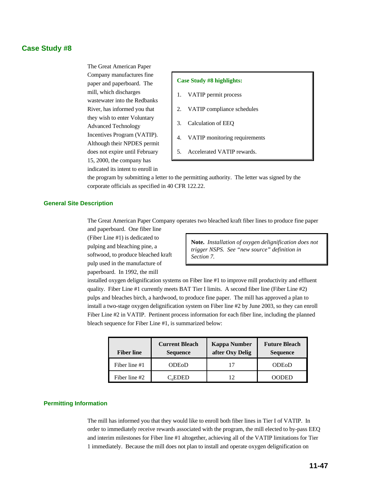# **Case Study #8**

The Great American Paper Company manufactures fine paper and paperboard. The mill, which discharges wastewater into the Redbanks River, has informed you that they wish to enter Voluntary Advanced Technology Incentives Program (VATIP). Although their NPDES permit does not expire until February 15, 2000, the company has indicated its intent to enroll in

#### **Case Study #8 highlights:**

- 1. VATIP permit process
- 2. VATIP compliance schedules
- 3. Calculation of EEQ
- 4. VATIP monitoring requirements
- 5. Accelerated VATIP rewards.

the program by submitting a letter to the permitting authority. The letter was signed by the corporate officials as specified in 40 CFR 122.22.

#### **General Site Description**

The Great American Paper Company operates two bleached kraft fiber lines to produce fine paper and paperboard. One fiber line

(Fiber Line #1) is dedicated to pulping and bleaching pine, a softwood, to produce bleached kraft pulp used in the manufacture of paperboard. In 1992, the mill

**Note.** *Installation of oxygen delignification does not trigger NSPS. See "new source" definition in Section 7.*

installed oxygen delignification systems on Fiber line #1 to improve mill productivity and effluent quality. Fiber Line #1 currently meets BAT Tier I limits. A second fiber line (Fiber Line #2) pulps and bleaches birch, a hardwood, to produce fine paper. The mill has approved a plan to install a two-stage oxygen delignification system on Fiber line #2 by June 2003, so they can enroll Fiber Line #2 in VATIP. Pertinent process information for each fiber line, including the planned bleach sequence for Fiber Line #1, is summarized below:

| <b>Fiber line</b> | <b>Current Bleach</b><br><b>Sequence</b> | <b>Kappa Number</b><br>after Oxy Delig | <b>Future Bleach</b><br><b>Sequence</b> |  |
|-------------------|------------------------------------------|----------------------------------------|-----------------------------------------|--|
| Fiber line #1     | <b>ODE0D</b>                             |                                        | <b>ODEOD</b>                            |  |
| Fiber line #2     | $C_d$ EDED                               | 12                                     | NODED                                   |  |

#### **Permitting Information**

The mill has informed you that they would like to enroll both fiber lines in Tier I of VATIP. In order to immediately receive rewards associated with the program, the mill elected to by-pass EEQ and interim milestones for Fiber line #1 altogether, achieving all of the VATIP limitations for Tier 1 immediately. Because the mill does not plan to install and operate oxygen delignification on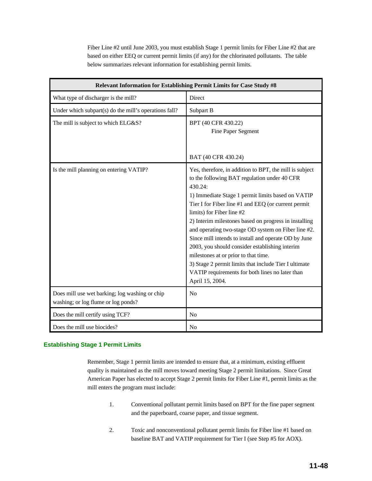Fiber Line #2 until June 2003, you must establish Stage 1 permit limits for Fiber Line #2 that are based on either EEQ or current permit limits (if any) for the chlorinated pollutants. The table below summarizes relevant information for establishing permit limits.

|                                                                                       | Relevant Information for Establishing Permit Limits for Case Study #8                                                                                                                                                                                                                                                                                                                                                                                                                                                                                                                                                                                        |
|---------------------------------------------------------------------------------------|--------------------------------------------------------------------------------------------------------------------------------------------------------------------------------------------------------------------------------------------------------------------------------------------------------------------------------------------------------------------------------------------------------------------------------------------------------------------------------------------------------------------------------------------------------------------------------------------------------------------------------------------------------------|
| What type of discharger is the mill?                                                  | Direct                                                                                                                                                                                                                                                                                                                                                                                                                                                                                                                                                                                                                                                       |
| Under which subpart(s) do the mill's operations fall?                                 | Subpart B                                                                                                                                                                                                                                                                                                                                                                                                                                                                                                                                                                                                                                                    |
| The mill is subject to which ELG&S?                                                   | BPT (40 CFR 430.22)<br>Fine Paper Segment<br>BAT (40 CFR 430.24)                                                                                                                                                                                                                                                                                                                                                                                                                                                                                                                                                                                             |
| Is the mill planning on entering VATIP?                                               | Yes, therefore, in addition to BPT, the mill is subject<br>to the following BAT regulation under 40 CFR<br>430.24:<br>1) Immediate Stage 1 permit limits based on VATIP<br>Tier I for Fiber line #1 and EEQ (or current permit<br>limits) for Fiber line #2<br>2) Interim milestones based on progress in installing<br>and operating two-stage OD system on Fiber line #2.<br>Since mill intends to install and operate OD by June<br>2003, you should consider establishing interim<br>milestones at or prior to that time.<br>3) Stage 2 permit limits that include Tier I ultimate<br>VATIP requirements for both lines no later than<br>April 15, 2004. |
| Does mill use wet barking; log washing or chip<br>washing; or log flume or log ponds? | No                                                                                                                                                                                                                                                                                                                                                                                                                                                                                                                                                                                                                                                           |
| Does the mill certify using TCF?                                                      | N <sub>o</sub>                                                                                                                                                                                                                                                                                                                                                                                                                                                                                                                                                                                                                                               |
| Does the mill use biocides?                                                           | N <sub>0</sub>                                                                                                                                                                                                                                                                                                                                                                                                                                                                                                                                                                                                                                               |

#### **Establishing Stage 1 Permit Limits**

Remember, Stage 1 permit limits are intended to ensure that, at a minimum, existing effluent quality is maintained as the mill moves toward meeting Stage 2 permit limitations. Since Great American Paper has elected to accept Stage 2 permit limits for Fiber Line #1, permit limits as the mill enters the program must include:

- 1. Conventional pollutant permit limits based on BPT for the fine paper segment and the paperboard, coarse paper, and tissue segment.
- 2. Toxic and nonconventional pollutant permit limits for Fiber line #1 based on baseline BAT and VATIP requirement for Tier I (see Step #5 for AOX).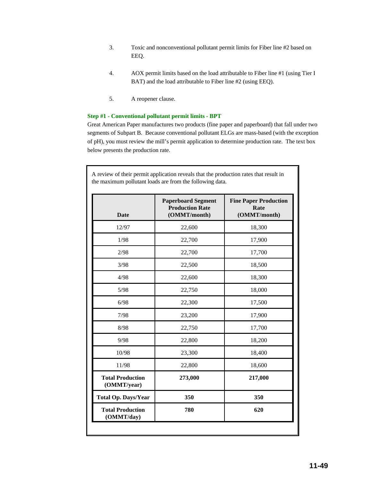- 3. Toxic and nonconventional pollutant permit limits for Fiber line #2 based on EEQ.
- 4. AOX permit limits based on the load attributable to Fiber line #1 (using Tier I BAT) and the load attributable to Fiber line #2 (using EEQ).
- 5. A reopener clause.

#### **Step #1 - Conventional pollutant permit limits - BPT**

Great American Paper manufactures two products (fine paper and paperboard) that fall under two segments of Subpart B. Because conventional pollutant ELGs are mass-based (with the exception of pH), you must review the mill's permit application to determine production rate. The text box below presents the production rate.

A review of their permit application reveals that the production rates that result in

| <b>Date</b>                            | <b>Paperboard Segment</b><br><b>Production Rate</b><br>(OMMT/month) | <b>Fine Paper Production</b><br>Rate<br>(OMMT/month) |  |
|----------------------------------------|---------------------------------------------------------------------|------------------------------------------------------|--|
| 12/97                                  | 22,600                                                              | 18,300                                               |  |
| 1/98                                   | 22,700                                                              | 17,900                                               |  |
| 2/98                                   | 22,700                                                              | 17,700                                               |  |
| 3/98                                   | 22,500                                                              | 18,500                                               |  |
| 4/98                                   | 22,600                                                              | 18,300                                               |  |
| 5/98                                   | 22,750                                                              | 18,000                                               |  |
| 6/98                                   | 22,300                                                              | 17,500                                               |  |
| 7/98                                   | 23,200                                                              | 17,900                                               |  |
| 8/98                                   | 22,750                                                              | 17,700                                               |  |
| 9/98                                   | 22,800                                                              | 18,200                                               |  |
| 10/98                                  | 23,300                                                              | 18,400                                               |  |
| 11/98                                  | 22,800                                                              | 18,600                                               |  |
| <b>Total Production</b><br>(OMMT/year) | 273,000                                                             | 217,000                                              |  |
| <b>Total Op. Days/Year</b>             | 350                                                                 | 350                                                  |  |
| <b>Total Production</b><br>(OMMT/day)  | 780                                                                 | 620                                                  |  |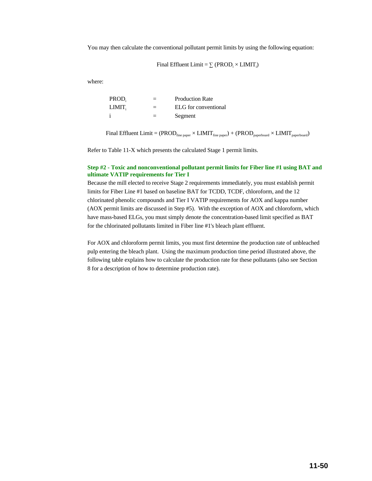You may then calculate the conventional pollutant permit limits by using the following equation:

Final Effluent Limit =  $\Sigma$  (PROD;  $\times$  LIMIT;)

where:

| PROD.  |     | <b>Production Rate</b> |
|--------|-----|------------------------|
| LIMIT. | $=$ | ELG for conventional   |
|        |     | Segment                |

Final Effluent Limit =  $(PROD_{\text{fine paper}} \times LIMIT_{\text{fine paper}}) + (PROD_{\text{paperboard}} \times LIMIT_{\text{paperboard}})$ 

Refer to Table 11-X which presents the calculated Stage 1 permit limits.

#### **Step #2 - Toxic and nonconventional pollutant permit limits for Fiber line #1 using BAT and ultimate VATIP requirements for Tier I**

Because the mill elected to receive Stage 2 requirements immediately, you must establish permit limits for Fiber Line #1 based on baseline BAT for TCDD, TCDF, chloroform, and the 12 chlorinated phenolic compounds and Tier I VATIP requirements for AOX and kappa number (AOX permit limits are discussed in Step #5). With the exception of AOX and chloroform, which have mass-based ELGs, you must simply denote the concentration-based limit specified as BAT for the chlorinated pollutants limited in Fiber line #1's bleach plant effluent.

For AOX and chloroform permit limits, you must first determine the production rate of unbleached pulp entering the bleach plant. Using the maximum production time period illustrated above, the following table explains how to calculate the production rate for these pollutants (also see Section 8 for a description of how to determine production rate).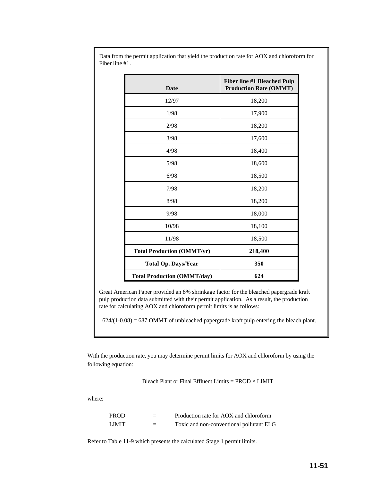| <b>Date</b>                        | <b>Fiber line #1 Bleached Pulp</b><br><b>Production Rate (OMMT)</b> |
|------------------------------------|---------------------------------------------------------------------|
| 12/97                              | 18,200                                                              |
| 1/98                               | 17,900                                                              |
| 2/98                               | 18,200                                                              |
| 3/98                               | 17,600                                                              |
| 4/98                               | 18,400                                                              |
| 5/98                               | 18,600                                                              |
| 6/98                               | 18,500                                                              |
| 7/98                               | 18,200                                                              |
| 8/98                               | 18,200                                                              |
| 9/98                               | 18,000                                                              |
| 10/98                              | 18,100                                                              |
| 11/98                              | 18,500                                                              |
| <b>Total Production (OMMT/yr)</b>  | 218,400                                                             |
| <b>Total Op. Days/Year</b>         | 350                                                                 |
| <b>Total Production (OMMT/day)</b> | 624                                                                 |

Data from the permit application that yield the production rate for AOX and chloroform for Fiber line #1.

Great American Paper provided an 8% shrinkage factor for the bleached papergrade kraft pulp production data submitted with their permit application. As a result, the production rate for calculating AOX and chloroform permit limits is as follows:

 $624/(1-0.08) = 687$  OMMT of unbleached papergrade kraft pulp entering the bleach plant.

With the production rate, you may determine permit limits for AOX and chloroform by using the following equation:

Bleach Plant or Final Effluent Limits = PROD × LIMIT

where:

| <b>PROD</b> | $\equiv$ | Production rate for AOX and chloroform   |
|-------------|----------|------------------------------------------|
| LIMIT.      | =        | Toxic and non-conventional pollutant ELG |

Refer to Table 11-9 which presents the calculated Stage 1 permit limits.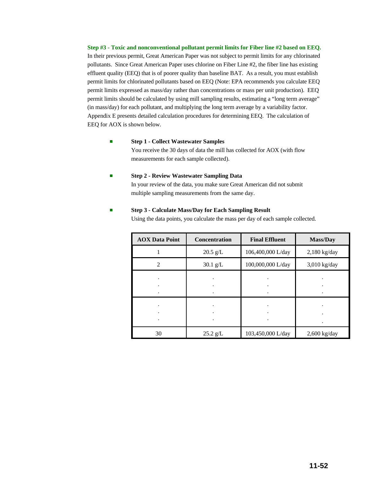**Step #3 - Toxic and nonconventional pollutant permit limits for Fiber line #2 based on EEQ.** In their previous permit, Great American Paper was not subject to permit limits for any chlorinated pollutants. Since Great American Paper uses chlorine on Fiber Line #2, the fiber line has existing effluent quality (EEQ) that is of poorer quality than baseline BAT. As a result, you must establish permit limits for chlorinated pollutants based on EEQ (Note: EPA recommends you calculate EEQ permit limits expressed as mass/day rather than concentrations or mass per unit production). EEQ permit limits should be calculated by using mill sampling results, estimating a "long term average" (in mass/day) for each pollutant, and multiplying the long term average by a variability factor. Appendix E presents detailed calculation procedures for determining EEQ. The calculation of EEQ for AOX is shown below.

#### **External 1 - Collect Wastewater Samples**

You receive the 30 days of data the mill has collected for AOX (with flow measurements for each sample collected).

#### ■ **Step 2 - Review Wastewater Sampling Data**

In your review of the data, you make sure Great American did not submit multiple sampling measurements from the same day.

#### **Extermedy 3 - Calculate Mass/Day for Each Sampling Result**

Using the data points, you calculate the mass per day of each sample collected.

| <b>AOX Data Point</b> | <b>Concentration</b> | <b>Final Effluent</b> | <b>Mass/Day</b> |
|-----------------------|----------------------|-----------------------|-----------------|
|                       | $20.5$ g/L           | 106,400,000 L/day     | $2,180$ kg/day  |
| $\mathfrak{D}$        | $30.1$ g/L           | 100,000,000 L/day     | $3,010$ kg/day  |
|                       |                      |                       |                 |
|                       |                      |                       |                 |
|                       |                      |                       |                 |
|                       |                      |                       |                 |
|                       |                      |                       |                 |
|                       |                      |                       |                 |
| 30                    | $25.2$ g/L           | 103,450,000 L/day     | $2,600$ kg/day  |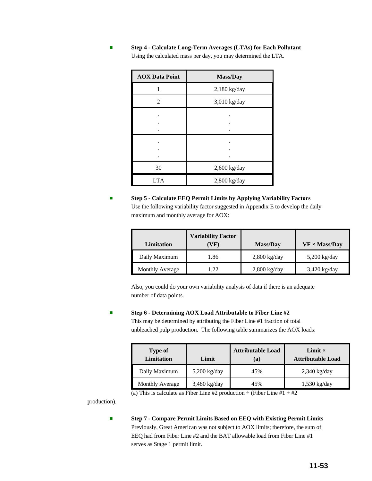| <b>AOX Data Point</b> | Mass/Day       |  |  |
|-----------------------|----------------|--|--|
|                       | $2,180$ kg/day |  |  |
| 2                     | $3,010$ kg/day |  |  |
|                       |                |  |  |
|                       |                |  |  |
|                       |                |  |  |
|                       |                |  |  |
| 30                    | $2,600$ kg/day |  |  |
| <b>LTA</b>            | $2,800$ kg/day |  |  |

# **Step 4 - Calculate Long-Term Averages (LTAs) for Each Pollutant** Using the calculated mass per day, you may determined the LTA.

# **Step 5 - Calculate EEQ Permit Limits by Applying Variability Factors** Use the following variability factor suggested in Appendix E to develop the daily maximum and monthly average for AOX:

| Limitation      | <b>Variability Factor</b><br>(VF) | <b>Mass/Day</b> | $VF \times Mass/Day$ |
|-----------------|-----------------------------------|-----------------|----------------------|
| Daily Maximum   | 1.86                              | $2,800$ kg/day  | $5,200$ kg/day       |
| Monthly Average | 1.22                              | $2,800$ kg/day  | $3,420$ kg/day       |

Also, you could do your own variability analysis of data if there is an adequate number of data points.

#### # **Step 6 - Determining AOX Load Attributable to Fiber Line #2**

This may be determined by attributing the Fiber Line #1 fraction of total unbleached pulp production. The following table summarizes the AOX loads:

| Type of<br><b>Limitation</b><br>Limit |                | <b>Attributable Load</b><br>(a) | Limit $\times$<br><b>Attributable Load</b> |  |
|---------------------------------------|----------------|---------------------------------|--------------------------------------------|--|
| Daily Maximum                         | $5,200$ kg/day | 45%                             | $2,340$ kg/day                             |  |
| Monthly Average                       | $3,480$ kg/day | 45%                             | $1,530$ kg/day                             |  |

(a) This is calculate as Fiber Line #2 production  $\div$  (Fiber Line #1 + #2)

production).

# **Step 7 - Compare Permit Limits Based on EEQ with Existing Permit Limits** Previously, Great American was not subject to AOX limits; therefore, the sum of EEQ had from Fiber Line #2 and the BAT allowable load from Fiber Line #1 serves as Stage 1 permit limit.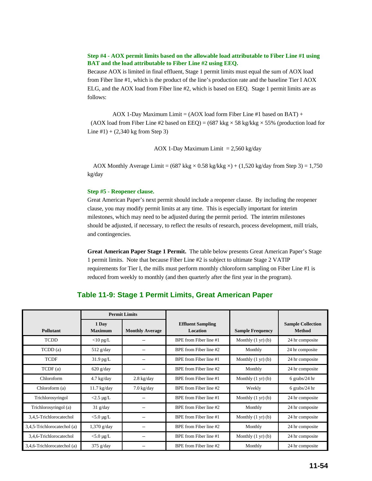#### **Step #4 - AOX permit limits based on the allowable load attributable to Fiber Line #1 using BAT and the load attributable to Fiber Line #2 using EEQ.**

Because AOX is limited in final effluent, Stage 1 permit limits must equal the sum of AOX load from Fiber line #1, which is the product of the line's production rate and the baseline Tier I AOX ELG, and the AOX load from Fiber line #2, which is based on EEQ. Stage 1 permit limits are as follows:

AOX 1-Day Maximum Limit =  $(AOX \text{ load form Fiber Line #1 based on BAT}) +$ (AOX load from Fiber Line #2 based on EEQ) =  $(687 \text{ kkg} \times 58 \text{ kg/kg} \times 55\%$  (production load for Line #1) +  $(2,340 \text{ kg from Step 3})$ 

AOX 1-Day Maximum Limit  $= 2,560$  kg/day

AOX Monthly Average Limit =  $(687 \text{ kkg} \times 0.58 \text{ kg/kkg} \times) + (1,520 \text{ kg/day from Step 3}) = 1,750$ kg/day

#### **Step #5 - Reopener clause.**

Great American Paper's next permit should include a reopener clause. By including the reopener clause, you may modify permit limits at any time. This is especially important for interim milestones, which may need to be adjusted during the permit period. The interim milestones should be adjusted, if necessary, to reflect the results of research, process development, mill trials, and contingencies.

**Great American Paper Stage 1 Permit.** The table below presents Great American Paper's Stage 1 permit limits. Note that because Fiber Line #2 is subject to ultimate Stage 2 VATIP requirements for Tier I, the mills must perform monthly chloroform sampling on Fiber Line #1 is reduced from weekly to monthly (and then quarterly after the first year in the program).

# **Table 11-9: Stage 1 Permit Limits, Great American Paper**

|                             | <b>Permit Limits</b>    |                        |                                      |                              |                                    |
|-----------------------------|-------------------------|------------------------|--------------------------------------|------------------------------|------------------------------------|
| Pollutant                   | 1 Day<br><b>Maximum</b> | <b>Monthly Average</b> | <b>Effluent Sampling</b><br>Location | <b>Sample Frequency</b>      | <b>Sample Collection</b><br>Method |
| <b>TCDD</b>                 | $<$ 10 pg/L             |                        | BPE from Fiber line #1               | Monthly $(1 \text{ yr})$ (b) | 24 hr composite                    |
| TCDD (a)                    | $512$ g/day             |                        | BPE from Fiber line #2               | Monthly                      | 24 hr composite                    |
| <b>TCDF</b>                 | $31.9$ pg/L             |                        | BPE from Fiber line #1               | Monthly $(1 \text{ yr})$ (b) | 24 hr composite                    |
| TCDF(a)                     | $620$ g/day             |                        | BPE from Fiber line #2               | Monthly                      | 24 hr composite                    |
| Chloroform                  | $4.7 \text{ kg/day}$    | $2.8 \text{ kg/day}$   | BPE from Fiber line #1               | Monthly $(1 \text{ yr})$ (b) | $6$ grabs/24 hr                    |
| Chloroform (a)              | $11.7$ kg/day           | $7.0$ kg/day           | BPE from Fiber line #2               | Weekly                       | $6$ grabs/24 hr                    |
| Trichlorosyringol           | $<$ 2.5 µg/L            |                        | BPE from Fiber line #1               | Monthly $(1 \text{ yr})$ (b) | 24 hr composite                    |
| Trichlorosyringol (a)       | $31$ g/day              |                        | BPE from Fiber line #2               | Monthly                      | 24 hr composite                    |
| 3,4,5-Trichlorocatechol     | $<$ 5.0 µg/L            |                        | BPE from Fiber line #1               | Monthly $(1 \text{ yr})$ (b) | 24 hr composite                    |
| 3,4,5-Trichlorocatechol (a) | $1,370$ g/day           |                        | BPE from Fiber line #2               | Monthly                      | 24 hr composite                    |
| 3,4,6-Trichlorocatechol     | $<$ 5.0 µg/L            |                        | BPE from Fiber line #1               | Monthly $(1 \text{ yr})$ (b) | 24 hr composite                    |
| 3,4,6-Trichlorocatechol (a) | $375$ g/day             |                        | BPE from Fiber line #2               | Monthly                      | 24 hr composite                    |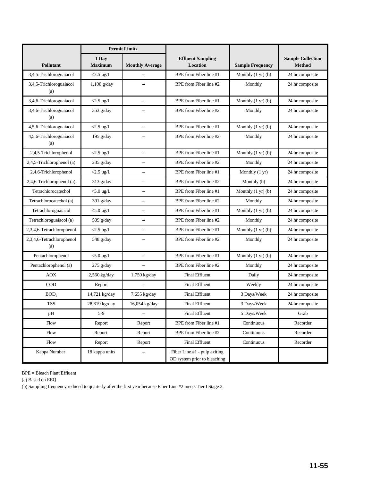|                                  | <b>Permit Limits</b>    |                          |                                                                |                              |                                    |
|----------------------------------|-------------------------|--------------------------|----------------------------------------------------------------|------------------------------|------------------------------------|
| Pollutant                        | 1 Day<br><b>Maximum</b> | <b>Monthly Average</b>   | <b>Effluent Sampling</b><br>Location                           | <b>Sample Frequency</b>      | <b>Sample Collection</b><br>Method |
| 3,4,5-Trichloroguaiacol          | $<$ 2.5 µg/L            | --                       | BPE from Fiber line #1                                         | Monthly $(1 \text{ yr})$ (b) | 24 hr composite                    |
| 3,4,5-Trichloroguaiacol<br>(a)   | $1,100$ g/day           | $\overline{a}$           | BPE from Fiber line #2                                         | Monthly                      | 24 hr composite                    |
| 3,4,6-Trichloroguaiacol          | $<$ 2.5 µg/L            | $\overline{\phantom{a}}$ | BPE from Fiber line #1                                         | Monthly $(1 \text{ yr})$ (b) | 24 hr composite                    |
| 3,4,6-Trichloroguaiacol<br>(a)   | $353$ g/day             | $\overline{a}$           | BPE from Fiber line #2                                         | Monthly                      | 24 hr composite                    |
| 4,5,6-Trichloroguaiacol          | $<$ 2.5 µg/L            | $\overline{a}$           | BPE from Fiber line #1                                         | Monthly $(1 \text{ yr})$ (b) | 24 hr composite                    |
| 4,5,6-Trichloroguaiacol<br>(a)   | 195 $g/day$             | $\overline{\phantom{a}}$ | BPE from Fiber line #2                                         | Monthly                      | 24 hr composite                    |
| 2,4,5-Trichlorophenol            | $<$ 2.5 µg/L            | $\overline{a}$           | BPE from Fiber line #1                                         | Monthly $(1 \text{ yr})$ (b) | 24 hr composite                    |
| 2,4,5-Trichlorophenol (a)        | $235$ g/day             | $\overline{a}$           | BPE from Fiber line #2                                         | Monthly                      | 24 hr composite                    |
| 2,4,6-Trichlorophenol            | $<$ 2.5 µg/L            | $\overline{a}$           | BPE from Fiber line #1                                         | Monthly (1 yr)               | 24 hr composite                    |
| 2,4,6-Trichlorophenol (a)        | $313$ g/day             | --                       | BPE from Fiber line #2                                         | Monthly (b)                  | 24 hr composite                    |
| Tetrachlorocatechol              | $<$ 5.0 µg/L            | $\overline{a}$           | BPE from Fiber line #1                                         | Monthly $(1 \text{ yr})$ (b) | 24 hr composite                    |
| Tetrachlorocatechol (a)          | $391$ g/day             | $\overline{a}$           | BPE from Fiber line #2                                         | Monthly                      | 24 hr composite                    |
| Tetrachloroguaiacol              | $<$ 5.0 µg/L            | $\overline{a}$           | BPE from Fiber line #1                                         | Monthly $(1 \text{ yr})$ (b) | 24 hr composite                    |
| Tetrachloroguaiacol (a)          | $509$ g/day             | $\overline{\phantom{a}}$ | BPE from Fiber line #2                                         | Monthly                      | 24 hr composite                    |
| 2,3,4,6-Tetrachlorophenol        | $<$ 2.5 µg/L            | $\overline{a}$           | BPE from Fiber line #1                                         | Monthly $(1 \text{ yr})$ (b) | 24 hr composite                    |
| 2,3,4,6-Tetrachlorophenol<br>(a) | 548 g/day               |                          | BPE from Fiber line #2                                         | Monthly                      | 24 hr composite                    |
| Pentachlorophenol                | $<$ 5.0 µg/L            | $\overline{a}$           | BPE from Fiber line #1                                         | Monthly $(1 \text{ yr})$ (b) | 24 hr composite                    |
| Pentachlorophenol (a)            | $275$ g/day             | --                       | BPE from Fiber line #2                                         | Monthly                      | 24 hr composite                    |
| <b>AOX</b>                       | 2,560 kg/day            | 1,750 kg/day             | <b>Final Effluent</b>                                          | Daily                        | 24 hr composite                    |
| <b>COD</b>                       | Report                  |                          | <b>Final Effluent</b>                                          | Weekly                       | 24 hr composite                    |
| BOD <sub>5</sub>                 | 14,721 kg/day           | 7,655 kg/day             | <b>Final Effluent</b>                                          | 3 Days/Week                  | 24 hr composite                    |
| <b>TSS</b>                       | 28,819 kg/day           | 16,054 kg/day            | <b>Final Effluent</b>                                          | 3 Days/Week                  | 24 hr composite                    |
| pH                               | $5-9$                   | $\overline{\phantom{a}}$ | Final Effluent                                                 | 5 Days/Week                  | Grab                               |
| Flow                             | Report                  | Report                   | BPE from Fiber line #1                                         | Continuous                   | Recorder                           |
| Flow                             | Report                  | Report                   | BPE from Fiber line #2                                         | Continuous                   | Recorder                           |
| Flow                             | Report                  | Report                   | <b>Final Effluent</b>                                          | Continuous                   | Recorder                           |
| Kappa Number                     | 18 kappa units          | $\overline{\phantom{a}}$ | Fiber Line $#1$ - pulp exiting<br>OD system prior to bleaching |                              |                                    |

BPE = Bleach Plant Effluent

(a) Based on EEQ.

(b) Sampling frequency reduced to quarterly after the first year because Fiber Line #2 meets Tier I Stage 2.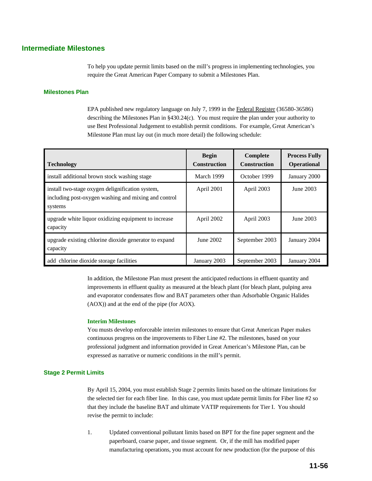# **Intermediate Milestones**

To help you update permit limits based on the mill's progress in implementing technologies, you require the Great American Paper Company to submit a Milestones Plan.

#### **Milestones Plan**

EPA published new regulatory language on July 7, 1999 in the Federal Register (36580-36586) describing the Milestones Plan in §430.24(c). You must require the plan under your authority to use Best Professional Judgement to establish permit conditions. For example, Great American's Milestone Plan must lay out (in much more detail) the following schedule:

| <b>Technology</b>                                                                                                   | <b>Begin</b><br><b>Construction</b> | Complete<br><b>Construction</b> | <b>Process Fully</b><br><b>Operational</b> |
|---------------------------------------------------------------------------------------------------------------------|-------------------------------------|---------------------------------|--------------------------------------------|
| install additional brown stock washing stage                                                                        | March 1999                          | October 1999                    | January 2000                               |
| install two-stage oxygen delignification system,<br>including post-oxygen washing and mixing and control<br>systems | April 2001                          | April 2003                      | June 2003                                  |
| upgrade white liquor oxidizing equipment to increase<br>capacity                                                    | April 2002                          | April 2003                      | June 2003                                  |
| upgrade existing chlorine dioxide generator to expand<br>capacity                                                   | June 2002                           | September 2003                  | January 2004                               |
| add chlorine dioxide storage facilities                                                                             | January 2003                        | September 2003                  | January 2004                               |

In addition, the Milestone Plan must present the anticipated reductions in effluent quantity and improvements in effluent quality as measured at the bleach plant (for bleach plant, pulping area and evaporator condensates flow and BAT parameters other than Adsorbable Organic Halides (AOX)) and at the end of the pipe (for AOX).

#### **Interim Milestones**

You musts develop enforceable interim milestones to ensure that Great American Paper makes continuous progress on the improvements to Fiber Line #2. The milestones, based on your professional judgment and information provided in Great American's Milestone Plan, can be expressed as narrative or numeric conditions in the mill's permit.

#### **Stage 2 Permit Limits**

By April 15, 2004, you must establish Stage 2 permits limits based on the ultimate limitations for the selected tier for each fiber line. In this case, you must update permit limits for Fiber line #2 so that they include the baseline BAT and ultimate VATIP requirements for Tier I. You should revise the permit to include:

1. Updated conventional pollutant limits based on BPT for the fine paper segment and the paperboard, coarse paper, and tissue segment. Or, if the mill has modified paper manufacturing operations, you must account for new production (for the purpose of this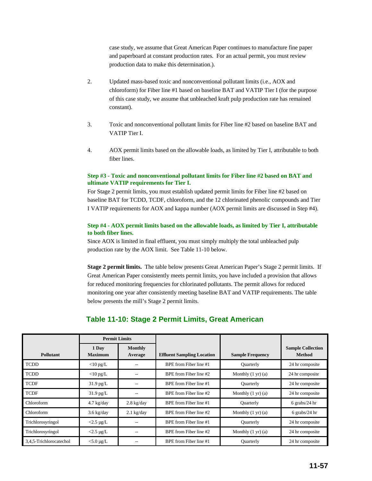case study, we assume that Great American Paper continues to manufacture fine paper and paperboard at constant production rates. For an actual permit, you must review production data to make this determination.).

- 2. Updated mass-based toxic and nonconventional pollutant limits (i.e., AOX and chloroform) for Fiber line #1 based on baseline BAT and VATIP Tier I (for the purpose of this case study, we assume that unbleached kraft pulp production rate has remained constant).
- 3. Toxic and nonconventional pollutant limits for Fiber line #2 based on baseline BAT and VATIP Tier I.
- 4. AOX permit limits based on the allowable loads, as limited by Tier I, attributable to both fiber lines.

#### **Step #3 - Toxic and nonconventional pollutant limits for Fiber line #2 based on BAT and ultimate VATIP requirements for Tier I.**

For Stage 2 permit limits, you must establish updated permit limits for Fiber line #2 based on baseline BAT for TCDD, TCDF, chloroform, and the 12 chlorinated phenolic compounds and Tier I VATIP requirements for AOX and kappa number (AOX permit limits are discussed in Step #4).

#### **Step #4 - AOX permit limits based on the allowable loads, as limited by Tier I, attributable to both fiber lines.**

Since AOX is limited in final effluent, you must simply multiply the total unbleached pulp production rate by the AOX limit. See Table 11-10 below.

**Stage 2 permit limits.** The table below presents Great American Paper's Stage 2 permit limits. If Great American Paper consistently meets permit limits, you have included a provision that allows for reduced monitoring frequencies for chlorinated pollutants. The permit allows for reduced monitoring one year after consistently meeting baseline BAT and VATIP requirements. The table below presents the mill's Stage 2 permit limits.

# **Table 11-10: Stage 2 Permit Limits, Great American**

|                         | <b>Permit Limits</b>    |                      |                                   |                                |                                           |
|-------------------------|-------------------------|----------------------|-----------------------------------|--------------------------------|-------------------------------------------|
| <b>Pollutant</b>        | 1 Day<br><b>Maximum</b> | Monthly<br>Average   | <b>Effluent Sampling Location</b> | <b>Sample Frequency</b>        | <b>Sample Collection</b><br><b>Method</b> |
| <b>TCDD</b>             | $<$ 10 pg/L             |                      | BPE from Fiber line #1            | <b>Ouarterly</b>               | 24 hr composite                           |
| <b>TCDD</b>             | $<$ 10 pg/L             |                      | BPE from Fiber line #2            | Monthly $(1 \text{ yr})$ $(a)$ | 24 hr composite                           |
| <b>TCDF</b>             | $31.9$ pg/L             |                      | BPE from Fiber line #1            | <b>Ouarterly</b>               | 24 hr composite                           |
| <b>TCDF</b>             | $31.9$ pg/L             |                      | BPE from Fiber line #2            | Monthly $(1 \text{ yr})$ $(a)$ | 24 hr composite                           |
| Chloroform              | $4.7 \text{ kg/day}$    | $2.8 \text{ kg/day}$ | BPE from Fiber line #1            | <b>Quarterly</b>               | $6$ grabs/24 hr                           |
| Chloroform              | $3.6 \text{ kg/day}$    | $2.1$ kg/day         | BPE from Fiber line #2            | Monthly $(1 \text{ yr})$ $(a)$ | 6 grabs/24 hr                             |
| Trichlorosyringol       | $<$ 2.5 µg/L            |                      | BPE from Fiber line #1            | <b>Ouarterly</b>               | 24 hr composite                           |
| Trichlorosyringol       | $<$ 2.5 µg/L            |                      | BPE from Fiber line #2            | Monthly $(1 \text{ yr})$ (a)   | 24 hr composite                           |
| 3,4,5-Trichlorocatechol | $<$ 5.0 µg/L            |                      | BPE from Fiber line #1            | <b>Ouarterly</b>               | 24 hr composite                           |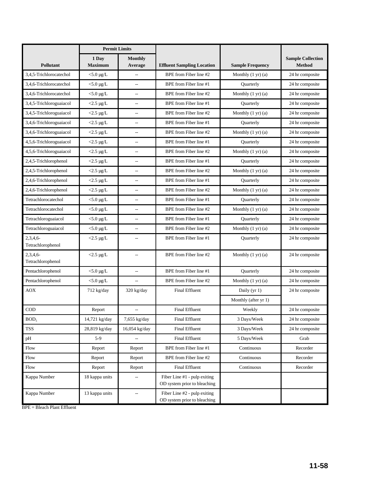|                              | <b>Permit Limits</b>    |                           |                                                              |                                |                                           |  |  |
|------------------------------|-------------------------|---------------------------|--------------------------------------------------------------|--------------------------------|-------------------------------------------|--|--|
| <b>Pollutant</b>             | 1 Day<br><b>Maximum</b> | <b>Monthly</b><br>Average | <b>Effluent Sampling Location</b>                            | <b>Sample Frequency</b>        | <b>Sample Collection</b><br><b>Method</b> |  |  |
| 3,4,5-Trichlorocatechol      | $<$ 5.0 µg/L            | $\sim$                    | BPE from Fiber line #2                                       | Monthly $(1 \text{ yr})$ $(a)$ | 24 hr composite                           |  |  |
| 3,4,6-Trichlorocatechol      | $<$ 5.0 µg/L            | --                        | BPE from Fiber line #1<br><b>Ouarterly</b>                   |                                | 24 hr composite                           |  |  |
| 3,4,6-Trichlorocatechol      | $<$ 5.0 µg/L            | $\overline{\phantom{a}}$  | BPE from Fiber line #2                                       | Monthly $(1 \text{ yr})$ $(a)$ | 24 hr composite                           |  |  |
| 3,4,5-Trichloroguaiacol      | $<$ 2.5 µg/L            | $\qquad \qquad -$         | BPE from Fiber line #1                                       | <b>Ouarterly</b>               | 24 hr composite                           |  |  |
| 3,4,5-Trichloroguaiacol      | $<$ 2.5 µg/L            | $\hspace{0.05cm} \ldots$  | BPE from Fiber line #2                                       | Monthly $(1 \text{ yr})$ $(a)$ | 24 hr composite                           |  |  |
| 3,4,6-Trichloroguaiacol      | $<$ 2.5 µg/L            | $\overline{a}$            | BPE from Fiber line #1                                       | Quarterly                      | 24 hr composite                           |  |  |
| 3,4,6-Trichloroguaiacol      | $<$ 2.5 µg/L            | $\overline{\phantom{m}}$  | BPE from Fiber line #2                                       | Monthly $(1 \text{ yr})$ $(a)$ | 24 hr composite                           |  |  |
| 4,5,6-Trichloroguaiacol      | $<$ 2.5 µg/L            | $\overline{\phantom{m}}$  | BPE from Fiber line #1                                       | Quarterly                      | 24 hr composite                           |  |  |
| 4,5,6-Trichloroguaiacol      | $<$ 2.5 µg/L            | $\qquad \qquad -$         | BPE from Fiber line #2                                       | Monthly $(1 \text{ yr})$ $(a)$ | 24 hr composite                           |  |  |
| 2,4,5-Trichlorophenol        | $<$ 2.5 µg/L            | $\overline{\phantom{m}}$  | BPE from Fiber line #1                                       | Quarterly                      | 24 hr composite                           |  |  |
| 2,4,5-Trichlorophenol        | $<$ 2.5 µg/L            | $\qquad \qquad -$         | BPE from Fiber line #2                                       | Monthly $(1 \text{ yr})$ $(a)$ | 24 hr composite                           |  |  |
| 2,4,6-Trichlorophenol        | $<$ 2.5 µg/L            | $\overline{\phantom{a}}$  | BPE from Fiber line #1                                       | Quarterly                      | 24 hr composite                           |  |  |
| 2,4,6-Trichlorophenol        | $<$ 2.5 µg/L            | $\overline{\phantom{a}}$  | BPE from Fiber line #2                                       | Monthly $(1 \text{ yr})$ $(a)$ | 24 hr composite                           |  |  |
| Tetrachlorocatechol          | $<$ 5.0 µg/L            | $\overline{a}$            | BPE from Fiber line #1                                       | Quarterly                      | 24 hr composite                           |  |  |
| Tetrachlorocatechol          | $<$ 5.0 µg/L            | $\overline{a}$            | BPE from Fiber line #2                                       | Monthly $(1 \text{ yr})$ $(a)$ | 24 hr composite                           |  |  |
| Tetrachloroguaiacol          | $<$ 5.0 µg/L            | $\overline{\phantom{a}}$  | BPE from Fiber line #1                                       | Quarterly                      | 24 hr composite                           |  |  |
| Tetrachloroguaiacol          | $<$ 5.0 µg/L            | $\overline{a}$            | BPE from Fiber line #2<br>Monthly $(1 \text{ yr})$ $(a)$     |                                | 24 hr composite                           |  |  |
| 2,3,4,6<br>Tetrachlorophenol | $<$ 2.5 µg/L            | --                        | BPE from Fiber line #1<br>Quarterly                          |                                | 24 hr composite                           |  |  |
| 2,3,4,6<br>Tetrachlorophenol | $<$ 2.5 µg/L            | $\overline{a}$            | BPE from Fiber line #2                                       | Monthly $(1 \text{ yr})$ $(a)$ | 24 hr composite                           |  |  |
| Pentachlorophenol            | $<$ 5.0 µg/L            | $\overline{\phantom{a}}$  | BPE from Fiber line #1                                       | Quarterly                      | 24 hr composite                           |  |  |
| Pentachlorophenol            | $<$ 5.0 µg/L            | $\overline{\phantom{a}}$  | BPE from Fiber line #2                                       | Monthly $(1 \text{ yr})$ $(a)$ | 24 hr composite                           |  |  |
| AOX                          | 712 kg/day              | 320 kg/day                | <b>Final Effluent</b>                                        | Daily (yr 1)                   | 24 hr composite                           |  |  |
|                              |                         |                           |                                                              | Monthly (after yr 1)           |                                           |  |  |
| COD                          | Report                  | $\overline{a}$            | <b>Final Effluent</b>                                        | Weekly                         | 24 hr composite                           |  |  |
| BOD <sub>5</sub>             | 14,721 kg/day           | 7,655 kg/day              | <b>Final Effluent</b>                                        | 3 Days/Week                    | 24 hr composite                           |  |  |
| <b>TSS</b>                   | 28,819 kg/day           | 16,054 kg/day             | 3 Days/Week<br>Final Effluent                                |                                | 24 hr composite                           |  |  |
| pH                           | $5-9$                   | $\overline{\phantom{a}}$  | <b>Final Effluent</b><br>5 Days/Week                         |                                | Grab                                      |  |  |
| Flow                         | Report                  | Report                    | BPE from Fiber line #1                                       | Continuous                     |                                           |  |  |
| Flow                         | Report                  | Report                    | BPE from Fiber line #2<br>Continuous                         |                                | Recorder                                  |  |  |
| Flow                         | Report                  | Report                    | Continuous<br><b>Final Effluent</b>                          |                                | Recorder                                  |  |  |
| Kappa Number                 | 18 kappa units          |                           | Fiber Line #1 - pulp exiting<br>OD system prior to bleaching |                                |                                           |  |  |
| Kappa Number                 | 13 kappa units          | $\overline{\phantom{a}}$  | Fiber Line #2 - pulp exiting<br>OD system prior to bleaching |                                |                                           |  |  |

BPE = Bleach Plant Effluent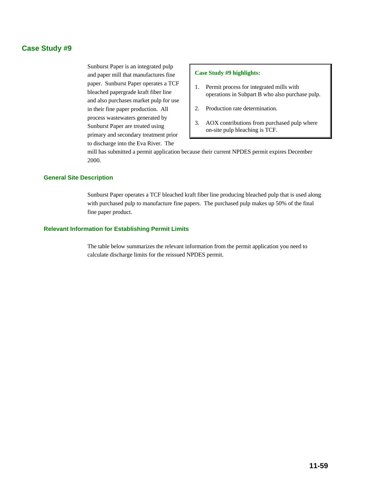# **Case Study #9**

Sunburst Paper is an integrated pulp and paper mill that manufactures fine paper. Sunburst Paper operates a TCF bleached papergrade kraft fiber line and also purchases market pulp for use in their fine paper production. All process wastewaters generated by Sunburst Paper are treated using primary and secondary treatment prior to discharge into the Eva River. The

#### **Case Study #9 highlights:**

- 1. Permit process for integrated mills with operations in Subpart B who also purchase pulp.
- 2. Production rate determination.
- 3. AOX contributions from purchased pulp where on-site pulp bleaching is TCF.

mill has submitted a permit application because their current NPDES permit expires December 2000.

#### **General Site Description**

Sunburst Paper operates a TCF bleached kraft fiber line producing bleached pulp that is used along with purchased pulp to manufacture fine papers. The purchased pulp makes up 50% of the final fine paper product.

#### **Relevant Information for Establishing Permit Limits**

The table below summarizes the relevant information from the permit application you need to calculate discharge limits for the reissued NPDES permit.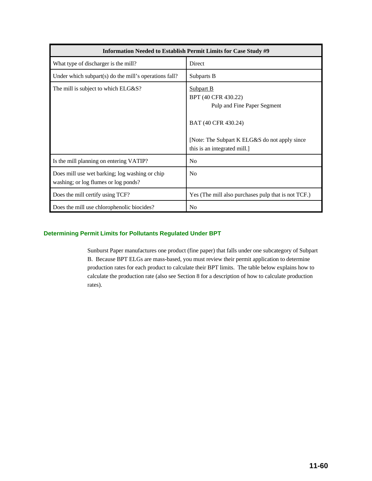| Information Needed to Establish Permit Limits for Case Study #9                        |                                                                                                                                                                          |  |  |  |  |  |
|----------------------------------------------------------------------------------------|--------------------------------------------------------------------------------------------------------------------------------------------------------------------------|--|--|--|--|--|
| What type of discharger is the mill?                                                   | Direct                                                                                                                                                                   |  |  |  |  |  |
| Under which subpart(s) do the mill's operations fall?                                  | Subparts B                                                                                                                                                               |  |  |  |  |  |
| The mill is subject to which ELG&S?                                                    | Subpart B<br>BPT (40 CFR 430.22)<br>Pulp and Fine Paper Segment<br>BAT (40 CFR 430.24)<br>[Note: The Subpart K ELG&S do not apply since]<br>this is an integrated mill.] |  |  |  |  |  |
| Is the mill planning on entering VATIP?                                                | N <sub>0</sub>                                                                                                                                                           |  |  |  |  |  |
| Does mill use wet barking; log washing or chip<br>washing; or log flumes or log ponds? | No                                                                                                                                                                       |  |  |  |  |  |
| Does the mill certify using TCF?                                                       | Yes (The mill also purchases pulp that is not TCF.)                                                                                                                      |  |  |  |  |  |
| Does the mill use chlorophenolic biocides?                                             | N <sub>0</sub>                                                                                                                                                           |  |  |  |  |  |

#### **Determining Permit Limits for Pollutants Regulated Under BPT**

Sunburst Paper manufactures one product (fine paper) that falls under one subcategory of Subpart B. Because BPT ELGs are mass-based, you must review their permit application to determine production rates for each product to calculate their BPT limits. The table below explains how to calculate the production rate (also see Section 8 for a description of how to calculate production rates).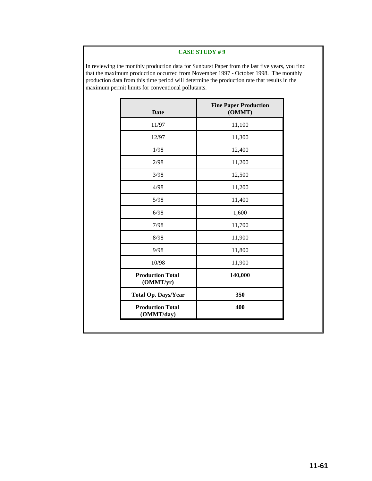#### **CASE STUDY # 9**

In reviewing the monthly production data for Sunburst Paper from the last five years, you find that the maximum production occurred from November 1997 - October 1998. The monthly production data from this time period will determine the production rate that results in the maximum permit limits for conventional pollutants.

| <b>Date</b>                           | <b>Fine Paper Production</b><br>(OMMT) |
|---------------------------------------|----------------------------------------|
| 11/97                                 | 11,100                                 |
| 12/97                                 | 11,300                                 |
| 1/98                                  | 12,400                                 |
| 2/98                                  | 11,200                                 |
| 3/98                                  | 12,500                                 |
| 4/98                                  | 11,200                                 |
| 5/98                                  | 11,400                                 |
| 6/98                                  | 1,600                                  |
| 7/98                                  | 11,700                                 |
| 8/98                                  | 11,900                                 |
| 9/98                                  | 11,800                                 |
| 10/98                                 | 11,900                                 |
| <b>Production Total</b><br>(OMMT/yr)  | 140,000                                |
| <b>Total Op. Days/Year</b>            | 350                                    |
| <b>Production Total</b><br>(OMMT/day) | 400                                    |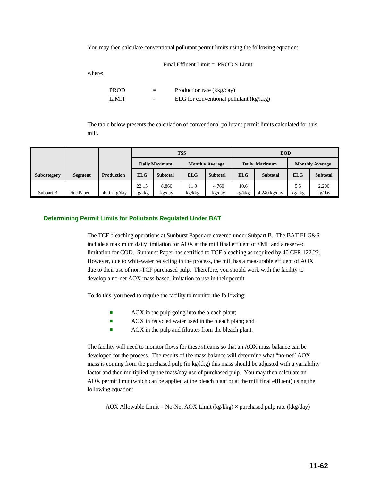You may then calculate conventional pollutant permit limits using the following equation:

Final Effluent Limit =  $PROD \times Limit$ 

where:

PROD = Production rate (kkg/day) LIMIT  $=$  ELG for conventional pollutant (kg/kkg)

The table below presents the calculation of conventional pollutant permit limits calculated for this mill.

|             |                |                   |                 |                      | <b>TSS</b>             |                 | <b>BOD</b>                    |                |                        |                 |  |  |
|-------------|----------------|-------------------|-----------------|----------------------|------------------------|-----------------|-------------------------------|----------------|------------------------|-----------------|--|--|
|             |                |                   |                 | <b>Daily Maximum</b> | <b>Monthly Average</b> |                 |                               | Daily Maximum  | <b>Monthly Average</b> |                 |  |  |
| Subcategory | <b>Segment</b> | <b>Production</b> | <b>ELG</b>      | <b>Subtotal</b>      | <b>ELG</b>             | <b>Subtotal</b> | <b>ELG</b><br><b>Subtotal</b> |                | <b>ELG</b>             | <b>Subtotal</b> |  |  |
| Subpart B   | Fine Paper     | $400$ kkg/day     | 22.15<br>kg/kkg | 8.860<br>kg/day      | 11.9<br>kg/kkg         | 4.760<br>kg/day | 10.6<br>kg/kkg                | $4,240$ kg/day | 5.5<br>kg/kkg          | 2.200<br>kg/day |  |  |

#### **Determining Permit Limits for Pollutants Regulated Under BAT**

The TCF bleaching operations at Sunburst Paper are covered under Subpart B. The BAT ELG&S include a maximum daily limitation for AOX at the mill final effluent of <ML and a reserved limitation for COD. Sunburst Paper has certified to TCF bleaching as required by 40 CFR 122.22. However, due to whitewater recycling in the process, the mill has a measurable effluent of AOX due to their use of non-TCF purchased pulp. Therefore, you should work with the facility to develop a no-net AOX mass-based limitation to use in their permit.

To do this, you need to require the facility to monitor the following:

- **EXECUTE:** AOX in the pulp going into the bleach plant;
- AOX in recycled water used in the bleach plant; and
- **EXECUTE:** AOX in the pulp and filtrates from the bleach plant.

The facility will need to monitor flows for these streams so that an AOX mass balance can be developed for the process. The results of the mass balance will determine what "no-net" AOX mass is coming from the purchased pulp (in kg/kkg) this mass should be adjusted with a variability factor and then multiplied by the mass/day use of purchased pulp. You may then calculate an AOX permit limit (which can be applied at the bleach plant or at the mill final effluent) using the following equation:

AOX Allowable Limit = No-Net AOX Limit (kg/kkg)  $\times$  purchased pulp rate (kkg/day)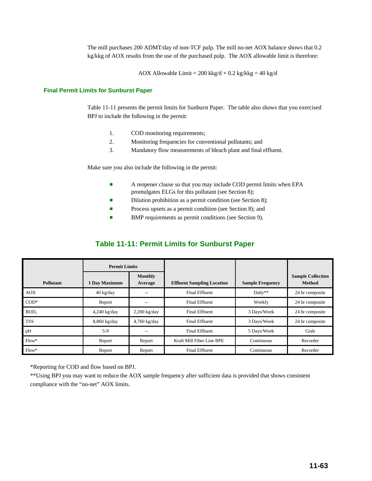The mill purchases 200 ADMT/day of non-TCF pulp. The mill no-net AOX balance shows that 0.2 kg/kkg of AOX results from the use of the purchased pulp. The AOX allowable limit is therefore:

AOX Allowable Limit = 200 kkg/d  $\times$  0.2 kg/kkg = 40 kg/d

#### **Final Permit Limits for Sunburst Paper**

Table 11-11 presents the permit limits for Sunburst Paper. The table also shows that you exercised BPJ to include the following in the permit:

- 1. COD monitoring requirements;
- 2. Monitoring frequencies for conventional pollutants; and
- 3. Mandatory flow measurements of bleach plant and final effluent.

Make sure you also include the following in the permit:

- **EXECUTE:** A reopener clause so that you may include COD permit limits when EPA promulgates ELGs for this pollutant (see Section 8);
- Dilution prohibition as a permit condition (see Section 8);
- **•** Process upsets as a permit condition (see Section 8); and
- BMP requirements as permit conditions (see Section 9).

# **Table 11-11: Permit Limits for Sunburst Paper**

|            | <b>Permit Limits</b>                |                |                                   |                         |                                           |
|------------|-------------------------------------|----------------|-----------------------------------|-------------------------|-------------------------------------------|
| Pollutant  | Monthly<br>1 Day Maximum<br>Average |                | <b>Effluent Sampling Location</b> | <b>Sample Frequency</b> | <b>Sample Collection</b><br><b>Method</b> |
| <b>AOX</b> | $40 \text{ kg/day}$                 | --             | <b>Final Effluent</b>             | Daily**                 | 24 hr composite                           |
| $COD*$     | Report                              |                | <b>Final Effluent</b>             | Weekly                  | 24 hr composite                           |
| BOD,       | $4,240$ kg/day                      | $2,200$ kg/day | <b>Final Effluent</b>             | 3 Days/Week             | 24 hr composite                           |
| <b>TSS</b> | $8,860$ kg/day                      | $4,760$ kg/day | <b>Final Effluent</b>             | 3 Days/Week             | 24 hr composite                           |
| pH         | $5-9$                               |                | <b>Final Effluent</b>             | 5 Days/Week             | Grab                                      |
| $Flow*$    | Report                              | Report         | Kraft Mill Fiber Line BPE         | Continuous              | Recorder                                  |
| $Flow*$    | Report                              | Report         | <b>Final Effluent</b>             | Continuous              | Recorder                                  |

\*Reporting for COD and flow based on BPJ.

\*\*Using BPJ you may want to reduce the AOX sample frequency after sufficient data is provided that shows consistent compliance with the "no-net" AOX limits.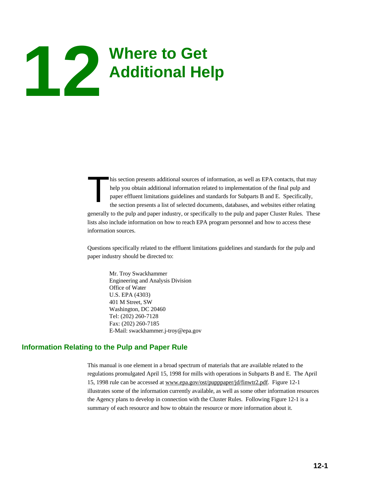# **Where to Get 12 Additional Help**

his section presents additional sources of information, as well as EPA contacts, that may help you obtain additional information related to implementation of the final pulp and paper effluent limitations guidelines and sta help you obtain additional information related to implementation of the final pulp and paper effluent limitations guidelines and standards for Subparts B and E. Specifically, the section presents a list of selected documents, databases, and websites either relating generally to the pulp and paper industry, or specifically to the pulp and paper Cluster Rules. These lists also include information on how to reach EPA program personnel and how to access these information sources.

Questions specifically related to the effluent limitations guidelines and standards for the pulp and paper industry should be directed to:

Mr. Troy Swackhammer Engineering and Analysis Division Office of Water U.S. EPA (4303) 401 M Street, SW Washington, DC 20460 Tel: (202) 260-7128 Fax: (202) 260-7185 E-Mail: swackhammer.j-troy@epa.gov

# **Information Relating to the Pulp and Paper Rule**

This manual is one element in a broad spectrum of materials that are available related to the regulations promulgated April 15, 1998 for mills with operations in Subparts B and E. The April 15, 1998 rule can be accessed at www.epa.gov/ost/pupppaper/jd/finwtr2.pdf. Figure 12-1 illustrates some of the information currently available, as well as some other information resources the Agency plans to develop in connection with the Cluster Rules. Following Figure 12-1 is a summary of each resource and how to obtain the resource or more information about it.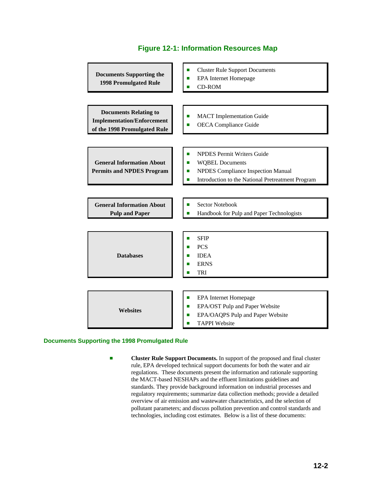| <b>Documents Supporting the</b><br><b>1998 Promulgated Rule</b>                                   | <b>Cluster Rule Support Documents</b><br>П<br>EPA Internet Homepage<br>П<br><b>CD-ROM</b>                                                                                    |  |  |  |  |  |
|---------------------------------------------------------------------------------------------------|------------------------------------------------------------------------------------------------------------------------------------------------------------------------------|--|--|--|--|--|
|                                                                                                   |                                                                                                                                                                              |  |  |  |  |  |
| <b>Documents Relating to</b><br><b>Implementation/Enforcement</b><br>of the 1998 Promulgated Rule | <b>MACT</b> Implementation Guide<br>П<br><b>OECA</b> Compliance Guide                                                                                                        |  |  |  |  |  |
|                                                                                                   |                                                                                                                                                                              |  |  |  |  |  |
| <b>General Information About</b><br><b>Permits and NPDES Program</b>                              | <b>NPDES Permit Writers Guide</b><br>П<br><b>WQBEL Documents</b><br>п<br><b>NPDES Compliance Inspection Manual</b><br>п<br>Introduction to the National Pretreatment Program |  |  |  |  |  |
|                                                                                                   |                                                                                                                                                                              |  |  |  |  |  |
| <b>General Information About</b><br><b>Pulp and Paper</b>                                         | Sector Notebook<br>П<br>Handbook for Pulp and Paper Technologists                                                                                                            |  |  |  |  |  |
|                                                                                                   |                                                                                                                                                                              |  |  |  |  |  |
| <b>Databases</b>                                                                                  | <b>SFIP</b><br>П<br><b>PCS</b><br><b>IDEA</b><br>П<br><b>ERNS</b><br>TRI                                                                                                     |  |  |  |  |  |
|                                                                                                   |                                                                                                                                                                              |  |  |  |  |  |
| <b>Websites</b>                                                                                   | EPA Internet Homepage<br>п<br>EPA/OST Pulp and Paper Website<br>п<br>EPA/OAQPS Pulp and Paper Website<br>П<br><b>TAPPI</b> Website                                           |  |  |  |  |  |

# **Figure 12-1: Information Resources Map**

#### **Documents Supporting the 1998 Promulgated Rule**

**Exercise 2 Cluster Rule Support Documents.** In support of the proposed and final cluster rule, EPA developed technical support documents for both the water and air regulations. These documents present the information and rationale supporting the MACT-based NESHAPs and the effluent limitations guidelines and standards. They provide background information on industrial processes and regulatory requirements; summarize data collection methods; provide a detailed overview of air emission and wastewater characteristics, and the selection of pollutant parameters; and discuss pollution prevention and control standards and technologies, including cost estimates. Below is a list of these documents: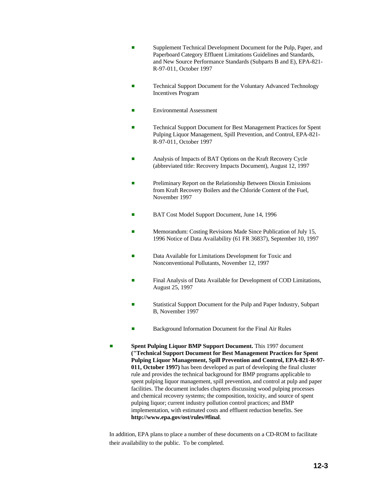- Supplement Technical Development Document for the Pulp, Paper, and Paperboard Category Effluent Limitations Guidelines and Standards, and New Source Performance Standards (Subparts B and E), EPA-821- R-97-011, October 1997
- **Exercise 2** Technical Support Document for the Voluntary Advanced Technology Incentives Program
- **Environmental Assessment**
- **Exercise Support Document for Best Management Practices for Spent** Pulping Liquor Management, Spill Prevention, and Control, EPA-821- R-97-011, October 1997
- Analysis of Impacts of BAT Options on the Kraft Recovery Cycle (abbreviated title: Recovery Impacts Document), August 12, 1997
- Preliminary Report on the Relationship Between Dioxin Emissions from Kraft Recovery Boilers and the Chloride Content of the Fuel, November 1997
- BAT Cost Model Support Document, June 14, 1996
- **EXECUTE:** Memorandum: Costing Revisions Made Since Publication of July 15, 1996 Notice of Data Availability (61 FR 36837), September 10, 1997
- Data Available for Limitations Development for Toxic and Nonconventional Pollutants, November 12, 1997
- Final Analysis of Data Available for Development of COD Limitations, August 25, 1997
- Statistical Support Document for the Pulp and Paper Industry, Subpart B, November 1997
- Background Information Document for the Final Air Rules
- **Spent Pulping Liquor BMP Support Document.** This 1997 document **("Technical Support Document for Best Management Practices for Spent Pulping Liquor Management, Spill Prevention and Control, EPA-821-R-97- 011, October 1997)** has been developed as part of developing the final cluster rule and provides the technical background for BMP programs applicable to spent pulping liquor management, spill prevention, and control at pulp and paper facilities. The document includes chapters discussing wood pulping processes and chemical recovery systems; the composition, toxicity, and source of spent pulping liquor; current industry pollution control practices; and BMP implementation, with estimated costs and effluent reduction benefits. See **http://www.epa.gov/ost/rules/#final**.

In addition, EPA plans to place a number of these documents on a CD-ROM to facilitate their availability to the public. To be completed.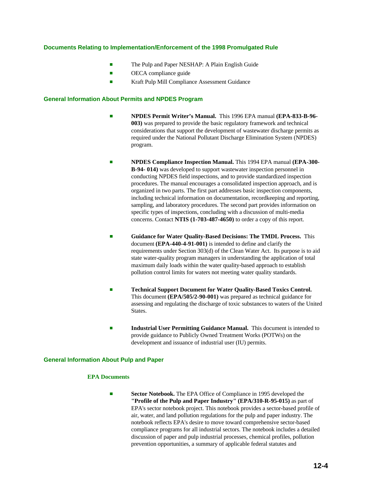#### **Documents Relating to Implementation/Enforcement of the 1998 Promulgated Rule**

- The Pulp and Paper NESHAP: A Plain English Guide
- $\blacksquare$  OECA compliance guide
- **Example 3 Kraft Pulp Mill Compliance Assessment Guidance**

#### **General Information About Permits and NPDES Program**

- # **NPDES Permit Writer's Manual.** This 1996 EPA manual **(EPA-833-B-96- 003)** was prepared to provide the basic regulatory framework and technical considerations that support the development of wastewater discharge permits as required under the National Pollutant Discharge Elimination System (NPDES) program.
- # **NPDES Compliance Inspection Manual.** This 1994 EPA manual **(EPA-300- B-94- 014)** was developed to support wastewater inspection personnel in conducting NPDES field inspections, and to provide standardized inspection procedures. The manual encourages a consolidated inspection approach, and is organized in two parts. The first part addresses basic inspection components, including technical information on documentation, recordkeeping and reporting, sampling, and laboratory procedures. The second part provides information on specific types of inspections, concluding with a discussion of multi-media concerns. Contact **NTIS (1-703-487-4650)** to order a copy of this report.
- **Example 3 Guidance for Water Quality-Based Decisions: The TMDL Process.** This document **(EPA-440-4-91-001)** is intended to define and clarify the requirements under Section 303(d) of the Clean Water Act. Its purpose is to aid state water-quality program managers in understanding the application of total maximum daily loads within the water quality-based approach to establish pollution control limits for waters not meeting water quality standards.
- **Technical Support Document for Water Quality-Based Toxics Control.** This document **(EPA/505/2-90-001)** was prepared as technical guidance for assessing and regulating the discharge of toxic substances to waters of the United States.
- **Industrial User Permitting Guidance Manual.** This document is intended to provide guidance to Publicly Owned Treatment Works (POTWs) on the development and issuance of industrial user (IU) permits.

#### **General Information About Pulp and Paper**

#### **EPA Documents**

**Exector Notebook.** The EPA Office of Compliance in 1995 developed the **"Profile of the Pulp and Paper Industry" (EPA/310-R-95-015)** as part of EPA's sector notebook project. This notebook provides a sector-based profile of air, water, and land pollution regulations for the pulp and paper industry. The notebook reflects EPA's desire to move toward comprehensive sector-based compliance programs for all industrial sectors. The notebook includes a detailed discussion of paper and pulp industrial processes, chemical profiles, pollution prevention opportunities, a summary of applicable federal statutes and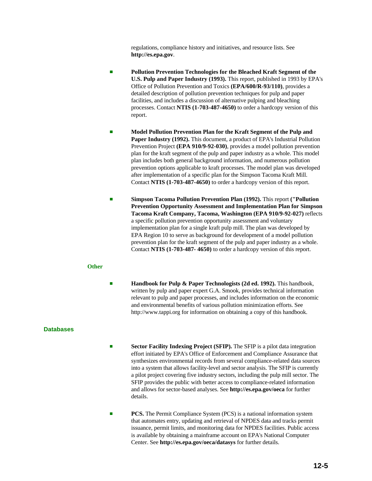regulations, compliance history and initiatives, and resource lists. See **http://es.epa.gov**.

- # **Pollution Prevention Technologies for the Bleached Kraft Segment of the U.S. Pulp and Paper Industry (1993).** This report, published in 1993 by EPA's Office of Pollution Prevention and Toxics **(EPA/600/R-93/110)**, provides a detailed description of pollution prevention techniques for pulp and paper facilities, and includes a discussion of alternative pulping and bleaching processes. Contact **NTIS (1-703-487-4650)** to order a hardcopy version of this report.
- # **Model Pollution Prevention Plan for the Kraft Segment of the Pulp and Paper Industry (1992).** This document, a product of EPA's Industrial Pollution Prevention Project **(EPA 910/9-92-030)**, provides a model pollution prevention plan for the kraft segment of the pulp and paper industry as a whole. This model plan includes both general background information, and numerous pollution prevention options applicable to kraft processes. The model plan was developed after implementation of a specific plan for the Simpson Tacoma Kraft Mill. Contact **NTIS (1-703-487-4650)** to order a hardcopy version of this report.
- # **Simpson Tacoma Pollution Prevention Plan (1992).** This report **("Pollution Prevention Opportunity Assessment and Implementation Plan for Simpson Tacoma Kraft Company, Tacoma, Washington (EPA 910/9-92-027)** reflects a specific pollution prevention opportunity assessment and voluntary implementation plan for a single kraft pulp mill. The plan was developed by EPA Region 10 to serve as background for development of a model pollution prevention plan for the kraft segment of the pulp and paper industry as a whole. Contact **NTIS (1-703-487- 4650)** to order a hardcopy version of this report.

#### **Other**

**Handbook for Pulp & Paper Technologists (2d ed. 1992).** This handbook, written by pulp and paper expert G.A. Smook, provides technical information relevant to pulp and paper processes, and includes information on the economic and environmental benefits of various pollution minimization efforts. See http://www.tappi.org for information on obtaining a copy of this handbook.

#### **Databases**

- **Sector Facility Indexing Project (SFIP).** The SFIP is a pilot data integration effort initiated by EPA's Office of Enforcement and Compliance Assurance that synthesizes environmental records from several compliance-related data sources into a system that allows facility-level and sector analysis. The SFIP is currently a pilot project covering five industry sectors, including the pulp mill sector. The SFIP provides the public with better access to compliance-related information and allows for sector-based analyses. See **http://es.epa.gov/oeca** for further details.
- **PCS.** The Permit Compliance System (PCS) is a national information system that automates entry, updating and retrieval of NPDES data and tracks permit issuance, permit limits, and monitoring data for NPDES facilities. Public access is available by obtaining a mainframe account on EPA's National Computer Center. See **http://es.epa.gov/oeca/datasys** for further details.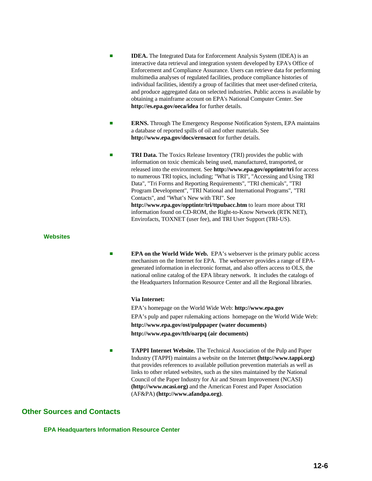- **IDEA.** The Integrated Data for Enforcement Analysis System (IDEA) is an interactive data retrieval and integration system developed by EPA's Office of Enforcement and Compliance Assurance. Users can retrieve data for performing multimedia analyses of regulated facilities, produce compliance histories of individual facilities, identify a group of facilities that meet user-defined criteria, and produce aggregated data on selected industries. Public access is available by obtaining a mainframe account on EPA's National Computer Center. See **http://es.epa.gov/oeca/idea** for further details.
- **ERNS.** Through The Emergency Response Notification System, EPA maintains a database of reported spills of oil and other materials. See **http://www.epa.gov/docs/ernsacct** for further details.
- **TRI Data.** The Toxics Release Inventory (TRI) provides the public with information on toxic chemicals being used, manufactured, transported, or released into the environment. See **http://www.epa.gov/opptintr/tri** for access to numerous TRI topics, including; "What is TRI", "Accessing and Using TRI Data", "Tri Forms and Reporting Requirements", "TRI chemicals", "TRI Program Development", "TRI National and International Programs", "TRI Contacts", and "What's New with TRI". See **http://www.epa.gov/opptintr/tri/ttpubacc.htm** to learn more about TRI information found on CD-ROM, the Right-to-Know Network (RTK NET), Envirofacts, TOXNET (user fee), and TRI User Support (TRI-US).

#### **Websites**

**EPA on the World Wide Web.** EPA's webserver is the primary public access mechanism on the Internet for EPA. The webserver provides a range of EPAgenerated information in electronic format, and also offers access to OLS, the national online catalog of the EPA library network. It includes the catalogs of the Headquarters Information Resource Center and all the Regional libraries.

#### **Via Internet:**

EPA's homepage on the World Wide Web: **http://www.epa.gov** EPA's pulp and paper rulemaking actions homepage on the World Wide Web: **http://www.epa.gov/ost/pulppaper (water documents) http://www.epa.gov/tth/oarpq (air documents)**

**TAPPI Internet Website.** The Technical Association of the Pulp and Paper Industry (TAPPI) maintains a website on the Internet **(http://www.tappi.org)** that provides references to available pollution prevention materials as well as links to other related websites, such as the sites maintained by the National Council of the Paper Industry for Air and Stream Improvement (NCASI) **(http://www.ncasi.org)** and the American Forest and Paper Association (AF&PA) **(http://www.afandpa.org)**.

# **Other Sources and Contacts**

**EPA Headquarters Information Resource Center**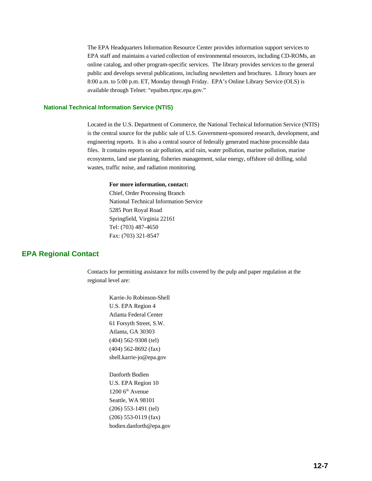The EPA Headquarters Information Resource Center provides information support services to EPA staff and maintains a varied collection of environmental resources, including CD-ROMs, an online catalog, and other program-specific services. The library provides services to the general public and develops several publications, including newsletters and brochures. Library hours are 8:00 a.m. to 5:00 p.m. ET, Monday through Friday. EPA's Online Library Service (OLS) is available through Telnet: "epaibm.rtpnc.epa.gov."

#### **National Technical Information Service (NTIS)**

Located in the U.S. Department of Commerce, the National Technical Information Service (NTIS) is the central source for the public sale of U.S. Government-sponsored research, development, and engineering reports. It is also a central source of federally generated machine processible data files. It contains reports on air pollution, acid rain, water pollution, marine pollution, marine ecosystems, land use planning, fisheries management, solar energy, offshore oil drilling, solid wastes, traffic noise, and radiation monitoring.

#### **For more information, contact:**

Chief, Order Processing Branch National Technical Information Service 5285 Port Royal Road Springfield, Virginia 22161 Tel: (703) 487-4650 Fax: (703) 321-8547

## **EPA Regional Contact**

Contacts for permitting assistance for mills covered by the pulp and paper regulation at the regional level are:

> Karrie-Jo Robinson-Shell U.S. EPA Region 4 Atlanta Federal Center 61 Forsyth Street, S.W. Atlanta, GA 30303 (404) 562-9308 (tel) (404) 562-8692 (fax) shell.karrie-jo@epa.gov

Danforth Bodien U.S. EPA Region 10  $1200$  6<sup>th</sup> Avenue Seattle, WA 98101 (206) 553-1491 (tel) (206) 553-0119 (fax) bodien.danforth@epa.gov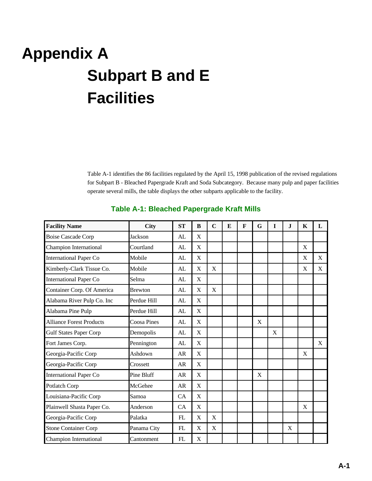# **Appendix A Subpart B and E Facilities**

Table A-1 identifies the 86 facilities regulated by the April 15, 1998 publication of the revised regulations for Subpart B - Bleached Papergrade Kraft and Soda Subcategory. Because many pulp and paper facilities operate several mills, the table displays the other subparts applicable to the facility.

| <b>Facility Name</b>                       | <b>City</b>    | <b>ST</b> | B           | $\mathbf C$ | E | $\mathbf{F}$ | G | I | J | K | L |
|--------------------------------------------|----------------|-----------|-------------|-------------|---|--------------|---|---|---|---|---|
| <b>Boise Cascade Corp</b>                  | Jackson        | AL        | X           |             |   |              |   |   |   |   |   |
| <b>Champion International</b>              | Courtland      | AL        | X           |             |   |              |   |   |   | X |   |
| <b>International Paper Co</b>              | Mobile         | AL        | X           |             |   |              |   |   |   | X | X |
| Kimberly-Clark Tissue Co.                  | Mobile         | AL        | X           | X           |   |              |   |   |   | X | X |
| <b>International Paper Co</b>              | Selma          | AL        | X           |             |   |              |   |   |   |   |   |
| Container Corp. Of America                 | <b>Brewton</b> | AL        | X           | X           |   |              |   |   |   |   |   |
| Alabama River Pulp Co. Inc                 | Perdue Hill    | AL        | X           |             |   |              |   |   |   |   |   |
| Alabama Pine Pulp                          | Perdue Hill    | AL        | X           |             |   |              |   |   |   |   |   |
| <b>Alliance Forest Products</b>            | Coosa Pines    | AL        | X           |             |   |              | X |   |   |   |   |
| <b>Gulf States Paper Corp</b>              | Demopolis      | AL        | X           |             |   |              |   | X |   |   |   |
| Fort James Corp.                           | Pennington     | AL        | X           |             |   |              |   |   |   |   | X |
| Georgia-Pacific Corp                       | Ashdown        | AR        | X           |             |   |              |   |   |   | X |   |
| Georgia-Pacific Corp                       | Crossett       | <b>AR</b> | X           |             |   |              |   |   |   |   |   |
| <b>International Paper Co</b>              | Pine Bluff     | AR        | X           |             |   |              | X |   |   |   |   |
| Potlatch Corp                              | McGehee        | <b>AR</b> | X           |             |   |              |   |   |   |   |   |
| Louisiana-Pacific Corp                     | Samoa          | CA        | X           |             |   |              |   |   |   |   |   |
| Plainwell Shasta Paper Co.                 | Anderson       | CA        | $\mathbf X$ |             |   |              |   |   |   | X |   |
| Georgia-Pacific Corp                       | Palatka        | FL        | X           | X           |   |              |   |   |   |   |   |
| <b>Stone Container Corp</b><br>Panama City |                | FL        | X           | X           |   |              |   |   | X |   |   |
| <b>Champion International</b>              | Cantonment     | FL        | X           |             |   |              |   |   |   |   |   |

# **Table A-1: Bleached Papergrade Kraft Mills**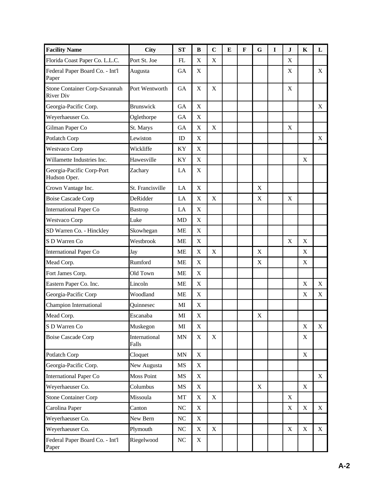| <b>Facility Name</b>                              | <b>City</b>            | <b>ST</b>                | B           | $\mathbf C$ | E | $\mathbf F$ | G           | $\bf{I}$ | J           | K                         | L           |
|---------------------------------------------------|------------------------|--------------------------|-------------|-------------|---|-------------|-------------|----------|-------------|---------------------------|-------------|
| Florida Coast Paper Co. L.L.C.                    | Port St. Joe           | FL                       | $\mathbf X$ | $\mathbf X$ |   |             |             |          | $\mathbf X$ |                           |             |
| Federal Paper Board Co. - Int'l<br>Paper          | Augusta                | <b>GA</b>                | X           |             |   |             |             |          | X           |                           | X           |
| Stone Container Corp-Savannah<br><b>River Div</b> | Port Wentworth         | <b>GA</b>                | X           | X           |   |             |             |          | X           |                           |             |
| Georgia-Pacific Corp.                             | <b>Brunswick</b>       | <b>GA</b>                | X           |             |   |             |             |          |             |                           | X           |
| Weyerhaeuser Co.                                  | Oglethorpe             | <b>GA</b>                | $\mathbf X$ |             |   |             |             |          |             |                           |             |
| Gilman Paper Co                                   | St. Marys              | <b>GA</b>                | $\mathbf X$ | $\mathbf X$ |   |             |             |          | X           |                           |             |
| Potlatch Corp                                     | Lewiston               | ID                       | X           |             |   |             |             |          |             |                           | X           |
| Westvaco Corp                                     | Wickliffe              | KY                       | $\mathbf X$ |             |   |             |             |          |             |                           |             |
| Willamette Industries Inc.                        | Hawesville             | KY                       | $\mathbf X$ |             |   |             |             |          |             | X                         |             |
| Georgia-Pacific Corp-Port<br>Hudson Oper.         | Zachary                | LA                       | X           |             |   |             |             |          |             |                           |             |
| Crown Vantage Inc.                                | St. Francisville       | LA                       | $\mathbf X$ |             |   |             | $\mathbf X$ |          |             |                           |             |
| <b>Boise Cascade Corp</b>                         | DeRidder               | LA                       | $\mathbf X$ | $\mathbf X$ |   |             | $\mathbf X$ |          | $\mathbf X$ |                           |             |
| <b>International Paper Co</b>                     | <b>Bastrop</b>         | LA                       | X           |             |   |             |             |          |             |                           |             |
| Westvaco Corp                                     | Luke                   | <b>MD</b>                | $\mathbf X$ |             |   |             |             |          |             |                           |             |
| SD Warren Co. - Hinckley                          | Skowhegan              | <b>ME</b>                | $\mathbf X$ |             |   |             |             |          |             |                           |             |
| S D Warren Co                                     | Westbrook              | <b>ME</b>                | $\mathbf X$ |             |   |             |             |          | $\mathbf X$ | X                         |             |
| <b>International Paper Co</b>                     | Jay                    | <b>ME</b>                | $\mathbf X$ | $\mathbf X$ |   |             | $\mathbf X$ |          |             | X                         |             |
| Mead Corp.                                        | Rumford                | <b>ME</b>                | $\mathbf X$ |             |   |             | X           |          |             | X                         |             |
| Fort James Corp.                                  | Old Town               | ME                       | X           |             |   |             |             |          |             |                           |             |
| Eastern Paper Co. Inc.                            | Lincoln                | <b>ME</b>                | $\mathbf X$ |             |   |             |             |          |             | $\mathbf X$               | $\mathbf X$ |
| Georgia-Pacific Corp                              | Woodland               | ME                       | $\mathbf X$ |             |   |             |             |          |             | $\mathbf X$               | $\mathbf X$ |
| Champion International                            | Quinnesec              | MI                       | $\mathbf X$ |             |   |             |             |          |             |                           |             |
| Mead Corp.                                        | Escanaba               | $\mathbf{M}\mathbf{I}$   | $\mathbf X$ |             |   |             | $\mathbf X$ |          |             |                           |             |
| S D Warren Co                                     | Muskegon               | MI                       | $\mathbf X$ |             |   |             |             |          |             | $\mathbf X$               | X           |
| <b>Boise Cascade Corp</b>                         | International<br>Falls | $\ensuremath{\text{MN}}$ | $\mathbf X$ | $\mathbf X$ |   |             |             |          |             | X                         |             |
| Potlatch Corp                                     | Cloquet                | MN                       | $\mathbf X$ |             |   |             |             |          |             | X                         |             |
| Georgia-Pacific Corp.                             | New Augusta            | $\rm MS$                 | $\mathbf X$ |             |   |             |             |          |             |                           |             |
| <b>International Paper Co</b>                     | <b>Moss Point</b>      | MS                       | $\mathbf X$ |             |   |             |             |          |             |                           | X           |
| Weyerhaeuser Co.                                  | Columbus               | MS                       | $\mathbf X$ |             |   |             | $\mathbf X$ |          |             | $\boldsymbol{\mathrm{X}}$ |             |
| <b>Stone Container Corp</b>                       | Missoula               | MT                       | $\mathbf X$ | $\mathbf X$ |   |             |             |          | X           |                           |             |
| Carolina Paper                                    | Canton                 | <b>NC</b>                | X           |             |   |             |             |          | $\mathbf X$ | X                         | X           |
| Weyerhaeuser Co.                                  | New Bern               | $\rm NC$                 | $\mathbf X$ |             |   |             |             |          |             |                           |             |
| Weyerhaeuser Co.                                  | Plymouth               | <b>NC</b>                | $\mathbf X$ | $\mathbf X$ |   |             |             |          | $\mathbf X$ | $\mathbf X$               | X           |
| Federal Paper Board Co. - Int'l<br>Paper          | Riegelwood             | $\rm NC$                 | X           |             |   |             |             |          |             |                           |             |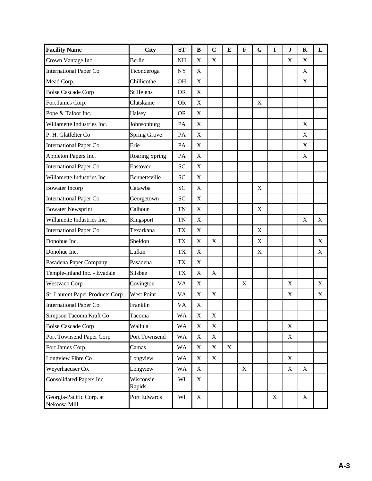| <b>Facility Name</b>                     | City                  | <b>ST</b> | B                         | $\mathbf C$               | E           | $\mathbf F$ | G           | $\bf{I}$ | $\bf J$     | K           | L           |
|------------------------------------------|-----------------------|-----------|---------------------------|---------------------------|-------------|-------------|-------------|----------|-------------|-------------|-------------|
| Crown Vantage Inc.                       | Berlin                | NH        | $\mathbf X$               | $\mathbf X$               |             |             |             |          | $\mathbf X$ | $\mathbf X$ |             |
| <b>International Paper Co</b>            | Ticonderoga           | <b>NY</b> | X                         |                           |             |             |             |          |             | $\mathbf X$ |             |
| Mead Corp.                               | Chillicothe           | <b>OH</b> | $\mathbf X$               |                           |             |             |             |          |             | $\mathbf X$ |             |
| <b>Boise Cascade Corp</b>                | <b>St Helens</b>      | <b>OR</b> | X                         |                           |             |             |             |          |             |             |             |
| Fort James Corp.                         | Clatskanie            | <b>OR</b> | X                         |                           |             |             | X           |          |             |             |             |
| Pope & Talbot Inc.                       | Halsey                | <b>OR</b> | $\mathbf X$               |                           |             |             |             |          |             |             |             |
| Willamette Industries Inc.               | Johnsonburg           | PA        | $\mathbf X$               |                           |             |             |             |          |             | X           |             |
| P. H. Glatfelter Co                      | <b>Spring Grove</b>   | PA        | X                         |                           |             |             |             |          |             | X           |             |
| International Paper Co.                  | Erie                  | PA        | $\mathbf X$               |                           |             |             |             |          |             | X           |             |
| Appleton Papers Inc.                     | <b>Roaring Spring</b> | PA        | X                         |                           |             |             |             |          |             | X           |             |
| International Paper Co.                  | Eastover              | <b>SC</b> | X                         |                           |             |             |             |          |             |             |             |
| Willamette Industries Inc.               | Bennettsville         | <b>SC</b> | $\mathbf X$               |                           |             |             |             |          |             |             |             |
| <b>Bowater Incorp</b>                    | Catawba               | <b>SC</b> | $\mathbf X$               |                           |             |             | X           |          |             |             |             |
| <b>International Paper Co</b>            | Georgetown            | <b>SC</b> | $\mathbf X$               |                           |             |             |             |          |             |             |             |
| <b>Bowater Newsprint</b>                 | Calhoun               | <b>TN</b> | $\mathbf X$               |                           |             |             | $\mathbf X$ |          |             |             |             |
| Willamette Industries Inc.               | Kingsport             | <b>TN</b> | X                         |                           |             |             |             |          |             | X           | X           |
| <b>International Paper Co</b>            | Texarkana             | TX        | $\mathbf X$               |                           |             |             | $\mathbf X$ |          |             |             |             |
| Donohue Inc.                             | Sheldon               | <b>TX</b> | $\mathbf X$               | $\mathbf X$               |             |             | $\mathbf X$ |          |             |             | X           |
| Donohue Inc.                             | Lufkin                | TX        | X                         |                           |             |             | $\mathbf X$ |          |             |             | $\mathbf X$ |
| Pasadena Paper Company                   | Pasadena              | TX        | X                         |                           |             |             |             |          |             |             |             |
| Temple-Inland Inc. - Evadale             | Silsbee               | <b>TX</b> | X                         | X                         |             |             |             |          |             |             |             |
| <b>Westvaco Corp</b>                     | Covington             | VA        | X                         |                           |             | X           |             |          | X           |             | X           |
| St. Laurent Paper Products Corp.         | <b>West Point</b>     | VA        | $\mathbf X$               | $\mathbf X$               |             |             |             |          | X           |             | X           |
| International Paper Co.                  | Franklin              | <b>VA</b> | X                         |                           |             |             |             |          |             |             |             |
| Simpson Tacoma Kraft Co                  | Tacoma                | <b>WA</b> | $\mathbf X$               | $\mathbf X$               |             |             |             |          |             |             |             |
| <b>Boise Cascade Corp</b>                | Wallula               | <b>WA</b> | $\boldsymbol{\mathrm{X}}$ | X                         |             |             |             |          | X           |             |             |
| Port Townsend Paper Corp                 | Port Townsend         | <b>WA</b> | $\boldsymbol{\mathrm{X}}$ | $\mathbf X$               |             |             |             |          | X           |             |             |
| Fort James Corp.                         | Camas                 | <b>WA</b> | $\mathbf X$               | $\mathbf X$               | $\mathbf X$ |             |             |          |             |             |             |
| Longview Fibre Co                        | Longview              | <b>WA</b> | $\boldsymbol{\mathrm{X}}$ | $\boldsymbol{\mathrm{X}}$ |             |             |             |          | X           |             |             |
| Weyerhaeuser Co.                         | Longview              | <b>WA</b> | X                         |                           |             | X           |             |          | X           | X           |             |
| Consolidated Papers Inc.                 | Wisconsin<br>Rapids   | WI        | X                         |                           |             |             |             |          |             |             |             |
| Georgia-Pacific Corp. at<br>Nekoosa Mill | Port Edwards          | WI        | X                         |                           |             |             |             | X        |             | X           |             |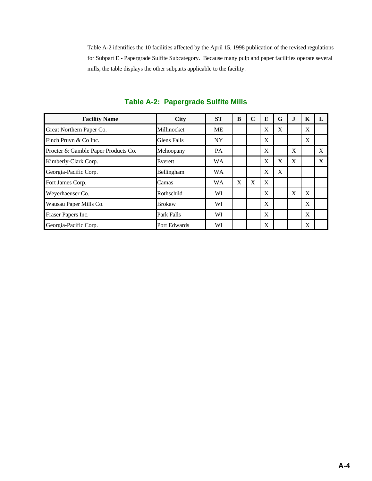Table A-2 identifies the 10 facilities affected by the April 15, 1998 publication of the revised regulations for Subpart E - Papergrade Sulfite Subcategory. Because many pulp and paper facilities operate several mills, the table displays the other subparts applicable to the facility.

| <b>Facility Name</b>                | City          | <b>ST</b> | B | C            | E            | G | J. | K |   |
|-------------------------------------|---------------|-----------|---|--------------|--------------|---|----|---|---|
| Great Northern Paper Co.            | Millinocket   | <b>ME</b> |   |              | X            | X |    | X |   |
| Finch Pruyn & Co Inc.               | Glens Falls   | <b>NY</b> |   |              | X            |   |    | X |   |
| Procter & Gamble Paper Products Co. | Mehoopany     | <b>PA</b> |   |              | X            |   | X  |   | X |
| Kimberly-Clark Corp.                | Everett       | <b>WA</b> |   |              | $\mathbf{X}$ | X | X  |   | X |
| Georgia-Pacific Corp.               | Bellingham    | <b>WA</b> |   |              | X            | X |    |   |   |
| Fort James Corp.                    | Camas         | <b>WA</b> | X | $\mathbf{X}$ | X            |   |    |   |   |
| Weyerhaeuser Co.                    | Rothschild    | WI        |   |              | X            |   | X  | X |   |
| Wausau Paper Mills Co.              | <b>Brokaw</b> | WI        |   |              | X            |   |    | X |   |
| Fraser Papers Inc.                  | Park Falls    | WI        |   |              | X            |   |    | X |   |
| Georgia-Pacific Corp.               | Port Edwards  | WI        |   |              | X            |   |    | X |   |

## **Table A-2: Papergrade Sulfite Mills**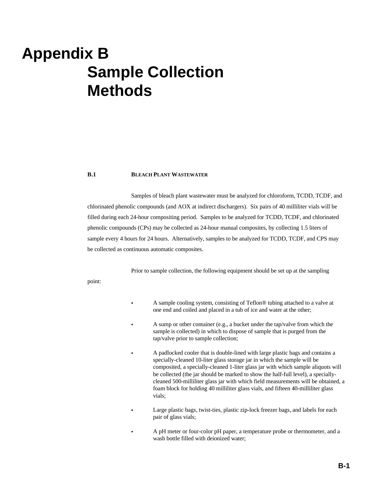## **Appendix B Sample Collection Methods**

#### **B.1 BLEACH PLANT WASTEWATER**

Samples of bleach plant wastewater must be analyzed for chloroform, TCDD, TCDF, and chlorinated phenolic compounds (and AOX at indirect dischargers). Six pairs of 40 milliliter vials will be filled during each 24-hour compositing period. Samples to be analyzed for TCDD, TCDF, and chlorinated phenolic compounds (CPs) may be collected as 24-hour manual composites, by collecting 1.5 liters of sample every 4 hours for 24 hours. Alternatively, samples to be analyzed for TCDD, TCDF, and CPS may be collected as continuous automatic composites.

Prior to sample collection, the following equipment should be set up at the sampling

point:

- C A sample cooling system, consisting of Teflon® tubing attached to a valve at one end and coiled and placed in a tub of ice and water at the other;
- A sump or other container (e.g., a bucket under the tap/valve from which the sample is collected) in which to dispose of sample that is purged from the tap/valve prior to sample collection;
- A padlocked cooler that is double-lined with large plastic bags and contains a specially-cleaned 10-liter glass storage jar in which the sample will be composited, a specially-cleaned 1-liter glass jar with which sample aliquots will be collected (the jar should be marked to show the half-full level), a speciallycleaned 500-milliliter glass jar with which field measurements will be obtained, a foam block for holding 40 milliliter glass vials, and fifteen 40-milliliter glass vials;
- Large plastic bags, twist-ties, plastic zip-lock freezer bags, and labels for each pair of glass vials;
- A pH meter or four-color pH paper, a temperature probe or thermometer, and a wash bottle filled with deionized water;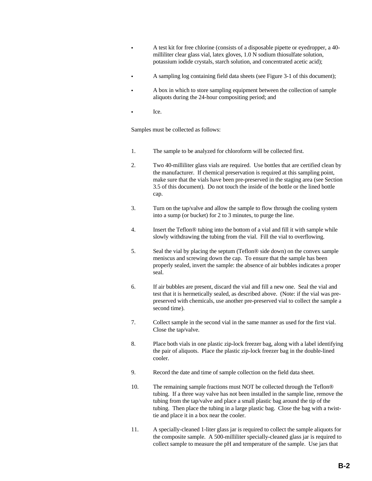- A test kit for free chlorine (consists of a disposable pipette or eyedropper, a 40milliliter clear glass vial, latex gloves, 1.0 N sodium thiosulfate solution, potassium iodide crystals, starch solution, and concentrated acetic acid);
- A sampling log containing field data sheets (see Figure 3-1 of this document);
- A box in which to store sampling equipment between the collection of sample aliquots during the 24-hour compositing period; and
- Ice.

Samples must be collected as follows:

- 1. The sample to be analyzed for chloroform will be collected first.
- 2. Two 40-milliliter glass vials are required. Use bottles that are certified clean by the manufacturer. If chemical preservation is required at this sampling point, make sure that the vials have been pre-preserved in the staging area (see Section 3.5 of this document). Do not touch the inside of the bottle or the lined bottle cap.
- 3. Turn on the tap/valve and allow the sample to flow through the cooling system into a sump (or bucket) for 2 to 3 minutes, to purge the line.
- 4. Insert the Teflon® tubing into the bottom of a vial and fill it with sample while slowly withdrawing the tubing from the vial. Fill the vial to overflowing.
- 5. Seal the vial by placing the septum (Teflon® side down) on the convex sample meniscus and screwing down the cap. To ensure that the sample has been properly sealed, invert the sample: the absence of air bubbles indicates a proper seal.
- 6. If air bubbles are present, discard the vial and fill a new one. Seal the vial and test that it is hermetically sealed, as described above. (Note: if the vial was prepreserved with chemicals, use another pre-preserved vial to collect the sample a second time).
- 7. Collect sample in the second vial in the same manner as used for the first vial. Close the tap/valve.
- 8. Place both vials in one plastic zip-lock freezer bag, along with a label identifying the pair of aliquots. Place the plastic zip-lock freezer bag in the double-lined cooler.
- 9. Record the date and time of sample collection on the field data sheet.
- 10. The remaining sample fractions must NOT be collected through the Teflon® tubing. If a three way valve has not been installed in the sample line, remove the tubing from the tap/valve and place a small plastic bag around the tip of the tubing. Then place the tubing in a large plastic bag. Close the bag with a twisttie and place it in a box near the cooler.
- 11. A specially-cleaned 1-liter glass jar is required to collect the sample aliquots for the composite sample. A 500-milliliter specially-cleaned glass jar is required to collect sample to measure the pH and temperature of the sample. Use jars that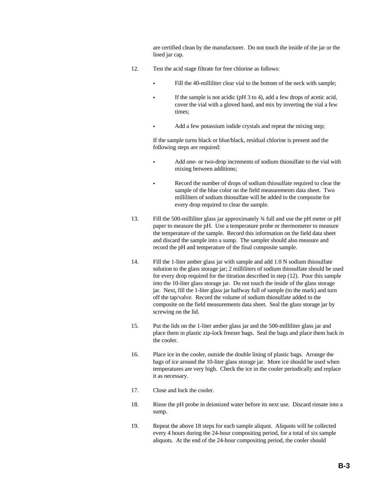are certified clean by the manufacturer. Do not touch the inside of the jar or the lined jar cap.

- 12. Test the acid stage filtrate for free chlorine as follows:
	- Fill the 40-milliliter clear vial to the bottom of the neck with sample;
		- If the sample is not acidic ( $pH$  3 to 4), add a few drops of acetic acid, cover the vial with a gloved hand, and mix by inverting the vial a few times;
	- Add a few potassium iodide crystals and repeat the mixing step;

If the sample turns black or blue/black, residual chlorine is present and the following steps are required:

- Add one- or two-drop increments of sodium thiosulfate to the vial with mixing between additions;
- Record the number of drops of sodium thiosulfate required to clear the sample of the blue color on the field measurements data sheet. Two milliliters of sodium thiosulfate will be added to the composite for every drop required to clear the sample.
- 13. Fill the 500-milliliter glass jar approximately ¾ full and use the pH meter or pH paper to measure the pH. Use a temperature probe or thermometer to measure the temperature of the sample. Record this information on the field data sheet and discard the sample into a sump. The sampler should also measure and record the pH and temperature of the final composite sample.
- 14. Fill the 1-liter amber glass jar with sample and add 1.0 N sodium thiosulfate solution to the glass storage jar; 2 milliliters of sodium thiosulfate should be used for every drop required for the titration described in step (12). Pour this sample into the 10-liter glass storage jar. Do not touch the inside of the glass storage jar. Next, fill the 1-liter glass jar halfway full of sample (to the mark) and turn off the tap/valve. Record the volume of sodium thiosulfate added to the composite on the field measurements data sheet. Seal the glass storage jar by screwing on the lid.
- 15. Put the lids on the 1-liter amber glass jar and the 500-milliliter glass jar and place them in plastic zip-lock freezer bags. Seal the bags and place them back in the cooler.
- 16. Place ice in the cooler, outside the double lining of plastic bags. Arrange the bags of ice around the 10-liter glass storage jar. More ice should be used when temperatures are very high. Check the ice in the cooler periodically and replace it as necessary.
- 17. Close and lock the cooler.
- 18. Rinse the pH probe in deionized water before its next use. Discard rinsate into a sump.
- 19. Repeat the above 18 steps for each sample aliquot. Aliquots will be collected every 4 hours during the 24-hour compositing period, for a total of six sample aliquots. At the end of the 24-hour compositing period, the cooler should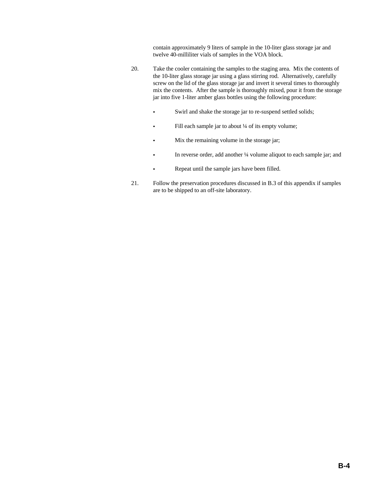contain approximately 9 liters of sample in the 10-liter glass storage jar and twelve 40-milliliter vials of samples in the VOA block.

- 20. Take the cooler containing the samples to the staging area. Mix the contents of the 10-liter glass storage jar using a glass stirring rod. Alternatively, carefully screw on the lid of the glass storage jar and invert it several times to thoroughly mix the contents. After the sample is thoroughly mixed, pour it from the storage jar into five 1-liter amber glass bottles using the following procedure:
	- Swirl and shake the storage jar to re-suspend settled solids;
	- Fill each sample jar to about <sup>1</sup>/4 of its empty volume;
	- Mix the remaining volume in the storage jar;
	- In reverse order, add another <sup>1</sup>/4 volume aliquot to each sample jar; and
		- Repeat until the sample jars have been filled.
- 21. Follow the preservation procedures discussed in B.3 of this appendix if samples are to be shipped to an off-site laboratory.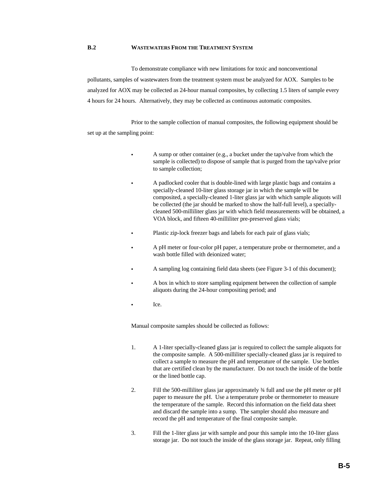#### **B.2 WASTEWATERS FROM THE TREATMENT SYSTEM**

To demonstrate compliance with new limitations for toxic and nonconventional pollutants, samples of wastewaters from the treatment system must be analyzed for AOX. Samples to be analyzed for AOX may be collected as 24-hour manual composites, by collecting 1.5 liters of sample every 4 hours for 24 hours. Alternatively, they may be collected as continuous automatic composites.

Prior to the sample collection of manual composites, the following equipment should be set up at the sampling point:

- A sump or other container (e.g., a bucket under the tap/valve from which the sample is collected) to dispose of sample that is purged from the tap/valve prior to sample collection;
- A padlocked cooler that is double-lined with large plastic bags and contains a specially-cleaned 10-liter glass storage jar in which the sample will be composited, a specially-cleaned 1-liter glass jar with which sample aliquots will be collected (the jar should be marked to show the half-full level), a speciallycleaned 500-milliliter glass jar with which field measurements will be obtained, a VOA block, and fifteen 40-milliliter pre-preserved glass vials;
- Plastic zip-lock freezer bags and labels for each pair of glass vials;
- A pH meter or four-color pH paper, a temperature probe or thermometer, and a wash bottle filled with deionized water;
- A sampling log containing field data sheets (see Figure 3-1 of this document);
- A box in which to store sampling equipment between the collection of sample aliquots during the 24-hour compositing period; and
- $\bullet$  Ice.

Manual composite samples should be collected as follows:

- 1. A 1-liter specially-cleaned glass jar is required to collect the sample aliquots for the composite sample. A 500-milliliter specially-cleaned glass jar is required to collect a sample to measure the pH and temperature of the sample. Use bottles that are certified clean by the manufacturer. Do not touch the inside of the bottle or the lined bottle cap.
- 2. Fill the 500-milliliter glass jar approximately ¾ full and use the pH meter or pH paper to measure the pH. Use a temperature probe or thermometer to measure the temperature of the sample. Record this information on the field data sheet and discard the sample into a sump. The sampler should also measure and record the pH and temperature of the final composite sample.
- 3. Fill the 1-liter glass jar with sample and pour this sample into the 10-liter glass storage jar. Do not touch the inside of the glass storage jar. Repeat, only filling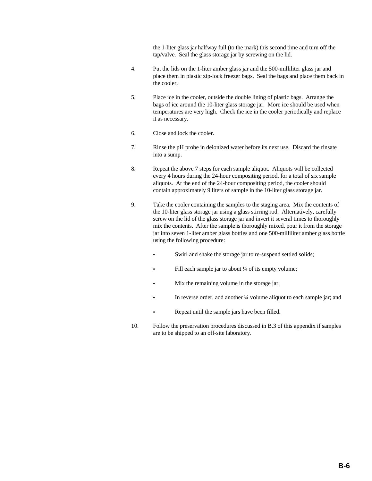the 1-liter glass jar halfway full (to the mark) this second time and turn off the tap/valve. Seal the glass storage jar by screwing on the lid.

- 4. Put the lids on the 1-liter amber glass jar and the 500-milliliter glass jar and place them in plastic zip-lock freezer bags. Seal the bags and place them back in the cooler.
- 5. Place ice in the cooler, outside the double lining of plastic bags. Arrange the bags of ice around the 10-liter glass storage jar. More ice should be used when temperatures are very high. Check the ice in the cooler periodically and replace it as necessary.
- 6. Close and lock the cooler.
- 7. Rinse the pH probe in deionized water before its next use. Discard the rinsate into a sump.
- 8. Repeat the above 7 steps for each sample aliquot. Aliquots will be collected every 4 hours during the 24-hour compositing period, for a total of six sample aliquots. At the end of the 24-hour compositing period, the cooler should contain approximately 9 liters of sample in the 10-liter glass storage jar.
- 9. Take the cooler containing the samples to the staging area. Mix the contents of the 10-liter glass storage jar using a glass stirring rod. Alternatively, carefully screw on the lid of the glass storage jar and invert it several times to thoroughly mix the contents. After the sample is thoroughly mixed, pour it from the storage jar into seven 1-liter amber glass bottles and one 500-milliliter amber glass bottle using the following procedure:
	- Swirl and shake the storage jar to re-suspend settled solids;
	- Fill each sample jar to about  $\frac{1}{4}$  of its empty volume;
	- Mix the remaining volume in the storage jar;
	- In reverse order, add another ¼ volume aliquot to each sample jar; and
	- Repeat until the sample jars have been filled.
- 10. Follow the preservation procedures discussed in B.3 of this appendix if samples are to be shipped to an off-site laboratory.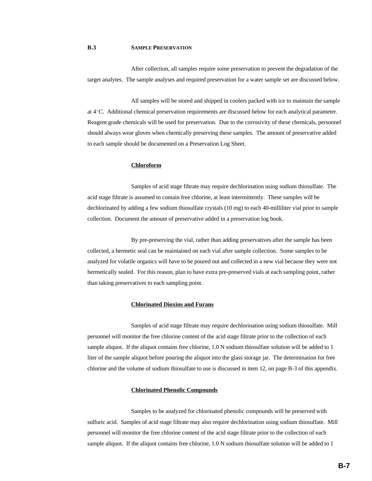#### **B.3 SAMPLE PRESERVATION**

After collection, all samples require some preservation to prevent the degradation of the target analytes. The sample analyses and required preservation for a water sample set are discussed below.

All samples will be stored and shipped in coolers packed with ice to maintain the sample at  $4^{\circ}$ C. Additional chemical preservation requirements are discussed below for each analytical parameter. Reagent grade chemicals will be used for preservation. Due to the corrosivity of these chemicals, personnel should always wear gloves when chemically preserving these samples. The amount of preservative added to each sample should be documented on a Preservation Log Sheet.

#### **Chloroform**

Samples of acid stage filtrate may require dechlorination using sodium thiosulfate. The acid stage filtrate is assumed to contain free chlorine, at least intermittently. These samples will be dechlorinated by adding a few sodium thiosulfate crystals (10 mg) to each 40-milliliter vial prior to sample collection. Document the amount of preservative added in a preservation log book.

By pre-preserving the vial, rather than adding preservatives after the sample has been collected, a hermetic seal can be maintained on each vial after sample collection. Some samples to be analyzed for volatile organics will have to be poured out and collected in a new vial because they were not hermetically sealed. For this reason, plan to have extra pre-preserved vials at each sampling point, rather than taking preservatives to each sampling point.

#### **Chlorinated Dioxins and Furans**

Samples of acid stage filtrate may require dechlorination using sodium thiosulfate. Mill personnel will monitor the free chlorine content of the acid stage filtrate prior to the collection of each sample aliquot. If the aliquot contains free chlorine, 1.0 N sodium thiosulfate solution will be added to 1 liter of the sample aliquot before pouring the aliquot into the glass storage jar. The determination for free chlorine and the volume of sodium thiosulfate to use is discussed in item 12, on page B-3 of this appendix.

#### **Chlorinated Phenolic Compounds**

Samples to be analyzed for chlorinated phenolic compounds will be preserved with sulfuric acid. Samples of acid stage filtrate may also require dechlorination using sodium thiosulfate. Mill personnel will monitor the free chlorine content of the acid stage filtrate prior to the collection of each sample aliquot. If the aliquot contains free chlorine, 1.0 N sodium thiosulfate solution will be added to 1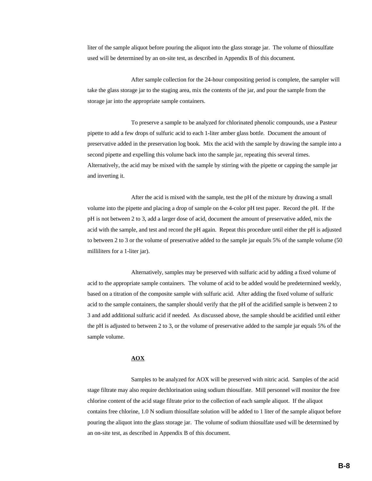liter of the sample aliquot before pouring the aliquot into the glass storage jar. The volume of thiosulfate used will be determined by an on-site test, as described in Appendix B of this document.

After sample collection for the 24-hour compositing period is complete, the sampler will take the glass storage jar to the staging area, mix the contents of the jar, and pour the sample from the storage jar into the appropriate sample containers.

To preserve a sample to be analyzed for chlorinated phenolic compounds, use a Pasteur pipette to add a few drops of sulfuric acid to each 1-liter amber glass bottle. Document the amount of preservative added in the preservation log book. Mix the acid with the sample by drawing the sample into a second pipette and expelling this volume back into the sample jar, repeating this several times. Alternatively, the acid may be mixed with the sample by stirring with the pipette or capping the sample jar and inverting it.

After the acid is mixed with the sample, test the pH of the mixture by drawing a small volume into the pipette and placing a drop of sample on the 4-color pH test paper. Record the pH. If the pH is not between 2 to 3, add a larger dose of acid, document the amount of preservative added, mix the acid with the sample, and test and record the pH again. Repeat this procedure until either the pH is adjusted to between 2 to 3 or the volume of preservative added to the sample jar equals 5% of the sample volume (50 milliliters for a 1-liter jar).

Alternatively, samples may be preserved with sulfuric acid by adding a fixed volume of acid to the appropriate sample containers. The volume of acid to be added would be predetermined weekly, based on a titration of the composite sample with sulfuric acid. After adding the fixed volume of sulfuric acid to the sample containers, the sampler should verify that the pH of the acidified sample is between 2 to 3 and add additional sulfuric acid if needed. As discussed above, the sample should be acidified until either the pH is adjusted to between 2 to 3, or the volume of preservative added to the sample jar equals 5% of the sample volume.

#### **AOX**

Samples to be analyzed for AOX will be preserved with nitric acid. Samples of the acid stage filtrate may also require dechlorination using sodium thiosulfate. Mill personnel will monitor the free chlorine content of the acid stage filtrate prior to the collection of each sample aliquot. If the aliquot contains free chlorine, 1.0 N sodium thiosulfate solution will be added to 1 liter of the sample aliquot before pouring the aliquot into the glass storage jar. The volume of sodium thiosulfate used will be determined by an on-site test, as described in Appendix B of this document.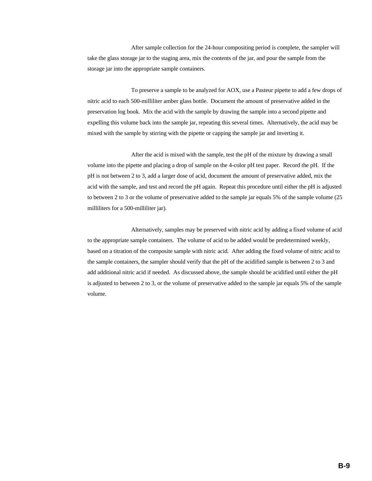After sample collection for the 24-hour compositing period is complete, the sampler will take the glass storage jar to the staging area, mix the contents of the jar, and pour the sample from the storage jar into the appropriate sample containers.

To preserve a sample to be analyzed for AOX, use a Pasteur pipette to add a few drops of nitric acid to each 500-milliliter amber glass bottle. Document the amount of preservative added in the preservation log book. Mix the acid with the sample by drawing the sample into a second pipette and expelling this volume back into the sample jar, repeating this several times. Alternatively, the acid may be mixed with the sample by stirring with the pipette or capping the sample jar and inverting it.

After the acid is mixed with the sample, test the pH of the mixture by drawing a small volume into the pipette and placing a drop of sample on the 4-color pH test paper. Record the pH. If the pH is not between 2 to 3, add a larger dose of acid, document the amount of preservative added, mix the acid with the sample, and test and record the pH again. Repeat this procedure until either the pH is adjusted to between 2 to 3 or the volume of preservative added to the sample jar equals 5% of the sample volume (25 milliliters for a 500-milliliter jar).

Alternatively, samples may be preserved with nitric acid by adding a fixed volume of acid to the appropriate sample containers. The volume of acid to be added would be predetermined weekly, based on a titration of the composite sample with nitric acid. After adding the fixed volume of nitric acid to the sample containers, the sampler should verify that the pH of the acidified sample is between 2 to 3 and add additional nitric acid if needed. As discussed above, the sample should be acidified until either the pH is adjusted to between 2 to 3, or the volume of preservative added to the sample jar equals 5% of the sample volume.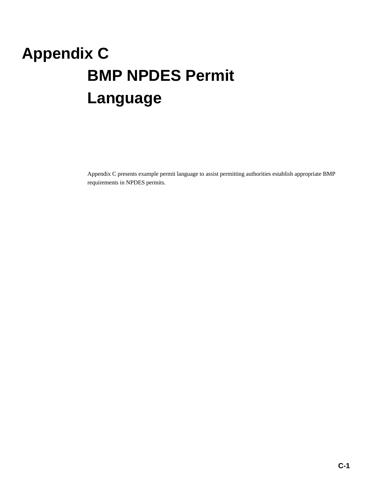# **Appendix C BMP NPDES Permit Language**

Appendix C presents example permit language to assist permitting authorities establish appropriate BMP requirements in NPDES permits.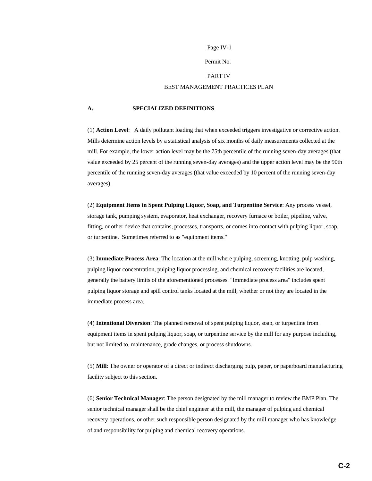#### Permit No.

#### PART IV

#### BEST MANAGEMENT PRACTICES PLAN

#### **A. SPECIALIZED DEFINITIONS**.

(1) **Action Level**: A daily pollutant loading that when exceeded triggers investigative or corrective action. Mills determine action levels by a statistical analysis of six months of daily measurements collected at the mill. For example, the lower action level may be the 75th percentile of the running seven-day averages (that value exceeded by 25 percent of the running seven-day averages) and the upper action level may be the 90th percentile of the running seven-day averages (that value exceeded by 10 percent of the running seven-day averages).

(2) **Equipment Items in Spent Pulping Liquor, Soap, and Turpentine Service**: Any process vessel, storage tank, pumping system, evaporator, heat exchanger, recovery furnace or boiler, pipeline, valve, fitting, or other device that contains, processes, transports, or comes into contact with pulping liquor, soap, or turpentine. Sometimes referred to as "equipment items."

(3) **Immediate Process Area**: The location at the mill where pulping, screening, knotting, pulp washing, pulping liquor concentration, pulping liquor processing, and chemical recovery facilities are located, generally the battery limits of the aforementioned processes. "Immediate process area" includes spent pulping liquor storage and spill control tanks located at the mill, whether or not they are located in the immediate process area.

(4) **Intentional Diversion**: The planned removal of spent pulping liquor, soap, or turpentine from equipment items in spent pulping liquor, soap, or turpentine service by the mill for any purpose including, but not limited to, maintenance, grade changes, or process shutdowns.

(5) **Mill**: The owner or operator of a direct or indirect discharging pulp, paper, or paperboard manufacturing facility subject to this section.

(6) **Senior Technical Manager**: The person designated by the mill manager to review the BMP Plan. The senior technical manager shall be the chief engineer at the mill, the manager of pulping and chemical recovery operations, or other such responsible person designated by the mill manager who has knowledge of and responsibility for pulping and chemical recovery operations.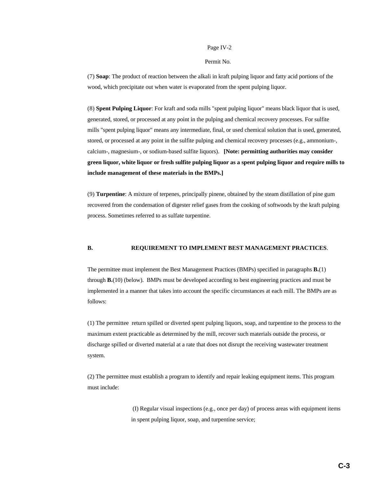#### Permit No.

(7) **Soap**: The product of reaction between the alkali in kraft pulping liquor and fatty acid portions of the wood, which precipitate out when water is evaporated from the spent pulping liquor.

(8) **Spent Pulping Liquor**: For kraft and soda mills "spent pulping liquor" means black liquor that is used, generated, stored, or processed at any point in the pulping and chemical recovery processes. For sulfite mills "spent pulping liquor" means any intermediate, final, or used chemical solution that is used, generated, stored, or processed at any point in the sulfite pulping and chemical recovery processes (e.g., ammonium-, calcium-, magnesium-, or sodium-based sulfite liquors). **[Note: permitting authorities may consider green liquor, white liquor or fresh sulfite pulping liquor as a spent pulping liquor and require mills to include management of these materials in the BMPs.]**

(9) **Turpentine**: A mixture of terpenes, principally pinene, obtained by the steam distillation of pine gum recovered from the condensation of digester relief gases from the cooking of softwoods by the kraft pulping process. Sometimes referred to as sulfate turpentine.

#### **B. REQUIREMENT TO IMPLEMENT BEST MANAGEMENT PRACTICES**.

The permittee must implement the Best Management Practices (BMPs) specified in paragraphs **B.**(1) through **B.**(10) (below). BMPs must be developed according to best engineering practices and must be implemented in a manner that takes into account the specific circumstances at each mill. The BMPs are as follows:

(1) The permittee return spilled or diverted spent pulping liquors, soap, and turpentine to the process to the maximum extent practicable as determined by the mill, recover such materials outside the process, or discharge spilled or diverted material at a rate that does not disrupt the receiving wastewater treatment system.

(2) The permittee must establish a program to identify and repair leaking equipment items. This program must include:

> (I) Regular visual inspections (e.g., once per day) of process areas with equipment items in spent pulping liquor, soap, and turpentine service;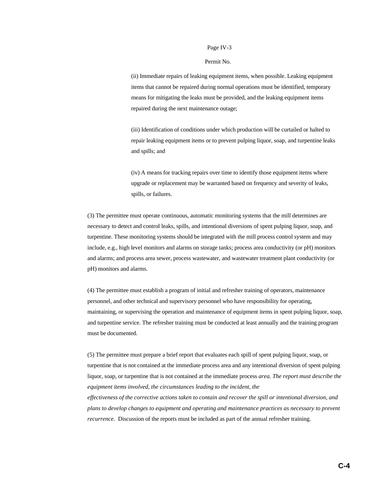#### Permit No.

(ii) Immediate repairs of leaking equipment items, when possible. Leaking equipment items that cannot be repaired during normal operations must be identified, temporary means for mitigating the leaks must be provided, and the leaking equipment items repaired during the next maintenance outage;

(iii) Identification of conditions under which production will be curtailed or halted to repair leaking equipment items or to prevent pulping liquor, soap, and turpentine leaks and spills; and

(iv) A means for tracking repairs over time to identify those equipment items where upgrade or replacement may be warranted based on frequency and severity of leaks, spills, or failures.

(3) The permittee must operate continuous, automatic monitoring systems that the mill determines are necessary to detect and control leaks, spills, and intentional diversions of spent pulping liquor, soap, and turpentine. These monitoring systems should be integrated with the mill process control system and may include, e.g., high level monitors and alarms on storage tanks; process area conductivity (or pH) monitors and alarms; and process area sewer, process wastewater, and wastewater treatment plant conductivity (or pH) monitors and alarms.

(4) The permittee must establish a program of initial and refresher training of operators, maintenance personnel, and other technical and supervisory personnel who have responsibility for operating, maintaining, or supervising the operation and maintenance of equipment items in spent pulping liquor, soap, and turpentine service. The refresher training must be conducted at least annually and the training program must be documented.

(5) The permittee must prepare a brief report that evaluates each spill of spent pulping liquor, soap, or turpentine that is not contained at the immediate process area and any intentional diversion of spent pulping liquor, soap, or turpentine that is not contained at the immediate process *area. The report must describe the equipment items involved, the circumstances leading to the incident, the effectiveness of the corrective actions taken to contain and recover the spill or intentional diversion, and plans to develop changes to equipment and operating and maintenance practices as necessary to prevent recurrence.* Discussion of the reports must be included as part of the annual refresher training.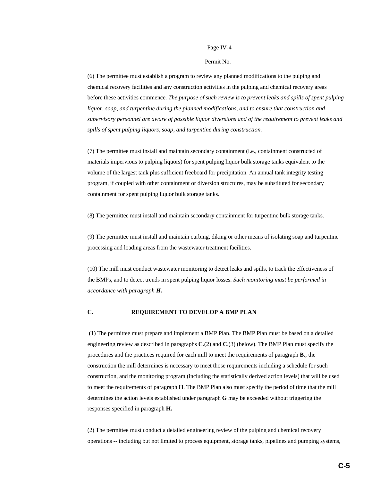#### Permit No.

(6) The permittee must establish a program to review any planned modifications to the pulping and chemical recovery facilities and any construction activities in the pulping and chemical recovery areas before these activities commence. *The purpose of such review is to prevent leaks and spills of spent pulping liquor, soap, and turpentine during the planned modifications, and to ensure that construction and supervisory personnel are aware of possible liquor diversions and of the requirement to prevent leaks and spills of spent pulping liquors, soap, and turpentine during construction.*

(7) The permittee must install and maintain secondary containment (i.e., containment constructed of materials impervious to pulping liquors) for spent pulping liquor bulk storage tanks equivalent to the volume of the largest tank plus sufficient freeboard for precipitation. An annual tank integrity testing program, if coupled with other containment or diversion structures, may be substituted for secondary containment for spent pulping liquor bulk storage tanks.

(8) The permittee must install and maintain secondary containment for turpentine bulk storage tanks.

(9) The permittee must install and maintain curbing, diking or other means of isolating soap and turpentine processing and loading areas from the wastewater treatment facilities.

(10) The mill must conduct wastewater monitoring to detect leaks and spills, to track the effectiveness of the BMPs, and to detect trends in spent pulping liquor losses. *Such monitoring must be performed in accordance with paragraph H.*

#### **C. REQUIREMENT TO DEVELOP A BMP PLAN**

 (1) The permittee must prepare and implement a BMP Plan. The BMP Plan must be based on a detailed engineering review as described in paragraphs **C**.(2) and **C**.(3) (below). The BMP Plan must specify the procedures and the practices required for each mill to meet the requirements of paragraph **B**., the construction the mill determines is necessary to meet those requirements including a schedule for such construction, and the monitoring program (including the statistically derived action levels) that will be used to meet the requirements of paragraph **H**. The BMP Plan also must specify the period of time that the mill determines the action levels established under paragraph **G** may be exceeded without triggering the responses specified in paragraph **H.**

(2) The permittee must conduct a detailed engineering review of the pulping and chemical recovery operations -- including but not limited to process equipment, storage tanks, pipelines and pumping systems,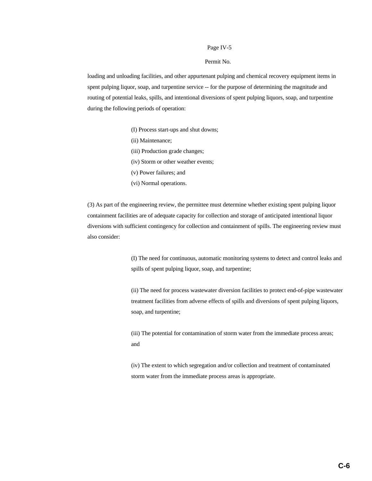#### Permit No.

loading and unloading facilities, and other appurtenant pulping and chemical recovery equipment items in spent pulping liquor, soap, and turpentine service -- for the purpose of determining the magnitude and routing of potential leaks, spills, and intentional diversions of spent pulping liquors, soap, and turpentine during the following periods of operation:

- (I) Process start-ups and shut downs;
- (ii) Maintenance;
- (iii) Production grade changes;
- (iv) Storm or other weather events;
- (v) Power failures; and
- (vi) Normal operations.

(3) As part of the engineering review, the permittee must determine whether existing spent pulping liquor containment facilities are of adequate capacity for collection and storage of anticipated intentional liquor diversions with sufficient contingency for collection and containment of spills. The engineering review must also consider:

> (I) The need for continuous, automatic monitoring systems to detect and control leaks and spills of spent pulping liquor, soap, and turpentine;

> (ii) The need for process wastewater diversion facilities to protect end-of-pipe wastewater treatment facilities from adverse effects of spills and diversions of spent pulping liquors, soap, and turpentine;

(iii) The potential for contamination of storm water from the immediate process areas; and

(iv) The extent to which segregation and/or collection and treatment of contaminated storm water from the immediate process areas is appropriate.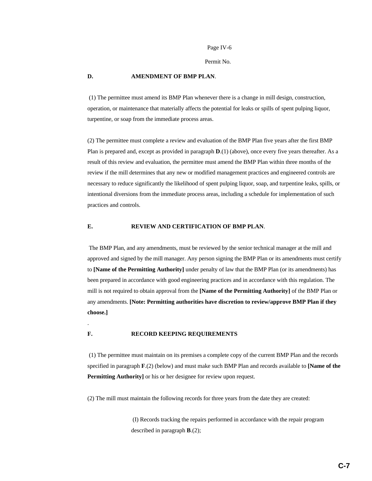Permit No.

#### **D. AMENDMENT OF BMP PLAN**.

 (1) The permittee must amend its BMP Plan whenever there is a change in mill design, construction, operation, or maintenance that materially affects the potential for leaks or spills of spent pulping liquor, turpentine, or soap from the immediate process areas.

(2) The permittee must complete a review and evaluation of the BMP Plan five years after the first BMP Plan is prepared and, except as provided in paragraph **D**.(1) (above), once every five years thereafter. As a result of this review and evaluation, the permittee must amend the BMP Plan within three months of the review if the mill determines that any new or modified management practices and engineered controls are necessary to reduce significantly the likelihood of spent pulping liquor, soap, and turpentine leaks, spills, or intentional diversions from the immediate process areas, including a schedule for implementation of such practices and controls.

#### **E. REVIEW AND CERTIFICATION OF BMP PLAN**.

 The BMP Plan, and any amendments, must be reviewed by the senior technical manager at the mill and approved and signed by the mill manager. Any person signing the BMP Plan or its amendments must certify to **[Name of the Permitting Authority]** under penalty of law that the BMP Plan (or its amendments) has been prepared in accordance with good engineering practices and in accordance with this regulation. The mill is not required to obtain approval from the **[Name of the Permitting Authority]** of the BMP Plan or any amendments. **[Note: Permitting authorities have discretion to review/approve BMP Plan if they choose.]**

#### **F. RECORD KEEPING REQUIREMENTS**

.

 (1) The permittee must maintain on its premises a complete copy of the current BMP Plan and the records specified in paragraph **F**.(2) (below) and must make such BMP Plan and records available to **[Name of the Permitting Authority]** or his or her designee for review upon request.

(2) The mill must maintain the following records for three years from the date they are created:

 (I) Records tracking the repairs performed in accordance with the repair program described in paragraph **B**.(2);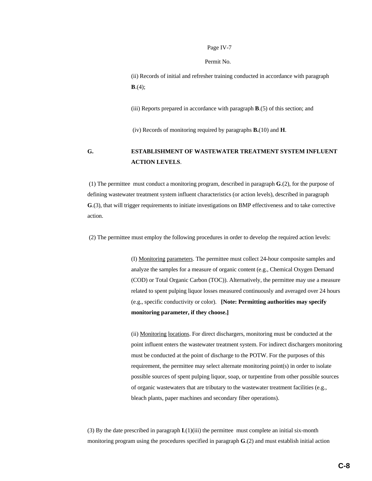Permit No.

(ii) Records of initial and refresher training conducted in accordance with paragraph **B**.(4);

(iii) Reports prepared in accordance with paragraph **B**.(5) of this section; and

(iv) Records of monitoring required by paragraphs **B.**(10) and **H**.

## **G. ESTABLISHMENT OF WASTEWATER TREATMENT SYSTEM INFLUENT ACTION LEVELS**.

 (1) The permittee must conduct a monitoring program, described in paragraph **G**.(2), for the purpose of defining wastewater treatment system influent characteristics (or action levels), described in paragraph **G**.(3), that will trigger requirements to initiate investigations on BMP effectiveness and to take corrective action.

(2) The permittee must employ the following procedures in order to develop the required action levels:

(I) Monitoring parameters. The permittee must collect 24-hour composite samples and analyze the samples for a measure of organic content (e.g., Chemical Oxygen Demand (COD) or Total Organic Carbon (TOC)). Alternatively, the permittee may use a measure related to spent pulping liquor losses measured continuously and averaged over 24 hours (e.g., specific conductivity or color). **[Note: Permitting authorities may specify monitoring parameter, if they choose.]**

(ii) Monitoring locations. For direct dischargers, monitoring must be conducted at the point influent enters the wastewater treatment system. For indirect dischargers monitoring must be conducted at the point of discharge to the POTW. For the purposes of this requirement, the permittee may select alternate monitoring point(s) in order to isolate possible sources of spent pulping liquor, soap, or turpentine from other possible sources of organic wastewaters that are tributary to the wastewater treatment facilities (e.g., bleach plants, paper machines and secondary fiber operations).

(3) By the date prescribed in paragraph **I**.(1)(iii) the permittee must complete an initial six-month monitoring program using the procedures specified in paragraph **G**.(2) and must establish initial action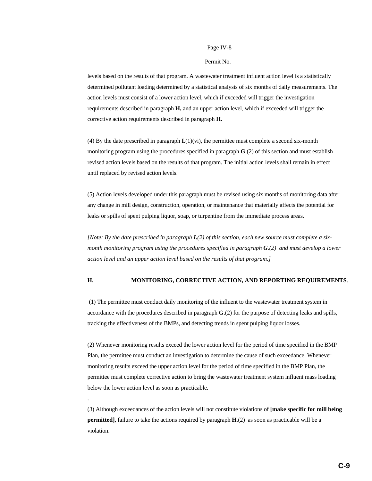#### Permit No.

levels based on the results of that program. A wastewater treatment influent action level is a statistically determined pollutant loading determined by a statistical analysis of six months of daily measurements. The action levels must consist of a lower action level, which if exceeded will trigger the investigation requirements described in paragraph **H,** and an upper action level, which if exceeded will trigger the corrective action requirements described in paragraph **H.**

(4) By the date prescribed in paragraph **I.**(1)(vi), the permittee must complete a second six-month monitoring program using the procedures specified in paragraph **G**.(2) of this section and must establish revised action levels based on the results of that program. The initial action levels shall remain in effect until replaced by revised action levels.

(5) Action levels developed under this paragraph must be revised using six months of monitoring data after any change in mill design, construction, operation, or maintenance that materially affects the potential for leaks or spills of spent pulping liquor, soap, or turpentine from the immediate process areas.

*[Note: By the date prescribed in paragraph I.(2) of this section, each new source must complete a sixmonth monitoring program using the procedures specified in paragraph G.(2) and must develop a lower action level and an upper action level based on the results of that program.]*

#### **H. MONITORING, CORRECTIVE ACTION, AND REPORTING REQUIREMENTS**.

 (1) The permittee must conduct daily monitoring of the influent to the wastewater treatment system in accordance with the procedures described in paragraph **G**.(2) for the purpose of detecting leaks and spills, tracking the effectiveness of the BMPs, and detecting trends in spent pulping liquor losses.

(2) Whenever monitoring results exceed the lower action level for the period of time specified in the BMP Plan, the permittee must conduct an investigation to determine the cause of such exceedance. Whenever monitoring results exceed the upper action level for the period of time specified in the BMP Plan, the permittee must complete corrective action to bring the wastewater treatment system influent mass loading below the lower action level as soon as practicable.

.

(3) Although exceedances of the action levels will not constitute violations of **[make specific for mill being permitted]**, failure to take the actions required by paragraph **H**.(2) as soon as practicable will be a violation.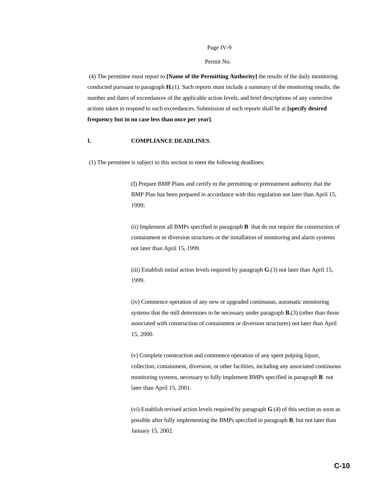#### Permit No.

 (4) The permittee must report to **[Name of the Permitting Authority]** the results of the daily monitoring conducted pursuant to paragraph **H**.(1). Such reports must include a summary of the monitoring results, the number and dates of exceedances of the applicable action levels, and brief descriptions of any corrective actions taken to respond to such exceedances. Submission of such reports shall be at **[specify desired frequency but in no case less than once per year]**.

#### **I. COMPLIANCE DEADLINES**.

(1) The permittee is subject to this section to meet the following deadlines:

(I) Prepare BMP Plans and certify to the permitting or pretreatment authority that the BMP Plan has been prepared in accordance with this regulation not later than April 15, 1999;

(ii) Implement all BMPs specified in paragraph **B** that do not require the construction of containment or diversion structures or the installation of monitoring and alarm systems not later than April 15, 1999.

(iii) Establish initial action levels required by paragraph **G**.(3) not later than April 15, 1999.

(iv) Commence operation of any new or upgraded continuous, automatic monitoring systems that the mill determines to be necessary under paragraph **B.**(3) (other than those associated with construction of containment or diversion structures) not later than April 15, 2000.

(v) Complete construction and commence operation of any spent pulping liquor, collection, containment, diversion, or other facilities, including any associated continuous monitoring systems, necessary to fully implement BMPs specified in paragraph **B** not later than April 15, 2001.

(vi) Establish revised action levels required by paragraph **G**.(4) of this section as soon as possible after fully implementing the BMPs specified in paragraph **B**, but not later than January 15, 2002.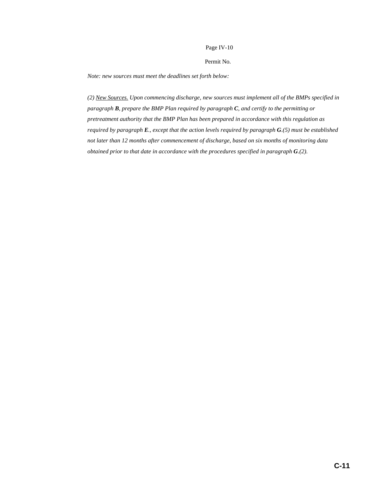#### Permit No.

*Note: new sources must meet the deadlines set forth below:*

*(2) New Sources. Upon commencing discharge, new sources must implement all of the BMPs specified in paragraph B, prepare the BMP Plan required by paragraph C, and certify to the permitting or pretreatment authority that the BMP Plan has been prepared in accordance with this regulation as required by paragraph E., except that the action levels required by paragraph G.(5) must be established not later than 12 months after commencement of discharge, based on six months of monitoring data obtained prior to that date in accordance with the procedures specified in paragraph G.(2).*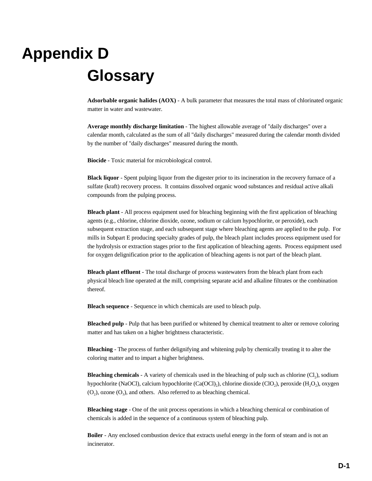## **Appendix D Glossary**

**Adsorbable organic halides (AOX)** - A bulk parameter that measures the total mass of chlorinated organic matter in water and wastewater.

**Average monthly discharge limitation** - The highest allowable average of "daily discharges" over a calendar month, calculated as the sum of all "daily discharges" measured during the calendar month divided by the number of "daily discharges" measured during the month.

**Biocide** - Toxic material for microbiological control.

**Black liquor** - Spent pulping liquor from the digester prior to its incineration in the recovery furnace of a sulfate (kraft) recovery process. It contains dissolved organic wood substances and residual active alkali compounds from the pulping process.

**Bleach plant** - All process equipment used for bleaching beginning with the first application of bleaching agents (e.g., chlorine, chlorine dioxide, ozone, sodium or calcium hypochlorite, or peroxide), each subsequent extraction stage, and each subsequent stage where bleaching agents are applied to the pulp. For mills in Subpart E producing specialty grades of pulp, the bleach plant includes process equipment used for the hydrolysis or extraction stages prior to the first application of bleaching agents. Process equipment used for oxygen delignification prior to the application of bleaching agents is not part of the bleach plant.

**Bleach plant effluent** - The total discharge of process wastewaters from the bleach plant from each physical bleach line operated at the mill, comprising separate acid and alkaline filtrates or the combination thereof.

**Bleach sequence** - Sequence in which chemicals are used to bleach pulp.

**Bleached pulp** - Pulp that has been purified or whitened by chemical treatment to alter or remove coloring matter and has taken on a higher brightness characteristic.

**Bleaching** - The process of further delignifying and whitening pulp by chemically treating it to alter the coloring matter and to impart a higher brightness.

**Bleaching chemicals** - A variety of chemicals used in the bleaching of pulp such as chlorine (Cl<sub>2</sub>), sodium hypochlorite (NaOCl), calcium hypochlorite (Ca(OCl)<sub>2</sub>), chlorine dioxide (ClO<sub>2</sub>), peroxide (H<sub>2</sub>O<sub>2</sub>), oxygen  $(O_2)$ , ozone  $(O_3)$ , and others. Also referred to as bleaching chemical.

**Bleaching stage** - One of the unit process operations in which a bleaching chemical or combination of chemicals is added in the sequence of a continuous system of bleaching pulp.

**Boiler** - Any enclosed combustion device that extracts useful energy in the form of steam and is not an incinerator.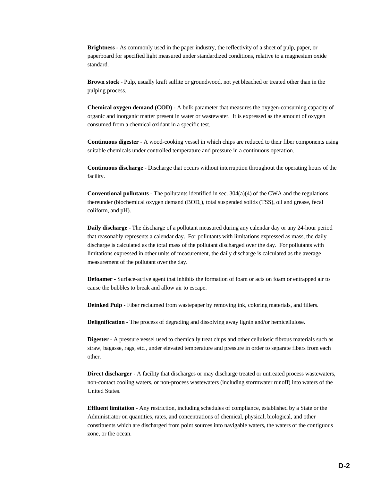**Brightness** - As commonly used in the paper industry, the reflectivity of a sheet of pulp, paper, or paperboard for specified light measured under standardized conditions, relative to a magnesium oxide standard.

**Brown stock** - Pulp, usually kraft sulfite or groundwood, not yet bleached or treated other than in the pulping process.

**Chemical oxygen demand (COD)** - A bulk parameter that measures the oxygen-consuming capacity of organic and inorganic matter present in water or wastewater. It is expressed as the amount of oxygen consumed from a chemical oxidant in a specific test.

**Continuous digester** - A wood-cooking vessel in which chips are reduced to their fiber components using suitable chemicals under controlled temperature and pressure in a continuous operation.

**Continuous discharge** - Discharge that occurs without interruption throughout the operating hours of the facility.

**Conventional pollutants** - The pollutants identified in sec. 304(a)(4) of the CWA and the regulations thereunder (biochemical oxygen demand (BOD<sub>5</sub>), total suspended solids (TSS), oil and grease, fecal coliform, and pH).

**Daily discharge** - The discharge of a pollutant measured during any calendar day or any 24-hour period that reasonably represents a calendar day. For pollutants with limitations expressed as mass, the daily discharge is calculated as the total mass of the pollutant discharged over the day. For pollutants with limitations expressed in other units of measurement, the daily discharge is calculated as the average measurement of the pollutant over the day.

**Defoamer** - Surface-active agent that inhibits the formation of foam or acts on foam or entrapped air to cause the bubbles to break and allow air to escape.

**Deinked Pulp** - Fiber reclaimed from wastepaper by removing ink, coloring materials, and fillers.

**Delignification** - The process of degrading and dissolving away lignin and/or hemicellulose.

**Digester** - A pressure vessel used to chemically treat chips and other cellulosic fibrous materials such as straw, bagasse, rags, etc., under elevated temperature and pressure in order to separate fibers from each other.

**Direct discharger** - A facility that discharges or may discharge treated or untreated process wastewaters, non-contact cooling waters, or non-process wastewaters (including stormwater runoff) into waters of the United States.

**Effluent limitation** - Any restriction, including schedules of compliance, established by a State or the Administrator on quantities, rates, and concentrations of chemical, physical, biological, and other constituents which are discharged from point sources into navigable waters, the waters of the contiguous zone, or the ocean.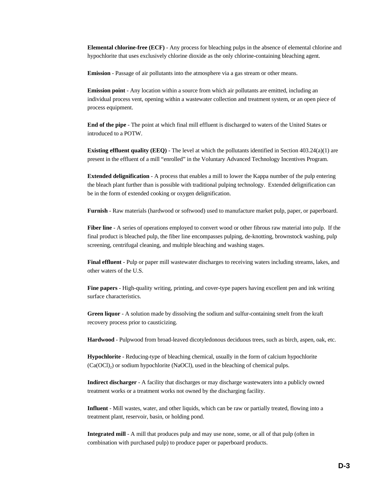**Elemental chlorine-free (ECF)** - Any process for bleaching pulps in the absence of elemental chlorine and hypochlorite that uses exclusively chlorine dioxide as the only chlorine-containing bleaching agent.

**Emission** - Passage of air pollutants into the atmosphere via a gas stream or other means.

**Emission point** - Any location within a source from which air pollutants are emitted, including an individual process vent, opening within a wastewater collection and treatment system, or an open piece of process equipment.

**End of the pipe** - The point at which final mill effluent is discharged to waters of the United States or introduced to a POTW.

**Existing effluent quality (EEQ)** - The level at which the pollutants identified in Section 403.24(a)(1) are present in the effluent of a mill "enrolled" in the Voluntary Advanced Technology Incentives Program.

**Extended delignification** - A process that enables a mill to lower the Kappa number of the pulp entering the bleach plant further than is possible with traditional pulping technology. Extended delignification can be in the form of extended cooking or oxygen delignification.

**Furnish** - Raw materials (hardwood or softwood) used to manufacture market pulp, paper, or paperboard.

**Fiber line** - A series of operations employed to convert wood or other fibrous raw material into pulp. If the final product is bleached pulp, the fiber line encompasses pulping, de-knotting, brownstock washing, pulp screening, centrifugal cleaning, and multiple bleaching and washing stages.

**Final effluent** - Pulp or paper mill wastewater discharges to receiving waters including streams, lakes, and other waters of the U.S.

**Fine papers** - High-quality writing, printing, and cover-type papers having excellent pen and ink writing surface characteristics.

**Green liquor** - A solution made by dissolving the sodium and sulfur-containing smelt from the kraft recovery process prior to causticizing.

**Hardwood** - Pulpwood from broad-leaved dicotyledonous deciduous trees, such as birch, aspen, oak, etc.

**Hypochlorite** - Reducing-type of bleaching chemical, usually in the form of calcium hypochlorite  $(Ca(OCl<sub>2</sub>)$  or sodium hypochlorite (NaOCl), used in the bleaching of chemical pulps.

**Indirect discharger** - A facility that discharges or may discharge wastewaters into a publicly owned treatment works or a treatment works not owned by the discharging facility.

**Influent** - Mill wastes, water, and other liquids, which can be raw or partially treated, flowing into a treatment plant, reservoir, basin, or holding pond.

**Integrated mill** - A mill that produces pulp and may use none, some, or all of that pulp (often in combination with purchased pulp) to produce paper or paperboard products.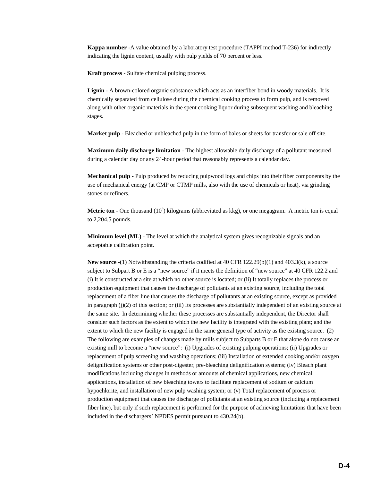**Kappa number** -A value obtained by a laboratory test procedure (TAPPI method T-236) for indirectly indicating the lignin content, usually with pulp yields of 70 percent or less.

**Kraft process** - Sulfate chemical pulping process.

**Lignin** - A brown-colored organic substance which acts as an interfiber bond in woody materials. It is chemically separated from cellulose during the chemical cooking process to form pulp, and is removed along with other organic materials in the spent cooking liquor during subsequent washing and bleaching stages.

**Market pulp** - Bleached or unbleached pulp in the form of bales or sheets for transfer or sale off site.

**Maximum daily discharge limitation** - The highest allowable daily discharge of a pollutant measured during a calendar day or any 24-hour period that reasonably represents a calendar day.

**Mechanical pulp** - Pulp produced by reducing pulpwood logs and chips into their fiber components by the use of mechanical energy (at CMP or CTMP mills, also with the use of chemicals or heat), via grinding stones or refiners.

**Metric ton** - One thousand  $(10^3)$  kilograms (abbreviated as kkg), or one megagram. A metric ton is equal to 2,204.5 pounds.

**Minimum level (ML)** - The level at which the analytical system gives recognizable signals and an acceptable calibration point.

**New source** -(1) Notwithstanding the criteria codified at 40 CFR 122.29(b)(1) and 403.3(k), a source subject to Subpart B or E is a "new source" if it meets the definition of "new source" at 40 CFR 122.2 and (i) It is constructed at a site at which no other source is located; or (ii) It totally replaces the process or production equipment that causes the discharge of pollutants at an existing source, including the total replacement of a fiber line that causes the discharge of pollutants at an existing source, except as provided in paragraph (j)(2) of this section; or (iii) Its processes are substantially independent of an existing source at the same site. In determining whether these processes are substantially independent, the Director shall consider such factors as the extent to which the new facility is integrated with the existing plant; and the extent to which the new facility is engaged in the same general type of activity as the existing source. (2) The following are examples of changes made by mills subject to Subparts B or E that alone do not cause an existing mill to become a "new source": (i) Upgrades of existing pulping operations; (ii) Upgrades or replacement of pulp screening and washing operations; (iii) Installation of extended cooking and/or oxygen delignification systems or other post-digester, pre-bleaching delignification systems; (iv) Bleach plant modifications including changes in methods or amounts of chemical applications, new chemical applications, installation of new bleaching towers to facilitate replacement of sodium or calcium hypochlorite, and installation of new pulp washing system; or (v) Total replacement of process or production equipment that causes the discharge of pollutants at an existing source (including a replacement fiber line), but only if such replacement is performed for the purpose of achieving limitations that have been included in the dischargers' NPDES permit pursuant to 430.24(b).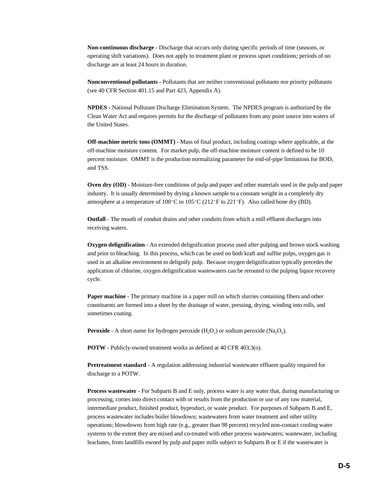**Non-continuous discharge** - Discharge that occurs only during specific periods of time (seasons, or operating shift variations). Does not apply to treatment plant or process upset conditions; periods of no discharge are at least 24 hours in duration.

**Nonconventional pollutants** - Pollutants that are neither conventional pollutants nor priority pollutants (see 40 CFR Section 401.15 and Part 423, Appendix A).

**NPDES** - National Pollutant Discharge Elimination System. The NPDES program is authorized by the Clean Water Act and requires permits for the discharge of pollutants from any point source into waters of the United States.

**Off-machine metric tons (OMMT)** - Mass of final product, including coatings where applicable, at the off-machine moisture content. For market pulp, the off-machine moisture content is defined to be 10 percent moisture. OMMT is the production normalizing parameter for end-of-pipe limitations for  $BOD<sub>5</sub>$ and TSS.

**Oven dry (OD)** - Moisture-free conditions of pulp and paper and other materials used in the pulp and paper industry. It is usually determined by drying a known sample to a constant weight in a completely dry atmosphere at a temperature of  $100^{\circ}$ C to  $105^{\circ}$ C (212<sup> $\circ$ </sup>F to 221<sup> $\circ$ </sup>F). Also called bone dry (BD).

**Outfall** - The mouth of conduit drains and other conduits from which a mill effluent discharges into receiving waters.

**Oxygen delignification** - An extended delignification process used after pulping and brown stock washing and prior to bleaching. In this process, which can be used on both kraft and sulfite pulps, oxygen gas is used in an alkaline environment to delignify pulp. Because oxygen delignification typically precedes the application of chlorine, oxygen delignification wastewaters can be rerouted to the pulping liquor recovery cycle.

**Paper machine** - The primary machine in a paper mill on which slurries containing fibers and other constituents are formed into a sheet by the drainage of water, pressing, drying, winding into rolls, and sometimes coating.

**Peroxide** - A short name for hydrogen peroxide  $(H, O)$  or sodium peroxide  $(Na, O)$ .

**POTW** - Publicly-owned treatment works as defined at 40 CFR 403.3(o).

**Pretreatment standard** - A regulation addressing industrial wastewater effluent quality required for discharge to a POTW.

**Process wastewater** - For Subparts B and E only, process water is any water that, during manufacturing or processing, comes into direct contact with or results from the production or use of any raw material, intermediate product, finished product, byproduct, or waste product. For purposes of Subparts B and E, process wastewater includes boiler blowdown; wastewaters from water treatment and other utility operations; blowdowns from high rate (e.g., greater than 98 percent) recycled non-contact cooling water systems to the extent they are mixed and co-treated with other process wastewaters; wastewater, including leachates, from landfills owned by pulp and paper mills subject to Subparts B or E if the wastewater is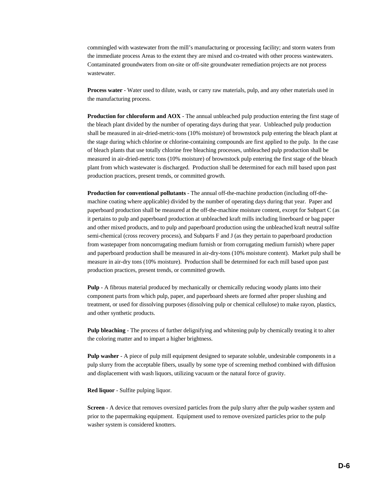commingled with wastewater from the mill's manufacturing or processing facility; and storm waters from the immediate process Areas to the extent they are mixed and co-treated with other process wastewaters. Contaminated groundwaters from on-site or off-site groundwater remediation projects are not process wastewater.

**Process water** - Water used to dilute, wash, or carry raw materials, pulp, and any other materials used in the manufacturing process.

**Production for chloroform and AOX** - The annual unbleached pulp production entering the first stage of the bleach plant divided by the number of operating days during that year. Unbleached pulp production shall be measured in air-dried-metric-tons (10% moisture) of brownstock pulp entering the bleach plant at the stage during which chlorine or chlorine-containing compounds are first applied to the pulp. In the case of bleach plants that use totally chlorine free bleaching processes, unbleached pulp production shall be measured in air-dried-metric tons (10% moisture) of brownstock pulp entering the first stage of the bleach plant from which wastewater is discharged. Production shall be determined for each mill based upon past production practices, present trends, or committed growth.

**Production for conventional pollutants** - The annual off-the-machine production (including off-themachine coating where applicable) divided by the number of operating days during that year. Paper and paperboard production shall be measured at the off-the-machine moisture content, except for Subpart C (as it pertains to pulp and paperboard production at unbleached kraft mills including linerboard or bag paper and other mixed products, and to pulp and paperboard production using the unbleached kraft neutral sulfite semi-chemical (cross recovery process), and Subparts F and J (as they pertain to paperboard production from wastepaper from noncorrugating medium furnish or from corrugating medium furnish) where paper and paperboard production shall be measured in air-dry-tons (10% moisture content). Market pulp shall be measure in air-dry tons (10% moisture). Production shall be determined for each mill based upon past production practices, present trends, or committed growth.

**Pulp** - A fibrous material produced by mechanically or chemically reducing woody plants into their component parts from which pulp, paper, and paperboard sheets are formed after proper slushing and treatment, or used for dissolving purposes (dissolving pulp or chemical cellulose) to make rayon, plastics, and other synthetic products.

**Pulp bleaching** - The process of further delignifying and whitening pulp by chemically treating it to alter the coloring matter and to impart a higher brightness.

**Pulp washer** - A piece of pulp mill equipment designed to separate soluble, undesirable components in a pulp slurry from the acceptable fibers, usually by some type of screening method combined with diffusion and displacement with wash liquors, utilizing vacuum or the natural force of gravity.

**Red liquor** - Sulfite pulping liquor.

**Screen** - A device that removes oversized particles from the pulp slurry after the pulp washer system and prior to the papermaking equipment. Equipment used to remove oversized particles prior to the pulp washer system is considered knotters.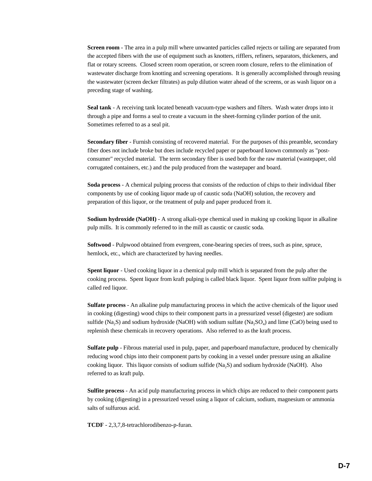**Screen room** - The area in a pulp mill where unwanted particles called rejects or tailing are separated from the accepted fibers with the use of equipment such as knotters, rifflers, refiners, separators, thickeners, and flat or rotary screens. Closed screen room operation, or screen room closure, refers to the elimination of wastewater discharge from knotting and screening operations. It is generally accomplished through reusing the wastewater (screen decker filtrates) as pulp dilution water ahead of the screens, or as wash liquor on a preceding stage of washing.

**Seal tank** - A receiving tank located beneath vacuum-type washers and filters. Wash water drops into it through a pipe and forms a seal to create a vacuum in the sheet-forming cylinder portion of the unit. Sometimes referred to as a seal pit.

**Secondary fiber** - Furnish consisting of recovered material. For the purposes of this preamble, secondary fiber does not include broke but does include recycled paper or paperboard known commonly as "postconsumer" recycled material. The term secondary fiber is used both for the raw material (wastepaper, old corrugated containers, etc.) and the pulp produced from the wastepaper and board.

**Soda process** - A chemical pulping process that consists of the reduction of chips to their individual fiber components by use of cooking liquor made up of caustic soda (NaOH) solution, the recovery and preparation of this liquor, or the treatment of pulp and paper produced from it.

**Sodium hydroxide (NaOH)** - A strong alkali-type chemical used in making up cooking liquor in alkaline pulp mills. It is commonly referred to in the mill as caustic or caustic soda.

**Softwood** - Pulpwood obtained from evergreen, cone-bearing species of trees, such as pine, spruce, hemlock, etc., which are characterized by having needles.

**Spent liquor** - Used cooking liquor in a chemical pulp mill which is separated from the pulp after the cooking process. Spent liquor from kraft pulping is called black liquor. Spent liquor from sulfite pulping is called red liquor.

**Sulfate process** - An alkaline pulp manufacturing process in which the active chemicals of the liquor used in cooking (digesting) wood chips to their component parts in a pressurized vessel (digester) are sodium sulfide (Na<sub>2</sub>S) and sodium hydroxide (NaOH) with sodium sulfate (Na<sub>2</sub>SO<sub>a</sub>) and lime (CaO) being used to replenish these chemicals in recovery operations. Also referred to as the kraft process.

**Sulfate pulp** - Fibrous material used in pulp, paper, and paperboard manufacture, produced by chemically reducing wood chips into their component parts by cooking in a vessel under pressure using an alkaline cooking liquor. This liquor consists of sodium sulfide (Na2S) and sodium hydroxide (NaOH). Also referred to as kraft pulp.

**Sulfite process** - An acid pulp manufacturing process in which chips are reduced to their component parts by cooking (digesting) in a pressurized vessel using a liquor of calcium, sodium, magnesium or ammonia salts of sulfurous acid.

**TCDF** - 2,3,7,8-tetrachlorodibenzo-p-furan.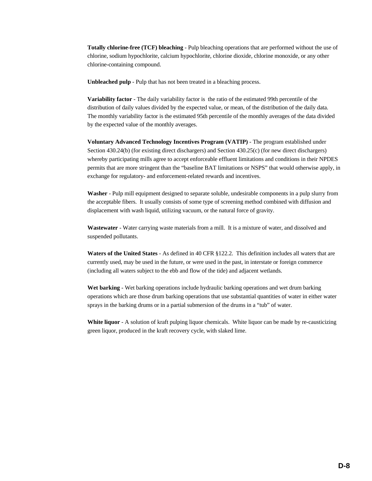**Totally chlorine-free (TCF) bleaching** - Pulp bleaching operations that are performed without the use of chlorine, sodium hypochlorite, calcium hypochlorite, chlorine dioxide, chlorine monoxide, or any other chlorine-containing compound.

**Unbleached pulp** - Pulp that has not been treated in a bleaching process.

**Variability factor** - The daily variability factor is the ratio of the estimated 99th percentile of the distribution of daily values divided by the expected value, or mean, of the distribution of the daily data. The monthly variability factor is the estimated 95th percentile of the monthly averages of the data divided by the expected value of the monthly averages.

**Voluntary Advanced Technology Incentives Program (VATIP)** - The program established under Section 430.24(b) (for existing direct dischargers) and Section 430.25(c) (for new direct dischargers) whereby participating mills agree to accept enforceable effluent limitations and conditions in their NPDES permits that are more stringent than the "baseline BAT limitations or NSPS" that would otherwise apply, in exchange for regulatory- and enforcement-related rewards and incentives.

**Washer** - Pulp mill equipment designed to separate soluble, undesirable components in a pulp slurry from the acceptable fibers. It usually consists of some type of screening method combined with diffusion and displacement with wash liquid, utilizing vacuum, or the natural force of gravity.

**Wastewater** - Water carrying waste materials from a mill. It is a mixture of water, and dissolved and suspended pollutants.

**Waters of the United States** - As defined in 40 CFR §122.2. This definition includes all waters that are currently used, may be used in the future, or were used in the past, in interstate or foreign commerce (including all waters subject to the ebb and flow of the tide) and adjacent wetlands.

**Wet barking** - Wet barking operations include hydraulic barking operations and wet drum barking operations which are those drum barking operations that use substantial quantities of water in either water sprays in the barking drums or in a partial submersion of the drums in a "tub" of water.

**White liquor** - A solution of kraft pulping liquor chemicals. White liquor can be made by re-causticizing green liquor, produced in the kraft recovery cycle, with slaked lime.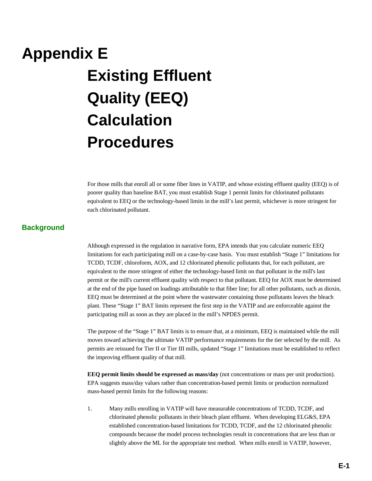## **Appendix E Existing Effluent Quality (EEQ) Calculation Procedures**

For those mills that enroll all or some fiber lines in VATIP, and whose existing effluent quality (EEQ) is of poorer quality than baseline BAT, you must establish Stage 1 permit limits for chlorinated pollutants equivalent to EEQ or the technology-based limits in the mill's last permit, whichever is more stringent for each chlorinated pollutant.

#### **Background**

Although expressed in the regulation in narrative form, EPA intends that you calculate numeric EEQ limitations for each participating mill on a case-by-case basis. You must establish "Stage 1" limitations for TCDD, TCDF, chloroform, AOX, and 12 chlorinated phenolic pollutants that, for each pollutant, are equivalent to the more stringent of either the technology-based limit on that pollutant in the mill's last permit or the mill's current effluent quality with respect to that pollutant. EEQ for AOX must be determined at the end of the pipe based on loadings attributable to that fiber line; for all other pollutants, such as dioxin, EEQ must be determined at the point where the wastewater containing those pollutants leaves the bleach plant. These "Stage 1" BAT limits represent the first step in the VATIP and are enforceable against the participating mill as soon as they are placed in the mill's NPDES permit.

The purpose of the "Stage 1" BAT limits is to ensure that, at a minimum, EEQ is maintained while the mill moves toward achieving the ultimate VATIP performance requirements for the tier selected by the mill. As permits are reissued for Tier II or Tier III mills, updated "Stage 1" limitations must be established to reflect the improving effluent quality of that mill.

**EEQ permit limits should be expressed as mass/day** (not concentrations or mass per unit production). EPA suggests mass/day values rather than concentration-based permit limits or production normalized mass-based permit limits for the following reasons:

1. Many mills enrolling in VATIP will have measurable concentrations of TCDD, TCDF, and chlorinated phenolic pollutants in their bleach plant effluent. When developing ELG&S, EPA established concentration-based limitations for TCDD, TCDF, and the 12 chlorinated phenolic compounds because the model process technologies result in concentrations that are less than or slightly above the ML for the appropriate test method. When mills enroll in VATIP, however,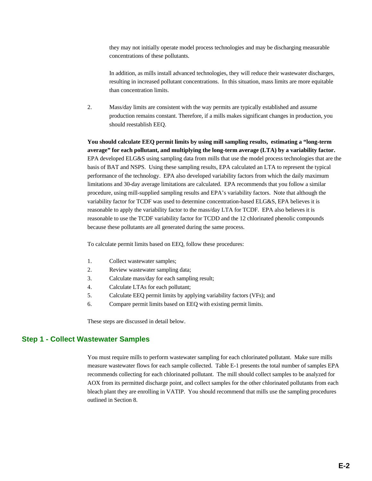they may not initially operate model process technologies and may be discharging measurable concentrations of these pollutants.

In addition, as mills install advanced technologies, they will reduce their wastewater discharges, resulting in increased pollutant concentrations. In this situation, mass limits are more equitable than concentration limits.

2. Mass/day limits are consistent with the way permits are typically established and assume production remains constant. Therefore, if a mills makes significant changes in production, you should reestablish EEQ.

**You should calculate EEQ permit limits by using mill sampling results, estimating a "long-term average" for each pollutant, and multiplying the long-term average (LTA) by a variability factor.**  EPA developed ELG&S using sampling data from mills that use the model process technologies that are the basis of BAT and NSPS. Using these sampling results, EPA calculated an LTA to represent the typical performance of the technology. EPA also developed variability factors from which the daily maximum limitations and 30-day average limitations are calculated. EPA recommends that you follow a similar procedure, using mill-supplied sampling results and EPA's variability factors. Note that although the variability factor for TCDF was used to determine concentration-based ELG&S, EPA believes it is reasonable to apply the variability factor to the mass/day LTA for TCDF. EPA also believes it is reasonable to use the TCDF variability factor for TCDD and the 12 chlorinated phenolic compounds because these pollutants are all generated during the same process.

To calculate permit limits based on EEQ, follow these procedures:

- 1. Collect wastewater samples;
- 2. Review wastewater sampling data;
- 3. Calculate mass/day for each sampling result;
- 4. Calculate LTAs for each pollutant;
- 5. Calculate EEQ permit limits by applying variability factors (VFs); and
- 6. Compare permit limits based on EEQ with existing permit limits.

These steps are discussed in detail below.

### **Step 1 - Collect Wastewater Samples**

You must require mills to perform wastewater sampling for each chlorinated pollutant. Make sure mills measure wastewater flows for each sample collected. Table E-1 presents the total number of samples EPA recommends collecting for each chlorinated pollutant. The mill should collect samples to be analyzed for AOX from its permitted discharge point, and collect samples for the other chlorinated pollutants from each bleach plant they are enrolling in VATIP. You should recommend that mills use the sampling procedures outlined in Section 8.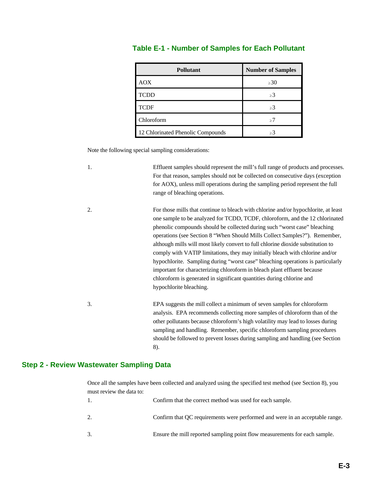| <b>Pollutant</b>                  | <b>Number of Samples</b> |
|-----------------------------------|--------------------------|
| <b>AOX</b>                        | $\geq 30$                |
| <b>TCDD</b>                       | $\geq$ 3                 |
| <b>TCDF</b>                       | >3                       |
| Chloroform                        | >7                       |
| 12 Chlorinated Phenolic Compounds | >3                       |

## **Table E-1 - Number of Samples for Each Pollutant**

Note the following special sampling considerations:

| 1. | Effluent samples should represent the mill's full range of products and processes.<br>For that reason, samples should not be collected on consecutive days (exception<br>for AOX), unless mill operations during the sampling period represent the full<br>range of bleaching operations.                                                                                                                                                                                                                                                                                                                                                                                                                                                                              |
|----|------------------------------------------------------------------------------------------------------------------------------------------------------------------------------------------------------------------------------------------------------------------------------------------------------------------------------------------------------------------------------------------------------------------------------------------------------------------------------------------------------------------------------------------------------------------------------------------------------------------------------------------------------------------------------------------------------------------------------------------------------------------------|
| 2. | For those mills that continue to bleach with chlorine and/or hypochlorite, at least<br>one sample to be analyzed for TCDD, TCDF, chloroform, and the 12 chlorinated<br>phenolic compounds should be collected during such "worst case" bleaching<br>operations (see Section 8 "When Should Mills Collect Samples?"). Remember,<br>although mills will most likely convert to full chlorine dioxide substitution to<br>comply with VATIP limitations, they may initially bleach with chlorine and/or<br>hypochlorite. Sampling during "worst case" bleaching operations is particularly<br>important for characterizing chloroform in bleach plant effluent because<br>chloroform is generated in significant quantities during chlorine and<br>hypochlorite bleaching. |
| 3. | EPA suggests the mill collect a minimum of seven samples for chloroform<br>analysis. EPA recommends collecting more samples of chloroform than of the<br>other pollutants because chloroform's high volatility may lead to losses during<br>sampling and handling. Remember, specific chloroform sampling procedures<br>should be followed to prevent losses during sampling and handling (see Section<br>8).                                                                                                                                                                                                                                                                                                                                                          |

## **Step 2 - Review Wastewater Sampling Data**

Once all the samples have been collected and analyzed using the specified test method (see Section 8), you must review the data to: 1. Confirm that the correct method was used for each sample.

| COMMINI that the confect method was used for each sample.                    |
|------------------------------------------------------------------------------|
| Confirm that OC requirements were performed and were in an acceptable range. |
| Ensure the mill reported sampling point flow measurements for each sample.   |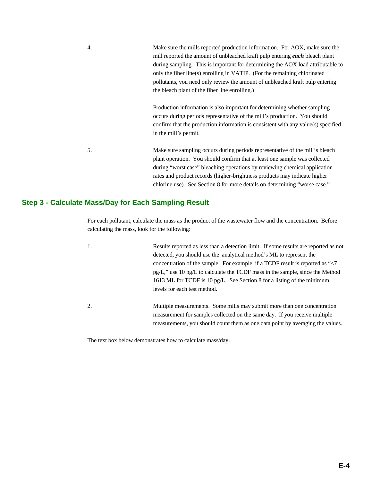4. Make sure the mills reported production information. For AOX, make sure the mill reported the amount of unbleached kraft pulp entering *each* bleach plant during sampling. This is important for determining the AOX load attributable to only the fiber line(s) enrolling in VATIP. (For the remaining chlorinated pollutants, you need only review the amount of unbleached kraft pulp entering the bleach plant of the fiber line enrolling.)

> Production information is also important for determining whether sampling occurs during periods representative of the mill's production. You should confirm that the production information is consistent with any value(s) specified in the mill's permit.

5. Make sure sampling occurs during periods representative of the mill's bleach plant operation. You should confirm that at least one sample was collected during "worst case" bleaching operations by reviewing chemical application rates and product records (higher-brightness products may indicate higher chlorine use). See Section 8 for more details on determining "worse case."

## **Step 3 - Calculate Mass/Day for Each Sampling Result**

For each pollutant, calculate the mass as the product of the wastewater flow and the concentration. Before calculating the mass, look for the following:

| 1. |                                                                                      |
|----|--------------------------------------------------------------------------------------|
|    | Results reported as less than a detection limit. If some results are reported as not |
|    | detected, you should use the analytical method's ML to represent the                 |
|    | concentration of the sample. For example, if a TCDF result is reported as "<7        |
|    | pg/L," use 10 pg/L to calculate the TCDF mass in the sample, since the Method        |
|    | 1613 ML for TCDF is 10 pg/L. See Section 8 for a listing of the minimum              |
|    | levels for each test method.                                                         |
|    |                                                                                      |
| 2. | Multiple measurements. Some mills may submit more than one concentration             |
|    | measurement for samples collected on the same day. If you receive multiple           |
|    | measurements, you should count them as one data point by averaging the values.       |

The text box below demonstrates how to calculate mass/day.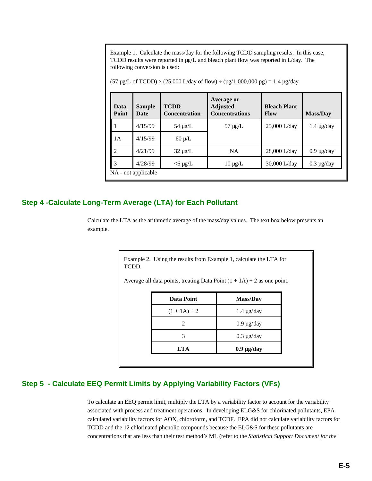Example 1. Calculate the mass/day for the following TCDD sampling results. In this case, TCDD results were reported in µg/L and bleach plant flow was reported in L/day. The following conversion is used:

 $(57 \,\mu g/L \text{ of TCDD}) \times (25,000 \text{ L/day of flow}) \div (\mu g/1,000,000 \text{ pg}) = 1.4 \,\mu g/day$ 

| Data<br>Point  | <b>Sample</b><br>Date | <b>TCDD</b><br><b>Concentration</b> | Average or<br><b>Adjusted</b><br><b>Concentrations</b> | <b>Bleach Plant</b><br><b>Flow</b> | <b>Mass/Day</b> |
|----------------|-----------------------|-------------------------------------|--------------------------------------------------------|------------------------------------|-----------------|
| 1              | 4/15/99               | 54 $\mu$ g/L                        | $57 \mu g/L$                                           | $25,000$ L/day                     | $1.4 \mu g/day$ |
| 1А             | 4/15/99               | $60 \mu/L$                          |                                                        |                                    |                 |
| $\overline{2}$ | 4/21/99               | $32 \mu g/L$                        | <b>NA</b>                                              | 28,000 L/day                       | $0.9 \mu g/day$ |
| 3              | 4/28/99               | $<$ 6 µg/L                          | $10 \mu g/L$                                           | 30,000 L/day                       | $0.3 \mu g/day$ |
|                | NA - not applicable   |                                     |                                                        |                                    |                 |

### **Step 4 -Calculate Long-Term Average (LTA) for Each Pollutant**

Calculate the LTA as the arithmetic average of the mass/day values. The text box below presents an example.

> Example 2. Using the results from Example 1, calculate the LTA for TCDD.

Average all data points, treating Data Point  $(1 + 1A) \div 2$  as one point.

| Data Point        | <b>Mass/Day</b> |
|-------------------|-----------------|
| $(1 + 1A) \div 2$ | $1.4 \mu g/day$ |
|                   | $0.9 \mu g/day$ |
|                   | $0.3 \mu g/day$ |
| <b>LTA</b>        | $0.9 \mu g/day$ |

### **Step 5 - Calculate EEQ Permit Limits by Applying Variability Factors (VFs)**

To calculate an EEQ permit limit, multiply the LTA by a variability factor to account for the variability associated with process and treatment operations. In developing ELG&S for chlorinated pollutants, EPA calculated variability factors for AOX, chloroform, and TCDF. EPA did not calculate variability factors for TCDD and the 12 chlorinated phenolic compounds because the ELG&S for these pollutants are concentrations that are less than their test method's ML (refer to the *Statistical Support Document for the*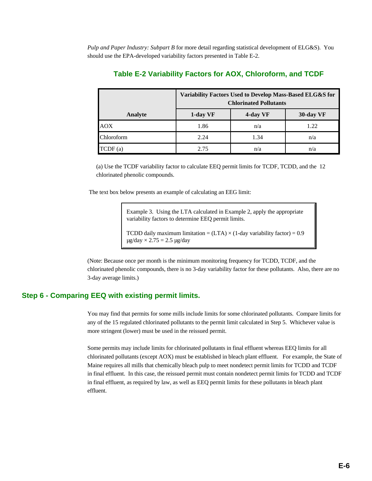*Pulp and Paper Industry: Subpart B* for more detail regarding statistical development of ELG&S). You should use the EPA-developed variability factors presented in Table E-2.

|            | Variability Factors Used to Develop Mass-Based ELG&S for<br><b>Chlorinated Pollutants</b> |          |           |
|------------|-------------------------------------------------------------------------------------------|----------|-----------|
| Analyte    | 1-day VF                                                                                  | 4-day VF | 30-day VF |
| <b>AOX</b> | 1.86                                                                                      | n/a      | 1.22      |
| Chloroform | 2.24                                                                                      | 1.34     | n/a       |
| TCDF(a)    | 2.75                                                                                      | n/a      | n/a       |

## **Table E-2 Variability Factors for AOX, Chloroform, and TCDF**

(a) Use the TCDF variability factor to calculate EEQ permit limits for TCDF, TCDD, and the 12 chlorinated phenolic compounds.

The text box below presents an example of calculating an EEG limit:

Example 3. Using the LTA calculated in Example 2, apply the appropriate variability factors to determine EEQ permit limits.

TCDD daily maximum limitation =  $(LTA) \times (1$ -day variability factor) = 0.9  $\mu$ g/day  $\times$  2.75 = 2.5  $\mu$ g/day

(Note: Because once per month is the minimum monitoring frequency for TCDD, TCDF, and the chlorinated phenolic compounds, there is no 3-day variability factor for these pollutants. Also, there are no 3-day average limits.)

#### **Step 6 - Comparing EEQ with existing permit limits.**

You may find that permits for some mills include limits for some chlorinated pollutants. Compare limits for any of the 15 regulated chlorinated pollutants to the permit limit calculated in Step 5. Whichever value is more stringent (lower) must be used in the reissued permit.

Some permits may include limits for chlorinated pollutants in final effluent whereas EEQ limits for all chlorinated pollutants (except AOX) must be established in bleach plant effluent. For example, the State of Maine requires all mills that chemically bleach pulp to meet nondetect permit limits for TCDD and TCDF in final effluent. In this case, the reissued permit must contain nondetect permit limits for TCDD and TCDF in final effluent, as required by law, as well as EEQ permit limits for these pollutants in bleach plant effluent.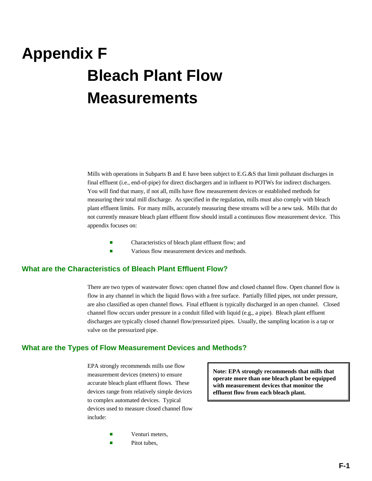# **Appendix F Bleach Plant Flow Measurements**

Mills with operations in Subparts B and E have been subject to E.G.&S that limit pollutant discharges in final effluent (i.e., end-of-pipe) for direct dischargers and in influent to POTWs for indirect dischargers. You will find that many, if not all, mills have flow measurement devices or established methods for measuring their total mill discharge. As specified in the regulation, mills must also comply with bleach plant effluent limits. For many mills, accurately measuring these streams will be a new task. Mills that do not currently measure bleach plant effluent flow should install a continuous flow measurement device. This appendix focuses on:

- Characteristics of bleach plant effluent flow; and
- **Exercise Servers** Various flow measurement devices and methods.

#### **What are the Characteristics of Bleach Plant Effluent Flow?**

There are two types of wastewater flows: open channel flow and closed channel flow. Open channel flow is flow in any channel in which the liquid flows with a free surface. Partially filled pipes, not under pressure, are also classified as open channel flows. Final effluent is typically discharged in an open channel. Closed channel flow occurs under pressure in a conduit filled with liquid (e.g., a pipe). Bleach plant effluent discharges are typically closed channel flow/pressurized pipes. Usually, the sampling location is a tap or valve on the pressurized pipe.

#### **What are the Types of Flow Measurement Devices and Methods?**

EPA strongly recommends mills use flow measurement devices (meters) to ensure accurate bleach plant effluent flows. These devices range from relatively simple devices to complex automated devices. Typical devices used to measure closed channel flow include:

Venturi meters,

Pitot tubes.

**Note: EPA strongly recommends that mills that operate more than one bleach plant be equipped with measurement devices that monitor the effluent flow from each bleach plant.**